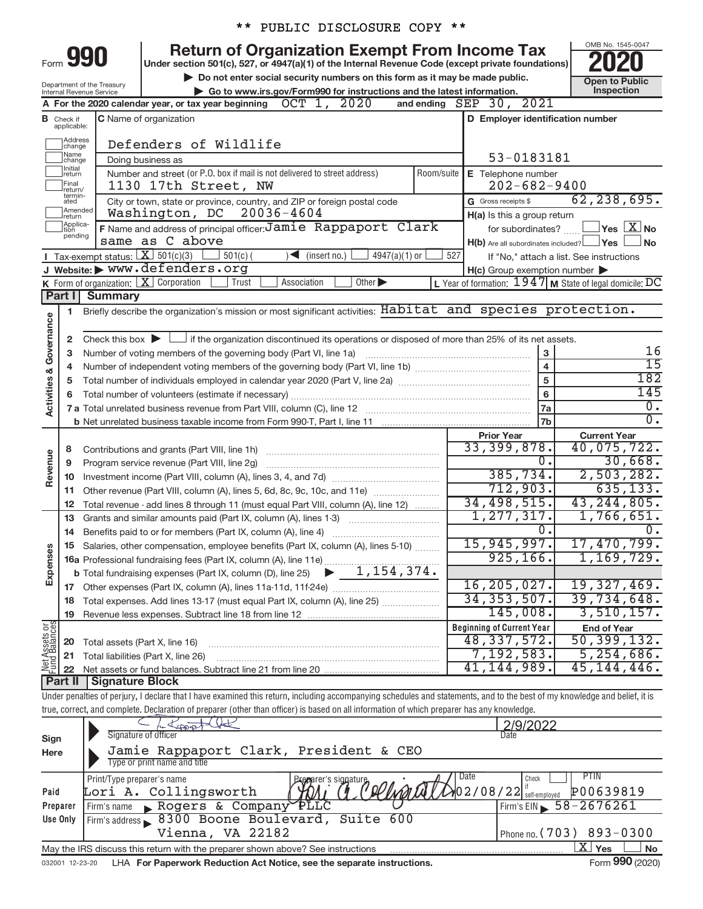|                                | Form YYI                                                                                                                                                                                                        |                                                                   | <b>Return of Organization Exempt From Income Tax</b><br>Under section 501(c), 527, or 4947(a)(1) of the Internal Revenue Code (except private foundations)                 |            |                                                                       | OMB No. 1545-0047                                         |  |  |  |
|--------------------------------|-----------------------------------------------------------------------------------------------------------------------------------------------------------------------------------------------------------------|-------------------------------------------------------------------|----------------------------------------------------------------------------------------------------------------------------------------------------------------------------|------------|-----------------------------------------------------------------------|-----------------------------------------------------------|--|--|--|
|                                | Do not enter social security numbers on this form as it may be made public.<br>Department of the Treasury<br>Internal Revenue Service<br>Go to www.irs.gov/Form990 for instructions and the latest information. |                                                                   |                                                                                                                                                                            |            |                                                                       |                                                           |  |  |  |
|                                |                                                                                                                                                                                                                 |                                                                   |                                                                                                                                                                            |            |                                                                       | Inspection                                                |  |  |  |
|                                |                                                                                                                                                                                                                 |                                                                   | OCT 1, 2020<br>A For the 2020 calendar year, or tax year beginning                                                                                                         |            | and ending $SEP$ 30, $2021$                                           |                                                           |  |  |  |
|                                | <b>B</b> Check if applicable:                                                                                                                                                                                   |                                                                   | C Name of organization                                                                                                                                                     |            | D Employer identification number                                      |                                                           |  |  |  |
|                                | ]Address<br>]change                                                                                                                                                                                             |                                                                   | Defenders of Wildlife                                                                                                                                                      |            |                                                                       |                                                           |  |  |  |
|                                | ]Name<br>]change                                                                                                                                                                                                |                                                                   | Doing business as                                                                                                                                                          |            | 53-0183181                                                            |                                                           |  |  |  |
|                                | ]Initial<br>]return<br>Final<br>return/                                                                                                                                                                         |                                                                   | Number and street (or P.O. box if mail is not delivered to street address)<br>1130 17th Street, NW                                                                         | Room/suite | E Telephone number<br>$202 - 682 - 9400$                              |                                                           |  |  |  |
|                                | termin-<br>ated                                                                                                                                                                                                 |                                                                   | City or town, state or province, country, and ZIP or foreign postal code                                                                                                   |            | G Gross receipts \$                                                   | 62, 238, 695.                                             |  |  |  |
|                                | Amended<br>Ireturn                                                                                                                                                                                              |                                                                   | Washington, DC 20036-4604                                                                                                                                                  |            | H(a) Is this a group return                                           |                                                           |  |  |  |
|                                | Applica-<br>Ition<br>pending                                                                                                                                                                                    |                                                                   | F Name and address of principal officer: Jamie Rappaport Clark<br>same as C above                                                                                          |            | for subordinates?<br>$H(b)$ Are all subordinates included? $\Box$ Yes | $\sqrt{}$ Yes $\overline{\phantom{1}X}$ No<br><b>No</b>   |  |  |  |
|                                |                                                                                                                                                                                                                 |                                                                   | <b>I</b> Tax-exempt status: $X \ 501(c)(3)$<br>$501(c)$ (<br>(insert no.)<br>$4947(a)(1)$ or<br>$\blacktriangleright$                                                      | 527        |                                                                       | If "No," attach a list. See instructions                  |  |  |  |
|                                |                                                                                                                                                                                                                 |                                                                   | J Website: WWW.defenders.org                                                                                                                                               |            | $H(c)$ Group exemption number $\blacktriangleright$                   |                                                           |  |  |  |
|                                |                                                                                                                                                                                                                 |                                                                   | K Form of organization: X Corporation<br>Other $\blacktriangleright$<br>Trust<br>Association                                                                               |            |                                                                       | L Year of formation: $1947$ M State of legal domicile: DC |  |  |  |
|                                | Part I                                                                                                                                                                                                          | <b>Summary</b>                                                    |                                                                                                                                                                            |            |                                                                       |                                                           |  |  |  |
|                                | 1                                                                                                                                                                                                               |                                                                   | Briefly describe the organization's mission or most significant activities: Habitat and species protection.                                                                |            |                                                                       |                                                           |  |  |  |
| Activities & Governance        |                                                                                                                                                                                                                 |                                                                   |                                                                                                                                                                            |            |                                                                       |                                                           |  |  |  |
|                                | 2                                                                                                                                                                                                               | Check this box $\blacktriangleright$ $\Box$                       | If the organization discontinued its operations or disposed of more than 25% of its net assets.                                                                            |            | $\mathbf{3}$                                                          |                                                           |  |  |  |
|                                | 3                                                                                                                                                                                                               | Number of voting members of the governing body (Part VI, line 1a) | 16                                                                                                                                                                         |            |                                                                       |                                                           |  |  |  |
|                                | 4                                                                                                                                                                                                               |                                                                   | $\overline{15}$                                                                                                                                                            |            |                                                                       |                                                           |  |  |  |
|                                | 5                                                                                                                                                                                                               |                                                                   |                                                                                                                                                                            |            | 5                                                                     | 182                                                       |  |  |  |
|                                | 6                                                                                                                                                                                                               |                                                                   | Total number of volunteers (estimate if necessary)                                                                                                                         |            | 6                                                                     | 145                                                       |  |  |  |
|                                |                                                                                                                                                                                                                 |                                                                   | 7 a Total unrelated business revenue from Part VIII, column (C), line 12                                                                                                   |            | 7a                                                                    | $\overline{0}$ .                                          |  |  |  |
|                                |                                                                                                                                                                                                                 |                                                                   |                                                                                                                                                                            |            | 7b                                                                    | $\overline{0}$ .                                          |  |  |  |
|                                |                                                                                                                                                                                                                 |                                                                   |                                                                                                                                                                            |            | <b>Prior Year</b>                                                     | <b>Current Year</b>                                       |  |  |  |
|                                | 8                                                                                                                                                                                                               |                                                                   |                                                                                                                                                                            |            | 33, 399, 878.                                                         | 40,075,722.                                               |  |  |  |
| Revenue                        | 9                                                                                                                                                                                                               |                                                                   |                                                                                                                                                                            |            | 0.                                                                    | 30,668.                                                   |  |  |  |
|                                | 10                                                                                                                                                                                                              |                                                                   |                                                                                                                                                                            |            | 385, 734.                                                             | 2,503,282.                                                |  |  |  |
|                                | 11                                                                                                                                                                                                              |                                                                   | Other revenue (Part VIII, column (A), lines 5, 6d, 8c, 9c, 10c, and 11e)                                                                                                   |            | 712,903.                                                              | 635, 133.                                                 |  |  |  |
|                                | 12                                                                                                                                                                                                              |                                                                   | Total revenue - add lines 8 through 11 (must equal Part VIII, column (A), line 12)                                                                                         |            | 34,498,515.                                                           | 43, 244, 805.                                             |  |  |  |
|                                | 13                                                                                                                                                                                                              |                                                                   | Grants and similar amounts paid (Part IX, column (A), lines 1-3)                                                                                                           |            | 1, 277, 317.                                                          | 1,766,651.                                                |  |  |  |
|                                | 14                                                                                                                                                                                                              |                                                                   | Benefits paid to or for members (Part IX, column (A), line 4)                                                                                                              |            | 0.                                                                    | 0.                                                        |  |  |  |
| ŵ                              |                                                                                                                                                                                                                 |                                                                   | 15 Salaries, other compensation, employee benefits (Part IX, column (A), lines 5-10)                                                                                       |            | 15,945,997.                                                           | 17,470,799.                                               |  |  |  |
| Expenses                       |                                                                                                                                                                                                                 |                                                                   |                                                                                                                                                                            |            | 925, 166.                                                             | 1,169,729.                                                |  |  |  |
|                                |                                                                                                                                                                                                                 |                                                                   | $\blacktriangleright$ 1, 154, 374.<br><b>b</b> Total fundraising expenses (Part IX, column (D), line 25)                                                                   |            |                                                                       |                                                           |  |  |  |
|                                |                                                                                                                                                                                                                 |                                                                   |                                                                                                                                                                            |            | 16, 205, 027.                                                         | 19,327,469.                                               |  |  |  |
|                                | 18                                                                                                                                                                                                              |                                                                   | Total expenses. Add lines 13-17 (must equal Part IX, column (A), line 25) <i></i>                                                                                          |            | 34, 353, 507.                                                         | 39,734,648.                                               |  |  |  |
|                                | 19                                                                                                                                                                                                              |                                                                   |                                                                                                                                                                            |            | 145,008.                                                              | 3,510,157.                                                |  |  |  |
|                                |                                                                                                                                                                                                                 |                                                                   |                                                                                                                                                                            |            | <b>Beginning of Current Year</b>                                      | <b>End of Year</b>                                        |  |  |  |
|                                | 20                                                                                                                                                                                                              |                                                                   | Total assets (Part X, line 16)                                                                                                                                             |            | 48, 337, 572.                                                         | 50, 399, 132.                                             |  |  |  |
| Net Assets or<br>Fund Balances | 21                                                                                                                                                                                                              |                                                                   | Total liabilities (Part X, line 26)                                                                                                                                        |            | 7,192,583.                                                            | 5, 254, 686.                                              |  |  |  |
|                                | 22                                                                                                                                                                                                              |                                                                   |                                                                                                                                                                            |            | 41, 144, 989.                                                         | 45, 144, 446.                                             |  |  |  |
|                                | Part II                                                                                                                                                                                                         | <b>Signature Block</b>                                            |                                                                                                                                                                            |            |                                                                       |                                                           |  |  |  |
|                                |                                                                                                                                                                                                                 |                                                                   | Under penalties of perjury, I declare that I have examined this return, including accompanying schedules and statements, and to the best of my knowledge and belief, it is |            |                                                                       |                                                           |  |  |  |
|                                |                                                                                                                                                                                                                 |                                                                   | true, correct, and complete. Declaration of preparer (other than officer) is based on all information of which preparer has any knowledge.                                 |            |                                                                       |                                                           |  |  |  |
|                                |                                                                                                                                                                                                                 |                                                                   | Kopport Chat                                                                                                                                                               |            | 2/9/2022                                                              |                                                           |  |  |  |
| Sign                           |                                                                                                                                                                                                                 |                                                                   | Signature of officer                                                                                                                                                       |            | Date                                                                  |                                                           |  |  |  |

\*\* PUBLIC DISCLOSURE COPY \*\*

| Here     | Jamie Rappaport Clark, President & CEO                                                                           |                              |  |  |  |  |  |  |
|----------|------------------------------------------------------------------------------------------------------------------|------------------------------|--|--|--|--|--|--|
|          | Type or print name and title                                                                                     |                              |  |  |  |  |  |  |
|          | Date<br>Print/Type preparer's name<br><b>Executer's signature.</b>                                               | PIIN<br>Check                |  |  |  |  |  |  |
| Paid     | 100 MM Q 102/08/22 self-employed<br>Lori A. Collingsworth                                                        | P00639819                    |  |  |  |  |  |  |
| Preparer | Rogers & Company PLLC<br>Firm's name                                                                             | Firm's EIN $\, 58 - 2676261$ |  |  |  |  |  |  |
| Use Only | Firm's address 8300 Boone Boulevard, Suite 600                                                                   |                              |  |  |  |  |  |  |
|          | Vienna, VA 22182                                                                                                 | Phone no. $(703)$ 893-0300   |  |  |  |  |  |  |
|          | ΧI<br><b>Yes</b><br><b>No</b><br>May the IRS discuss this return with the preparer shown above? See instructions |                              |  |  |  |  |  |  |
|          | Form 990 (2020)<br>LHA For Paperwork Reduction Act Notice, see the separate instructions.<br>032001 12-23-20     |                              |  |  |  |  |  |  |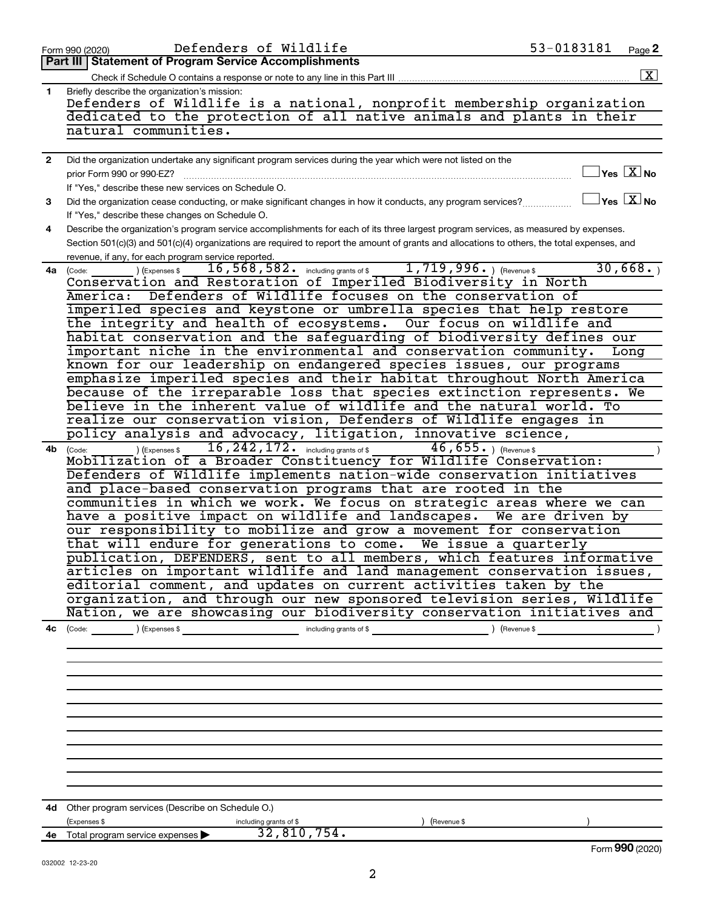|              | Part III   Statement of Program Service Accomplishments                                                                                      |
|--------------|----------------------------------------------------------------------------------------------------------------------------------------------|
|              | X                                                                                                                                            |
| 1.           | Briefly describe the organization's mission:                                                                                                 |
|              | Defenders of Wildlife is a national, nonprofit membership organization                                                                       |
|              | dedicated to the protection of all native animals and plants in their                                                                        |
|              | natural communities.                                                                                                                         |
|              |                                                                                                                                              |
| $\mathbf{2}$ | Did the organization undertake any significant program services during the year which were not listed on the                                 |
|              | $\exists$ Yes $\boxed{\text{X}}$ No<br>prior Form 990 or 990-EZ?                                                                             |
|              | If "Yes," describe these new services on Schedule O.                                                                                         |
| 3            | $\Box$ Yes $\Box$ No<br>Did the organization cease conducting, or make significant changes in how it conducts, any program services?         |
|              | If "Yes," describe these changes on Schedule O.                                                                                              |
| 4            | Describe the organization's program service accomplishments for each of its three largest program services, as measured by expenses.         |
|              | Section 501(c)(3) and 501(c)(4) organizations are required to report the amount of grants and allocations to others, the total expenses, and |
|              | revenue, if any, for each program service reported.                                                                                          |
|              | $16, 568, 582$ $\cdot$ including grants of \$<br>$1,719,996.$ (Revenue \$<br>30,668.<br>) (Expenses \$<br>4a (Code:                          |
|              | Conservation and Restoration of Imperiled Biodiversity in North                                                                              |
|              | America: Defenders of Wildlife focuses on the conservation of                                                                                |
|              | imperiled species and keystone or umbrella species that help restore                                                                         |
|              | the integrity and health of ecosystems. Our focus on wildlife and                                                                            |
|              | habitat conservation and the safeguarding of biodiversity defines our                                                                        |
|              | important niche in the environmental and conservation community.<br>Long                                                                     |
|              | known for our leadership on endangered species issues, our programs                                                                          |
|              | emphasize imperiled species and their habitat throughout North America                                                                       |
|              | because of the irreparable loss that species extinction represents. We                                                                       |
|              | believe in the inherent value of wildlife and the natural world. To                                                                          |
|              | realize our conservation vision, Defenders of Wildlife engages in                                                                            |
|              | policy analysis and advocacy, litigation, innovative science,                                                                                |
|              | 16, 242, 172. including grants of \$<br>$46, 655.$ ) (Revenue \$<br>) (Expenses \$<br>4b (Code:                                              |
|              | Mobilization of a Broader Constituency for Wildlife Conservation:                                                                            |
|              | Defenders of Wildlife implements nation-wide conservation initiatives                                                                        |
|              | and place-based conservation programs that are rooted in the                                                                                 |
|              | communities in which we work. We focus on strategic areas where we can                                                                       |
|              | have a positive impact on wildlife and landscapes. We are driven by                                                                          |
|              | our responsibility to mobilize and grow a movement for conservation                                                                          |
|              | that will endure for generations to come. We issue a quarterly                                                                               |
|              | publication, DEFENDERS, sent to all members, which features informative                                                                      |
|              | articles on important wildlife and land management conservation issues,                                                                      |
|              | editorial comment, and updates on current activities taken by the                                                                            |
|              | organization, and through our new sponsored television series, Wildlife                                                                      |
|              | Nation, we are showcasing our biodiversity conservation initiatives and                                                                      |
|              |                                                                                                                                              |
|              |                                                                                                                                              |
|              |                                                                                                                                              |
|              |                                                                                                                                              |
|              |                                                                                                                                              |
|              |                                                                                                                                              |
|              |                                                                                                                                              |
|              |                                                                                                                                              |
|              |                                                                                                                                              |
|              |                                                                                                                                              |
|              |                                                                                                                                              |
|              |                                                                                                                                              |
|              |                                                                                                                                              |
|              | 4d Other program services (Describe on Schedule O.)                                                                                          |
|              | (Expenses \$<br>) (Revenue \$<br>including grants of \$<br>32,810,754.                                                                       |
|              | 4e Total program service expenses >                                                                                                          |
|              | Form 990 (2020)                                                                                                                              |

Form 990 (2020)  $\qquad \qquad$  Defenders of Wildlife  $\qquad \qquad$  53-0183181  $_{\text{Page}}$ 

53-0183181 Page 2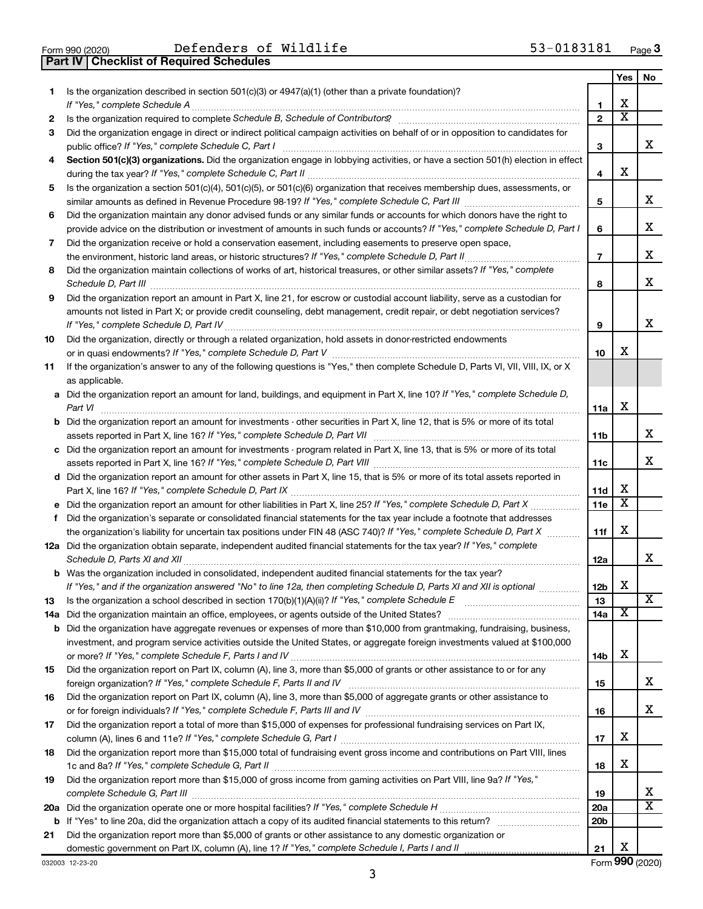**Part IV Checklist of Required Schedules**

Form 990 (2020) Page Defenders of Wildlife 53-0183181

|     |                                                                                                                                  |                 | Yes                     | No                      |
|-----|----------------------------------------------------------------------------------------------------------------------------------|-----------------|-------------------------|-------------------------|
| 1.  | Is the organization described in section $501(c)(3)$ or $4947(a)(1)$ (other than a private foundation)?                          |                 |                         |                         |
|     | If "Yes," complete Schedule A                                                                                                    | 1               | х                       |                         |
| 2   |                                                                                                                                  | $\mathbf{2}$    | $\overline{\textbf{x}}$ |                         |
| 3   | Did the organization engage in direct or indirect political campaign activities on behalf of or in opposition to candidates for  |                 |                         |                         |
|     | public office? If "Yes," complete Schedule C, Part I                                                                             | 3               |                         | x                       |
| 4   | Section 501(c)(3) organizations. Did the organization engage in lobbying activities, or have a section 501(h) election in effect |                 | х                       |                         |
|     | during the tax year? If "Yes," complete Schedule C, Part II                                                                      | 4               |                         |                         |
| 5   | Is the organization a section 501(c)(4), 501(c)(5), or 501(c)(6) organization that receives membership dues, assessments, or     | 5               |                         | x                       |
| 6   | Did the organization maintain any donor advised funds or any similar funds or accounts for which donors have the right to        |                 |                         |                         |
|     | provide advice on the distribution or investment of amounts in such funds or accounts? If "Yes," complete Schedule D, Part I     | 6               |                         | x                       |
| 7   | Did the organization receive or hold a conservation easement, including easements to preserve open space,                        |                 |                         |                         |
|     | the environment, historic land areas, or historic structures? If "Yes," complete Schedule D, Part II                             | $\overline{7}$  |                         | X                       |
| 8   | Did the organization maintain collections of works of art, historical treasures, or other similar assets? If "Yes," complete     |                 |                         |                         |
|     | Schedule D, Part III                                                                                                             | 8               |                         | x                       |
| 9   | Did the organization report an amount in Part X, line 21, for escrow or custodial account liability, serve as a custodian for    |                 |                         |                         |
|     | amounts not listed in Part X; or provide credit counseling, debt management, credit repair, or debt negotiation services?        |                 |                         |                         |
|     | If "Yes," complete Schedule D, Part IV                                                                                           | 9               |                         | x                       |
| 10  | Did the organization, directly or through a related organization, hold assets in donor-restricted endowments                     |                 |                         |                         |
|     |                                                                                                                                  | 10              | x                       |                         |
| 11  | If the organization's answer to any of the following questions is "Yes," then complete Schedule D, Parts VI, VII, VIII, IX, or X |                 |                         |                         |
|     | as applicable.                                                                                                                   |                 |                         |                         |
|     | a Did the organization report an amount for land, buildings, and equipment in Part X, line 10? If "Yes," complete Schedule D,    |                 |                         |                         |
|     | Part VI                                                                                                                          | 11a             | х                       |                         |
| b   | Did the organization report an amount for investments - other securities in Part X, line 12, that is 5% or more of its total     |                 |                         | x                       |
|     | c Did the organization report an amount for investments - program related in Part X, line 13, that is 5% or more of its total    | 11b             |                         |                         |
|     |                                                                                                                                  | 11c             |                         | x                       |
|     | d Did the organization report an amount for other assets in Part X, line 15, that is 5% or more of its total assets reported in  |                 |                         |                         |
|     |                                                                                                                                  | 11d             | х                       |                         |
|     |                                                                                                                                  | 11e             | х                       |                         |
| f.  | Did the organization's separate or consolidated financial statements for the tax year include a footnote that addresses          |                 |                         |                         |
|     | the organization's liability for uncertain tax positions under FIN 48 (ASC 740)? If "Yes," complete Schedule D, Part X           | 11f             | х                       |                         |
|     | 12a Did the organization obtain separate, independent audited financial statements for the tax year? If "Yes," complete          |                 |                         |                         |
|     | Schedule D, Parts XI and XII                                                                                                     | 12a             |                         | x                       |
|     | <b>b</b> Was the organization included in consolidated, independent audited financial statements for the tax year?               |                 |                         |                         |
|     | If "Yes," and if the organization answered "No" to line 12a, then completing Schedule D, Parts XI and XII is optional <i></i> .  | 12 <sub>b</sub> | X                       | $\overline{\mathbf{X}}$ |
| 13  |                                                                                                                                  | 13              | х                       |                         |
| 14a | <b>b</b> Did the organization have aggregate revenues or expenses of more than \$10,000 from grantmaking, fundraising, business, | 14a             |                         |                         |
|     | investment, and program service activities outside the United States, or aggregate foreign investments valued at \$100,000       |                 |                         |                         |
|     |                                                                                                                                  | 14b             | x                       |                         |
| 15  | Did the organization report on Part IX, column (A), line 3, more than \$5,000 of grants or other assistance to or for any        |                 |                         |                         |
|     |                                                                                                                                  | 15              |                         | x                       |
| 16  | Did the organization report on Part IX, column (A), line 3, more than \$5,000 of aggregate grants or other assistance to         |                 |                         |                         |
|     |                                                                                                                                  | 16              |                         | X                       |
| 17  | Did the organization report a total of more than \$15,000 of expenses for professional fundraising services on Part IX,          |                 |                         |                         |
|     |                                                                                                                                  | 17              | x                       |                         |
| 18  | Did the organization report more than \$15,000 total of fundraising event gross income and contributions on Part VIII, lines     |                 |                         |                         |
|     |                                                                                                                                  | 18              | x                       |                         |
| 19  | Did the organization report more than \$15,000 of gross income from gaming activities on Part VIII, line 9a? If "Yes,"           |                 |                         | X                       |
| 20a |                                                                                                                                  | 19<br>20a       |                         | X                       |
|     |                                                                                                                                  | 20b             |                         |                         |
| 21  | Did the organization report more than \$5,000 of grants or other assistance to any domestic organization or                      |                 |                         |                         |
|     |                                                                                                                                  | 21              | X                       |                         |

3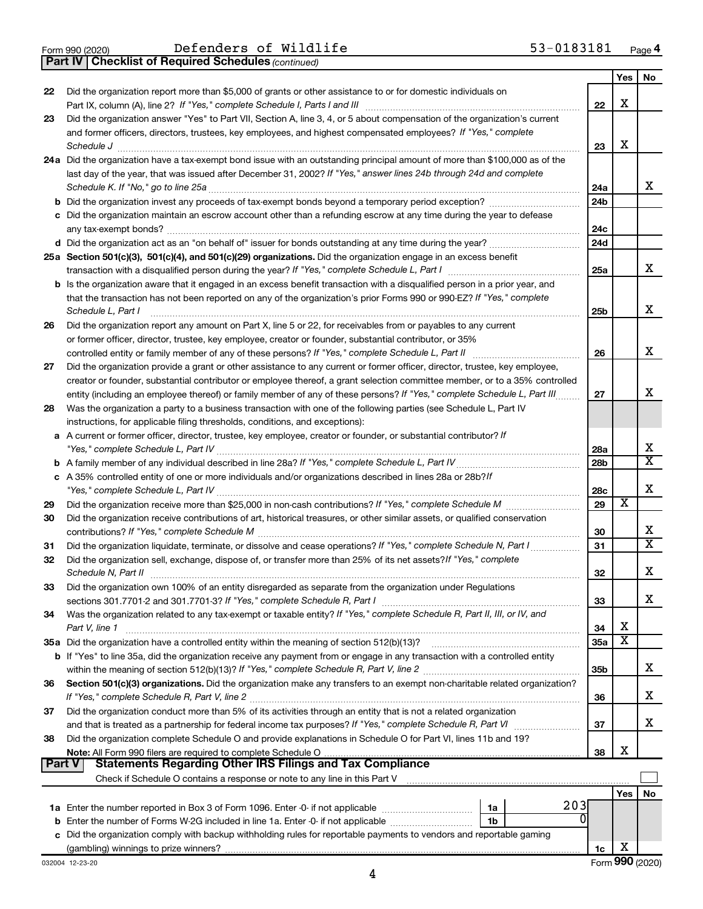Form 990 (2020)  $\qquad \qquad$  Defenders of Wildlife  $\qquad \qquad$  53-0183181  $_{\text{Page}}$ 

*(continued)* **Part IV Checklist of Required Schedules**

|               |                                                                                                                                    |                 | Yes | <b>No</b>               |
|---------------|------------------------------------------------------------------------------------------------------------------------------------|-----------------|-----|-------------------------|
| 22            | Did the organization report more than \$5,000 of grants or other assistance to or for domestic individuals on                      |                 |     |                         |
|               |                                                                                                                                    | 22              | X   |                         |
| 23            | Did the organization answer "Yes" to Part VII, Section A, line 3, 4, or 5 about compensation of the organization's current         |                 |     |                         |
|               | and former officers, directors, trustees, key employees, and highest compensated employees? If "Yes," complete                     |                 |     |                         |
|               | Schedule J <b>www.communication.communication.communication</b>                                                                    | 23              | х   |                         |
|               | 24a Did the organization have a tax-exempt bond issue with an outstanding principal amount of more than \$100,000 as of the        |                 |     |                         |
|               | last day of the year, that was issued after December 31, 2002? If "Yes," answer lines 24b through 24d and complete                 |                 |     |                         |
|               |                                                                                                                                    | 24a             |     | х                       |
|               |                                                                                                                                    | 24 <sub>b</sub> |     |                         |
|               | c Did the organization maintain an escrow account other than a refunding escrow at any time during the year to defease             |                 |     |                         |
|               |                                                                                                                                    | 24c             |     |                         |
|               |                                                                                                                                    | 24d             |     |                         |
|               | 25a Section 501(c)(3), 501(c)(4), and 501(c)(29) organizations. Did the organization engage in an excess benefit                   |                 |     |                         |
|               |                                                                                                                                    | 25a             |     | х                       |
|               | b Is the organization aware that it engaged in an excess benefit transaction with a disqualified person in a prior year, and       |                 |     |                         |
|               | that the transaction has not been reported on any of the organization's prior Forms 990 or 990-EZ? If "Yes," complete              |                 |     |                         |
|               | Schedule L, Part I                                                                                                                 | 25b             |     | х                       |
| 26            | Did the organization report any amount on Part X, line 5 or 22, for receivables from or payables to any current                    |                 |     |                         |
|               | or former officer, director, trustee, key employee, creator or founder, substantial contributor, or 35%                            |                 |     |                         |
|               |                                                                                                                                    | 26              |     | X                       |
| 27            | Did the organization provide a grant or other assistance to any current or former officer, director, trustee, key employee,        |                 |     |                         |
|               | creator or founder, substantial contributor or employee thereof, a grant selection committee member, or to a 35% controlled        |                 |     |                         |
|               | entity (including an employee thereof) or family member of any of these persons? If "Yes," complete Schedule L, Part III           | 27              |     | х                       |
| 28            | Was the organization a party to a business transaction with one of the following parties (see Schedule L, Part IV                  |                 |     |                         |
|               | instructions, for applicable filing thresholds, conditions, and exceptions):                                                       |                 |     |                         |
|               | a A current or former officer, director, trustee, key employee, creator or founder, or substantial contributor? If                 |                 |     |                         |
|               |                                                                                                                                    | 28a             |     | X                       |
|               |                                                                                                                                    | 28 <sub>b</sub> |     | $\overline{\mathbf{X}}$ |
|               | c A 35% controlled entity of one or more individuals and/or organizations described in lines 28a or 28b?If                         |                 |     |                         |
|               |                                                                                                                                    | 28c             |     | X                       |
| 29            |                                                                                                                                    | 29              | х   |                         |
| 30            | Did the organization receive contributions of art, historical treasures, or other similar assets, or qualified conservation        |                 |     |                         |
|               |                                                                                                                                    | 30              |     | X                       |
| 31            | Did the organization liquidate, terminate, or dissolve and cease operations? If "Yes," complete Schedule N, Part I                 | 31              |     | $\overline{\mathbf{X}}$ |
| 32            | Did the organization sell, exchange, dispose of, or transfer more than 25% of its net assets? If "Yes," complete                   |                 |     |                         |
|               |                                                                                                                                    | 32              |     | Х                       |
| 33            | Did the organization own 100% of an entity disregarded as separate from the organization under Regulations                         |                 |     |                         |
|               |                                                                                                                                    | 33              |     | х                       |
| 34            | Was the organization related to any tax-exempt or taxable entity? If "Yes," complete Schedule R, Part II, III, or IV, and          |                 |     |                         |
|               | Part V, line 1                                                                                                                     | 34              | X   |                         |
|               |                                                                                                                                    | <b>35a</b>      | Χ   |                         |
|               | <b>b</b> If "Yes" to line 35a, did the organization receive any payment from or engage in any transaction with a controlled entity |                 |     |                         |
|               |                                                                                                                                    | 35b             |     | х                       |
| 36            | Section 501(c)(3) organizations. Did the organization make any transfers to an exempt non-charitable related organization?         |                 |     | х                       |
|               |                                                                                                                                    | 36              |     |                         |
| 37            | Did the organization conduct more than 5% of its activities through an entity that is not a related organization                   |                 |     | х                       |
|               |                                                                                                                                    | 37              |     |                         |
| 38            | Did the organization complete Schedule O and provide explanations in Schedule O for Part VI, lines 11b and 19?                     | 38              | х   |                         |
| <b>Part V</b> | Note: All Form 990 filers are required to complete Schedule O.<br><b>Statements Regarding Other IRS Filings and Tax Compliance</b> |                 |     |                         |
|               |                                                                                                                                    |                 |     |                         |
|               |                                                                                                                                    |                 | Yes | No                      |
|               | 203<br>1a                                                                                                                          |                 |     |                         |
|               | b Enter the number of Forms W-2G included in line 1a. Enter -0- if not applicable<br>1b                                            |                 |     |                         |
|               | c Did the organization comply with backup withholding rules for reportable payments to vendors and reportable gaming               |                 |     |                         |
|               |                                                                                                                                    | 1c              | х   |                         |
|               |                                                                                                                                    |                 |     |                         |

4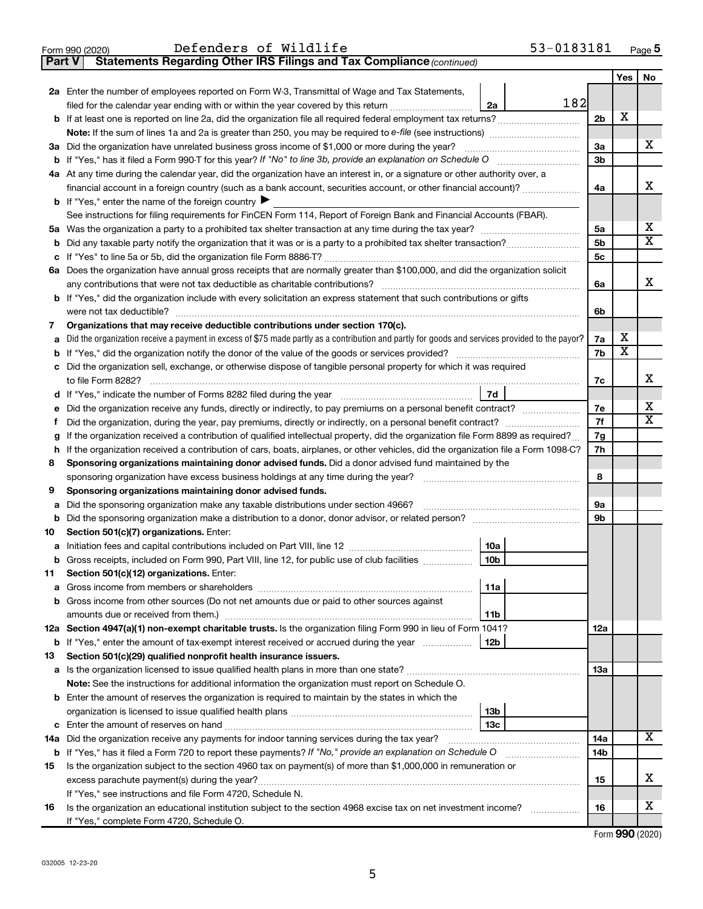|    |                                                                                                                                                                                                                                                                                                                                                                                                                                                                                                 |                 |                | Yes | No                      |  |  |  |  |
|----|-------------------------------------------------------------------------------------------------------------------------------------------------------------------------------------------------------------------------------------------------------------------------------------------------------------------------------------------------------------------------------------------------------------------------------------------------------------------------------------------------|-----------------|----------------|-----|-------------------------|--|--|--|--|
|    | 2a Enter the number of employees reported on Form W-3, Transmittal of Wage and Tax Statements,                                                                                                                                                                                                                                                                                                                                                                                                  |                 |                |     |                         |  |  |  |  |
|    | filed for the calendar year ending with or within the year covered by this return                                                                                                                                                                                                                                                                                                                                                                                                               | 182<br>2a       |                |     |                         |  |  |  |  |
|    | <b>b</b> If at least one is reported on line 2a, did the organization file all required federal employment tax returns?                                                                                                                                                                                                                                                                                                                                                                         |                 | 2 <sub>b</sub> | х   |                         |  |  |  |  |
|    |                                                                                                                                                                                                                                                                                                                                                                                                                                                                                                 |                 |                |     |                         |  |  |  |  |
|    | 3a Did the organization have unrelated business gross income of \$1,000 or more during the year?                                                                                                                                                                                                                                                                                                                                                                                                |                 | За             |     | x                       |  |  |  |  |
|    |                                                                                                                                                                                                                                                                                                                                                                                                                                                                                                 |                 | 3 <sub>b</sub> |     |                         |  |  |  |  |
|    | 4a At any time during the calendar year, did the organization have an interest in, or a signature or other authority over, a                                                                                                                                                                                                                                                                                                                                                                    |                 |                |     |                         |  |  |  |  |
|    | financial account in a foreign country (such as a bank account, securities account, or other financial account)?                                                                                                                                                                                                                                                                                                                                                                                |                 | 4a             |     | х                       |  |  |  |  |
|    | <b>b</b> If "Yes," enter the name of the foreign country $\blacktriangleright$                                                                                                                                                                                                                                                                                                                                                                                                                  |                 |                |     |                         |  |  |  |  |
|    | See instructions for filing requirements for FinCEN Form 114, Report of Foreign Bank and Financial Accounts (FBAR).                                                                                                                                                                                                                                                                                                                                                                             |                 |                |     |                         |  |  |  |  |
|    |                                                                                                                                                                                                                                                                                                                                                                                                                                                                                                 |                 | 5a             |     | х                       |  |  |  |  |
| b  |                                                                                                                                                                                                                                                                                                                                                                                                                                                                                                 |                 | 5 <sub>b</sub> |     | $\overline{\mathbf{X}}$ |  |  |  |  |
| c  |                                                                                                                                                                                                                                                                                                                                                                                                                                                                                                 |                 | 5c             |     |                         |  |  |  |  |
|    | 6a Does the organization have annual gross receipts that are normally greater than \$100,000, and did the organization solicit                                                                                                                                                                                                                                                                                                                                                                  |                 |                |     |                         |  |  |  |  |
|    |                                                                                                                                                                                                                                                                                                                                                                                                                                                                                                 |                 | 6a             |     | х                       |  |  |  |  |
|    | <b>b</b> If "Yes," did the organization include with every solicitation an express statement that such contributions or gifts                                                                                                                                                                                                                                                                                                                                                                   |                 |                |     |                         |  |  |  |  |
|    |                                                                                                                                                                                                                                                                                                                                                                                                                                                                                                 |                 | 6b             |     |                         |  |  |  |  |
| 7  | Organizations that may receive deductible contributions under section 170(c).                                                                                                                                                                                                                                                                                                                                                                                                                   |                 |                | х   |                         |  |  |  |  |
| a  | Did the organization receive a payment in excess of \$75 made partly as a contribution and partly for goods and services provided to the payor?                                                                                                                                                                                                                                                                                                                                                 |                 |                |     |                         |  |  |  |  |
| b  | If "Yes," did the organization notify the donor of the value of the goods or services provided?                                                                                                                                                                                                                                                                                                                                                                                                 |                 |                |     |                         |  |  |  |  |
| c  | Did the organization sell, exchange, or otherwise dispose of tangible personal property for which it was required                                                                                                                                                                                                                                                                                                                                                                               |                 |                |     |                         |  |  |  |  |
|    |                                                                                                                                                                                                                                                                                                                                                                                                                                                                                                 |                 | 7c             |     | x.                      |  |  |  |  |
|    |                                                                                                                                                                                                                                                                                                                                                                                                                                                                                                 | 7d              |                |     |                         |  |  |  |  |
| e  | Did the organization receive any funds, directly or indirectly, to pay premiums on a personal benefit contract?                                                                                                                                                                                                                                                                                                                                                                                 |                 | 7e             |     | х                       |  |  |  |  |
| f  | Did the organization, during the year, pay premiums, directly or indirectly, on a personal benefit contract?                                                                                                                                                                                                                                                                                                                                                                                    |                 | 7f             |     | X                       |  |  |  |  |
| g  | If the organization received a contribution of qualified intellectual property, did the organization file Form 8899 as required?                                                                                                                                                                                                                                                                                                                                                                |                 | 7g             |     |                         |  |  |  |  |
| h  | If the organization received a contribution of cars, boats, airplanes, or other vehicles, did the organization file a Form 1098-C?                                                                                                                                                                                                                                                                                                                                                              |                 | 7h             |     |                         |  |  |  |  |
| 8  | Sponsoring organizations maintaining donor advised funds. Did a donor advised fund maintained by the                                                                                                                                                                                                                                                                                                                                                                                            |                 |                |     |                         |  |  |  |  |
|    | sponsoring organization have excess business holdings at any time during the year?                                                                                                                                                                                                                                                                                                                                                                                                              |                 | 8              |     |                         |  |  |  |  |
| 9  | Sponsoring organizations maintaining donor advised funds.                                                                                                                                                                                                                                                                                                                                                                                                                                       |                 | 9a             |     |                         |  |  |  |  |
| a  |                                                                                                                                                                                                                                                                                                                                                                                                                                                                                                 |                 |                |     |                         |  |  |  |  |
| b  |                                                                                                                                                                                                                                                                                                                                                                                                                                                                                                 |                 | 9 <sub>b</sub> |     |                         |  |  |  |  |
| 10 | Section 501(c)(7) organizations. Enter:                                                                                                                                                                                                                                                                                                                                                                                                                                                         |                 |                |     |                         |  |  |  |  |
| a  |                                                                                                                                                                                                                                                                                                                                                                                                                                                                                                 | 10a             |                |     |                         |  |  |  |  |
| b  | Gross receipts, included on Form 990, Part VIII, line 12, for public use of club facilities                                                                                                                                                                                                                                                                                                                                                                                                     | 10 <sub>b</sub> |                |     |                         |  |  |  |  |
| 11 | Section 501(c)(12) organizations. Enter:                                                                                                                                                                                                                                                                                                                                                                                                                                                        |                 |                |     |                         |  |  |  |  |
| a  |                                                                                                                                                                                                                                                                                                                                                                                                                                                                                                 | 11a             |                |     |                         |  |  |  |  |
| b  | Gross income from other sources (Do not net amounts due or paid to other sources against                                                                                                                                                                                                                                                                                                                                                                                                        |                 |                |     |                         |  |  |  |  |
|    |                                                                                                                                                                                                                                                                                                                                                                                                                                                                                                 | 11b             |                |     |                         |  |  |  |  |
|    | 12a Section 4947(a)(1) non-exempt charitable trusts. Is the organization filing Form 990 in lieu of Form 1041?                                                                                                                                                                                                                                                                                                                                                                                  |                 | 12a            |     |                         |  |  |  |  |
|    | <b>b</b> If "Yes," enter the amount of tax-exempt interest received or accrued during the year<br>$F \circ H$ $H \circ G$ $H \circ H$ $H \circ H$ $H \circ H$ $H \circ H$ $H \circ H$ $H \circ H$ $H \circ H$ $H \circ H$ $H \circ H$ $H \circ H$ $H \circ H$ $H \circ H$ $H \circ H$ $H \circ H$ $H \circ H$ $H \circ H$ $H \circ H$ $H \circ H$ $H \circ H$ $H \circ H$ $H \circ H$ $H \circ H$ $H \circ H$ $H \circ H$ $H \circ H$ $H \circ H$ $H \circ H$ $H \circ H$ $H \circ H$ $H \circ$ | 12 <sub>b</sub> |                |     |                         |  |  |  |  |
|    |                                                                                                                                                                                                                                                                                                                                                                                                                                                                                                 |                 |                |     |                         |  |  |  |  |

|     | 12a Section 4947(a)(1) non-exempt charitable trusts. Is the organization filing Form 990 in lieu of Form 1041?     |     |  |     |  |   |  |  |
|-----|--------------------------------------------------------------------------------------------------------------------|-----|--|-----|--|---|--|--|
|     | <b>b</b> If "Yes," enter the amount of tax-exempt interest received or accrued during the year                     | 12b |  |     |  |   |  |  |
| 13. | Section 501(c)(29) qualified nonprofit health insurance issuers.                                                   |     |  |     |  |   |  |  |
|     | a Is the organization licensed to issue qualified health plans in more than one state?                             |     |  | 13а |  |   |  |  |
|     | Note: See the instructions for additional information the organization must report on Schedule O.                  |     |  |     |  |   |  |  |
|     | <b>b</b> Enter the amount of reserves the organization is required to maintain by the states in which the          |     |  |     |  |   |  |  |
|     |                                                                                                                    |     |  |     |  |   |  |  |
|     |                                                                                                                    | 13с |  |     |  |   |  |  |
| 14a | Did the organization receive any payments for indoor tanning services during the tax year?                         |     |  | 14a |  | х |  |  |
|     | <b>b</b> If "Yes," has it filed a Form 720 to report these payments? If "No," provide an explanation on Schedule O |     |  | 14b |  |   |  |  |
| 15  | Is the organization subject to the section 4960 tax on payment(s) of more than \$1,000,000 in remuneration or      |     |  |     |  |   |  |  |
|     | excess parachute payment(s) during the year?                                                                       |     |  |     |  |   |  |  |
|     | If "Yes," see instructions and file Form 4720, Schedule N.                                                         |     |  |     |  |   |  |  |
| 16  | Is the organization an educational institution subject to the section 4968 excise tax on net investment income?    |     |  |     |  |   |  |  |

Form (2020) **990**

If "Yes," complete Form 4720, Schedule O.

*(continued)*

### Form 990 (2020) Page **Part V Statements Regarding Other IRS Filings and Tax Compliance** Defenders of Wildlife 53-0183181

| orm 990 (2020) |               |
|----------------|---------------|
| <b>Dest VI</b> | $C1 - L2 - L$ |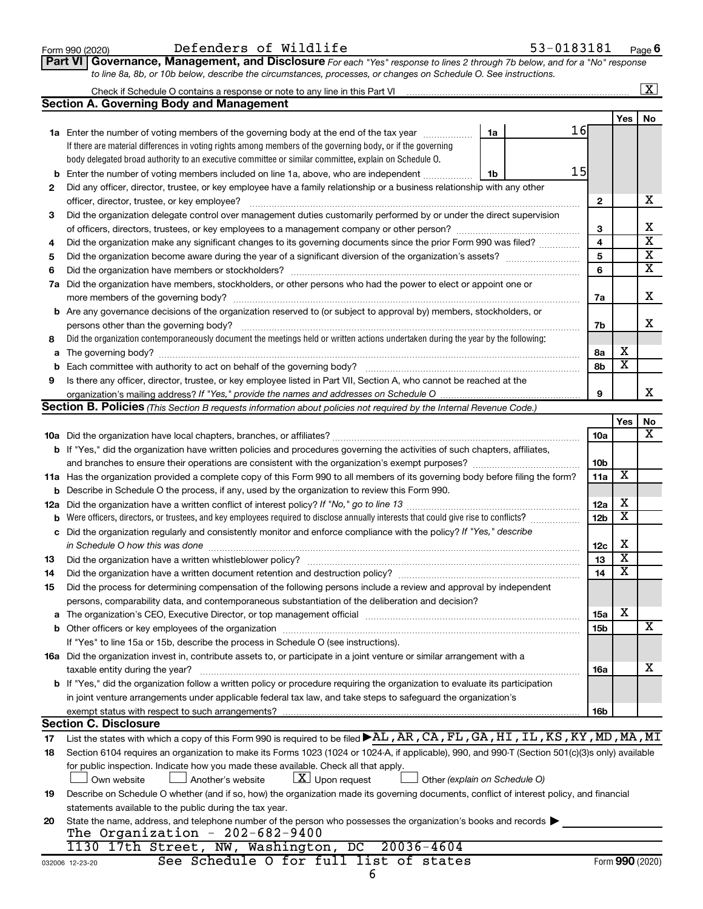| Form 990 (2020) |  |
|-----------------|--|
|-----------------|--|

# Form 990 (2020)  $\qquad \qquad$  Defenders of Wildlife  $\qquad \qquad$  53-0183181  $_{\text{Page}}$

**Part VI** Governance, Management, and Disclosure For each "Yes" response to lines 2 through 7b below, and for a "No" response *to line 8a, 8b, or 10b below, describe the circumstances, processes, or changes on Schedule O. See instructions.*

|     |                                                                                                                                                  |    |  |    |                 |                         | $\overline{\text{X}}$   |  |
|-----|--------------------------------------------------------------------------------------------------------------------------------------------------|----|--|----|-----------------|-------------------------|-------------------------|--|
|     | <b>Section A. Governing Body and Management</b>                                                                                                  |    |  |    |                 |                         |                         |  |
|     |                                                                                                                                                  |    |  |    |                 | Yes                     | No                      |  |
|     | <b>1a</b> Enter the number of voting members of the governing body at the end of the tax year                                                    | 1a |  | 16 |                 |                         |                         |  |
|     | If there are material differences in voting rights among members of the governing body, or if the governing                                      |    |  |    |                 |                         |                         |  |
|     | body delegated broad authority to an executive committee or similar committee, explain on Schedule O.                                            |    |  |    |                 |                         |                         |  |
| b   | Enter the number of voting members included on line 1a, above, who are independent                                                               | 1b |  | 15 |                 |                         |                         |  |
| 2   | Did any officer, director, trustee, or key employee have a family relationship or a business relationship with any other                         |    |  |    |                 |                         |                         |  |
|     | officer, director, trustee, or key employee?                                                                                                     |    |  |    | $\mathbf{2}$    |                         | х                       |  |
| 3   | Did the organization delegate control over management duties customarily performed by or under the direct supervision                            |    |  |    |                 |                         |                         |  |
|     |                                                                                                                                                  |    |  |    | 3               |                         | х                       |  |
| 4   | Did the organization make any significant changes to its governing documents since the prior Form 990 was filed?                                 |    |  |    | 4               |                         | $\overline{\mathbf{x}}$ |  |
| 5   |                                                                                                                                                  |    |  |    | 5               |                         | $\overline{\mathbf{x}}$ |  |
| 6   | Did the organization have members or stockholders?                                                                                               |    |  |    | 6               |                         | $\overline{\mathbf{x}}$ |  |
| 7а  | Did the organization have members, stockholders, or other persons who had the power to elect or appoint one or                                   |    |  |    |                 |                         |                         |  |
|     |                                                                                                                                                  |    |  |    | 7a              |                         | X                       |  |
|     | <b>b</b> Are any governance decisions of the organization reserved to (or subject to approval by) members, stockholders, or                      |    |  |    |                 |                         |                         |  |
|     | persons other than the governing body?                                                                                                           |    |  |    | 7b              |                         | x                       |  |
| 8   | Did the organization contemporaneously document the meetings held or written actions undertaken during the year by the following:                |    |  |    |                 |                         |                         |  |
| a   |                                                                                                                                                  |    |  |    | 8а              | х                       |                         |  |
| b   |                                                                                                                                                  |    |  |    | 8b              | $\overline{\mathbf{x}}$ |                         |  |
| 9   | Is there any officer, director, trustee, or key employee listed in Part VII, Section A, who cannot be reached at the                             |    |  |    |                 |                         |                         |  |
|     |                                                                                                                                                  |    |  |    | 9               |                         | x                       |  |
|     | <b>Section B. Policies</b> (This Section B requests information about policies not required by the Internal Revenue Code.)                       |    |  |    |                 |                         |                         |  |
|     |                                                                                                                                                  |    |  |    |                 | Yes                     | No                      |  |
|     |                                                                                                                                                  |    |  |    | 10a             |                         | x                       |  |
|     | <b>b</b> If "Yes," did the organization have written policies and procedures governing the activities of such chapters, affiliates,              |    |  |    |                 |                         |                         |  |
|     |                                                                                                                                                  |    |  |    | 10 <sub>b</sub> |                         |                         |  |
|     | 11a Has the organization provided a complete copy of this Form 990 to all members of its governing body before filing the form?                  |    |  |    | 11a             | X                       |                         |  |
| b   | Describe in Schedule O the process, if any, used by the organization to review this Form 990.                                                    |    |  |    |                 |                         |                         |  |
| 12a | Did the organization have a written conflict of interest policy? If "No," go to line 13                                                          |    |  |    |                 |                         |                         |  |
| b   | Were officers, directors, or trustees, and key employees required to disclose annually interests that could give rise to conflicts?              |    |  |    |                 |                         |                         |  |
| с   | Did the organization regularly and consistently monitor and enforce compliance with the policy? If "Yes," describe                               |    |  |    |                 |                         |                         |  |
|     | in Schedule O how this was done                                                                                                                  |    |  |    | 12c             | X                       |                         |  |
| 13  | Did the organization have a written whistleblower policy?                                                                                        |    |  |    | 13              | $\overline{\textbf{x}}$ |                         |  |
| 14  |                                                                                                                                                  |    |  |    | 14              | $\overline{\mathbf{X}}$ |                         |  |
| 15  | Did the process for determining compensation of the following persons include a review and approval by independent                               |    |  |    |                 |                         |                         |  |
|     | persons, comparability data, and contemporaneous substantiation of the deliberation and decision?                                                |    |  |    |                 |                         |                         |  |
| a   |                                                                                                                                                  |    |  |    | <b>15a</b>      | х                       |                         |  |
|     |                                                                                                                                                  |    |  |    | 15b             |                         | х                       |  |
|     | If "Yes" to line 15a or 15b, describe the process in Schedule O (see instructions).                                                              |    |  |    |                 |                         |                         |  |
|     | 16a Did the organization invest in, contribute assets to, or participate in a joint venture or similar arrangement with a                        |    |  |    |                 |                         |                         |  |
|     | taxable entity during the year?                                                                                                                  |    |  |    | 16a             |                         | х                       |  |
|     | b If "Yes," did the organization follow a written policy or procedure requiring the organization to evaluate its participation                   |    |  |    |                 |                         |                         |  |
|     | in joint venture arrangements under applicable federal tax law, and take steps to safeguard the organization's                                   |    |  |    |                 |                         |                         |  |
|     | exempt status with respect to such arrangements?                                                                                                 |    |  |    | 16b             |                         |                         |  |
|     | <b>Section C. Disclosure</b>                                                                                                                     |    |  |    |                 |                         |                         |  |
| 17  | List the states with which a copy of this Form 990 is required to be filed AL, AR, CA, FL, GA, HI, IL, KS, KY, MD, MA, MI                        |    |  |    |                 |                         |                         |  |
| 18  | Section 6104 requires an organization to make its Forms 1023 (1024 or 1024-A, if applicable), 990, and 990-T (Section 501(c)(3)s only) available |    |  |    |                 |                         |                         |  |
|     | for public inspection. Indicate how you made these available. Check all that apply.                                                              |    |  |    |                 |                         |                         |  |
|     | $\lfloor \underline{X} \rfloor$ Upon request<br>Own website<br>Another's website<br>Other (explain on Schedule O)                                |    |  |    |                 |                         |                         |  |
| 19  | Describe on Schedule O whether (and if so, how) the organization made its governing documents, conflict of interest policy, and financial        |    |  |    |                 |                         |                         |  |
|     | statements available to the public during the tax year.                                                                                          |    |  |    |                 |                         |                         |  |
| 20  | State the name, address, and telephone number of the person who possesses the organization's books and records                                   |    |  |    |                 |                         |                         |  |
|     | The Organization - $202-682-9400$                                                                                                                |    |  |    |                 |                         |                         |  |
|     | $20036 - 4604$<br>1130 17th Street, NW, Washington, DC                                                                                           |    |  |    |                 |                         |                         |  |
|     | See Schedule O for full list of states<br>032006 12-23-20                                                                                        |    |  |    |                 |                         | Form 990 (2020)         |  |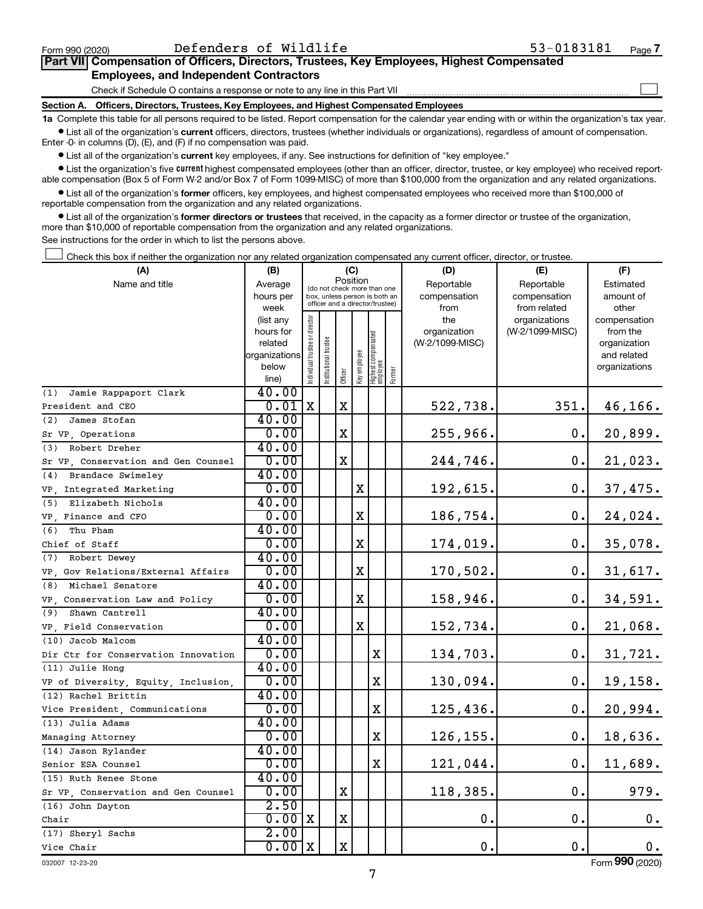$\Box$ 

| Part VII Compensation of Officers, Directors, Trustees, Key Employees, Highest Compensated |  |  |  |  |
|--------------------------------------------------------------------------------------------|--|--|--|--|
| <b>Employees, and Independent Contractors</b>                                              |  |  |  |  |

Check if Schedule O contains a response or note to any line in this Part VII

**Section A. Officers, Directors, Trustees, Key Employees, and Highest Compensated Employees**

**1a**  Complete this table for all persons required to be listed. Report compensation for the calendar year ending with or within the organization's tax year.  $\bullet$  List all of the organization's current officers, directors, trustees (whether individuals or organizations), regardless of amount of compensation.

Enter -0- in columns (D), (E), and (F) if no compensation was paid.

**•** List all of the organization's current key employees, if any. See instructions for definition of "key employee."

• List the organization's five *current* highest compensated employees (other than an officer, director, trustee, or key employee) who received reportable compensation (Box 5 of Form W-2 and/or Box 7 of Form 1099-MISC) of more than \$100,000 from the organization and any related organizations.

 $\bullet$  List all of the organization's former officers, key employees, and highest compensated employees who received more than \$100,000 of reportable compensation from the organization and any related organizations.

**•** List all of the organization's former directors or trustees that received, in the capacity as a former director or trustee of the organization, more than \$10,000 of reportable compensation from the organization and any related organizations.

See instructions for the order in which to list the persons above.

Check this box if neither the organization nor any related organization compensated any current officer, director, or trustee.  $\Box$ 

| (A)                                 | (B)                    |                                |                  | (C)                                                              |              |                                   |        | (D)                 | (E)                              | (F)                      |
|-------------------------------------|------------------------|--------------------------------|------------------|------------------------------------------------------------------|--------------|-----------------------------------|--------|---------------------|----------------------------------|--------------------------|
| Name and title                      | Average                |                                |                  | Position<br>(do not check more than one                          |              |                                   |        | Reportable          | Reportable                       | Estimated                |
|                                     | hours per              |                                |                  | box, unless person is both an<br>officer and a director/trustee) |              |                                   |        | compensation        | compensation                     | amount of                |
|                                     | week                   |                                |                  |                                                                  |              |                                   |        | from                | from related                     | other                    |
|                                     | (list any<br>hours for |                                |                  |                                                                  |              |                                   |        | the<br>organization | organizations<br>(W-2/1099-MISC) | compensation<br>from the |
|                                     | related                |                                | trustee          |                                                                  |              |                                   |        | (W-2/1099-MISC)     |                                  | organization             |
|                                     | organizations          |                                |                  |                                                                  |              |                                   |        |                     |                                  | and related              |
|                                     | below                  | Individual trustee or director | Institutional ti |                                                                  | Key employee |                                   |        |                     |                                  | organizations            |
|                                     | line)                  |                                |                  | Officer                                                          |              | Highest compensated<br>  employee | Former |                     |                                  |                          |
| Jamie Rappaport Clark<br>(1)        | 40.00                  |                                |                  |                                                                  |              |                                   |        |                     |                                  |                          |
| President and CEO                   | 0.01                   | X                              |                  | х                                                                |              |                                   |        | 522,738.            | 351.                             | 46,166.                  |
| James Stofan<br>(2)                 | 40.00                  |                                |                  |                                                                  |              |                                   |        |                     |                                  |                          |
| Sr VP, Operations                   | 0.00                   |                                |                  | $\mathbf X$                                                      |              |                                   |        | 255,966.            | 0.                               | 20,899.                  |
| Robert Dreher<br>(3)                | 40.00                  |                                |                  |                                                                  |              |                                   |        |                     |                                  |                          |
| Sr VP. Conservation and Gen Counsel | 0.00                   |                                |                  | $\mathbf X$                                                      |              |                                   |        | 244,746.            | $\mathbf 0$ .                    | 21,023.                  |
| Brandace Swimeley<br>(4)            | 40.00                  |                                |                  |                                                                  |              |                                   |        |                     |                                  |                          |
| VP. Integrated Marketing            | 0.00                   |                                |                  |                                                                  | $\mathbf X$  |                                   |        | 192,615.            | $\mathbf 0$ .                    | 37,475.                  |
| (5)<br>Elizabeth Nichols            | 40.00                  |                                |                  |                                                                  |              |                                   |        |                     |                                  |                          |
| VP, Finance and CFO                 | 0.00                   |                                |                  |                                                                  | $\mathbf X$  |                                   |        | 186,754.            | 0.                               | 24,024.                  |
| Thu Pham<br>(6)                     | 40.00                  |                                |                  |                                                                  |              |                                   |        |                     |                                  |                          |
| Chief of Staff                      | 0.00                   |                                |                  |                                                                  | $\mathbf X$  |                                   |        | 174,019.            | 0.                               | 35,078.                  |
| Robert Dewey<br>(7)                 | 40.00                  |                                |                  |                                                                  |              |                                   |        |                     |                                  |                          |
| VP, Gov Relations/External Affairs  | 0.00                   |                                |                  |                                                                  | $\mathbf X$  |                                   |        | 170,502.            | 0.                               | 31,617.                  |
| (8) Michael Senatore                | 40.00                  |                                |                  |                                                                  |              |                                   |        |                     |                                  |                          |
| VP. Conservation Law and Policy     | 0.00                   |                                |                  |                                                                  | $\mathbf X$  |                                   |        | 158,946.            | 0.                               | 34,591.                  |
| (9)<br>Shawn Cantrell               | 40.00                  |                                |                  |                                                                  |              |                                   |        |                     |                                  |                          |
| VP, Field Conservation              | 0.00                   |                                |                  |                                                                  | $\mathbf X$  |                                   |        | 152,734.            | 0.                               | 21,068.                  |
| (10) Jacob Malcom                   | 40.00                  |                                |                  |                                                                  |              |                                   |        |                     |                                  |                          |
| Dir Ctr for Conservation Innovation | 0.00                   |                                |                  |                                                                  |              | $\mathbf X$                       |        | 134,703.            | 0.                               | 31,721.                  |
| (11) Julie Hong                     | 40.00                  |                                |                  |                                                                  |              |                                   |        |                     |                                  |                          |
| VP of Diversity, Equity, Inclusion, | 0.00                   |                                |                  |                                                                  |              | $\mathbf X$                       |        | 130,094.            | Ο.                               | 19, 158.                 |
| (12) Rachel Brittin                 | 40.00                  |                                |                  |                                                                  |              |                                   |        |                     |                                  |                          |
| Vice President, Communications      | 0.00                   |                                |                  |                                                                  |              | $\mathbf X$                       |        | 125,436.            | $\mathbf 0$ .                    | 20,994.                  |
| (13) Julia Adams                    | 40.00                  |                                |                  |                                                                  |              |                                   |        |                     |                                  |                          |
| Managing Attorney                   | 0.00                   |                                |                  |                                                                  |              | X                                 |        | 126,155.            | $\mathbf 0$ .                    | 18,636.                  |
| (14) Jason Rylander                 | 40.00                  |                                |                  |                                                                  |              |                                   |        |                     |                                  |                          |
| Senior ESA Counsel                  | 0.00                   |                                |                  |                                                                  |              | $\mathbf X$                       |        | 121,044.            | 0.                               | 11,689.                  |
| (15) Ruth Renee Stone               | 40.00                  |                                |                  |                                                                  |              |                                   |        |                     |                                  |                          |
| Sr VP, Conservation and Gen Counsel | 0.00                   |                                |                  | X                                                                |              |                                   |        | 118,385.            | $\mathbf 0$ .                    | 979.                     |
| (16) John Dayton                    | 2.50                   |                                |                  |                                                                  |              |                                   |        |                     |                                  |                          |
| Chair                               | 0.00x                  |                                |                  | $\mathbf X$                                                      |              |                                   |        | 0.                  | $\mathbf 0$ .                    | $\mathbf 0$ .            |
| (17) Sheryl Sachs                   | 2.00                   |                                |                  |                                                                  |              |                                   |        |                     |                                  |                          |
| Vice Chair                          | 0.00x                  |                                |                  | $\mathbf X$                                                      |              |                                   |        | 0.                  | 0.                               | 0.                       |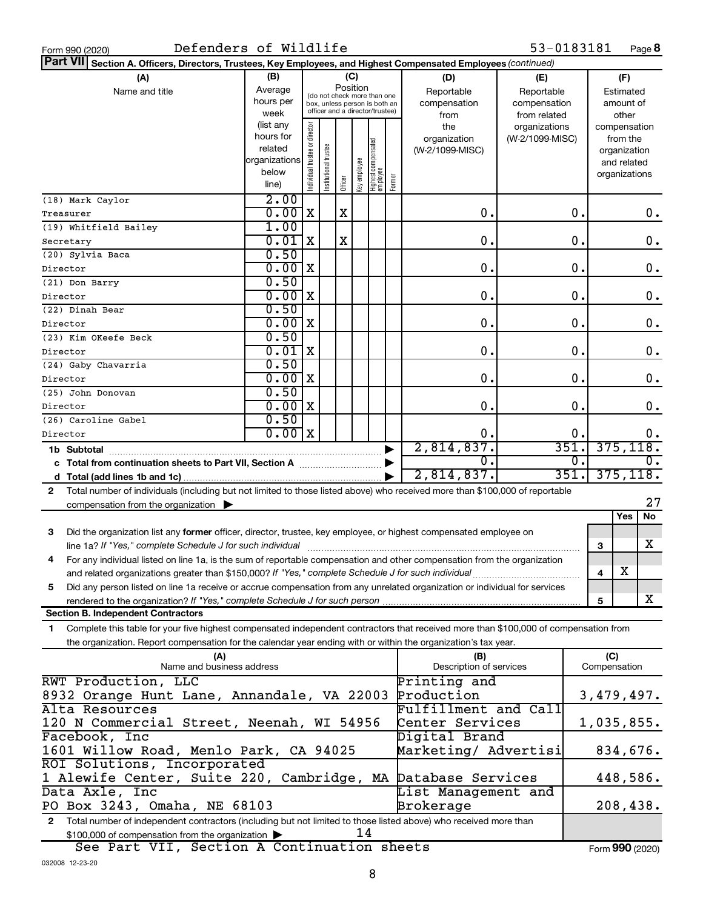|  | Form 990 (2020 |
|--|----------------|
|  |                |

| Part VII Section A. Officers, Directors, Trustees, Key Employees, and Highest Compensated Employees (continued)                              |                          |                                |                       |          |              |                                                              |        |                         |                 |                  |     |                         |          |
|----------------------------------------------------------------------------------------------------------------------------------------------|--------------------------|--------------------------------|-----------------------|----------|--------------|--------------------------------------------------------------|--------|-------------------------|-----------------|------------------|-----|-------------------------|----------|
| (B)<br>(C)<br>(D)<br>(A)<br>(E)                                                                                                              |                          |                                |                       |          |              |                                                              | (F)    |                         |                 |                  |     |                         |          |
| Name and title                                                                                                                               | Average                  |                                |                       | Position |              |                                                              |        | Reportable              | Reportable      |                  |     | Estimated               |          |
|                                                                                                                                              | hours per                |                                |                       |          |              | (do not check more than one<br>box, unless person is both an |        | compensation            | compensation    |                  |     | amount of               |          |
|                                                                                                                                              | week                     |                                |                       |          |              | officer and a director/trustee)                              |        | from                    | from related    |                  |     | other                   |          |
|                                                                                                                                              | (list any                |                                |                       |          |              |                                                              |        | the                     | organizations   |                  |     | compensation            |          |
|                                                                                                                                              | hours for                |                                |                       |          |              |                                                              |        | organization            | (W-2/1099-MISC) |                  |     | from the                |          |
|                                                                                                                                              | related<br>organizations |                                |                       |          |              |                                                              |        | (W-2/1099-MISC)         |                 |                  |     | organization            |          |
|                                                                                                                                              | below                    |                                |                       |          |              |                                                              |        |                         |                 |                  |     | and related             |          |
|                                                                                                                                              | line)                    | Individual trustee or director | Institutional trustee | Officer  | Key employee | Highest compensated<br> employee                             | Former |                         |                 |                  |     | organizations           |          |
| (18) Mark Caylor                                                                                                                             | 2.00                     |                                |                       |          |              |                                                              |        |                         |                 |                  |     |                         |          |
| Treasurer                                                                                                                                    | 0.00                     | X                              |                       | X        |              |                                                              |        | $\mathbf 0$ .           |                 | 0.               |     |                         | $0$ .    |
| (19) Whitfield Bailey                                                                                                                        | 1.00                     |                                |                       |          |              |                                                              |        |                         |                 |                  |     |                         |          |
| Secretary                                                                                                                                    | 0.01                     | X                              |                       | X        |              |                                                              |        | 0.                      |                 | 0.               |     |                         | $0$ .    |
| (20) Sylvia Baca                                                                                                                             | 0.50                     |                                |                       |          |              |                                                              |        |                         |                 |                  |     |                         |          |
| Director                                                                                                                                     | 0.00                     | X                              |                       |          |              |                                                              |        | 0.                      |                 | 0.               |     |                         | 0.       |
| (21) Don Barry                                                                                                                               | 0.50                     |                                |                       |          |              |                                                              |        |                         |                 |                  |     |                         |          |
| Director                                                                                                                                     | 0.00                     | X                              |                       |          |              |                                                              |        | 0.                      |                 | 0.               |     |                         | 0.       |
| (22) Dinah Bear                                                                                                                              | 0.50                     |                                |                       |          |              |                                                              |        |                         |                 |                  |     |                         |          |
| Director                                                                                                                                     | 0.00                     | X                              |                       |          |              |                                                              |        | 0.                      |                 | 0.               |     |                         | 0.       |
| (23) Kim OKeefe Beck                                                                                                                         | 0.50                     |                                |                       |          |              |                                                              |        |                         |                 |                  |     |                         |          |
| Director                                                                                                                                     | 0.01                     | X                              |                       |          |              |                                                              |        | 0.                      |                 | 0.               |     |                         | 0.       |
| (24) Gaby Chavarria                                                                                                                          | 0.50                     |                                |                       |          |              |                                                              |        |                         |                 |                  |     |                         |          |
| Director                                                                                                                                     | 0.00                     | X                              |                       |          |              |                                                              |        | О.                      |                 | 0.               |     |                         | 0.       |
| (25) John Donovan                                                                                                                            | 0.50                     |                                |                       |          |              |                                                              |        |                         |                 |                  |     |                         |          |
| Director                                                                                                                                     | 0.00                     | X                              |                       |          |              |                                                              |        | 0.                      |                 | $\mathbf 0$ .    |     |                         | $0$ .    |
| (26) Caroline Gabel                                                                                                                          | 0.50<br>0.00x            |                                |                       |          |              |                                                              |        | 0.                      |                 | 0.               |     |                         | 0.       |
| Director                                                                                                                                     |                          |                                |                       |          |              |                                                              |        | 2,814,837.              |                 | 351.             |     | 375, 118.               |          |
| 1b Subtotal                                                                                                                                  |                          |                                |                       |          |              |                                                              |        | 0.                      |                 | $\overline{0}$ . |     |                         | 0.       |
|                                                                                                                                              |                          |                                |                       |          |              |                                                              |        | 2,814,837.              |                 | 351.             |     | 375, 118.               |          |
|                                                                                                                                              |                          |                                |                       |          |              |                                                              |        |                         |                 |                  |     |                         |          |
| Total number of individuals (including but not limited to those listed above) who received more than \$100,000 of reportable<br>$\mathbf{2}$ |                          |                                |                       |          |              |                                                              |        |                         |                 |                  |     |                         | 27       |
| compensation from the organization $\blacktriangleright$                                                                                     |                          |                                |                       |          |              |                                                              |        |                         |                 |                  |     | Yes                     | No       |
| 3<br>Did the organization list any former officer, director, trustee, key employee, or highest compensated employee on                       |                          |                                |                       |          |              |                                                              |        |                         |                 |                  |     |                         |          |
| line 1a? If "Yes," complete Schedule J for such individual                                                                                   |                          |                                |                       |          |              |                                                              |        |                         |                 |                  | 3   |                         | х        |
| For any individual listed on line 1a, is the sum of reportable compensation and other compensation from the organization<br>4                |                          |                                |                       |          |              |                                                              |        |                         |                 |                  |     |                         |          |
|                                                                                                                                              |                          |                                |                       |          |              |                                                              |        |                         |                 |                  | 4   | $\overline{\textbf{X}}$ |          |
| Did any person listed on line 1a receive or accrue compensation from any unrelated organization or individual for services<br>5              |                          |                                |                       |          |              |                                                              |        |                         |                 |                  |     |                         |          |
| rendered to the organization? If "Yes," complete Schedule J for such person                                                                  |                          |                                |                       |          |              |                                                              |        |                         |                 |                  | 5   |                         | x        |
| <b>Section B. Independent Contractors</b>                                                                                                    |                          |                                |                       |          |              |                                                              |        |                         |                 |                  |     |                         |          |
| Complete this table for your five highest compensated independent contractors that received more than \$100,000 of compensation from<br>1    |                          |                                |                       |          |              |                                                              |        |                         |                 |                  |     |                         |          |
| the organization. Report compensation for the calendar year ending with or within the organization's tax year.                               |                          |                                |                       |          |              |                                                              |        |                         |                 |                  |     |                         |          |
| (A)                                                                                                                                          |                          |                                |                       |          |              |                                                              |        | (B)                     |                 |                  | (C) |                         |          |
| Name and business address                                                                                                                    |                          |                                |                       |          |              |                                                              |        | Description of services |                 |                  |     | Compensation            |          |
| RWT Production, LLC                                                                                                                          |                          |                                |                       |          |              |                                                              |        | Printing and            |                 |                  |     |                         |          |
| 8932 Orange Hunt Lane, Annandale, VA 22003                                                                                                   |                          |                                |                       |          |              |                                                              |        | Production              |                 |                  |     | 3,479,497.              |          |
| Alta Resources                                                                                                                               |                          |                                |                       |          |              |                                                              |        | Fulfillment and Call    |                 |                  |     |                         |          |
| 120 N Commercial Street, Neenah, WI 54956                                                                                                    |                          |                                |                       |          |              |                                                              |        | Center Services         |                 |                  |     | 1,035,855.              |          |
| Facebook, Inc                                                                                                                                |                          |                                |                       |          |              |                                                              |        | Digital Brand           |                 |                  |     |                         |          |
| 1601 Willow Road, Menlo Park, CA 94025                                                                                                       |                          |                                |                       |          |              |                                                              |        | Marketing/ Advertisi    |                 |                  |     |                         | 834,676. |

| 1001 WIIIOW KOdU, MENIO PAIK, CA 34023                                                                             | Marrecing, Ruvercisi | 034,070. |
|--------------------------------------------------------------------------------------------------------------------|----------------------|----------|
| ROI Solutions, Incorporated                                                                                        |                      |          |
| 1 Alewife Center, Suite 220, Cambridge, MA Database Services                                                       |                      | 448,586. |
| Data Axle, Inc                                                                                                     | List Management and  |          |
| PO Box 3243, Omaha, NE 68103                                                                                       | <b>Brokerage</b>     | 208,438. |
| 2 Total number of independent contractors (including but not limited to those listed above) who received more than |                      |          |
| 14<br>$$100,000$ of compensation from the organization $\blacktriangleright$                                       |                      |          |

032008 12-23-20 See Part VII, Section A Continuation sheets

Form (2020) **990**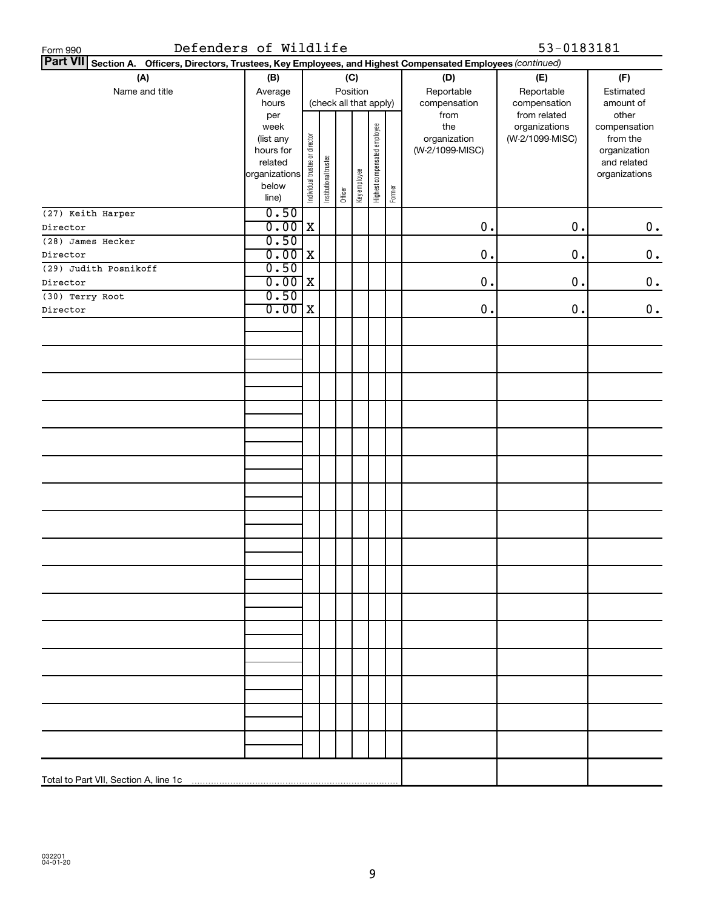| Defenders of Wildlife<br>Form 990                                                                               |                                                                      |             |                       |         |              |                              |        |                                 | 53-0183181      |                          |
|-----------------------------------------------------------------------------------------------------------------|----------------------------------------------------------------------|-------------|-----------------------|---------|--------------|------------------------------|--------|---------------------------------|-----------------|--------------------------|
| Part VII Section A. Officers, Directors, Trustees, Key Employees, and Highest Compensated Employees (continued) |                                                                      |             |                       |         |              |                              |        |                                 |                 |                          |
| (A)                                                                                                             | (B)                                                                  |             |                       |         | (C)          |                              |        | (D)                             | (E)             | (F)                      |
| Name and title                                                                                                  | Average                                                              |             |                       |         | Position     |                              |        | Reportable                      | Reportable      | Estimated                |
|                                                                                                                 | hours                                                                |             |                       |         |              | (check all that apply)       |        | compensation                    | compensation    | amount of                |
|                                                                                                                 | per                                                                  |             |                       |         |              |                              |        | from                            | from related    | other                    |
|                                                                                                                 | week                                                                 |             |                       |         |              |                              |        | the                             | organizations   | compensation             |
|                                                                                                                 |                                                                      |             |                       |         |              |                              |        | organization<br>(W-2/1099-MISC) | (W-2/1099-MISC) | from the<br>organization |
|                                                                                                                 |                                                                      |             |                       |         |              |                              |        |                                 |                 | and related              |
|                                                                                                                 |                                                                      |             | Institutional trustee |         |              | Highest compensated employee |        |                                 |                 | organizations            |
|                                                                                                                 |                                                                      |             |                       |         |              |                              |        |                                 |                 |                          |
|                                                                                                                 | (list any<br>hours for<br>related<br>organizations<br>below<br>line) |             |                       | Officer | Key employee |                              | Former |                                 |                 |                          |
| (27) Keith Harper                                                                                               | 0.50                                                                 |             |                       |         |              |                              |        |                                 |                 |                          |
| Director                                                                                                        | 0.00                                                                 | $\mathbf X$ |                       |         |              |                              |        | 0.                              | 0.              | $\boldsymbol{0}$ .       |
| (28) James Hecker                                                                                               | 0.50                                                                 |             |                       |         |              |                              |        |                                 |                 |                          |
| Director                                                                                                        | 0.00                                                                 | X           |                       |         |              |                              |        | 0.                              | 0.              | $\mathbf 0$ .            |
| (29) Judith Posnikoff                                                                                           | 0.50                                                                 |             |                       |         |              |                              |        |                                 |                 |                          |
| Director                                                                                                        | $0.00 \, \text{X}$                                                   |             |                       |         |              |                              |        | 0.                              | 0.              | $\mathbf 0$ .            |
| (30) Terry Root                                                                                                 | 0.50                                                                 |             |                       |         |              |                              |        |                                 |                 |                          |
| Director                                                                                                        | 0.00                                                                 | X           |                       |         |              |                              |        | 0.                              | 0.              | 0.                       |
|                                                                                                                 |                                                                      |             |                       |         |              |                              |        |                                 |                 |                          |
|                                                                                                                 |                                                                      |             |                       |         |              |                              |        |                                 |                 |                          |
|                                                                                                                 |                                                                      |             |                       |         |              |                              |        |                                 |                 |                          |
|                                                                                                                 |                                                                      |             |                       |         |              |                              |        |                                 |                 |                          |
|                                                                                                                 |                                                                      |             |                       |         |              |                              |        |                                 |                 |                          |
|                                                                                                                 |                                                                      |             |                       |         |              |                              |        |                                 |                 |                          |
|                                                                                                                 |                                                                      |             |                       |         |              |                              |        |                                 |                 |                          |
|                                                                                                                 |                                                                      |             |                       |         |              |                              |        |                                 |                 |                          |
|                                                                                                                 |                                                                      |             |                       |         |              |                              |        |                                 |                 |                          |
|                                                                                                                 |                                                                      |             |                       |         |              |                              |        |                                 |                 |                          |
|                                                                                                                 |                                                                      |             |                       |         |              |                              |        |                                 |                 |                          |
|                                                                                                                 |                                                                      |             |                       |         |              |                              |        |                                 |                 |                          |
|                                                                                                                 |                                                                      |             |                       |         |              |                              |        |                                 |                 |                          |
|                                                                                                                 |                                                                      |             |                       |         |              |                              |        |                                 |                 |                          |
|                                                                                                                 |                                                                      |             |                       |         |              |                              |        |                                 |                 |                          |
|                                                                                                                 |                                                                      |             |                       |         |              |                              |        |                                 |                 |                          |
|                                                                                                                 |                                                                      |             |                       |         |              |                              |        |                                 |                 |                          |
|                                                                                                                 |                                                                      |             |                       |         |              |                              |        |                                 |                 |                          |
|                                                                                                                 |                                                                      |             |                       |         |              |                              |        |                                 |                 |                          |
|                                                                                                                 |                                                                      |             |                       |         |              |                              |        |                                 |                 |                          |
|                                                                                                                 |                                                                      |             |                       |         |              |                              |        |                                 |                 |                          |
|                                                                                                                 |                                                                      |             |                       |         |              |                              |        |                                 |                 |                          |
|                                                                                                                 |                                                                      |             |                       |         |              |                              |        |                                 |                 |                          |
|                                                                                                                 |                                                                      |             |                       |         |              |                              |        |                                 |                 |                          |
|                                                                                                                 |                                                                      |             |                       |         |              |                              |        |                                 |                 |                          |
|                                                                                                                 |                                                                      |             |                       |         |              |                              |        |                                 |                 |                          |
|                                                                                                                 |                                                                      |             |                       |         |              |                              |        |                                 |                 |                          |
|                                                                                                                 |                                                                      |             |                       |         |              |                              |        |                                 |                 |                          |
|                                                                                                                 |                                                                      |             |                       |         |              |                              |        |                                 |                 |                          |
|                                                                                                                 |                                                                      |             |                       |         |              |                              |        |                                 |                 |                          |
|                                                                                                                 |                                                                      |             |                       |         |              |                              |        |                                 |                 |                          |
|                                                                                                                 |                                                                      |             |                       |         |              |                              |        |                                 |                 |                          |
|                                                                                                                 |                                                                      |             |                       |         |              |                              |        |                                 |                 |                          |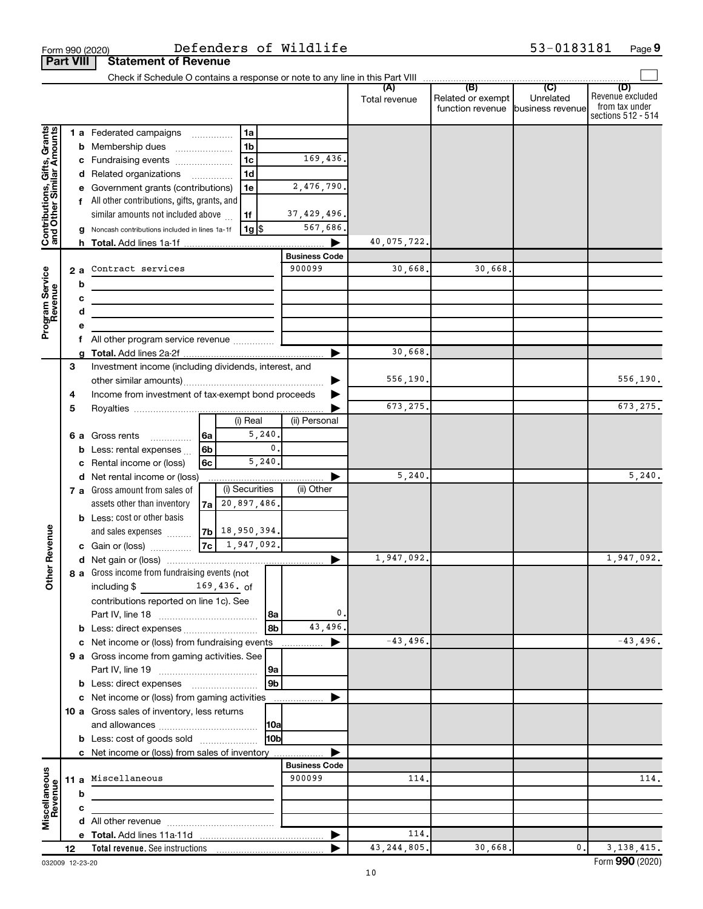|                                                                                         | <b>Part VIII</b>       | <b>Statement of Revenue</b>                                                                                                                                                                                                                                                                                                                                                                                                                                                                                    |                                                                                       |                        |                                       |                               |                                                                 |
|-----------------------------------------------------------------------------------------|------------------------|----------------------------------------------------------------------------------------------------------------------------------------------------------------------------------------------------------------------------------------------------------------------------------------------------------------------------------------------------------------------------------------------------------------------------------------------------------------------------------------------------------------|---------------------------------------------------------------------------------------|------------------------|---------------------------------------|-------------------------------|-----------------------------------------------------------------|
|                                                                                         |                        |                                                                                                                                                                                                                                                                                                                                                                                                                                                                                                                |                                                                                       |                        |                                       |                               |                                                                 |
|                                                                                         |                        |                                                                                                                                                                                                                                                                                                                                                                                                                                                                                                                |                                                                                       | Total revenue          | Related or exempt<br>function revenue | Unrelated<br>business revenue | (D)<br>Revenue excluded<br>from tax under<br>sections 512 - 514 |
| Contributions, Gifts, Grants<br>and Other Similar Amounts<br>Program Service<br>Revenue | 2a<br>b<br>c<br>d<br>е | 1 a Federated campaigns<br>  1a<br>1 <sub>b</sub><br><b>b</b> Membership dues<br>$\ldots \ldots \ldots \ldots \ldots$<br>1 <sub>c</sub><br>c Fundraising events<br>1d<br>d Related organizations<br>e Government grants (contributions)<br>1e<br>f All other contributions, gifts, grants, and<br>similar amounts not included above<br>l 1f<br>g Noncash contributions included in lines 1a-1f<br>  1g  \$<br>Contract services<br>the control of the control of the control of the control of the control of | 169,436.<br>2,476,790.<br>37, 429, 496.<br>567,686.<br><b>Business Code</b><br>900099 | 40,075,722.<br>30,668. | 30,668.                               |                               |                                                                 |
|                                                                                         |                        |                                                                                                                                                                                                                                                                                                                                                                                                                                                                                                                |                                                                                       |                        |                                       |                               |                                                                 |
|                                                                                         |                        |                                                                                                                                                                                                                                                                                                                                                                                                                                                                                                                | ▶                                                                                     | 30,668.                |                                       |                               |                                                                 |
|                                                                                         | 3<br>4                 | Investment income (including dividends, interest, and<br>Income from investment of tax-exempt bond proceeds                                                                                                                                                                                                                                                                                                                                                                                                    |                                                                                       | 556,190.               |                                       |                               | 556,190.                                                        |
|                                                                                         | 5                      |                                                                                                                                                                                                                                                                                                                                                                                                                                                                                                                |                                                                                       | 673, 275.              |                                       |                               | 673, 275.                                                       |
|                                                                                         |                        | (i) Real<br>5,240.<br>l 6a<br><b>6 a</b> Gross rents<br>0.<br>6b<br><b>b</b> Less: rental expenses $\ldots$<br>5,240.<br>c Rental income or (loss)<br>6c                                                                                                                                                                                                                                                                                                                                                       | (ii) Personal                                                                         |                        |                                       |                               |                                                                 |
|                                                                                         |                        | d Net rental income or (loss)                                                                                                                                                                                                                                                                                                                                                                                                                                                                                  |                                                                                       | 5,240.                 |                                       |                               | 5,240.                                                          |
| Revenue                                                                                 |                        | (i) Securities<br>7 a Gross amount from sales of<br>$7a$ 20, 897, 486.<br>assets other than inventory<br><b>b</b> Less: cost or other basis<br>$ 7b $ 18, 950, 394.<br>and sales expenses<br>$ 7c $ 1, 947, 092.                                                                                                                                                                                                                                                                                               | (ii) Other                                                                            |                        |                                       |                               |                                                                 |
|                                                                                         |                        | c Gain or (loss)                                                                                                                                                                                                                                                                                                                                                                                                                                                                                               | ▶                                                                                     | 1,947,092.             |                                       |                               | 1,947,092.                                                      |
| $\check{\epsilon}$                                                                      |                        | 8 a Gross income from fundraising events (not<br>$169,436.$ of<br>including $$$<br>contributions reported on line 1c). See<br>l 8a<br>8b<br><b>b</b> Less: direct expenses                                                                                                                                                                                                                                                                                                                                     | $\mathbf{0}$<br>43,496.                                                               |                        |                                       |                               |                                                                 |
|                                                                                         |                        | c Net income or (loss) from fundraising events                                                                                                                                                                                                                                                                                                                                                                                                                                                                 |                                                                                       | $-43,496.$             |                                       |                               | $-43,496.$                                                      |
|                                                                                         |                        | 9 a Gross income from gaming activities. See<br> 9a<br>9 <sub>b</sub><br><b>b</b> Less: direct expenses <b>manually</b>                                                                                                                                                                                                                                                                                                                                                                                        |                                                                                       |                        |                                       |                               |                                                                 |
|                                                                                         |                        | c Net income or (loss) from gaming activities                                                                                                                                                                                                                                                                                                                                                                                                                                                                  |                                                                                       |                        |                                       |                               |                                                                 |
|                                                                                         |                        | 10 a Gross sales of inventory, less returns<br> 10a<br>l10bl<br><b>b</b> Less: cost of goods sold                                                                                                                                                                                                                                                                                                                                                                                                              |                                                                                       |                        |                                       |                               |                                                                 |
|                                                                                         |                        | c Net income or (loss) from sales of inventory                                                                                                                                                                                                                                                                                                                                                                                                                                                                 | <b>Business Code</b>                                                                  |                        |                                       |                               |                                                                 |
| Miscellaneous<br>Revenue                                                                | b<br>с                 | 11 a Miscellaneous                                                                                                                                                                                                                                                                                                                                                                                                                                                                                             | 900099                                                                                | 114.                   |                                       |                               | 114.                                                            |
|                                                                                         |                        |                                                                                                                                                                                                                                                                                                                                                                                                                                                                                                                | ▶                                                                                     | 114.                   |                                       |                               |                                                                 |
|                                                                                         | 12                     |                                                                                                                                                                                                                                                                                                                                                                                                                                                                                                                |                                                                                       | 43, 244, 805.          | 30,668.                               | 0.                            | 3, 138, 415.                                                    |

032009 12-23-20

| 190 (2020) |  |  |  |
|------------|--|--|--|
| w          |  |  |  |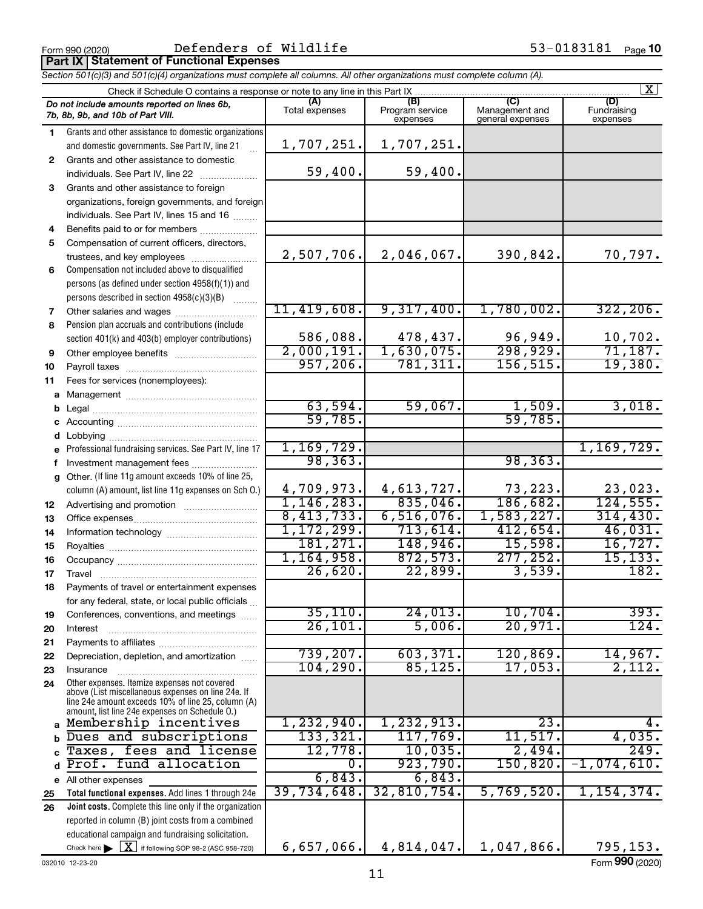Form 990 (2020)  $\qquad \qquad$  Defenders of Wildlife  $\qquad \qquad$  53-0183181  $_{\text{Page}}$ 

| Form 990 (2020) |                                                                                                                                                                                    | Defenders of Wildlife |  |  |
|-----------------|------------------------------------------------------------------------------------------------------------------------------------------------------------------------------------|-----------------------|--|--|
|                 | <b>Part IX Statement of Functional Expenses</b>                                                                                                                                    |                       |  |  |
|                 | $0 \rightarrow 1$ on $0 \rightarrow 1$ (a) $(0)$ and $(0 \rightarrow 1/4)$ and $(0 \rightarrow 1/4)$ and $(0 \rightarrow 1/4)$ and $(0 \rightarrow 1/4)$ and $(0 \rightarrow 1/4)$ |                       |  |  |

*Section 501(c)(3) and 501(c)(4) organizations must complete all columns. All other organizations must complete column (A).*

|                | $\mathbf{x}$                                                                                          |                       |                                    |                                           |                                |  |  |
|----------------|-------------------------------------------------------------------------------------------------------|-----------------------|------------------------------------|-------------------------------------------|--------------------------------|--|--|
|                | Do not include amounts reported on lines 6b,<br>7b, 8b, 9b, and 10b of Part VIII.                     | (A)<br>Total expenses | (B)<br>Program service<br>expenses | (C)<br>Management and<br>general expenses | (D)<br>Fundraising<br>expenses |  |  |
| 1.             | Grants and other assistance to domestic organizations                                                 |                       |                                    |                                           |                                |  |  |
|                | and domestic governments. See Part IV, line 21                                                        | 1,707,251.            | 1,707,251.                         |                                           |                                |  |  |
| $\mathbf{2}^-$ | Grants and other assistance to domestic                                                               |                       |                                    |                                           |                                |  |  |
|                | individuals. See Part IV, line 22                                                                     | 59,400.               | 59,400.                            |                                           |                                |  |  |
| 3.             | Grants and other assistance to foreign                                                                |                       |                                    |                                           |                                |  |  |
|                | organizations, foreign governments, and foreign                                                       |                       |                                    |                                           |                                |  |  |
|                | individuals. See Part IV, lines 15 and 16                                                             |                       |                                    |                                           |                                |  |  |
| 4              | Benefits paid to or for members                                                                       |                       |                                    |                                           |                                |  |  |
| 5              | Compensation of current officers, directors,                                                          |                       |                                    |                                           |                                |  |  |
|                | trustees, and key employees                                                                           | 2,507,706.            | 2,046,067.                         | 390,842.                                  | 70,797.                        |  |  |
| 6              | Compensation not included above to disqualified                                                       |                       |                                    |                                           |                                |  |  |
|                | persons (as defined under section 4958(f)(1)) and                                                     |                       |                                    |                                           |                                |  |  |
|                | persons described in section 4958(c)(3)(B)                                                            | 11,419,608.           | 9,317,400.                         | 1,780,002.                                | 322, 206.                      |  |  |
| 7              | Other salaries and wages                                                                              |                       |                                    |                                           |                                |  |  |
| 8              | Pension plan accruals and contributions (include<br>section 401(k) and 403(b) employer contributions) | 586,088.              | 478,437.                           | 96,949.                                   | 10,702.                        |  |  |
|                |                                                                                                       | 2,000,191.            | 1,630,075.                         | 298,929.                                  | 71,187.                        |  |  |
| 9<br>10        | Other employee benefits                                                                               | 957, 206.             | 781, 311.                          | 156, 515.                                 | 19,380.                        |  |  |
| 11             | Fees for services (nonemployees):                                                                     |                       |                                    |                                           |                                |  |  |
| а              |                                                                                                       |                       |                                    |                                           |                                |  |  |
| b              |                                                                                                       | 63,594.               | 59,067.                            | 1,509.                                    | 3,018.                         |  |  |
| с              |                                                                                                       | 59,785.               |                                    | 59,785.                                   |                                |  |  |
| d              |                                                                                                       |                       |                                    |                                           |                                |  |  |
|                | Professional fundraising services. See Part IV, line 17                                               | 1,169,729.            |                                    |                                           | 1,169,729.                     |  |  |
| f              | Investment management fees                                                                            | 98, 363.              |                                    | 98, 363.                                  |                                |  |  |
| g              | Other. (If line 11g amount exceeds 10% of line 25,                                                    |                       |                                    |                                           |                                |  |  |
|                | column (A) amount, list line 11g expenses on Sch O.)                                                  | 4,709,973.            | 4,613,727.                         | 73,223.                                   | 23,023.                        |  |  |
| 12             |                                                                                                       | 1, 146, 283.          | 835,046.                           | 186,682.                                  | 124, 555.                      |  |  |
| 13             |                                                                                                       | 8,413,733.            | 6,516,076.                         | 1,583,227.                                | 314, 430.                      |  |  |
| 14             |                                                                                                       | 1, 172, 299.          | 713,614.                           | 412,654.                                  | 46,031.                        |  |  |
| 15             |                                                                                                       | 181, 271.             | 148,946.                           | 15,598.                                   | 16,727.                        |  |  |
| 16             |                                                                                                       | 1, 164, 958.          | 872,573.                           | 277, 252.                                 | 15, 133.                       |  |  |
| 17             | Travel                                                                                                | 26,620.               | 22,899.                            | 3,539.                                    | 182.                           |  |  |
| 18             | Payments of travel or entertainment expenses                                                          |                       |                                    |                                           |                                |  |  |
|                | for any federal, state, or local public officials                                                     |                       |                                    |                                           |                                |  |  |
| 19             | Conferences, conventions, and meetings                                                                | 35, 110.              | 24,013.                            | 10,704.                                   | 393.                           |  |  |
| 20             | Interest                                                                                              | 26,101                | 5,006.                             | 20,971                                    | 124.                           |  |  |
| 21             |                                                                                                       | 739,207.              | 603, 371.                          | 120, 869.                                 | 14,967.                        |  |  |
| 22             | Depreciation, depletion, and amortization                                                             | 104, 290.             | 85, 125.                           | 17,053.                                   | 2,112.                         |  |  |
| 23             | Insurance<br>Other expenses. Itemize expenses not covered                                             |                       |                                    |                                           |                                |  |  |
| 24             | above (List miscellaneous expenses on line 24e. If                                                    |                       |                                    |                                           |                                |  |  |
|                | line 24e amount exceeds 10% of line 25, column (A)<br>amount, list line 24e expenses on Schedule O.)  |                       |                                    |                                           |                                |  |  |
|                | a Membership incentives                                                                               | 1,232,940.            | 1,232,913.                         | 23 <sub>1</sub>                           |                                |  |  |
| $\mathbf b$    | Dues and subscriptions                                                                                | 133,321.              | 117,769.                           | 11,517.                                   | 4,035.                         |  |  |
| c              | Taxes, fees and license                                                                               | 12,778.               | 10,035.                            | 2,494.                                    | 249.                           |  |  |
| d              | Prof. fund allocation                                                                                 | σ.                    | 923,790.                           | 150, 820.                                 | $-1,074,610.$                  |  |  |
|                | e All other expenses                                                                                  | 6,843.                | 6,843.                             |                                           |                                |  |  |
| 25             | Total functional expenses. Add lines 1 through 24e                                                    | 39,734,648.           | 32,810,754.                        | 5,769,520.                                | 1, 154, 374.                   |  |  |
| 26             | Joint costs. Complete this line only if the organization                                              |                       |                                    |                                           |                                |  |  |
|                | reported in column (B) joint costs from a combined                                                    |                       |                                    |                                           |                                |  |  |
|                | educational campaign and fundraising solicitation.                                                    |                       |                                    |                                           |                                |  |  |
|                | Check here $\blacktriangleright \boxed{\textbf{X}}$ if following SOP 98-2 (ASC 958-720)               | 6,657,066.            | 4,814,047.                         | 1,047,866.                                | 795,153.                       |  |  |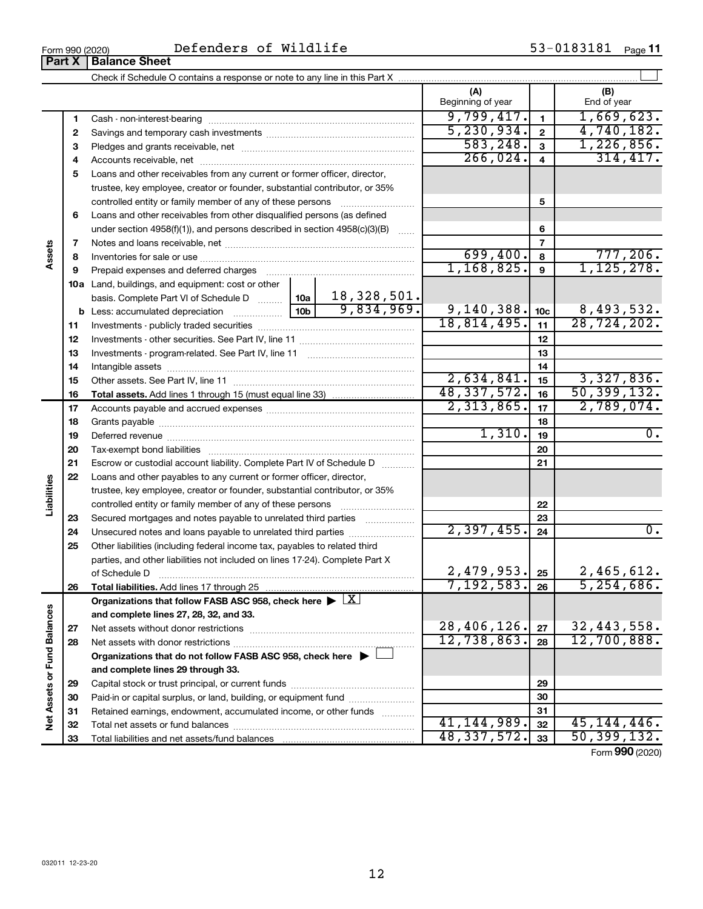|                             |    |                                                                                                        |                 |             | (A)<br>Beginning of year |                         | (B)<br>End of year |
|-----------------------------|----|--------------------------------------------------------------------------------------------------------|-----------------|-------------|--------------------------|-------------------------|--------------------|
|                             | 1  |                                                                                                        |                 |             | 9,799,417.               | $\mathbf{1}$            | 1,669,623.         |
|                             | 2  |                                                                                                        |                 |             | 5, 230, 934.             | $\mathbf{2}$            | 4,740,182.         |
|                             | З  |                                                                                                        |                 |             | 583, 248.                | 3                       | 1,226,856.         |
|                             | 4  |                                                                                                        |                 |             | 266,024.                 | $\overline{\mathbf{4}}$ | 314, 417.          |
|                             | 5  | Loans and other receivables from any current or former officer, director,                              |                 |             |                          |                         |                    |
|                             |    | trustee, key employee, creator or founder, substantial contributor, or 35%                             |                 |             |                          |                         |                    |
|                             |    |                                                                                                        |                 |             |                          | 5                       |                    |
|                             | 6  | Loans and other receivables from other disqualified persons (as defined                                |                 |             |                          |                         |                    |
|                             |    | under section $4958(f)(1)$ , and persons described in section $4958(c)(3)(B)$                          |                 | 6           |                          |                         |                    |
|                             | 7  |                                                                                                        |                 |             |                          | $\overline{7}$          |                    |
| Assets                      | 8  |                                                                                                        |                 |             | 699,400.                 | 8                       | 777,206.           |
|                             | 9  | Prepaid expenses and deferred charges                                                                  |                 |             | 1,168,825.               | 9                       | 1, 125, 278.       |
|                             |    | 10a Land, buildings, and equipment: cost or other                                                      |                 |             |                          |                         |                    |
|                             |    | basis. Complete Part VI of Schedule D                                                                  | 10a             | 18,328,501. |                          |                         |                    |
|                             |    | <b>b</b> Less: accumulated depreciation                                                                | 10 <sub>b</sub> | 9,834,969.  | $9,140,388.$ 10c         |                         | 8,493,532.         |
|                             | 11 |                                                                                                        |                 |             | 18,814,495.              | 11                      | 28, 724, 202.      |
|                             | 12 |                                                                                                        |                 | 12          |                          |                         |                    |
|                             | 13 |                                                                                                        |                 | 13          |                          |                         |                    |
|                             | 14 |                                                                                                        |                 | 14          |                          |                         |                    |
|                             | 15 |                                                                                                        |                 |             | 2,634,841.               | 15                      | 3,327,836.         |
|                             | 16 |                                                                                                        |                 |             | 48, 337, 572.            | 16                      | 50, 399, 132.      |
|                             | 17 |                                                                                                        |                 | 2,313,865.  | 17                       | 2,789,074.              |                    |
|                             | 18 |                                                                                                        |                 | 18          |                          |                         |                    |
|                             | 19 |                                                                                                        |                 |             | 1,310.                   | 19                      | $\overline{0}$ .   |
|                             | 20 |                                                                                                        |                 |             |                          | 20                      |                    |
|                             | 21 | Escrow or custodial account liability. Complete Part IV of Schedule D                                  |                 |             |                          | 21                      |                    |
|                             | 22 | Loans and other payables to any current or former officer, director,                                   |                 |             |                          |                         |                    |
| Liabilities                 |    | trustee, key employee, creator or founder, substantial contributor, or 35%                             |                 |             |                          |                         |                    |
|                             |    | controlled entity or family member of any of these persons                                             |                 |             |                          | 22                      |                    |
|                             | 23 | Secured mortgages and notes payable to unrelated third parties                                         |                 |             |                          | 23                      |                    |
|                             | 24 | Unsecured notes and loans payable to unrelated third parties                                           |                 |             | 2,397,455.               | 24                      | 0.                 |
|                             | 25 | Other liabilities (including federal income tax, payables to related third                             |                 |             |                          |                         |                    |
|                             |    | parties, and other liabilities not included on lines 17-24). Complete Part X                           |                 |             |                          |                         |                    |
|                             |    | of Schedule D                                                                                          |                 |             | 2,479,953.               | 25                      | 2,465,612.         |
|                             | 26 |                                                                                                        |                 |             | 7,192,583.               | 26                      | 5, 254, 686.       |
|                             |    | Organizations that follow FASB ASC 958, check here $\blacktriangleright \lfloor \underline{X} \rfloor$ |                 |             |                          |                         |                    |
|                             |    | and complete lines 27, 28, 32, and 33.                                                                 |                 |             |                          |                         |                    |
|                             | 27 |                                                                                                        |                 | 28,406,126. | 27                       | 32, 443, 558.           |                    |
|                             | 28 |                                                                                                        |                 |             | 12,738,863.              | 28                      | 12,700,888.        |
| Net Assets or Fund Balances |    | Organizations that do not follow FASB ASC 958, check here $\blacktriangleright$                        |                 |             |                          |                         |                    |
|                             |    | and complete lines 29 through 33.                                                                      |                 |             |                          |                         |                    |
|                             | 29 |                                                                                                        |                 |             |                          | 29                      |                    |
|                             | 30 | Paid-in or capital surplus, or land, building, or equipment fund                                       |                 |             |                          | 30                      |                    |
|                             | 31 | Retained earnings, endowment, accumulated income, or other funds                                       |                 |             |                          | 31                      |                    |
|                             | 32 |                                                                                                        |                 |             | 41, 144, 989.            | 32                      | 45, 144, 446.      |
|                             | 33 |                                                                                                        |                 |             | 48, 337, 572.            | 33                      | 50, 399, 132.      |

Form (2020) **990**

| Form 990 (2020) |                               |  |
|-----------------|-------------------------------|--|
|                 | <b>Part X   Balance Sheet</b> |  |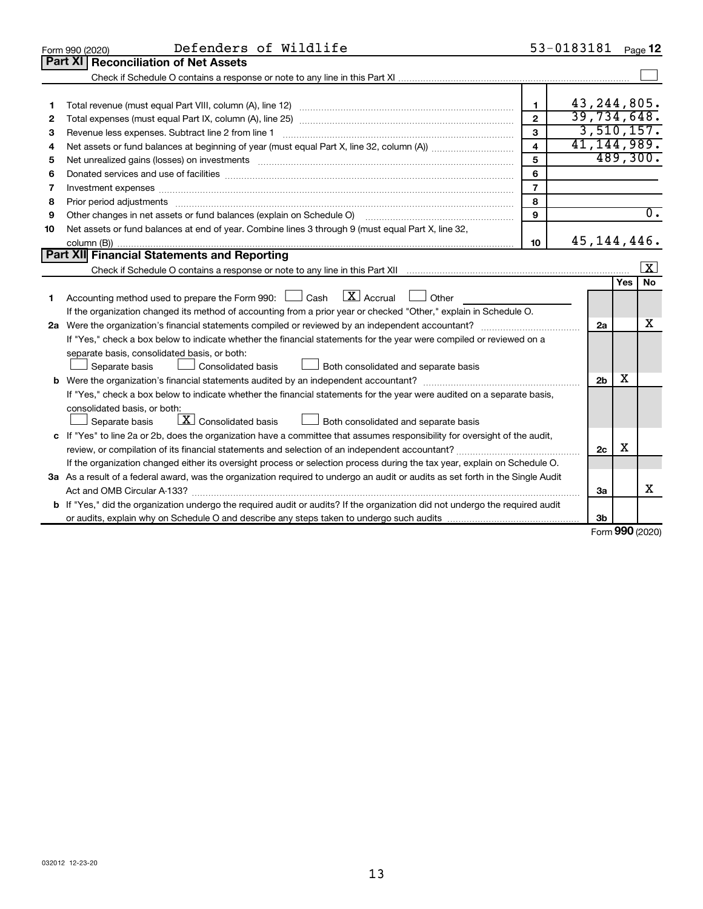|    | Defenders of Wildlife<br>Form 990 (2020)                                                                                                                                                                                       |                | 53-0183181     |     | Page 12           |
|----|--------------------------------------------------------------------------------------------------------------------------------------------------------------------------------------------------------------------------------|----------------|----------------|-----|-------------------|
|    | Part XI<br><b>Reconciliation of Net Assets</b>                                                                                                                                                                                 |                |                |     |                   |
|    |                                                                                                                                                                                                                                |                |                |     |                   |
|    |                                                                                                                                                                                                                                |                |                |     |                   |
| 1  |                                                                                                                                                                                                                                | $\blacksquare$ | 43, 244, 805.  |     |                   |
| 2  |                                                                                                                                                                                                                                | $\mathbf{2}$   | 39,734,648.    |     |                   |
| З  |                                                                                                                                                                                                                                | 3              | 3,510,157.     |     |                   |
| 4  |                                                                                                                                                                                                                                | $\overline{a}$ | 41, 144, 989.  |     |                   |
| 5  |                                                                                                                                                                                                                                | 5              |                |     | 489,300.          |
| 6  |                                                                                                                                                                                                                                | 6              |                |     |                   |
| 7  | Investment expenses www.communication.com/www.communication.com/www.communication.com/www.com                                                                                                                                  | $\overline{7}$ |                |     |                   |
| 8  | Prior period adjustments material contents and content of the content of the content of the content of the content of the content of the content of the content of the content of the content of the content of the content of | 8              |                |     |                   |
| 9  | Other changes in net assets or fund balances (explain on Schedule O)                                                                                                                                                           | 9              |                |     | $\overline{0}$ .  |
| 10 | Net assets or fund balances at end of year. Combine lines 3 through 9 (must equal Part X, line 32,                                                                                                                             |                |                |     |                   |
|    |                                                                                                                                                                                                                                | 10             | 45, 144, 446.  |     |                   |
|    | Part XII Financial Statements and Reporting                                                                                                                                                                                    |                |                |     |                   |
|    |                                                                                                                                                                                                                                |                |                |     | $\vert$ X $\vert$ |
|    |                                                                                                                                                                                                                                |                |                | Yes | <b>No</b>         |
| 1  | Accounting method used to prepare the Form 990: $\Box$ Cash $\Box$ Accrual $\Box$ Other                                                                                                                                        |                |                |     |                   |
|    | If the organization changed its method of accounting from a prior year or checked "Other," explain in Schedule O.                                                                                                              |                |                |     |                   |
|    |                                                                                                                                                                                                                                |                | 2a             |     | х                 |
|    | If "Yes," check a box below to indicate whether the financial statements for the year were compiled or reviewed on a                                                                                                           |                |                |     |                   |
|    | separate basis, consolidated basis, or both:                                                                                                                                                                                   |                |                |     |                   |
|    | Both consolidated and separate basis<br>Separate basis<br>Consolidated basis                                                                                                                                                   |                |                |     |                   |
|    |                                                                                                                                                                                                                                |                | 2 <sub>b</sub> | X   |                   |
|    | If "Yes," check a box below to indicate whether the financial statements for the year were audited on a separate basis,                                                                                                        |                |                |     |                   |
|    | consolidated basis, or both:                                                                                                                                                                                                   |                |                |     |                   |
|    | $\lfloor \underline{X} \rfloor$ Consolidated basis<br>Separate basis<br>Both consolidated and separate basis                                                                                                                   |                |                |     |                   |
|    | c If "Yes" to line 2a or 2b, does the organization have a committee that assumes responsibility for oversight of the audit,                                                                                                    |                |                |     |                   |
|    | review, or compilation of its financial statements and selection of an independent accountant?                                                                                                                                 |                | 2c             | X   |                   |
|    | If the organization changed either its oversight process or selection process during the tax year, explain on Schedule O.                                                                                                      |                |                |     |                   |
|    | 3a As a result of a federal award, was the organization required to undergo an audit or audits as set forth in the Single Audit                                                                                                |                |                |     |                   |
|    |                                                                                                                                                                                                                                |                | За             |     | x                 |
|    | b If "Yes," did the organization undergo the required audit or audits? If the organization did not undergo the required audit                                                                                                  |                |                |     |                   |
|    |                                                                                                                                                                                                                                |                | 3 <sub>b</sub> |     |                   |

Form (2020) **990**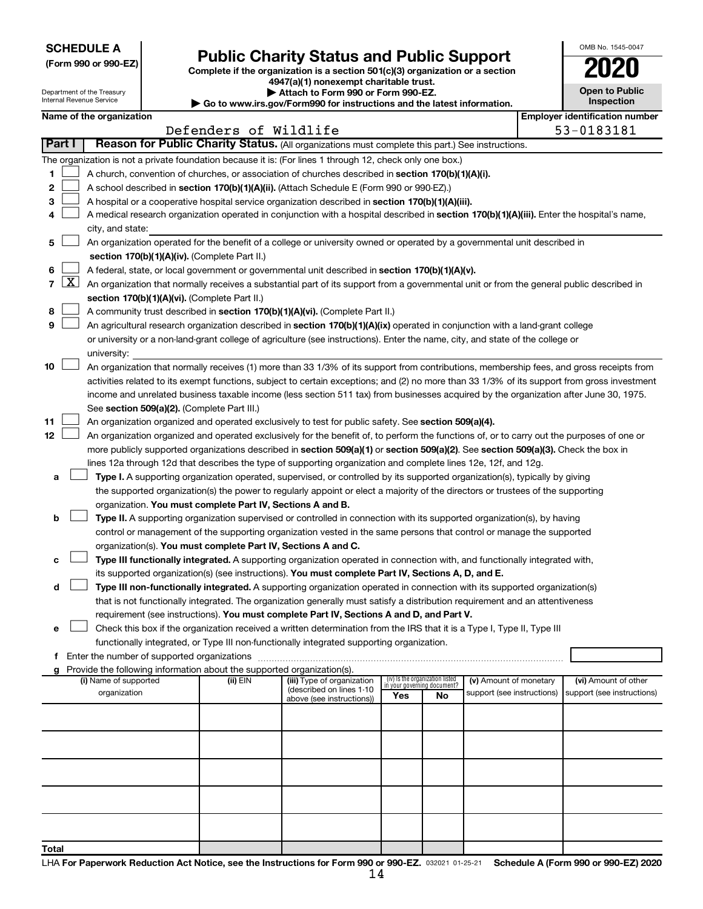**SCHEDULE A**

Department of the Treasury Internal Revenue Service

| (Form 990 or 990-EZ) |  |  |  |  |
|----------------------|--|--|--|--|
|----------------------|--|--|--|--|

# Form 990 or 990-EZ) **Public Charity Status and Public Support**<br>
Complete if the organization is a section 501(c)(3) organization or a section<br> **2020**

**4947(a)(1) nonexempt charitable trust. | Attach to Form 990 or Form 990-EZ.** 

**| Go to www.irs.gov/Form990 for instructions and the latest information.**

| <b>Open to Public</b><br>Inspection |
|-------------------------------------|
|                                     |

OMB No. 1545-0047

| Name of the organization |  |
|--------------------------|--|
|--------------------------|--|

|        | Name of the organization                                                                                                                                                                                                                                  |                       |                                                       |                                                                |    |                            |  | <b>Employer identification number</b> |  |  |  |  |
|--------|-----------------------------------------------------------------------------------------------------------------------------------------------------------------------------------------------------------------------------------------------------------|-----------------------|-------------------------------------------------------|----------------------------------------------------------------|----|----------------------------|--|---------------------------------------|--|--|--|--|
| Part I | Reason for Public Charity Status. (All organizations must complete this part.) See instructions.                                                                                                                                                          | Defenders of Wildlife |                                                       |                                                                |    |                            |  | 53-0183181                            |  |  |  |  |
|        |                                                                                                                                                                                                                                                           |                       |                                                       |                                                                |    |                            |  |                                       |  |  |  |  |
|        | The organization is not a private foundation because it is: (For lines 1 through 12, check only one box.)                                                                                                                                                 |                       |                                                       |                                                                |    |                            |  |                                       |  |  |  |  |
| 1.     | A church, convention of churches, or association of churches described in section 170(b)(1)(A)(i).                                                                                                                                                        |                       |                                                       |                                                                |    |                            |  |                                       |  |  |  |  |
| 2      | A school described in section 170(b)(1)(A)(ii). (Attach Schedule E (Form 990 or 990-EZ).)                                                                                                                                                                 |                       |                                                       |                                                                |    |                            |  |                                       |  |  |  |  |
| з      | A hospital or a cooperative hospital service organization described in section 170(b)(1)(A)(iii).                                                                                                                                                         |                       |                                                       |                                                                |    |                            |  |                                       |  |  |  |  |
| 4      | A medical research organization operated in conjunction with a hospital described in section 170(b)(1)(A)(iii). Enter the hospital's name,                                                                                                                |                       |                                                       |                                                                |    |                            |  |                                       |  |  |  |  |
|        | city, and state:<br>An organization operated for the benefit of a college or university owned or operated by a governmental unit described in                                                                                                             |                       |                                                       |                                                                |    |                            |  |                                       |  |  |  |  |
| 5.     | section 170(b)(1)(A)(iv). (Complete Part II.)                                                                                                                                                                                                             |                       |                                                       |                                                                |    |                            |  |                                       |  |  |  |  |
| 6.     | A federal, state, or local government or governmental unit described in section 170(b)(1)(A)(v).                                                                                                                                                          |                       |                                                       |                                                                |    |                            |  |                                       |  |  |  |  |
|        |                                                                                                                                                                                                                                                           |                       |                                                       |                                                                |    |                            |  |                                       |  |  |  |  |
|        | 7 $ X $ An organization that normally receives a substantial part of its support from a governmental unit or from the general public described in<br>section 170(b)(1)(A)(vi). (Complete Part II.)                                                        |                       |                                                       |                                                                |    |                            |  |                                       |  |  |  |  |
| 8      | A community trust described in section 170(b)(1)(A)(vi). (Complete Part II.)                                                                                                                                                                              |                       |                                                       |                                                                |    |                            |  |                                       |  |  |  |  |
| 9      | An agricultural research organization described in section 170(b)(1)(A)(ix) operated in conjunction with a land-grant college                                                                                                                             |                       |                                                       |                                                                |    |                            |  |                                       |  |  |  |  |
|        | or university or a non-land-grant college of agriculture (see instructions). Enter the name, city, and state of the college or                                                                                                                            |                       |                                                       |                                                                |    |                            |  |                                       |  |  |  |  |
|        | university:                                                                                                                                                                                                                                               |                       |                                                       |                                                                |    |                            |  |                                       |  |  |  |  |
| 10     | An organization that normally receives (1) more than 33 1/3% of its support from contributions, membership fees, and gross receipts from                                                                                                                  |                       |                                                       |                                                                |    |                            |  |                                       |  |  |  |  |
|        | activities related to its exempt functions, subject to certain exceptions; and (2) no more than 33 1/3% of its support from gross investment                                                                                                              |                       |                                                       |                                                                |    |                            |  |                                       |  |  |  |  |
|        | income and unrelated business taxable income (less section 511 tax) from businesses acquired by the organization after June 30, 1975.                                                                                                                     |                       |                                                       |                                                                |    |                            |  |                                       |  |  |  |  |
|        | See section 509(a)(2). (Complete Part III.)                                                                                                                                                                                                               |                       |                                                       |                                                                |    |                            |  |                                       |  |  |  |  |
| 11     | An organization organized and operated exclusively to test for public safety. See section 509(a)(4).                                                                                                                                                      |                       |                                                       |                                                                |    |                            |  |                                       |  |  |  |  |
| 12     | An organization organized and operated exclusively for the benefit of, to perform the functions of, or to carry out the purposes of one or                                                                                                                |                       |                                                       |                                                                |    |                            |  |                                       |  |  |  |  |
|        | more publicly supported organizations described in section 509(a)(1) or section 509(a)(2). See section 509(a)(3). Check the box in                                                                                                                        |                       |                                                       |                                                                |    |                            |  |                                       |  |  |  |  |
|        | lines 12a through 12d that describes the type of supporting organization and complete lines 12e, 12f, and 12g.                                                                                                                                            |                       |                                                       |                                                                |    |                            |  |                                       |  |  |  |  |
| а      | Type I. A supporting organization operated, supervised, or controlled by its supported organization(s), typically by giving                                                                                                                               |                       |                                                       |                                                                |    |                            |  |                                       |  |  |  |  |
|        | the supported organization(s) the power to regularly appoint or elect a majority of the directors or trustees of the supporting                                                                                                                           |                       |                                                       |                                                                |    |                            |  |                                       |  |  |  |  |
|        | organization. You must complete Part IV, Sections A and B.                                                                                                                                                                                                |                       |                                                       |                                                                |    |                            |  |                                       |  |  |  |  |
| b      | Type II. A supporting organization supervised or controlled in connection with its supported organization(s), by having                                                                                                                                   |                       |                                                       |                                                                |    |                            |  |                                       |  |  |  |  |
|        | control or management of the supporting organization vested in the same persons that control or manage the supported                                                                                                                                      |                       |                                                       |                                                                |    |                            |  |                                       |  |  |  |  |
|        | organization(s). You must complete Part IV, Sections A and C.                                                                                                                                                                                             |                       |                                                       |                                                                |    |                            |  |                                       |  |  |  |  |
| с      | Type III functionally integrated. A supporting organization operated in connection with, and functionally integrated with,                                                                                                                                |                       |                                                       |                                                                |    |                            |  |                                       |  |  |  |  |
|        | its supported organization(s) (see instructions). You must complete Part IV, Sections A, D, and E.                                                                                                                                                        |                       |                                                       |                                                                |    |                            |  |                                       |  |  |  |  |
| d      | Type III non-functionally integrated. A supporting organization operated in connection with its supported organization(s)<br>that is not functionally integrated. The organization generally must satisfy a distribution requirement and an attentiveness |                       |                                                       |                                                                |    |                            |  |                                       |  |  |  |  |
|        | requirement (see instructions). You must complete Part IV, Sections A and D, and Part V.                                                                                                                                                                  |                       |                                                       |                                                                |    |                            |  |                                       |  |  |  |  |
|        | Check this box if the organization received a written determination from the IRS that it is a Type I, Type II, Type III                                                                                                                                   |                       |                                                       |                                                                |    |                            |  |                                       |  |  |  |  |
|        | functionally integrated, or Type III non-functionally integrated supporting organization.                                                                                                                                                                 |                       |                                                       |                                                                |    |                            |  |                                       |  |  |  |  |
|        | f Enter the number of supported organizations                                                                                                                                                                                                             |                       |                                                       |                                                                |    |                            |  |                                       |  |  |  |  |
|        | g Provide the following information about the supported organization(s).                                                                                                                                                                                  |                       |                                                       |                                                                |    |                            |  |                                       |  |  |  |  |
|        | (i) Name of supported                                                                                                                                                                                                                                     | (ii) EIN              | (iii) Type of organization                            | (iv) Is the organization listed<br>in your governing document? |    | (v) Amount of monetary     |  | (vi) Amount of other                  |  |  |  |  |
|        | organization                                                                                                                                                                                                                                              |                       | (described on lines 1-10<br>above (see instructions)) | Yes                                                            | No | support (see instructions) |  | support (see instructions)            |  |  |  |  |
|        |                                                                                                                                                                                                                                                           |                       |                                                       |                                                                |    |                            |  |                                       |  |  |  |  |
|        |                                                                                                                                                                                                                                                           |                       |                                                       |                                                                |    |                            |  |                                       |  |  |  |  |
|        |                                                                                                                                                                                                                                                           |                       |                                                       |                                                                |    |                            |  |                                       |  |  |  |  |
|        |                                                                                                                                                                                                                                                           |                       |                                                       |                                                                |    |                            |  |                                       |  |  |  |  |
|        |                                                                                                                                                                                                                                                           |                       |                                                       |                                                                |    |                            |  |                                       |  |  |  |  |
|        |                                                                                                                                                                                                                                                           |                       |                                                       |                                                                |    |                            |  |                                       |  |  |  |  |
|        |                                                                                                                                                                                                                                                           |                       |                                                       |                                                                |    |                            |  |                                       |  |  |  |  |
|        |                                                                                                                                                                                                                                                           |                       |                                                       |                                                                |    |                            |  |                                       |  |  |  |  |
|        |                                                                                                                                                                                                                                                           |                       |                                                       |                                                                |    |                            |  |                                       |  |  |  |  |
|        |                                                                                                                                                                                                                                                           |                       |                                                       |                                                                |    |                            |  |                                       |  |  |  |  |
| Total  |                                                                                                                                                                                                                                                           |                       |                                                       |                                                                |    |                            |  |                                       |  |  |  |  |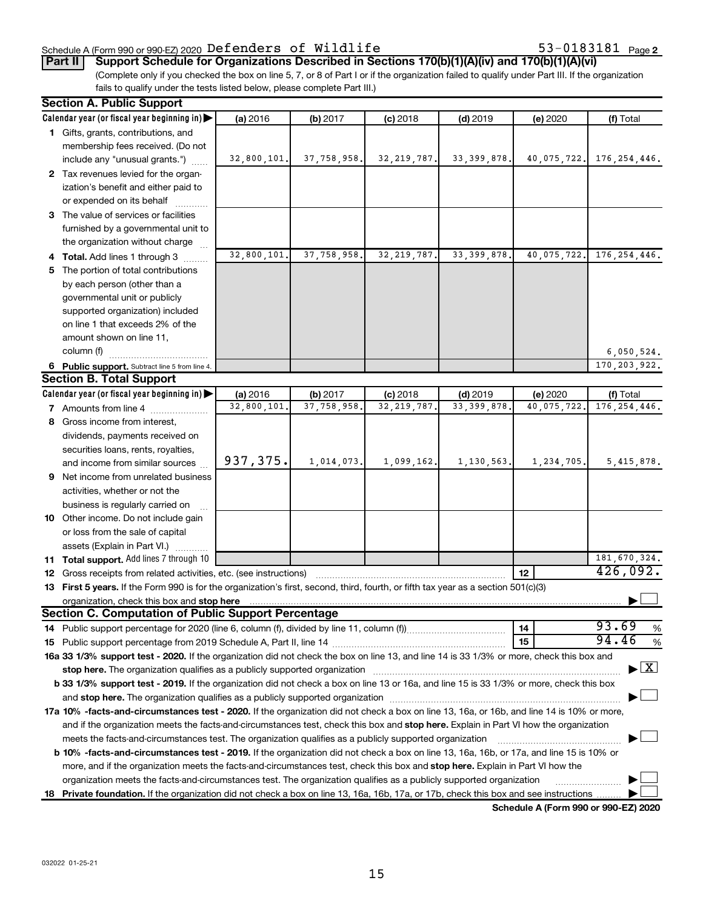# Schedule A (Form 990 or 990-EZ) 2020  $\mathsf{Defenders}\>$  of  $\mathsf{Willdlife}$   $\qquad \qquad \qquad$  53–0183181  $_{\mathsf{Page}}$

# **Part II Support Schedule for Organizations Described in Sections 170(b)(1)(A)(iv) and 170(b)(1)(A)(vi)**

(Complete only if you checked the box on line 5, 7, or 8 of Part I or if the organization failed to qualify under Part III. If the organization fails to qualify under the tests listed below, please complete Part III.)

| <b>Section A. Public Support</b>                                                                                                                                                                                                    |             |               |               |               |             |                                    |
|-------------------------------------------------------------------------------------------------------------------------------------------------------------------------------------------------------------------------------------|-------------|---------------|---------------|---------------|-------------|------------------------------------|
| Calendar year (or fiscal year beginning in)                                                                                                                                                                                         | (a) 2016    | (b) 2017      | $(c)$ 2018    | $(d)$ 2019    | (e) 2020    | (f) Total                          |
| 1 Gifts, grants, contributions, and                                                                                                                                                                                                 |             |               |               |               |             |                                    |
| membership fees received. (Do not                                                                                                                                                                                                   |             |               |               |               |             |                                    |
| include any "unusual grants.")                                                                                                                                                                                                      | 32,800,101. | 37,758,958.   | 32, 219, 787. | 33, 399, 878. | 40,075,722. | 176, 254, 446.                     |
| 2 Tax revenues levied for the organ-                                                                                                                                                                                                |             |               |               |               |             |                                    |
| ization's benefit and either paid to                                                                                                                                                                                                |             |               |               |               |             |                                    |
| or expended on its behalf                                                                                                                                                                                                           |             |               |               |               |             |                                    |
| 3 The value of services or facilities                                                                                                                                                                                               |             |               |               |               |             |                                    |
| furnished by a governmental unit to                                                                                                                                                                                                 |             |               |               |               |             |                                    |
| the organization without charge                                                                                                                                                                                                     |             |               |               |               |             |                                    |
| 4 Total. Add lines 1 through 3                                                                                                                                                                                                      | 32,800,101. | 37, 758, 958. | 32, 219, 787. | 33, 399, 878. | 40,075,722. | 176, 254, 446.                     |
| 5 The portion of total contributions                                                                                                                                                                                                |             |               |               |               |             |                                    |
| by each person (other than a                                                                                                                                                                                                        |             |               |               |               |             |                                    |
| governmental unit or publicly                                                                                                                                                                                                       |             |               |               |               |             |                                    |
| supported organization) included                                                                                                                                                                                                    |             |               |               |               |             |                                    |
| on line 1 that exceeds 2% of the                                                                                                                                                                                                    |             |               |               |               |             |                                    |
| amount shown on line 11,                                                                                                                                                                                                            |             |               |               |               |             |                                    |
| column (f)                                                                                                                                                                                                                          |             |               |               |               |             | 6,050,524.                         |
| 6 Public support. Subtract line 5 from line 4.                                                                                                                                                                                      |             |               |               |               |             | 170, 203, 922.                     |
| <b>Section B. Total Support</b>                                                                                                                                                                                                     |             |               |               |               |             |                                    |
| Calendar year (or fiscal year beginning in)                                                                                                                                                                                         | (a) 2016    | (b) 2017      | $(c)$ 2018    | $(d)$ 2019    | (e) 2020    | (f) Total                          |
| <b>7</b> Amounts from line 4                                                                                                                                                                                                        | 32,800,101  | 37, 758, 958. | 32, 219, 787  | 33, 399, 878  | 40,075,722  | 176, 254, 446.                     |
| 8 Gross income from interest,                                                                                                                                                                                                       |             |               |               |               |             |                                    |
| dividends, payments received on                                                                                                                                                                                                     |             |               |               |               |             |                                    |
| securities loans, rents, royalties,                                                                                                                                                                                                 |             |               |               |               |             |                                    |
| and income from similar sources                                                                                                                                                                                                     | 937,375.    | 1,014,073.    | 1,099,162.    | 1,130,563.    | 1,234,705.  | 5, 415, 878.                       |
| 9 Net income from unrelated business                                                                                                                                                                                                |             |               |               |               |             |                                    |
| activities, whether or not the                                                                                                                                                                                                      |             |               |               |               |             |                                    |
| business is regularly carried on                                                                                                                                                                                                    |             |               |               |               |             |                                    |
| 10 Other income. Do not include gain                                                                                                                                                                                                |             |               |               |               |             |                                    |
| or loss from the sale of capital                                                                                                                                                                                                    |             |               |               |               |             |                                    |
| assets (Explain in Part VI.)                                                                                                                                                                                                        |             |               |               |               |             |                                    |
| 11 Total support. Add lines 7 through 10                                                                                                                                                                                            |             |               |               |               |             | 181,670,324.                       |
| <b>12</b> Gross receipts from related activities, etc. (see instructions)                                                                                                                                                           |             |               |               |               | 12          | 426,092.                           |
| 13 First 5 years. If the Form 990 is for the organization's first, second, third, fourth, or fifth tax year as a section 501(c)(3)                                                                                                  |             |               |               |               |             |                                    |
| organization, check this box and stop here <b>construction and construction</b> construction of the state of the state of the state of the state of the state of the state of the state of the state of the state of the state of t |             |               |               |               |             |                                    |
| <b>Section C. Computation of Public Support Percentage</b>                                                                                                                                                                          |             |               |               |               |             |                                    |
|                                                                                                                                                                                                                                     |             |               |               |               | 14          | 93.69<br>%                         |
|                                                                                                                                                                                                                                     |             |               |               |               | 15          | 94.46<br>%                         |
| 16a 33 1/3% support test - 2020. If the organization did not check the box on line 13, and line 14 is 33 1/3% or more, check this box and                                                                                           |             |               |               |               |             |                                    |
| stop here. The organization qualifies as a publicly supported organization manufactured content and the support of the state of the state of the state of the state of the state of the state of the state of the state of the      |             |               |               |               |             | $\blacktriangleright$ $\mathbf{X}$ |
| b 33 1/3% support test - 2019. If the organization did not check a box on line 13 or 16a, and line 15 is 33 1/3% or more, check this box                                                                                            |             |               |               |               |             |                                    |
|                                                                                                                                                                                                                                     |             |               |               |               |             |                                    |
| 17a 10% -facts-and-circumstances test - 2020. If the organization did not check a box on line 13, 16a, or 16b, and line 14 is 10% or more,                                                                                          |             |               |               |               |             |                                    |
| and if the organization meets the facts-and-circumstances test, check this box and stop here. Explain in Part VI how the organization                                                                                               |             |               |               |               |             |                                    |
| meets the facts-and-circumstances test. The organization qualifies as a publicly supported organization                                                                                                                             |             |               |               |               |             |                                    |
| <b>b 10%</b> -facts-and-circumstances test - 2019. If the organization did not check a box on line 13, 16a, 16b, or 17a, and line 15 is 10% or                                                                                      |             |               |               |               |             |                                    |
| more, and if the organization meets the facts-and-circumstances test, check this box and stop here. Explain in Part VI how the                                                                                                      |             |               |               |               |             |                                    |
| organization meets the facts-and-circumstances test. The organization qualifies as a publicly supported organization                                                                                                                |             |               |               |               |             |                                    |
| 18 Private foundation. If the organization did not check a box on line 13, 16a, 16b, 17a, or 17b, check this box and see instructions                                                                                               |             |               |               |               |             |                                    |
|                                                                                                                                                                                                                                     |             |               |               |               |             |                                    |

**Schedule A (Form 990 or 990-EZ) 2020**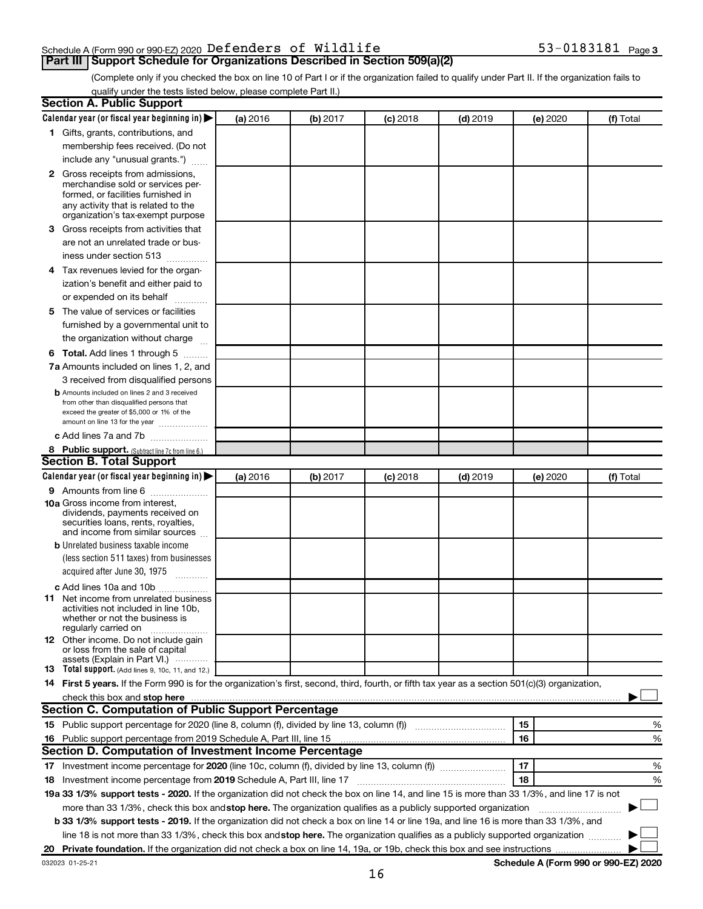|  | Schedule A (Form 990 or 990 EZ) 2020 $\,$ <code>Defenders of Wildlife</code> |  |  | 53-0183181 $_{Page 3}$ |  |
|--|------------------------------------------------------------------------------|--|--|------------------------|--|
|--|------------------------------------------------------------------------------|--|--|------------------------|--|

(Complete only if you checked the box on line 10 of Part I or if the organization failed to qualify under Part II. If the organization fails to qualify under the tests listed below, please complete Part II.)

| <b>Section A. Public Support</b>                                                                                                                 |          |          |          |            |          |           |
|--------------------------------------------------------------------------------------------------------------------------------------------------|----------|----------|----------|------------|----------|-----------|
| Calendar year (or fiscal year beginning in) $\blacktriangleright$                                                                                | (a) 2016 | (b) 2017 | (c) 2018 | $(d)$ 2019 | (e) 2020 | (f) Total |
| 1 Gifts, grants, contributions, and                                                                                                              |          |          |          |            |          |           |
| membership fees received. (Do not                                                                                                                |          |          |          |            |          |           |
| include any "unusual grants.")                                                                                                                   |          |          |          |            |          |           |
| 2 Gross receipts from admissions,                                                                                                                |          |          |          |            |          |           |
| merchandise sold or services per-                                                                                                                |          |          |          |            |          |           |
| formed, or facilities furnished in                                                                                                               |          |          |          |            |          |           |
| any activity that is related to the<br>organization's tax-exempt purpose                                                                         |          |          |          |            |          |           |
| 3 Gross receipts from activities that                                                                                                            |          |          |          |            |          |           |
| are not an unrelated trade or bus-                                                                                                               |          |          |          |            |          |           |
|                                                                                                                                                  |          |          |          |            |          |           |
| iness under section 513                                                                                                                          |          |          |          |            |          |           |
| 4 Tax revenues levied for the organ-                                                                                                             |          |          |          |            |          |           |
| ization's benefit and either paid to                                                                                                             |          |          |          |            |          |           |
| or expended on its behalf                                                                                                                        |          |          |          |            |          |           |
| 5 The value of services or facilities                                                                                                            |          |          |          |            |          |           |
| furnished by a governmental unit to                                                                                                              |          |          |          |            |          |           |
| the organization without charge                                                                                                                  |          |          |          |            |          |           |
| 6 Total. Add lines 1 through 5                                                                                                                   |          |          |          |            |          |           |
| 7a Amounts included on lines 1, 2, and                                                                                                           |          |          |          |            |          |           |
| 3 received from disqualified persons                                                                                                             |          |          |          |            |          |           |
| <b>b</b> Amounts included on lines 2 and 3 received                                                                                              |          |          |          |            |          |           |
| from other than disqualified persons that<br>exceed the greater of \$5,000 or 1% of the                                                          |          |          |          |            |          |           |
| amount on line 13 for the year                                                                                                                   |          |          |          |            |          |           |
| c Add lines 7a and 7b                                                                                                                            |          |          |          |            |          |           |
| 8 Public support. (Subtract line 7c from line 6.)                                                                                                |          |          |          |            |          |           |
| <b>Section B. Total Support</b>                                                                                                                  |          |          |          |            |          |           |
| Calendar year (or fiscal year beginning in) $\blacktriangleright$                                                                                | (a) 2016 | (b) 2017 | (c) 2018 | $(d)$ 2019 | (e) 2020 | (f) Total |
| 9 Amounts from line 6                                                                                                                            |          |          |          |            |          |           |
| <b>10a</b> Gross income from interest,                                                                                                           |          |          |          |            |          |           |
| dividends, payments received on                                                                                                                  |          |          |          |            |          |           |
| securities loans, rents, royalties,                                                                                                              |          |          |          |            |          |           |
| and income from similar sources<br><b>b</b> Unrelated business taxable income                                                                    |          |          |          |            |          |           |
| (less section 511 taxes) from businesses                                                                                                         |          |          |          |            |          |           |
|                                                                                                                                                  |          |          |          |            |          |           |
| acquired after June 30, 1975                                                                                                                     |          |          |          |            |          |           |
| c Add lines 10a and 10b                                                                                                                          |          |          |          |            |          |           |
| <b>11</b> Net income from unrelated business<br>activities not included in line 10b.                                                             |          |          |          |            |          |           |
| whether or not the business is                                                                                                                   |          |          |          |            |          |           |
| regularly carried on                                                                                                                             |          |          |          |            |          |           |
| 12 Other income. Do not include gain<br>or loss from the sale of capital                                                                         |          |          |          |            |          |           |
| assets (Explain in Part VI.)                                                                                                                     |          |          |          |            |          |           |
| <b>13</b> Total support. (Add lines 9, 10c, 11, and 12.)                                                                                         |          |          |          |            |          |           |
| 14 First 5 years. If the Form 990 is for the organization's first, second, third, fourth, or fifth tax year as a section 501(c)(3) organization, |          |          |          |            |          |           |
| check this box and stop here                                                                                                                     |          |          |          |            |          |           |
| Section C. Computation of Public Support Percentage                                                                                              |          |          |          |            |          |           |
|                                                                                                                                                  |          |          |          |            | 15       | %         |
| 16 Public support percentage from 2019 Schedule A, Part III, line 15                                                                             |          |          |          |            | 16       | %         |
| Section D. Computation of Investment Income Percentage                                                                                           |          |          |          |            |          |           |
| 17 Investment income percentage for 2020 (line 10c, column (f), divided by line 13, column (f))                                                  |          |          |          |            | 17       | %         |
| 18 Investment income percentage from 2019 Schedule A, Part III, line 17                                                                          |          |          |          |            | 18       | %         |
| 19a 33 1/3% support tests - 2020. If the organization did not check the box on line 14, and line 15 is more than 33 1/3%, and line 17 is not     |          |          |          |            |          |           |
| more than 33 1/3%, check this box and stop here. The organization qualifies as a publicly supported organization                                 |          |          |          |            |          |           |
| b 33 1/3% support tests - 2019. If the organization did not check a box on line 14 or line 19a, and line 16 is more than 33 1/3%, and            |          |          |          |            |          |           |
| line 18 is not more than 33 1/3%, check this box and stop here. The organization qualifies as a publicly supported organization                  |          |          |          |            |          |           |
|                                                                                                                                                  |          |          |          |            |          |           |
|                                                                                                                                                  |          |          |          |            |          |           |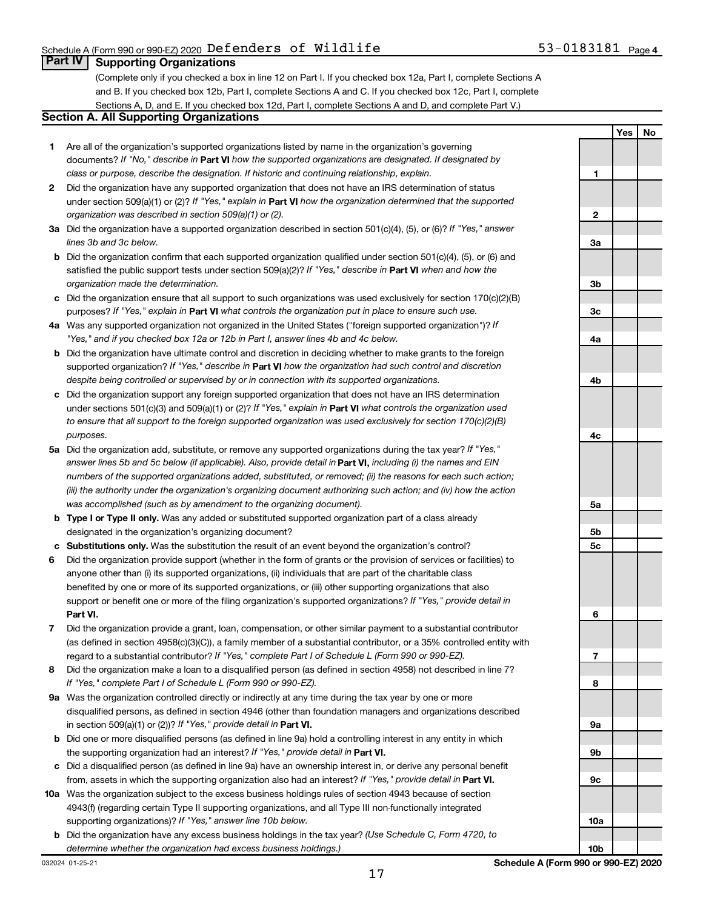**Yes No**

# **Part IV Supporting Organizations**

(Complete only if you checked a box in line 12 on Part I. If you checked box 12a, Part I, complete Sections A and B. If you checked box 12b, Part I, complete Sections A and C. If you checked box 12c, Part I, complete Sections A, D, and E. If you checked box 12d, Part I, complete Sections A and D, and complete Part V.)

# **Section A. All Supporting Organizations**

- **1** Are all of the organization's supported organizations listed by name in the organization's governing documents? If "No," describe in Part VI how the supported organizations are designated. If designated by *class or purpose, describe the designation. If historic and continuing relationship, explain.*
- **2** Did the organization have any supported organization that does not have an IRS determination of status under section 509(a)(1) or (2)? If "Yes," explain in Part **VI** how the organization determined that the supported *organization was described in section 509(a)(1) or (2).*
- **3a** Did the organization have a supported organization described in section 501(c)(4), (5), or (6)? If "Yes," answer *lines 3b and 3c below.*
- **b** Did the organization confirm that each supported organization qualified under section 501(c)(4), (5), or (6) and satisfied the public support tests under section 509(a)(2)? If "Yes," describe in Part VI when and how the *organization made the determination.*
- **c** Did the organization ensure that all support to such organizations was used exclusively for section 170(c)(2)(B) purposes? If "Yes," explain in Part VI what controls the organization put in place to ensure such use.
- **4 a** *If* Was any supported organization not organized in the United States ("foreign supported organization")? *"Yes," and if you checked box 12a or 12b in Part I, answer lines 4b and 4c below.*
- **b** Did the organization have ultimate control and discretion in deciding whether to make grants to the foreign supported organization? If "Yes," describe in Part VI how the organization had such control and discretion *despite being controlled or supervised by or in connection with its supported organizations.*
- **c** Did the organization support any foreign supported organization that does not have an IRS determination under sections 501(c)(3) and 509(a)(1) or (2)? If "Yes," explain in Part VI what controls the organization used *to ensure that all support to the foreign supported organization was used exclusively for section 170(c)(2)(B) purposes.*
- **5a** Did the organization add, substitute, or remove any supported organizations during the tax year? If "Yes," answer lines 5b and 5c below (if applicable). Also, provide detail in **Part VI,** including (i) the names and EIN *numbers of the supported organizations added, substituted, or removed; (ii) the reasons for each such action; (iii) the authority under the organization's organizing document authorizing such action; and (iv) how the action was accomplished (such as by amendment to the organizing document).*
- **b** Type I or Type II only. Was any added or substituted supported organization part of a class already designated in the organization's organizing document?
- **c Substitutions only.**  Was the substitution the result of an event beyond the organization's control?
- **6** Did the organization provide support (whether in the form of grants or the provision of services or facilities) to **Part VI.** support or benefit one or more of the filing organization's supported organizations? If "Yes," provide detail in anyone other than (i) its supported organizations, (ii) individuals that are part of the charitable class benefited by one or more of its supported organizations, or (iii) other supporting organizations that also
- **7** Did the organization provide a grant, loan, compensation, or other similar payment to a substantial contributor regard to a substantial contributor? If "Yes," complete Part I of Schedule L (Form 990 or 990-EZ). (as defined in section 4958(c)(3)(C)), a family member of a substantial contributor, or a 35% controlled entity with
- **8** Did the organization make a loan to a disqualified person (as defined in section 4958) not described in line 7? *If "Yes," complete Part I of Schedule L (Form 990 or 990-EZ).*
- **9 a** Was the organization controlled directly or indirectly at any time during the tax year by one or more in section 509(a)(1) or (2))? If "Yes," provide detail in **Part VI.** disqualified persons, as defined in section 4946 (other than foundation managers and organizations described
- **b** Did one or more disqualified persons (as defined in line 9a) hold a controlling interest in any entity in which the supporting organization had an interest? If "Yes," provide detail in Part VI.
- **c** Did a disqualified person (as defined in line 9a) have an ownership interest in, or derive any personal benefit from, assets in which the supporting organization also had an interest? If "Yes," provide detail in Part VI.
- **10 a** Was the organization subject to the excess business holdings rules of section 4943 because of section supporting organizations)? If "Yes," answer line 10b below. 4943(f) (regarding certain Type II supporting organizations, and all Type III non-functionally integrated
- **b** Did the organization have any excess business holdings in the tax year? (Use Schedule C, Form 4720, to *determine whether the organization had excess business holdings.)*

**1 2 3a 3b 3c 4a 4b 4c 5a 5b 5c 6 7 8 9a 9b 9c 10a**

**10b**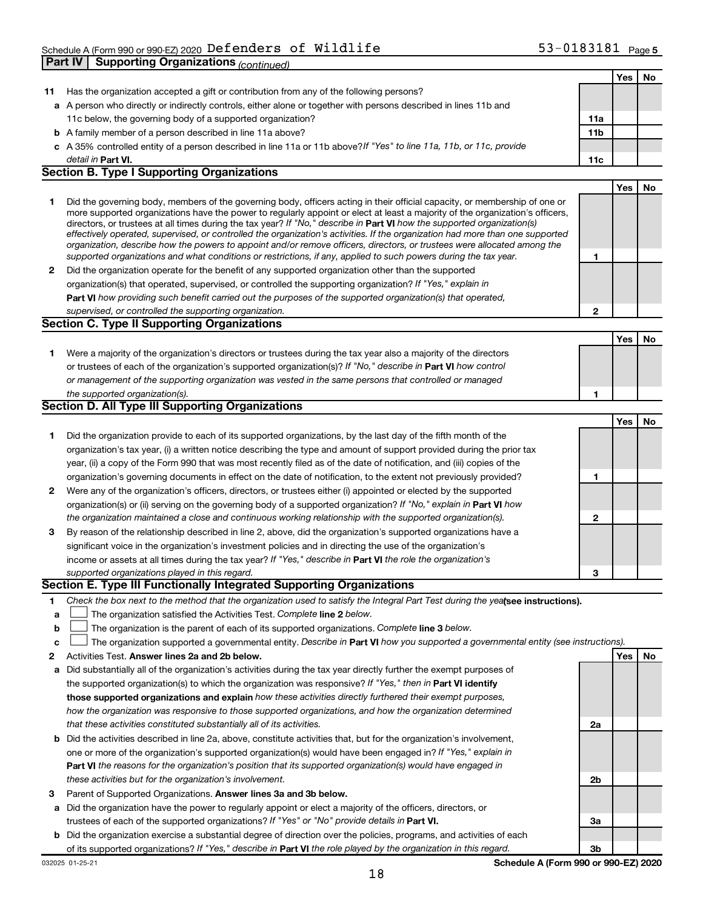|              |                                                                                                                                                                                                                                                            |              | Yes | No |
|--------------|------------------------------------------------------------------------------------------------------------------------------------------------------------------------------------------------------------------------------------------------------------|--------------|-----|----|
| 11           | Has the organization accepted a gift or contribution from any of the following persons?                                                                                                                                                                    |              |     |    |
|              | a A person who directly or indirectly controls, either alone or together with persons described in lines 11b and                                                                                                                                           |              |     |    |
|              | 11c below, the governing body of a supported organization?                                                                                                                                                                                                 | 11a          |     |    |
|              | <b>b</b> A family member of a person described in line 11a above?                                                                                                                                                                                          | 11b          |     |    |
|              | c A 35% controlled entity of a person described in line 11a or 11b above? If "Yes" to line 11a, 11b, or 11c, provide                                                                                                                                       |              |     |    |
|              | detail in Part VI.                                                                                                                                                                                                                                         | 11c          |     |    |
|              | <b>Section B. Type I Supporting Organizations</b>                                                                                                                                                                                                          |              |     |    |
|              |                                                                                                                                                                                                                                                            |              | Yes | No |
| 1            | Did the governing body, members of the governing body, officers acting in their official capacity, or membership of one or                                                                                                                                 |              |     |    |
|              | more supported organizations have the power to regularly appoint or elect at least a majority of the organization's officers,                                                                                                                              |              |     |    |
|              | directors, or trustees at all times during the tax year? If "No," describe in Part VI how the supported organization(s)                                                                                                                                    |              |     |    |
|              | effectively operated, supervised, or controlled the organization's activities. If the organization had more than one supported<br>organization, describe how the powers to appoint and/or remove officers, directors, or trustees were allocated among the |              |     |    |
|              | supported organizations and what conditions or restrictions, if any, applied to such powers during the tax year.                                                                                                                                           | 1            |     |    |
| $\mathbf{2}$ | Did the organization operate for the benefit of any supported organization other than the supported                                                                                                                                                        |              |     |    |
|              | organization(s) that operated, supervised, or controlled the supporting organization? If "Yes," explain in                                                                                                                                                 |              |     |    |
|              | Part VI how providing such benefit carried out the purposes of the supported organization(s) that operated,                                                                                                                                                |              |     |    |
|              | supervised, or controlled the supporting organization.                                                                                                                                                                                                     | $\mathbf{2}$ |     |    |
|              | <b>Section C. Type II Supporting Organizations</b>                                                                                                                                                                                                         |              |     |    |
|              |                                                                                                                                                                                                                                                            |              | Yes | No |
| 1            | Were a majority of the organization's directors or trustees during the tax year also a majority of the directors                                                                                                                                           |              |     |    |
|              | or trustees of each of the organization's supported organization(s)? If "No," describe in Part VI how control                                                                                                                                              |              |     |    |
|              | or management of the supporting organization was vested in the same persons that controlled or managed                                                                                                                                                     |              |     |    |
|              | the supported organization(s).                                                                                                                                                                                                                             | 1            |     |    |
|              | Section D. All Type III Supporting Organizations                                                                                                                                                                                                           |              |     |    |
|              |                                                                                                                                                                                                                                                            |              | Yes | No |
| 1            | Did the organization provide to each of its supported organizations, by the last day of the fifth month of the                                                                                                                                             |              |     |    |
|              | organization's tax year, (i) a written notice describing the type and amount of support provided during the prior tax                                                                                                                                      |              |     |    |
|              | year, (ii) a copy of the Form 990 that was most recently filed as of the date of notification, and (iii) copies of the                                                                                                                                     |              |     |    |
|              | organization's governing documents in effect on the date of notification, to the extent not previously provided?                                                                                                                                           | 1            |     |    |
| 2            | Were any of the organization's officers, directors, or trustees either (i) appointed or elected by the supported                                                                                                                                           |              |     |    |
|              | organization(s) or (ii) serving on the governing body of a supported organization? If "No," explain in Part VI how                                                                                                                                         |              |     |    |
|              | the organization maintained a close and continuous working relationship with the supported organization(s).                                                                                                                                                | $\mathbf{2}$ |     |    |
| 3            | By reason of the relationship described in line 2, above, did the organization's supported organizations have a                                                                                                                                            |              |     |    |
|              | significant voice in the organization's investment policies and in directing the use of the organization's                                                                                                                                                 |              |     |    |
|              | income or assets at all times during the tax year? If "Yes," describe in Part VI the role the organization's                                                                                                                                               |              |     |    |
|              | supported organizations played in this regard.                                                                                                                                                                                                             | 3            |     |    |
|              | Section E. Type III Functionally Integrated Supporting Organizations                                                                                                                                                                                       |              |     |    |
| 1            | Check the box next to the method that the organization used to satisfy the Integral Part Test during the yealsee instructions).                                                                                                                            |              |     |    |
| a            | The organization satisfied the Activities Test. Complete line 2 below.                                                                                                                                                                                     |              |     |    |
| b            | The organization is the parent of each of its supported organizations. Complete line 3 below.                                                                                                                                                              |              |     |    |
| с            | The organization supported a governmental entity. Describe in Part VI how you supported a governmental entity (see instructions).                                                                                                                          |              |     |    |
| 2            | Activities Test. Answer lines 2a and 2b below.                                                                                                                                                                                                             |              | Yes | No |
| а            | Did substantially all of the organization's activities during the tax year directly further the exempt purposes of                                                                                                                                         |              |     |    |
|              | the supported organization(s) to which the organization was responsive? If "Yes," then in Part VI identify                                                                                                                                                 |              |     |    |
|              | those supported organizations and explain how these activities directly furthered their exempt purposes,                                                                                                                                                   |              |     |    |
|              | how the organization was responsive to those supported organizations, and how the organization determined                                                                                                                                                  |              |     |    |
|              | that these activities constituted substantially all of its activities.                                                                                                                                                                                     | 2a           |     |    |
| b            | Did the activities described in line 2a, above, constitute activities that, but for the organization's involvement,                                                                                                                                        |              |     |    |
|              | one or more of the organization's supported organization(s) would have been engaged in? If "Yes," explain in                                                                                                                                               |              |     |    |
|              | Part VI the reasons for the organization's position that its supported organization(s) would have engaged in                                                                                                                                               |              |     |    |
|              | these activities but for the organization's involvement.                                                                                                                                                                                                   | 2b           |     |    |
| з            | Parent of Supported Organizations. Answer lines 3a and 3b below.                                                                                                                                                                                           |              |     |    |
| а            | Did the organization have the power to regularly appoint or elect a majority of the officers, directors, or                                                                                                                                                |              |     |    |
|              | trustees of each of the supported organizations? If "Yes" or "No" provide details in Part VI.                                                                                                                                                              | За           |     |    |

**b** Did the organization exercise a substantial degree of direction over the policies, programs, and activities of each of its supported organizations? If "Yes," describe in Part VI the role played by the organization in this regard.

**Schedule A (Form 990 or 990-EZ) 2020**

**3b**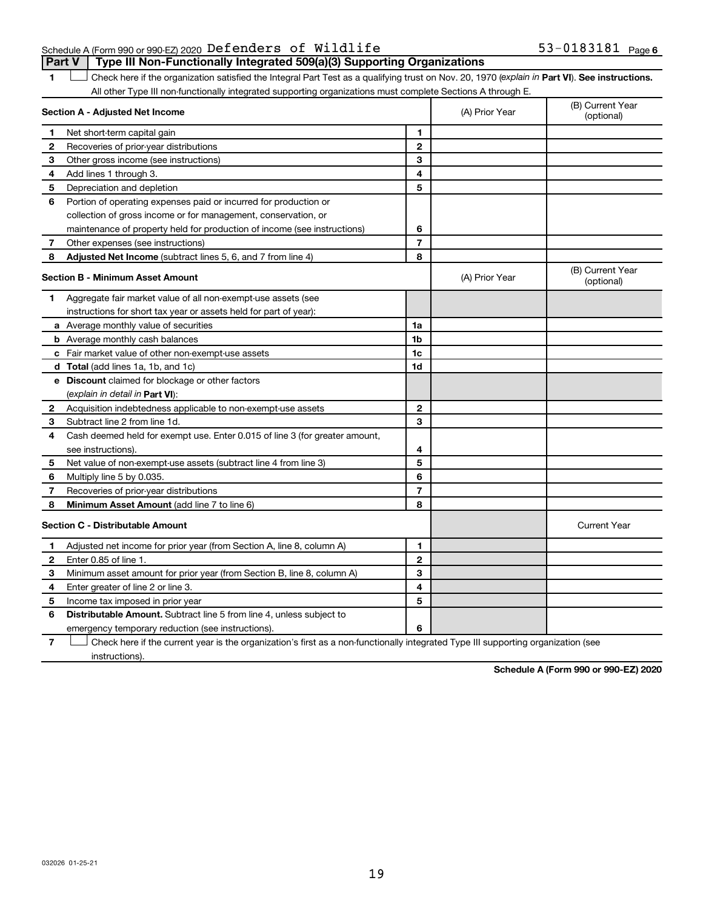# Schedule A (Form 990 or 990-EZ) 2020  $\mathsf{Defenders}\>$  of  $\mathsf{Willdlife}$   $\qquad \qquad \qquad$  53–0183181  $_{\mathsf{Page}}$ **Part V Type III Non-Functionally Integrated 509(a)(3) Supporting Organizations**

1 **Letter See instructions.** Check here if the organization satisfied the Integral Part Test as a qualifying trust on Nov. 20, 1970 (*explain in* Part **VI**). See instructions. All other Type III non-functionally integrated supporting organizations must complete Sections A through E.

|              | Section A - Adjusted Net Income                                             |                | (A) Prior Year | (B) Current Year<br>(optional) |
|--------------|-----------------------------------------------------------------------------|----------------|----------------|--------------------------------|
| 1.           | Net short-term capital gain                                                 | 1              |                |                                |
| 2            | Recoveries of prior-year distributions                                      | $\overline{2}$ |                |                                |
| 3            | Other gross income (see instructions)                                       | 3              |                |                                |
| 4            | Add lines 1 through 3.                                                      | 4              |                |                                |
| 5            | Depreciation and depletion                                                  | 5              |                |                                |
| 6            | Portion of operating expenses paid or incurred for production or            |                |                |                                |
|              | collection of gross income or for management, conservation, or              |                |                |                                |
|              | maintenance of property held for production of income (see instructions)    | 6              |                |                                |
| 7            | Other expenses (see instructions)                                           | $\overline{7}$ |                |                                |
| 8            | Adjusted Net Income (subtract lines 5, 6, and 7 from line 4)                | 8              |                |                                |
|              | <b>Section B - Minimum Asset Amount</b>                                     |                | (A) Prior Year | (B) Current Year<br>(optional) |
| 1.           | Aggregate fair market value of all non-exempt-use assets (see               |                |                |                                |
|              | instructions for short tax year or assets held for part of year):           |                |                |                                |
|              | <b>a</b> Average monthly value of securities                                | 1a             |                |                                |
|              | <b>b</b> Average monthly cash balances                                      | 1 <sub>b</sub> |                |                                |
|              | c Fair market value of other non-exempt-use assets                          | 1c             |                |                                |
|              | <b>d</b> Total (add lines 1a, 1b, and 1c)                                   | 1d             |                |                                |
|              | e Discount claimed for blockage or other factors                            |                |                |                                |
|              | (explain in detail in <b>Part VI</b> ):                                     |                |                |                                |
| $\mathbf{2}$ | Acquisition indebtedness applicable to non-exempt-use assets                | $\mathbf{2}$   |                |                                |
| З            | Subtract line 2 from line 1d.                                               | 3              |                |                                |
| 4            | Cash deemed held for exempt use. Enter 0.015 of line 3 (for greater amount, |                |                |                                |
|              | see instructions).                                                          | 4              |                |                                |
| 5            | Net value of non-exempt-use assets (subtract line 4 from line 3)            | 5              |                |                                |
| 6            | Multiply line 5 by 0.035.                                                   | 6              |                |                                |
| 7            | Recoveries of prior-year distributions                                      | 7              |                |                                |
| 8            | <b>Minimum Asset Amount (add line 7 to line 6)</b>                          | 8              |                |                                |
|              | <b>Section C - Distributable Amount</b>                                     |                |                | <b>Current Year</b>            |
| 1            | Adjusted net income for prior year (from Section A, line 8, column A)       | 1              |                |                                |
| 2            | Enter 0.85 of line 1.                                                       | 2              |                |                                |
| з            | Minimum asset amount for prior year (from Section B, line 8, column A)      | 3              |                |                                |
| 4            | Enter greater of line 2 or line 3.                                          | 4              |                |                                |
| 5            | Income tax imposed in prior year                                            | 5              |                |                                |
| 6            | Distributable Amount. Subtract line 5 from line 4, unless subject to        |                |                |                                |
|              | emergency temporary reduction (see instructions).                           | 6              |                |                                |
|              |                                                                             |                |                |                                |

**7** Let Check here if the current year is the organization's first as a non-functionally integrated Type III supporting organization (see instructions).

**Schedule A (Form 990 or 990-EZ) 2020**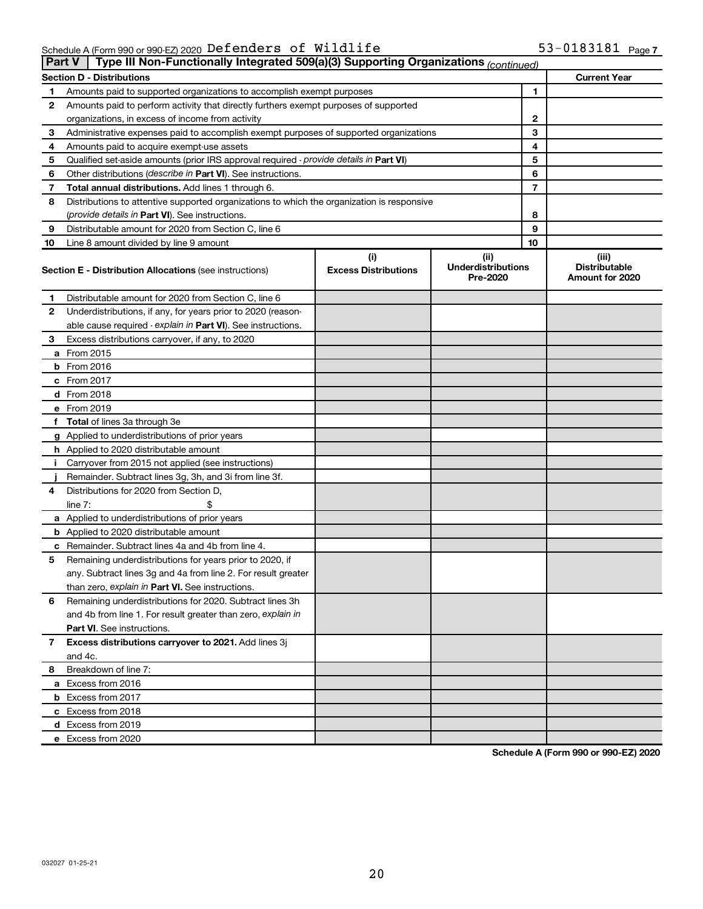| Part V | Type III Non-Functionally Integrated 509(a)(3) Supporting Organizations (continued)        |                                    |                                               |    |                                                  |
|--------|--------------------------------------------------------------------------------------------|------------------------------------|-----------------------------------------------|----|--------------------------------------------------|
|        | <b>Section D - Distributions</b>                                                           |                                    |                                               |    | <b>Current Year</b>                              |
| 1      | Amounts paid to supported organizations to accomplish exempt purposes                      | 1                                  |                                               |    |                                                  |
| 2      | Amounts paid to perform activity that directly furthers exempt purposes of supported       |                                    |                                               |    |                                                  |
|        | organizations, in excess of income from activity                                           | 2                                  |                                               |    |                                                  |
| 3      | Administrative expenses paid to accomplish exempt purposes of supported organizations      |                                    | 3                                             |    |                                                  |
| 4      | Amounts paid to acquire exempt-use assets                                                  |                                    |                                               | 4  |                                                  |
| 5      | Qualified set-aside amounts (prior IRS approval required - provide details in Part VI)     |                                    |                                               | 5  |                                                  |
| 6      | Other distributions (describe in Part VI). See instructions.                               |                                    |                                               | 6  |                                                  |
| 7      | Total annual distributions. Add lines 1 through 6.                                         |                                    |                                               | 7  |                                                  |
| 8      | Distributions to attentive supported organizations to which the organization is responsive |                                    |                                               |    |                                                  |
|        | ( <i>provide details in Part VI</i> ). See instructions.                                   |                                    |                                               | 8  |                                                  |
| 9      | Distributable amount for 2020 from Section C, line 6                                       |                                    |                                               | 9  |                                                  |
| 10     | Line 8 amount divided by line 9 amount                                                     |                                    |                                               | 10 |                                                  |
|        | <b>Section E - Distribution Allocations (see instructions)</b>                             | (i)<br><b>Excess Distributions</b> | (ii)<br><b>Underdistributions</b><br>Pre-2020 |    | (iii)<br><b>Distributable</b><br>Amount for 2020 |
| 1      | Distributable amount for 2020 from Section C, line 6                                       |                                    |                                               |    |                                                  |
| 2      | Underdistributions, if any, for years prior to 2020 (reason-                               |                                    |                                               |    |                                                  |
|        | able cause required - explain in Part VI). See instructions.                               |                                    |                                               |    |                                                  |
| З      | Excess distributions carryover, if any, to 2020                                            |                                    |                                               |    |                                                  |
|        | a From 2015                                                                                |                                    |                                               |    |                                                  |
|        | $b$ From 2016                                                                              |                                    |                                               |    |                                                  |
|        | c From 2017                                                                                |                                    |                                               |    |                                                  |
|        | <b>d</b> From 2018                                                                         |                                    |                                               |    |                                                  |
|        | e From 2019                                                                                |                                    |                                               |    |                                                  |
|        | f Total of lines 3a through 3e                                                             |                                    |                                               |    |                                                  |
|        | g Applied to underdistributions of prior years                                             |                                    |                                               |    |                                                  |
|        | <b>h</b> Applied to 2020 distributable amount                                              |                                    |                                               |    |                                                  |
| Ť.     | Carryover from 2015 not applied (see instructions)                                         |                                    |                                               |    |                                                  |
|        | Remainder. Subtract lines 3g, 3h, and 3i from line 3f.                                     |                                    |                                               |    |                                                  |
| 4      | Distributions for 2020 from Section D,                                                     |                                    |                                               |    |                                                  |
|        | line $7:$                                                                                  |                                    |                                               |    |                                                  |
|        | a Applied to underdistributions of prior years                                             |                                    |                                               |    |                                                  |
|        | <b>b</b> Applied to 2020 distributable amount                                              |                                    |                                               |    |                                                  |
|        | c Remainder. Subtract lines 4a and 4b from line 4.                                         |                                    |                                               |    |                                                  |
| 5      | Remaining underdistributions for years prior to 2020, if                                   |                                    |                                               |    |                                                  |
|        | any. Subtract lines 3g and 4a from line 2. For result greater                              |                                    |                                               |    |                                                  |
|        | than zero, explain in Part VI. See instructions.                                           |                                    |                                               |    |                                                  |
| 6      | Remaining underdistributions for 2020. Subtract lines 3h                                   |                                    |                                               |    |                                                  |
|        | and 4b from line 1. For result greater than zero, explain in                               |                                    |                                               |    |                                                  |
|        | <b>Part VI.</b> See instructions.                                                          |                                    |                                               |    |                                                  |
| 7      | Excess distributions carryover to 2021. Add lines 3j                                       |                                    |                                               |    |                                                  |
|        | and 4c.                                                                                    |                                    |                                               |    |                                                  |
| 8      | Breakdown of line 7:                                                                       |                                    |                                               |    |                                                  |
|        | a Excess from 2016                                                                         |                                    |                                               |    |                                                  |
|        | <b>b</b> Excess from 2017                                                                  |                                    |                                               |    |                                                  |
|        | c Excess from 2018                                                                         |                                    |                                               |    |                                                  |
|        | d Excess from 2019                                                                         |                                    |                                               |    |                                                  |
|        | e Excess from 2020                                                                         |                                    |                                               |    |                                                  |

**Schedule A (Form 990 or 990-EZ) 2020**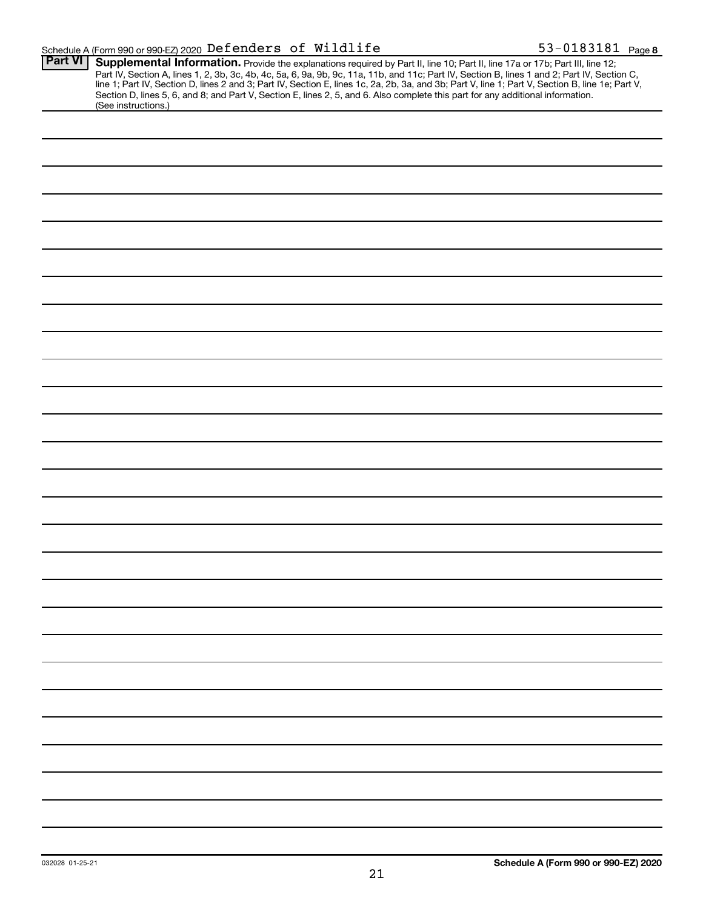|  |                                                                                                                                                                                                                                                                                                  | Schedule A (Form 990 or 990 EZ) 2020 $\,$ <code>Defenders of Wildlife</code> |  | 53-0183181 $_{Page8}$ |  |
|--|--------------------------------------------------------------------------------------------------------------------------------------------------------------------------------------------------------------------------------------------------------------------------------------------------|------------------------------------------------------------------------------|--|-----------------------|--|
|  | $\mathbf{D}$ and $\mathbf{M}$ and $\mathbf{D}$ and $\mathbf{D}$ and $\mathbf{D}$ and $\mathbf{D}$ and $\mathbf{D}$ and $\mathbf{D}$ and $\mathbf{D}$ and $\mathbf{D}$ and $\mathbf{D}$ and $\mathbf{D}$ and $\mathbf{D}$ and $\mathbf{D}$ and $\mathbf{D}$ and $\mathbf{D}$ and $\mathbf{D}$ and |                                                                              |  |                       |  |

| <b>Part VI</b> | . ugo o                                                                                                                                          |
|----------------|--------------------------------------------------------------------------------------------------------------------------------------------------|
|                | Supplemental Information. Provide the explanations required by Part II, line 10; Part II, line 17a or 17b; Part III, line 12;                    |
|                | Part IV, Section A, lines 1, 2, 3b, 3c, 4b, 4c, 5a, 6, 9a, 9b, 9c, 11a, 11b, and 11c; Part IV, Section B, lines 1 and 2; Part IV, Section C,     |
|                | line 1; Part IV, Section D, lines 2 and 3; Part IV, Section E, lines 1c, 2a, 2b, 3a, and 3b; Part V, line 1; Part V, Section B, line 1e; Part V, |
|                | Section D, lines 5, 6, and 8; and Part V, Section E, lines 2, 5, and 6. Also complete this part for any additional information.                  |
|                | (See instructions.)                                                                                                                              |
|                |                                                                                                                                                  |
|                |                                                                                                                                                  |
|                |                                                                                                                                                  |
|                |                                                                                                                                                  |
|                |                                                                                                                                                  |
|                |                                                                                                                                                  |
|                |                                                                                                                                                  |
|                |                                                                                                                                                  |
|                |                                                                                                                                                  |
|                |                                                                                                                                                  |
|                |                                                                                                                                                  |
|                |                                                                                                                                                  |
|                |                                                                                                                                                  |
|                |                                                                                                                                                  |
|                |                                                                                                                                                  |
|                |                                                                                                                                                  |
|                |                                                                                                                                                  |
|                |                                                                                                                                                  |
|                |                                                                                                                                                  |
|                |                                                                                                                                                  |
|                |                                                                                                                                                  |
|                |                                                                                                                                                  |
|                |                                                                                                                                                  |
|                |                                                                                                                                                  |
|                |                                                                                                                                                  |
|                |                                                                                                                                                  |
|                |                                                                                                                                                  |
|                |                                                                                                                                                  |
|                |                                                                                                                                                  |
|                |                                                                                                                                                  |
|                |                                                                                                                                                  |
|                |                                                                                                                                                  |
|                |                                                                                                                                                  |
|                |                                                                                                                                                  |
|                |                                                                                                                                                  |
|                |                                                                                                                                                  |
|                |                                                                                                                                                  |
|                |                                                                                                                                                  |
|                |                                                                                                                                                  |
|                |                                                                                                                                                  |
|                |                                                                                                                                                  |
|                |                                                                                                                                                  |
|                |                                                                                                                                                  |
|                |                                                                                                                                                  |
|                |                                                                                                                                                  |
|                |                                                                                                                                                  |
|                |                                                                                                                                                  |
|                |                                                                                                                                                  |
|                |                                                                                                                                                  |
|                |                                                                                                                                                  |
|                |                                                                                                                                                  |
|                |                                                                                                                                                  |
|                |                                                                                                                                                  |
|                |                                                                                                                                                  |
|                |                                                                                                                                                  |
|                |                                                                                                                                                  |
|                |                                                                                                                                                  |
|                |                                                                                                                                                  |
|                |                                                                                                                                                  |
|                |                                                                                                                                                  |
|                |                                                                                                                                                  |
|                |                                                                                                                                                  |
|                |                                                                                                                                                  |
|                |                                                                                                                                                  |
|                |                                                                                                                                                  |
|                |                                                                                                                                                  |
|                |                                                                                                                                                  |
|                |                                                                                                                                                  |
|                |                                                                                                                                                  |
|                |                                                                                                                                                  |
|                |                                                                                                                                                  |
|                |                                                                                                                                                  |
|                |                                                                                                                                                  |
|                |                                                                                                                                                  |
|                |                                                                                                                                                  |
|                |                                                                                                                                                  |
|                |                                                                                                                                                  |
|                |                                                                                                                                                  |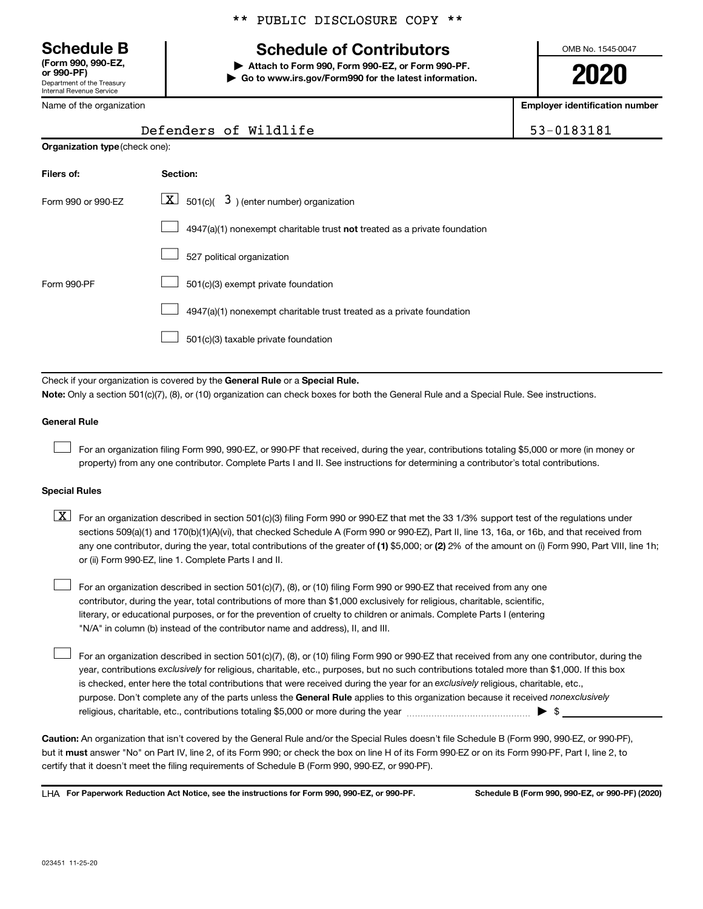Department of the Treasury Internal Revenue Service **(Form 990, 990-EZ,**

Name of the organization

# **Schedule B Schedule of Contributors**

**or 990-PF) | Attach to Form 990, Form 990-EZ, or Form 990-PF. | Go to www.irs.gov/Form990 for the latest information.** OMB No. 1545-0047

**2020**

**Employer identification number**

| 3-0183181 |  |  |  |
|-----------|--|--|--|
|           |  |  |  |

| Defenders of Wildlife | 53-0183181 |
|-----------------------|------------|
|                       |            |

| <b>Organization type (check one):</b> |                                                                           |  |  |  |  |
|---------------------------------------|---------------------------------------------------------------------------|--|--|--|--|
| Filers of:                            | Section:                                                                  |  |  |  |  |
| Form 990 or 990-EZ                    | $\underline{\mathbf{X}}$ 501(c)( $3$ ) (enter number) organization        |  |  |  |  |
|                                       | 4947(a)(1) nonexempt charitable trust not treated as a private foundation |  |  |  |  |
|                                       | 527 political organization                                                |  |  |  |  |
| Form 990-PF                           | 501(c)(3) exempt private foundation                                       |  |  |  |  |
|                                       | 4947(a)(1) nonexempt charitable trust treated as a private foundation     |  |  |  |  |
|                                       | 501(c)(3) taxable private foundation                                      |  |  |  |  |
|                                       |                                                                           |  |  |  |  |

Check if your organization is covered by the General Rule or a Special Rule.

**Note:**  Only a section 501(c)(7), (8), or (10) organization can check boxes for both the General Rule and a Special Rule. See instructions.

## **General Rule**

 $\Box$ 

 $\Box$ 

For an organization filing Form 990, 990-EZ, or 990-PF that received, during the year, contributions totaling \$5,000 or more (in money or property) from any one contributor. Complete Parts I and II. See instructions for determining a contributor's total contributions.

## **Special Rules**

any one contributor, during the year, total contributions of the greater of (1) \$5,000; or (2) 2% of the amount on (i) Form 990, Part VIII, line 1h;  $\boxed{\text{X}}$  For an organization described in section 501(c)(3) filing Form 990 or 990-EZ that met the 33 1/3% support test of the regulations under sections 509(a)(1) and 170(b)(1)(A)(vi), that checked Schedule A (Form 990 or 990-EZ), Part II, line 13, 16a, or 16b, and that received from or (ii) Form 990-EZ, line 1. Complete Parts I and II.

For an organization described in section 501(c)(7), (8), or (10) filing Form 990 or 990-EZ that received from any one contributor, during the year, total contributions of more than \$1,000 exclusively for religious, charitable, scientific, literary, or educational purposes, or for the prevention of cruelty to children or animals. Complete Parts I (entering "N/A" in column (b) instead of the contributor name and address), II, and III.  $\Box$ 

purpose. Don't complete any of the parts unless the General Rule applies to this organization because it received nonexclusively year, contributions exclusively for religious, charitable, etc., purposes, but no such contributions totaled more than \$1,000. If this box is checked, enter here the total contributions that were received during the year for an exclusively religious, charitable, etc., For an organization described in section 501(c)(7), (8), or (10) filing Form 990 or 990-EZ that received from any one contributor, during the religious, charitable, etc., contributions totaling \$5,000 or more during the year  $~\ldots\ldots\ldots\ldots\ldots\ldots\ldots\ldots\blacktriangleright~$ \$

**Caution:**  An organization that isn't covered by the General Rule and/or the Special Rules doesn't file Schedule B (Form 990, 990-EZ, or 990-PF),  **must** but it answer "No" on Part IV, line 2, of its Form 990; or check the box on line H of its Form 990-EZ or on its Form 990-PF, Part I, line 2, to certify that it doesn't meet the filing requirements of Schedule B (Form 990, 990-EZ, or 990-PF).

**For Paperwork Reduction Act Notice, see the instructions for Form 990, 990-EZ, or 990-PF. Schedule B (Form 990, 990-EZ, or 990-PF) (2020)** LHA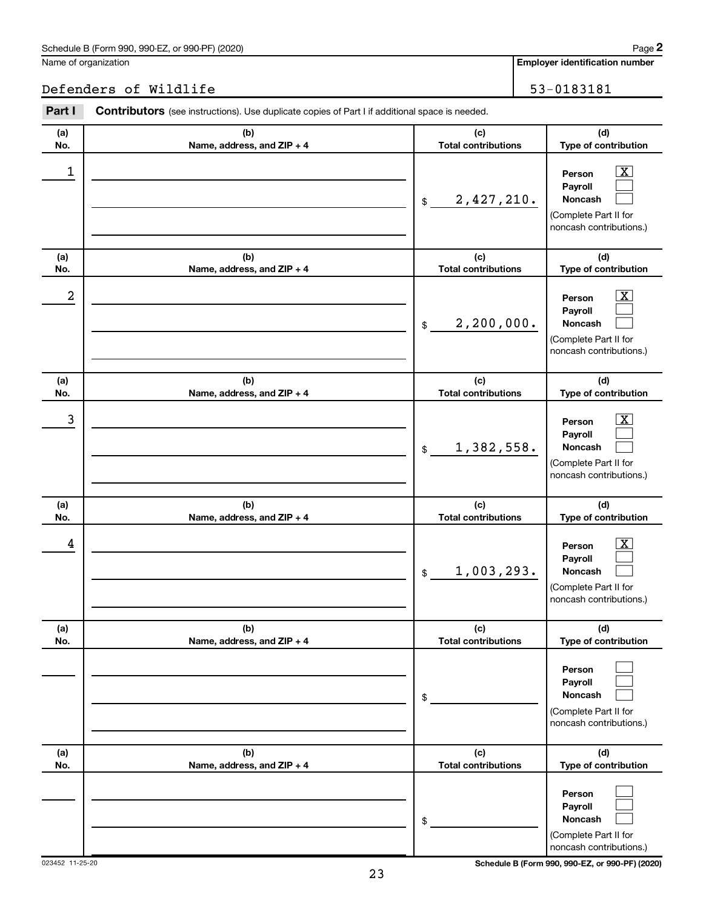Name of organization

**Employer identification number**

Defenders of Wildlife 53-0183181

### **(a) No. (b) Name, address, and ZIP + 4 (c) Total contributions (d) Type of contribution Person Payroll Noncash (a) No. (b) Name, address, and ZIP + 4 (c) Total contributions (d) Type of contribution Person Payroll Noncash (a) No. (b) Name, address, and ZIP + 4 (c) Total contributions (d) Type of contribution Person Payroll Noncash (a) No. (b) Name, address, and ZIP + 4 (c) Total contributions (d) Type of contribution Person Payroll Noncash (a) No. (b) Name, address, and ZIP + 4 (c) Total contributions (d) Type of contribution Person Payroll Noncash (a) No. (b) Name, address, and ZIP + 4 (c) Total contributions (d) Type of contribution Person Payroll Noncash Part I** Contributors (see instructions). Use duplicate copies of Part I if additional space is needed. \$ (Complete Part II for noncash contributions.) \$ (Complete Part II for noncash contributions.) \$ (Complete Part II for noncash contributions.) \$ (Complete Part II for noncash contributions.) \$ (Complete Part II for noncash contributions.) \$ (Complete Part II for noncash contributions.)  $\boxed{\textbf{X}}$  $\Box$  $\Box$  $\overline{\mathbf{X}}$  $\Box$  $\Box$  $\boxed{\textbf{X}}$  $\Box$  $\Box$  $\boxed{\textbf{X}}$  $\Box$  $\Box$  $\Box$  $\Box$  $\Box$  $\Box$  $\Box$  $\Box$  $\begin{array}{|c|c|c|c|c|}\hline \ \text{1} & \text{Person} & \text{X} \ \hline \end{array}$ 2,427,210.  $2$  Person  $\overline{\text{X}}$ 2,200,000.  $\begin{array}{|c|c|c|c|c|c|}\hline \text{3} & \text{Person} & \text{X} \ \hline \end{array}$ 1,382,558.  $\begin{array}{|c|c|c|c|c|}\hline \text{4} & \text{Person} & \text{\textbf{X}}\ \hline \end{array}$ 1,003,293.

023452 11-25-20 **Schedule B (Form 990, 990-EZ, or 990-PF) (2020)**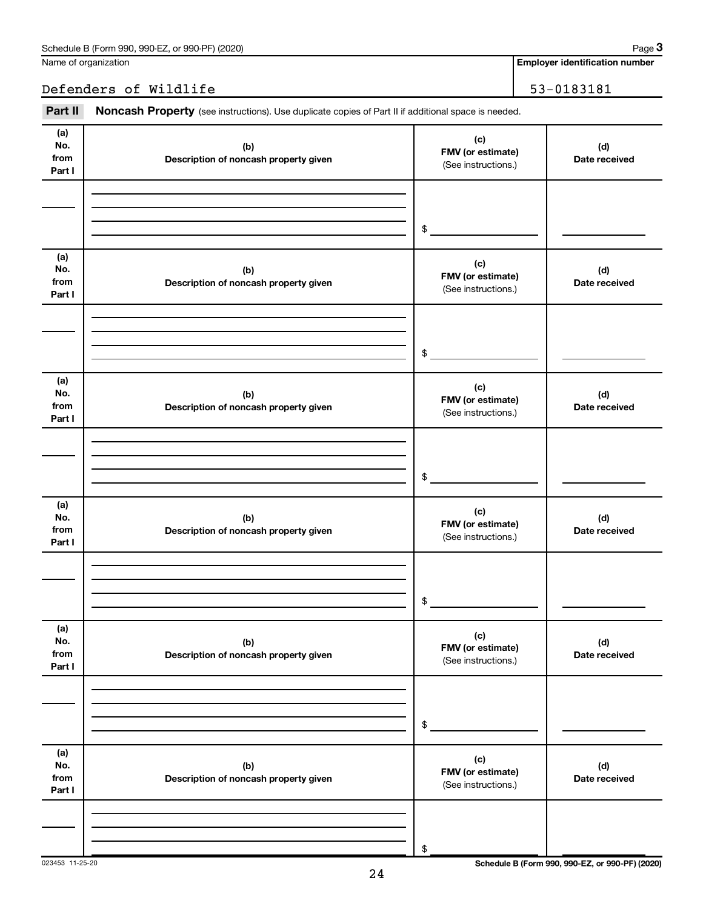Name of organization

**Employer identification number**

# Defenders of Wildlife 53-0183181

Part II Noncash Property (see instructions). Use duplicate copies of Part II if additional space is needed.

| (a)<br>No.<br>from<br>Part I | (b)<br>Description of noncash property given | (c)<br>FMV (or estimate)<br>(See instructions.) | (d)<br>Date received |
|------------------------------|----------------------------------------------|-------------------------------------------------|----------------------|
|                              |                                              |                                                 |                      |
|                              |                                              | \$                                              |                      |
|                              |                                              |                                                 |                      |
| (a)<br>No.                   | (b)                                          | (c)<br>FMV (or estimate)                        | (d)                  |
| from<br>Part I               | Description of noncash property given        | (See instructions.)                             | Date received        |
|                              |                                              |                                                 |                      |
|                              |                                              | \$                                              |                      |
|                              |                                              |                                                 |                      |
| (a)<br>No.                   | (b)                                          | (c)<br>FMV (or estimate)                        | (d)                  |
| from<br>Part I               | Description of noncash property given        | (See instructions.)                             | Date received        |
|                              |                                              |                                                 |                      |
|                              |                                              |                                                 |                      |
|                              |                                              | \$                                              |                      |
| (a)<br>No.                   | (b)                                          | (c)<br>FMV (or estimate)                        | (d)                  |
| from<br>Part I               | Description of noncash property given        | (See instructions.)                             | Date received        |
|                              |                                              |                                                 |                      |
|                              |                                              |                                                 |                      |
|                              |                                              | \$                                              |                      |
| (a)<br>No.                   | (b)                                          | (c)                                             | (d)                  |
| from<br>Part I               | Description of noncash property given        | FMV (or estimate)<br>(See instructions.)        | Date received        |
|                              |                                              |                                                 |                      |
|                              |                                              |                                                 |                      |
|                              |                                              | $\$$                                            |                      |
| (a)<br>No.                   | (b)                                          | (c)                                             | (d)                  |
| from<br>Part I               | Description of noncash property given        | FMV (or estimate)<br>(See instructions.)        | Date received        |
|                              |                                              |                                                 |                      |
|                              |                                              |                                                 |                      |
|                              |                                              | \$                                              |                      |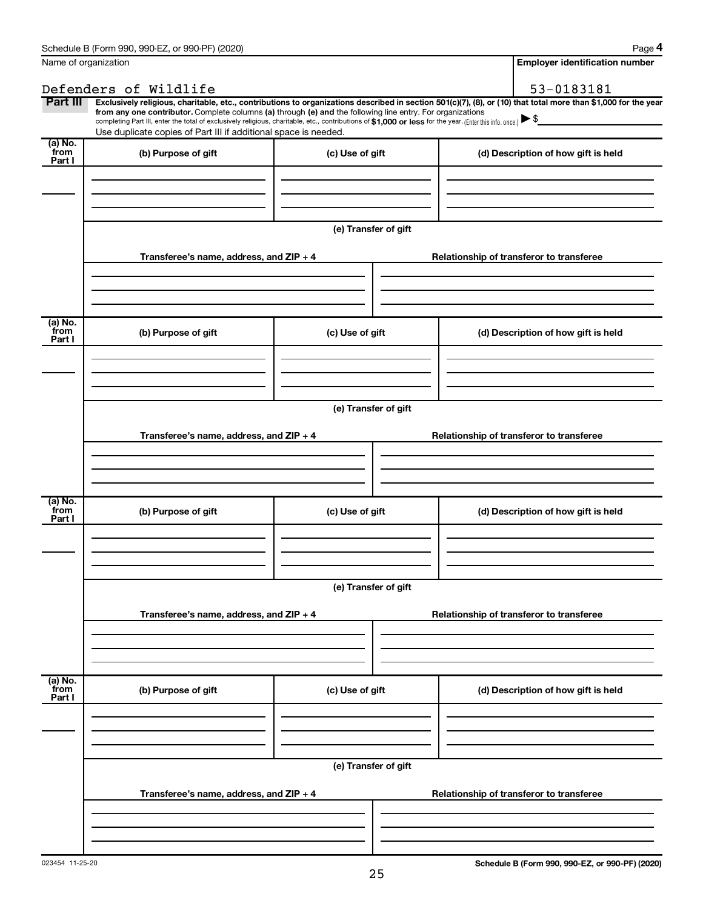| Name of organization      |                                                                                                                                                                                                                                                                                                                                           |                      | <b>Employer identification number</b>                                                                                                                          |
|---------------------------|-------------------------------------------------------------------------------------------------------------------------------------------------------------------------------------------------------------------------------------------------------------------------------------------------------------------------------------------|----------------------|----------------------------------------------------------------------------------------------------------------------------------------------------------------|
|                           | Defenders of Wildlife                                                                                                                                                                                                                                                                                                                     |                      | 53-0183181                                                                                                                                                     |
| Part III                  | from any one contributor. Complete columns (a) through (e) and the following line entry. For organizations<br>completing Part III, enter the total of exclusively religious, charitable, etc., contributions of \$1,000 or less for the year. (Enter this info. once.)<br>Use duplicate copies of Part III if additional space is needed. |                      | Exclusively religious, charitable, etc., contributions to organizations described in section 501(c)(7), (8), or (10) that total more than \$1,000 for the year |
| (a) No.<br>from<br>Part I | (b) Purpose of gift                                                                                                                                                                                                                                                                                                                       | (c) Use of gift      | (d) Description of how gift is held                                                                                                                            |
|                           |                                                                                                                                                                                                                                                                                                                                           |                      |                                                                                                                                                                |
|                           |                                                                                                                                                                                                                                                                                                                                           | (e) Transfer of gift |                                                                                                                                                                |
|                           | Transferee's name, address, and ZIP + 4                                                                                                                                                                                                                                                                                                   |                      | Relationship of transferor to transferee                                                                                                                       |
| (a) No.<br>from<br>Part I | (b) Purpose of gift                                                                                                                                                                                                                                                                                                                       | (c) Use of gift      | (d) Description of how gift is held                                                                                                                            |
|                           |                                                                                                                                                                                                                                                                                                                                           |                      |                                                                                                                                                                |
|                           |                                                                                                                                                                                                                                                                                                                                           | (e) Transfer of gift |                                                                                                                                                                |
|                           | Transferee's name, address, and ZIP + 4                                                                                                                                                                                                                                                                                                   |                      | Relationship of transferor to transferee                                                                                                                       |
|                           |                                                                                                                                                                                                                                                                                                                                           |                      |                                                                                                                                                                |
| (a) No.<br>from<br>Part I | (b) Purpose of gift                                                                                                                                                                                                                                                                                                                       | (c) Use of gift      | (d) Description of how gift is held                                                                                                                            |
|                           |                                                                                                                                                                                                                                                                                                                                           |                      |                                                                                                                                                                |
|                           | Transferee's name, address, and ZIP + 4                                                                                                                                                                                                                                                                                                   | (e) Transfer of gift | Relationship of transferor to transferee                                                                                                                       |
|                           |                                                                                                                                                                                                                                                                                                                                           |                      |                                                                                                                                                                |
| (a) No.<br>from<br>Part I | (b) Purpose of gift                                                                                                                                                                                                                                                                                                                       | (c) Use of gift      | (d) Description of how gift is held                                                                                                                            |
|                           |                                                                                                                                                                                                                                                                                                                                           |                      |                                                                                                                                                                |
|                           |                                                                                                                                                                                                                                                                                                                                           | (e) Transfer of gift |                                                                                                                                                                |
|                           | Transferee's name, address, and ZIP + 4                                                                                                                                                                                                                                                                                                   |                      | Relationship of transferor to transferee                                                                                                                       |
|                           |                                                                                                                                                                                                                                                                                                                                           |                      |                                                                                                                                                                |
|                           |                                                                                                                                                                                                                                                                                                                                           |                      |                                                                                                                                                                |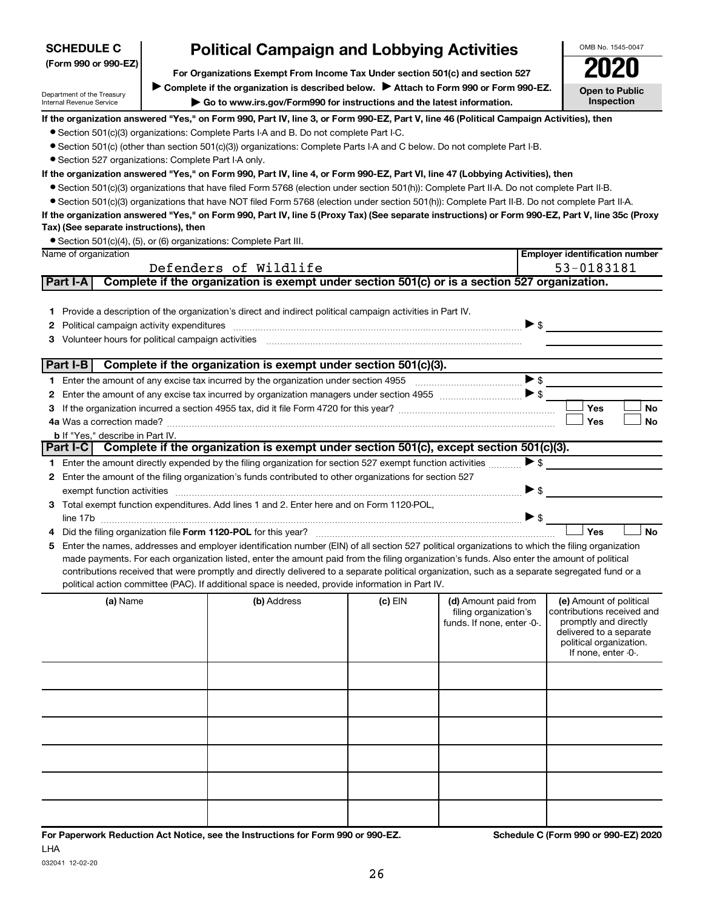| <b>Political Campaign and Lobbying Activities</b><br><b>SCHEDULE C</b> |                                                                                                                                                                      |                                                                                                                                                                                                                                                                                               |           |                            |                          | OMB No. 1545-0047                                |  |  |  |
|------------------------------------------------------------------------|----------------------------------------------------------------------------------------------------------------------------------------------------------------------|-----------------------------------------------------------------------------------------------------------------------------------------------------------------------------------------------------------------------------------------------------------------------------------------------|-----------|----------------------------|--------------------------|--------------------------------------------------|--|--|--|
| (Form 990 or 990-EZ)                                                   |                                                                                                                                                                      |                                                                                                                                                                                                                                                                                               |           |                            |                          |                                                  |  |  |  |
|                                                                        | For Organizations Exempt From Income Tax Under section 501(c) and section 527<br>Complete if the organization is described below. Attach to Form 990 or Form 990-EZ. |                                                                                                                                                                                                                                                                                               |           |                            |                          |                                                  |  |  |  |
| Department of the Treasury<br>Internal Revenue Service                 |                                                                                                                                                                      | <b>Open to Public</b><br>Inspection                                                                                                                                                                                                                                                           |           |                            |                          |                                                  |  |  |  |
|                                                                        |                                                                                                                                                                      | Go to www.irs.gov/Form990 for instructions and the latest information.<br>If the organization answered "Yes," on Form 990, Part IV, line 3, or Form 990-EZ, Part V, line 46 (Political Campaign Activities), then                                                                             |           |                            |                          |                                                  |  |  |  |
|                                                                        |                                                                                                                                                                      | • Section 501(c)(3) organizations: Complete Parts I-A and B. Do not complete Part I-C.                                                                                                                                                                                                        |           |                            |                          |                                                  |  |  |  |
|                                                                        |                                                                                                                                                                      | ● Section 501(c) (other than section 501(c)(3)) organizations: Complete Parts I-A and C below. Do not complete Part I-B.                                                                                                                                                                      |           |                            |                          |                                                  |  |  |  |
| • Section 527 organizations: Complete Part I-A only.                   |                                                                                                                                                                      |                                                                                                                                                                                                                                                                                               |           |                            |                          |                                                  |  |  |  |
|                                                                        |                                                                                                                                                                      | If the organization answered "Yes," on Form 990, Part IV, line 4, or Form 990-EZ, Part VI, line 47 (Lobbying Activities), then                                                                                                                                                                |           |                            |                          |                                                  |  |  |  |
|                                                                        |                                                                                                                                                                      | ● Section 501(c)(3) organizations that have filed Form 5768 (election under section 501(h)): Complete Part II-A. Do not complete Part II-B.                                                                                                                                                   |           |                            |                          |                                                  |  |  |  |
|                                                                        | • Section 501(c)(3) organizations that have NOT filed Form 5768 (election under section 501(h)): Complete Part II-B. Do not complete Part II-A.                      |                                                                                                                                                                                                                                                                                               |           |                            |                          |                                                  |  |  |  |
|                                                                        | If the organization answered "Yes," on Form 990, Part IV, line 5 (Proxy Tax) (See separate instructions) or Form 990-EZ, Part V, line 35c (Proxy                     |                                                                                                                                                                                                                                                                                               |           |                            |                          |                                                  |  |  |  |
| Tax) (See separate instructions), then                                 |                                                                                                                                                                      |                                                                                                                                                                                                                                                                                               |           |                            |                          |                                                  |  |  |  |
| Name of organization                                                   |                                                                                                                                                                      | • Section 501(c)(4), (5), or (6) organizations: Complete Part III.                                                                                                                                                                                                                            |           |                            |                          | <b>Employer identification number</b>            |  |  |  |
|                                                                        |                                                                                                                                                                      | Defenders of Wildlife                                                                                                                                                                                                                                                                         |           |                            |                          | 53-0183181                                       |  |  |  |
| Part I-A                                                               |                                                                                                                                                                      | Complete if the organization is exempt under section 501(c) or is a section 527 organization.                                                                                                                                                                                                 |           |                            |                          |                                                  |  |  |  |
|                                                                        |                                                                                                                                                                      |                                                                                                                                                                                                                                                                                               |           |                            |                          |                                                  |  |  |  |
| 1.                                                                     |                                                                                                                                                                      | Provide a description of the organization's direct and indirect political campaign activities in Part IV.                                                                                                                                                                                     |           |                            |                          |                                                  |  |  |  |
| 2                                                                      |                                                                                                                                                                      | Political campaign activity expenditures [11] matter contracts and contracts are political campaign activity expenditures                                                                                                                                                                     |           |                            | $\triangleright$ s       |                                                  |  |  |  |
| 3.                                                                     |                                                                                                                                                                      |                                                                                                                                                                                                                                                                                               |           |                            |                          |                                                  |  |  |  |
|                                                                        |                                                                                                                                                                      |                                                                                                                                                                                                                                                                                               |           |                            |                          |                                                  |  |  |  |
|                                                                        |                                                                                                                                                                      | Part I-B $\vert$ Complete if the organization is exempt under section 501(c)(3).                                                                                                                                                                                                              |           |                            |                          |                                                  |  |  |  |
|                                                                        |                                                                                                                                                                      |                                                                                                                                                                                                                                                                                               |           |                            | $\blacktriangleright$ \$ |                                                  |  |  |  |
| 2                                                                      |                                                                                                                                                                      |                                                                                                                                                                                                                                                                                               |           |                            |                          | Yes                                              |  |  |  |
| 3.                                                                     |                                                                                                                                                                      |                                                                                                                                                                                                                                                                                               |           |                            |                          | <b>No</b><br>Yes<br><b>No</b>                    |  |  |  |
| <b>b</b> If "Yes," describe in Part IV.                                |                                                                                                                                                                      |                                                                                                                                                                                                                                                                                               |           |                            |                          |                                                  |  |  |  |
|                                                                        |                                                                                                                                                                      | Part I-C Complete if the organization is exempt under section 501(c), except section 501(c)(3).                                                                                                                                                                                               |           |                            |                          |                                                  |  |  |  |
|                                                                        |                                                                                                                                                                      | 1 Enter the amount directly expended by the filing organization for section 527 exempt function activities                                                                                                                                                                                    |           |                            | $\blacktriangleright$ \$ |                                                  |  |  |  |
|                                                                        |                                                                                                                                                                      | 2 Enter the amount of the filing organization's funds contributed to other organizations for section 527                                                                                                                                                                                      |           |                            |                          |                                                  |  |  |  |
| exempt function activities                                             |                                                                                                                                                                      |                                                                                                                                                                                                                                                                                               |           |                            | $\blacktriangleright$ \$ |                                                  |  |  |  |
| 3                                                                      |                                                                                                                                                                      | Total exempt function expenditures. Add lines 1 and 2. Enter here and on Form 1120-POL,                                                                                                                                                                                                       |           |                            |                          |                                                  |  |  |  |
|                                                                        |                                                                                                                                                                      |                                                                                                                                                                                                                                                                                               |           |                            | $\triangleright$ \$      |                                                  |  |  |  |
|                                                                        |                                                                                                                                                                      |                                                                                                                                                                                                                                                                                               |           |                            |                          | Yes<br><b>No</b>                                 |  |  |  |
| 5                                                                      |                                                                                                                                                                      | Enter the names, addresses and employer identification number (EIN) of all section 527 political organizations to which the filing organization                                                                                                                                               |           |                            |                          |                                                  |  |  |  |
|                                                                        |                                                                                                                                                                      | made payments. For each organization listed, enter the amount paid from the filing organization's funds. Also enter the amount of political<br>contributions received that were promptly and directly delivered to a separate political organization, such as a separate segregated fund or a |           |                            |                          |                                                  |  |  |  |
|                                                                        |                                                                                                                                                                      | political action committee (PAC). If additional space is needed, provide information in Part IV.                                                                                                                                                                                              |           |                            |                          |                                                  |  |  |  |
| (a) Name                                                               |                                                                                                                                                                      | (b) Address                                                                                                                                                                                                                                                                                   | $(c)$ EIN | (d) Amount paid from       |                          | (e) Amount of political                          |  |  |  |
|                                                                        |                                                                                                                                                                      |                                                                                                                                                                                                                                                                                               |           | filing organization's      |                          | contributions received and                       |  |  |  |
|                                                                        |                                                                                                                                                                      |                                                                                                                                                                                                                                                                                               |           | funds. If none, enter -0-. |                          | promptly and directly<br>delivered to a separate |  |  |  |
|                                                                        |                                                                                                                                                                      |                                                                                                                                                                                                                                                                                               |           |                            |                          | political organization.                          |  |  |  |
|                                                                        |                                                                                                                                                                      |                                                                                                                                                                                                                                                                                               |           |                            |                          | If none, enter -0-.                              |  |  |  |
|                                                                        |                                                                                                                                                                      |                                                                                                                                                                                                                                                                                               |           |                            |                          |                                                  |  |  |  |
|                                                                        |                                                                                                                                                                      |                                                                                                                                                                                                                                                                                               |           |                            |                          |                                                  |  |  |  |
|                                                                        |                                                                                                                                                                      |                                                                                                                                                                                                                                                                                               |           |                            |                          |                                                  |  |  |  |
|                                                                        |                                                                                                                                                                      |                                                                                                                                                                                                                                                                                               |           |                            |                          |                                                  |  |  |  |
|                                                                        |                                                                                                                                                                      |                                                                                                                                                                                                                                                                                               |           |                            |                          |                                                  |  |  |  |
|                                                                        |                                                                                                                                                                      |                                                                                                                                                                                                                                                                                               |           |                            |                          |                                                  |  |  |  |
|                                                                        |                                                                                                                                                                      |                                                                                                                                                                                                                                                                                               |           |                            |                          |                                                  |  |  |  |
|                                                                        |                                                                                                                                                                      |                                                                                                                                                                                                                                                                                               |           |                            |                          |                                                  |  |  |  |
|                                                                        |                                                                                                                                                                      |                                                                                                                                                                                                                                                                                               |           |                            |                          |                                                  |  |  |  |
|                                                                        |                                                                                                                                                                      |                                                                                                                                                                                                                                                                                               |           |                            |                          |                                                  |  |  |  |
|                                                                        |                                                                                                                                                                      |                                                                                                                                                                                                                                                                                               |           |                            |                          |                                                  |  |  |  |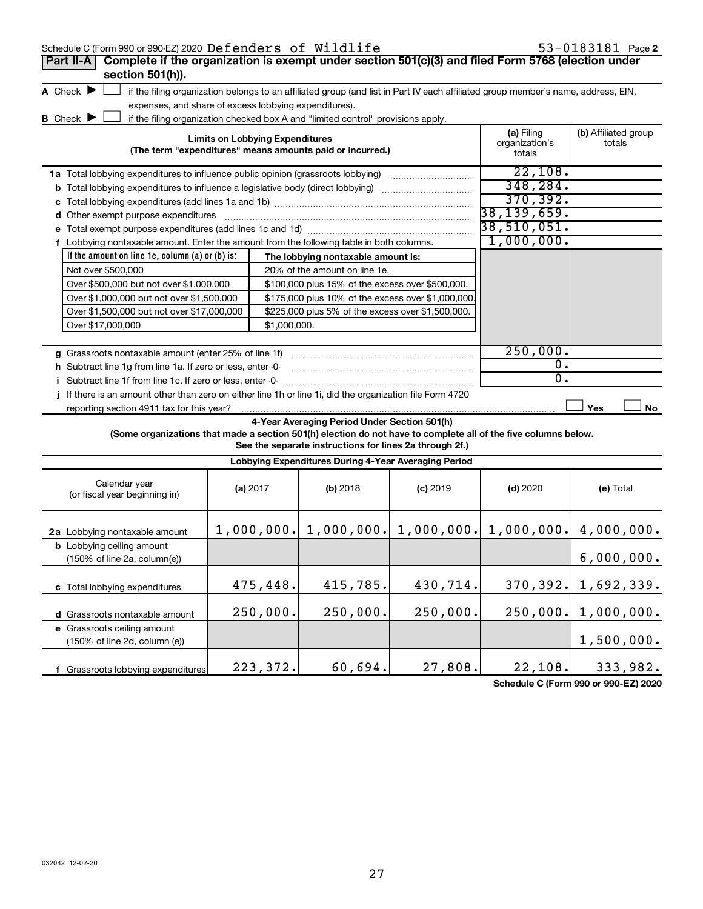| Schedule C (Form 990 or 990-EZ) 2020 Defenders of Wildlife |  | $53 - 0183181$ Page 2 |
|------------------------------------------------------------|--|-----------------------|
|------------------------------------------------------------|--|-----------------------|

| Complete if the organization is exempt under section 501(c)(3) and filed Form 5768 (election under<br>Part II-A<br>section 501(h)). |                                                                                                                                                                                       |              |                                                                                  |                           |                                                                                                                                   |                                |
|-------------------------------------------------------------------------------------------------------------------------------------|---------------------------------------------------------------------------------------------------------------------------------------------------------------------------------------|--------------|----------------------------------------------------------------------------------|---------------------------|-----------------------------------------------------------------------------------------------------------------------------------|--------------------------------|
| A Check $\blacktriangleright$                                                                                                       |                                                                                                                                                                                       |              |                                                                                  |                           | if the filing organization belongs to an affiliated group (and list in Part IV each affiliated group member's name, address, EIN, |                                |
| expenses, and share of excess lobbying expenditures).                                                                               |                                                                                                                                                                                       |              |                                                                                  |                           |                                                                                                                                   |                                |
| <b>B</b> Check $\blacktriangleright$                                                                                                |                                                                                                                                                                                       |              | if the filing organization checked box A and "limited control" provisions apply. |                           |                                                                                                                                   |                                |
|                                                                                                                                     | <b>Limits on Lobbying Expenditures</b>                                                                                                                                                |              | (The term "expenditures" means amounts paid or incurred.)                        |                           | (a) Filing<br>organization's<br>totals                                                                                            | (b) Affiliated group<br>totals |
| 1a Total lobbying expenditures to influence public opinion (grassroots lobbying)                                                    |                                                                                                                                                                                       |              |                                                                                  |                           | 22,108.                                                                                                                           |                                |
| <b>b</b> Total lobbying expenditures to influence a legislative body (direct lobbying)                                              |                                                                                                                                                                                       |              |                                                                                  |                           | 348, 284.                                                                                                                         |                                |
|                                                                                                                                     |                                                                                                                                                                                       |              |                                                                                  |                           | 370, 392.                                                                                                                         |                                |
| d Other exempt purpose expenditures                                                                                                 |                                                                                                                                                                                       |              |                                                                                  |                           | 38,139,659.                                                                                                                       |                                |
|                                                                                                                                     |                                                                                                                                                                                       |              |                                                                                  |                           | 38,510,051.                                                                                                                       |                                |
|                                                                                                                                     |                                                                                                                                                                                       |              |                                                                                  |                           | 1,000,000.                                                                                                                        |                                |
|                                                                                                                                     | f Lobbying nontaxable amount. Enter the amount from the following table in both columns.<br>If the amount on line 1e, column $(a)$ or $(b)$ is:<br>The lobbying nontaxable amount is: |              |                                                                                  |                           |                                                                                                                                   |                                |
| Not over \$500,000                                                                                                                  |                                                                                                                                                                                       |              | 20% of the amount on line 1e.                                                    |                           |                                                                                                                                   |                                |
|                                                                                                                                     | Over \$500,000 but not over \$1,000,000<br>\$100,000 plus 15% of the excess over \$500,000.                                                                                           |              |                                                                                  |                           |                                                                                                                                   |                                |
| Over \$1,000,000 but not over \$1,500,000                                                                                           |                                                                                                                                                                                       |              | \$175,000 plus 10% of the excess over \$1,000,000                                |                           |                                                                                                                                   |                                |
| Over \$1,500,000 but not over \$17,000,000                                                                                          |                                                                                                                                                                                       |              | \$225,000 plus 5% of the excess over \$1,500,000.                                |                           |                                                                                                                                   |                                |
| Over \$17,000,000                                                                                                                   |                                                                                                                                                                                       | \$1,000,000. |                                                                                  |                           |                                                                                                                                   |                                |
|                                                                                                                                     |                                                                                                                                                                                       |              |                                                                                  |                           |                                                                                                                                   |                                |
| g Grassroots nontaxable amount (enter 25% of line 1f)                                                                               |                                                                                                                                                                                       |              |                                                                                  |                           | 250,000.                                                                                                                          |                                |
| h Subtract line 1q from line 1a. If zero or less, enter -0-                                                                         |                                                                                                                                                                                       |              |                                                                                  |                           | 0.                                                                                                                                |                                |
| i Subtract line 1f from line 1c. If zero or less, enter -0-                                                                         |                                                                                                                                                                                       |              |                                                                                  |                           | σ.                                                                                                                                |                                |
| If there is an amount other than zero on either line 1h or line 1i, did the organization file Form 4720<br>j.                       |                                                                                                                                                                                       |              |                                                                                  |                           |                                                                                                                                   |                                |
| reporting section 4911 tax for this year?                                                                                           |                                                                                                                                                                                       |              |                                                                                  |                           |                                                                                                                                   | Yes<br>No                      |
|                                                                                                                                     |                                                                                                                                                                                       |              | 4-Year Averaging Period Under Section 501(h)                                     |                           |                                                                                                                                   |                                |
| (Some organizations that made a section 501(h) election do not have to complete all of the five columns below.                      |                                                                                                                                                                                       |              | See the separate instructions for lines 2a through 2f.)                          |                           |                                                                                                                                   |                                |
|                                                                                                                                     |                                                                                                                                                                                       |              | Lobbying Expenditures During 4-Year Averaging Period                             |                           |                                                                                                                                   |                                |
| Calendar year<br>(or fiscal year beginning in)                                                                                      | (a) 2017                                                                                                                                                                              |              | (b) 2018                                                                         | $(c)$ 2019                | $(d)$ 2020                                                                                                                        | (e) Total                      |
| 2a Lobbying nontaxable amount                                                                                                       | 1,000,000.                                                                                                                                                                            |              |                                                                                  | $1,000,000.$ $1,000,000.$ | 1,000,000.                                                                                                                        | 4,000,000.                     |
| <b>b</b> Lobbying ceiling amount<br>(150% of line 2a, column(e))                                                                    |                                                                                                                                                                                       |              |                                                                                  |                           |                                                                                                                                   | 6,000,000.                     |

| 2a Lobbying nontaxable amount                                                       | 1,000,000. | 1,000,000. |           | $1,000,000.$ $1,000,000.$ | 4,000,000. |
|-------------------------------------------------------------------------------------|------------|------------|-----------|---------------------------|------------|
| <b>b</b> Lobbying ceiling amount<br>$(150\% \text{ of line } 2a, \text{column}(e))$ |            |            |           |                           | 6,000,000. |
| c Total lobbying expenditures                                                       | 475, 448.  | 415,785.   | 430, 714. | 370, 392.                 | 1,692,339. |
| d Grassroots nontaxable amount                                                      | 250,000.   | 250,000.   | 250,000.  | 250,000.                  | 1,000,000. |
| e Grassroots ceiling amount<br>$(150\% \text{ of line } 2d, \text{ column } (e))$   |            |            |           |                           | 1,500,000. |
| Grassroots lobbying expenditures                                                    | 223, 372.  | 60,694.    | 27,808.   | 22,108.                   | 333,982.   |

**Schedule C (Form 990 or 990-EZ) 2020**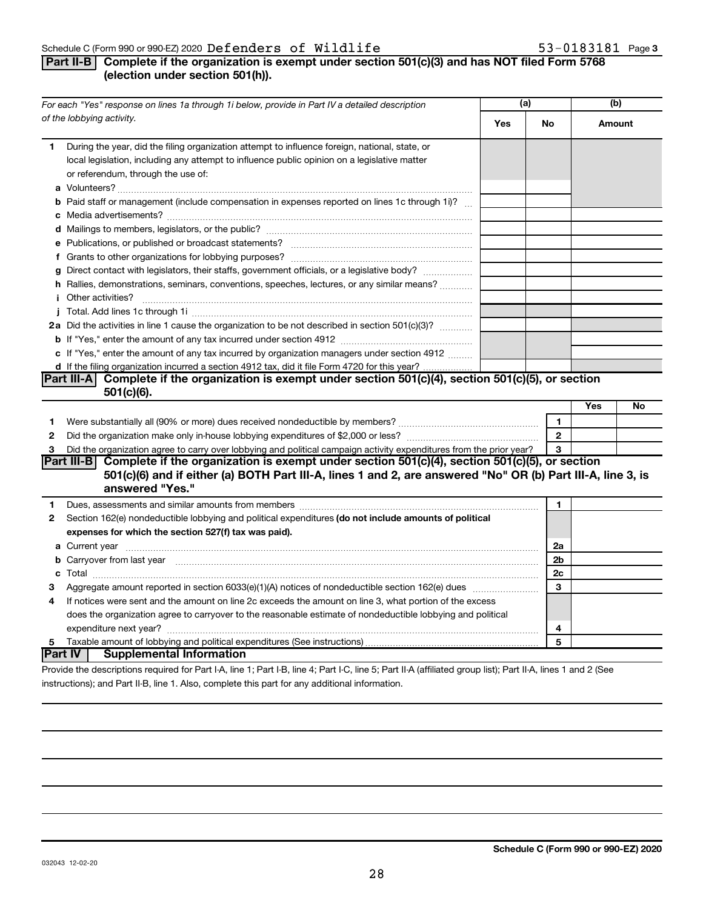## Schedule C (Form 990 or 990-EZ) 2020  $\texttt{Defenders}$  of  $\texttt{Widthfe}$  53-0183181 Page

# **Part II-B Complete if the organization is exempt under section 501(c)(3) and has NOT filed Form 5768 (election under section 501(h)).**

|              | For each "Yes" response on lines 1a through 1i below, provide in Part IV a detailed description                                                                                                                                                                                                                                                                                                                                                                           | (a) |                | (b)    |    |
|--------------|---------------------------------------------------------------------------------------------------------------------------------------------------------------------------------------------------------------------------------------------------------------------------------------------------------------------------------------------------------------------------------------------------------------------------------------------------------------------------|-----|----------------|--------|----|
|              | of the lobbying activity.                                                                                                                                                                                                                                                                                                                                                                                                                                                 | Yes | No             | Amount |    |
| 1.           | During the year, did the filing organization attempt to influence foreign, national, state, or<br>local legislation, including any attempt to influence public opinion on a legislative matter<br>or referendum, through the use of:                                                                                                                                                                                                                                      |     |                |        |    |
|              | <b>b</b> Paid staff or management (include compensation in expenses reported on lines 1c through 1i)?                                                                                                                                                                                                                                                                                                                                                                     |     |                |        |    |
|              |                                                                                                                                                                                                                                                                                                                                                                                                                                                                           |     |                |        |    |
|              |                                                                                                                                                                                                                                                                                                                                                                                                                                                                           |     |                |        |    |
|              |                                                                                                                                                                                                                                                                                                                                                                                                                                                                           |     |                |        |    |
|              |                                                                                                                                                                                                                                                                                                                                                                                                                                                                           |     |                |        |    |
|              | g Direct contact with legislators, their staffs, government officials, or a legislative body?                                                                                                                                                                                                                                                                                                                                                                             |     |                |        |    |
|              | h Rallies, demonstrations, seminars, conventions, speeches, lectures, or any similar means?                                                                                                                                                                                                                                                                                                                                                                               |     |                |        |    |
|              | <i>i</i> Other activities?<br>$\begin{minipage}{0.5\textwidth} \begin{tabular}{ l l l } \hline \multicolumn{1}{ l l l } \hline \multicolumn{1}{ l l } \multicolumn{1}{ l } \multicolumn{1}{ l } \multicolumn{1}{ l } \multicolumn{1}{ l } \multicolumn{1}{ l } \multicolumn{1}{ l } \multicolumn{1}{ l } \multicolumn{1}{ l } \multicolumn{1}{ l } \multicolumn{1}{ l } \multicolumn{1}{ l } \multicolumn{1}{ l } \multicolumn{1}{ l } \multicolumn{1}{ l } \multicolumn$ |     |                |        |    |
|              |                                                                                                                                                                                                                                                                                                                                                                                                                                                                           |     |                |        |    |
|              | 2a Did the activities in line 1 cause the organization to be not described in section 501(c)(3)?                                                                                                                                                                                                                                                                                                                                                                          |     |                |        |    |
|              |                                                                                                                                                                                                                                                                                                                                                                                                                                                                           |     |                |        |    |
|              | c If "Yes," enter the amount of any tax incurred by organization managers under section 4912                                                                                                                                                                                                                                                                                                                                                                              |     |                |        |    |
|              | d If the filing organization incurred a section 4912 tax, did it file Form 4720 for this year?                                                                                                                                                                                                                                                                                                                                                                            |     |                |        |    |
|              | Complete if the organization is exempt under section 501(c)(4), section 501(c)(5), or section<br><b>Part III-A</b>                                                                                                                                                                                                                                                                                                                                                        |     |                |        |    |
|              | $501(c)(6)$ .                                                                                                                                                                                                                                                                                                                                                                                                                                                             |     |                |        |    |
|              |                                                                                                                                                                                                                                                                                                                                                                                                                                                                           |     |                | Yes    | No |
| 1            |                                                                                                                                                                                                                                                                                                                                                                                                                                                                           |     | $\mathbf{1}$   |        |    |
| $\mathbf{2}$ |                                                                                                                                                                                                                                                                                                                                                                                                                                                                           |     | $\mathbf{2}$   |        |    |
| 3            | Did the organization agree to carry over lobbying and political campaign activity expenditures from the prior year?                                                                                                                                                                                                                                                                                                                                                       |     | 3              |        |    |
|              | Complete if the organization is exempt under section 501(c)(4), section 501(c)(5), or section<br>Part III-BI<br>501(c)(6) and if either (a) BOTH Part III-A, lines 1 and 2, are answered "No" OR (b) Part III-A, line 3, is<br>answered "Yes."                                                                                                                                                                                                                            |     |                |        |    |
| 1            |                                                                                                                                                                                                                                                                                                                                                                                                                                                                           |     | 1              |        |    |
| 2            | Section 162(e) nondeductible lobbying and political expenditures (do not include amounts of political                                                                                                                                                                                                                                                                                                                                                                     |     |                |        |    |
|              | expenses for which the section 527(f) tax was paid).                                                                                                                                                                                                                                                                                                                                                                                                                      |     |                |        |    |
|              |                                                                                                                                                                                                                                                                                                                                                                                                                                                                           |     | 2a             |        |    |
|              | b Carryover from last year manufactured and content to content the content of the content of the content of the content of the content of the content of the content of the content of the content of the content of the conte                                                                                                                                                                                                                                            |     | 2 <sub>b</sub> |        |    |
|              |                                                                                                                                                                                                                                                                                                                                                                                                                                                                           |     | 2c             |        |    |
| З            |                                                                                                                                                                                                                                                                                                                                                                                                                                                                           |     | 3              |        |    |
| 4            | If notices were sent and the amount on line 2c exceeds the amount on line 3, what portion of the excess                                                                                                                                                                                                                                                                                                                                                                   |     |                |        |    |
|              | does the organization agree to carryover to the reasonable estimate of nondeductible lobbying and political                                                                                                                                                                                                                                                                                                                                                               |     |                |        |    |
|              |                                                                                                                                                                                                                                                                                                                                                                                                                                                                           |     | 4              |        |    |
| 5            |                                                                                                                                                                                                                                                                                                                                                                                                                                                                           |     | 5              |        |    |
|              | <b>Part IV</b><br><b>Supplemental Information</b>                                                                                                                                                                                                                                                                                                                                                                                                                         |     |                |        |    |
|              | Provide the descriptions required for Part I-A, line 1; Part I-B, line 4; Part I-C, line 5; Part II-A (affiliated group list); Part II-A, lines 1 and 2 (See                                                                                                                                                                                                                                                                                                              |     |                |        |    |

instructions); and Part II-B, line 1. Also, complete this part for any additional information.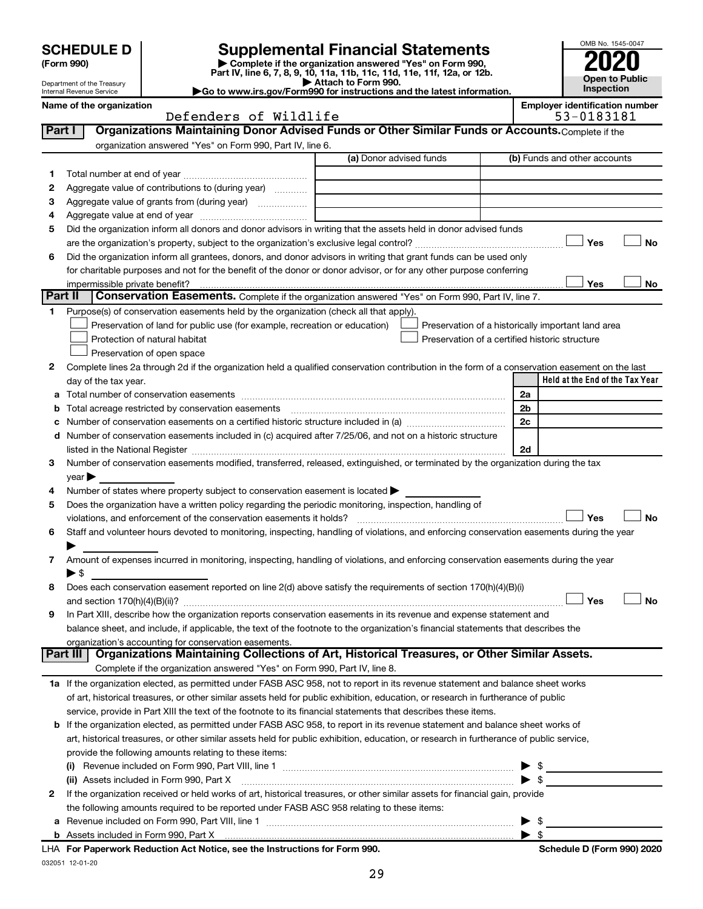|         |                                |                                                                                                        |                                                                                                                                                                                                                               |                         | OMB No. 1545-0047                                   |
|---------|--------------------------------|--------------------------------------------------------------------------------------------------------|-------------------------------------------------------------------------------------------------------------------------------------------------------------------------------------------------------------------------------|-------------------------|-----------------------------------------------------|
|         | <b>SCHEDULE D</b>              |                                                                                                        | <b>Supplemental Financial Statements</b>                                                                                                                                                                                      |                         |                                                     |
|         | (Form 990)                     |                                                                                                        | Complete if the organization answered "Yes" on Form 990,<br>Part IV, line 6, 7, 8, 9, 10, 11a, 11b, 11c, 11d, 11e, 11f, 12a, or 12b.                                                                                          |                         |                                                     |
|         | Department of the Treasury     |                                                                                                        | Attach to Form 990.                                                                                                                                                                                                           |                         | <b>Open to Public</b><br>Inspection                 |
|         | Internal Revenue Service       |                                                                                                        | Go to www.irs.gov/Form990 for instructions and the latest information.                                                                                                                                                        |                         |                                                     |
|         | Name of the organization       | Defenders of Wildlife                                                                                  |                                                                                                                                                                                                                               |                         | <b>Employer identification number</b><br>53-0183181 |
| Part I  |                                |                                                                                                        | Organizations Maintaining Donor Advised Funds or Other Similar Funds or Accounts. Complete if the                                                                                                                             |                         |                                                     |
|         |                                | organization answered "Yes" on Form 990, Part IV, line 6.                                              |                                                                                                                                                                                                                               |                         |                                                     |
|         |                                |                                                                                                        | (a) Donor advised funds                                                                                                                                                                                                       |                         | (b) Funds and other accounts                        |
| 1.      |                                |                                                                                                        |                                                                                                                                                                                                                               |                         |                                                     |
| 2       |                                | Aggregate value of contributions to (during year)                                                      |                                                                                                                                                                                                                               |                         |                                                     |
| 3       |                                |                                                                                                        |                                                                                                                                                                                                                               |                         |                                                     |
| 4       |                                |                                                                                                        |                                                                                                                                                                                                                               |                         |                                                     |
| 5       |                                |                                                                                                        | Did the organization inform all donors and donor advisors in writing that the assets held in donor advised funds                                                                                                              |                         |                                                     |
| 6       |                                |                                                                                                        | Did the organization inform all grantees, donors, and donor advisors in writing that grant funds can be used only                                                                                                             |                         | Yes<br><b>No</b>                                    |
|         |                                |                                                                                                        | for charitable purposes and not for the benefit of the donor or donor advisor, or for any other purpose conferring                                                                                                            |                         |                                                     |
|         | impermissible private benefit? |                                                                                                        |                                                                                                                                                                                                                               |                         | Yes<br>No.                                          |
| Part II |                                |                                                                                                        | Conservation Easements. Complete if the organization answered "Yes" on Form 990, Part IV, line 7.                                                                                                                             |                         |                                                     |
| 1.      |                                | Purpose(s) of conservation easements held by the organization (check all that apply).                  |                                                                                                                                                                                                                               |                         |                                                     |
|         |                                | Preservation of land for public use (for example, recreation or education)                             |                                                                                                                                                                                                                               |                         | Preservation of a historically important land area  |
|         |                                | Protection of natural habitat                                                                          | Preservation of a certified historic structure                                                                                                                                                                                |                         |                                                     |
|         |                                | Preservation of open space                                                                             |                                                                                                                                                                                                                               |                         |                                                     |
| 2       |                                |                                                                                                        | Complete lines 2a through 2d if the organization held a qualified conservation contribution in the form of a conservation easement on the last                                                                                |                         |                                                     |
|         | day of the tax year.           |                                                                                                        |                                                                                                                                                                                                                               |                         | Held at the End of the Tax Year                     |
|         |                                |                                                                                                        |                                                                                                                                                                                                                               | 2a                      |                                                     |
| b       |                                | Total acreage restricted by conservation easements                                                     |                                                                                                                                                                                                                               | 2b                      |                                                     |
| с       |                                |                                                                                                        | Number of conservation easements on a certified historic structure included in (a) manufacture included in (a)                                                                                                                | 2c                      |                                                     |
|         |                                |                                                                                                        | d Number of conservation easements included in (c) acquired after 7/25/06, and not on a historic structure                                                                                                                    |                         |                                                     |
|         |                                |                                                                                                        | listed in the National Register [111] Marshall Register [11] Marshall Register [11] Marshall Register [11] Marshall Register [11] Marshall Register [11] Marshall Register [11] Marshall Register [11] Marshall Register [11] | 2d                      |                                                     |
| 3       |                                |                                                                                                        | Number of conservation easements modified, transferred, released, extinguished, or terminated by the organization during the tax                                                                                              |                         |                                                     |
| 4       | year $\blacktriangleright$     | Number of states where property subject to conservation easement is located >                          |                                                                                                                                                                                                                               |                         |                                                     |
| 5       |                                | Does the organization have a written policy regarding the periodic monitoring, inspection, handling of |                                                                                                                                                                                                                               |                         |                                                     |
|         |                                | violations, and enforcement of the conservation easements it holds?                                    |                                                                                                                                                                                                                               |                         | Yes<br><b>No</b>                                    |
| 6       |                                |                                                                                                        | Staff and volunteer hours devoted to monitoring, inspecting, handling of violations, and enforcing conservation easements during the year                                                                                     |                         |                                                     |
|         |                                |                                                                                                        |                                                                                                                                                                                                                               |                         |                                                     |
| 7       |                                |                                                                                                        | Amount of expenses incurred in monitoring, inspecting, handling of violations, and enforcing conservation easements during the year                                                                                           |                         |                                                     |
|         | $\blacktriangleright$ \$       |                                                                                                        |                                                                                                                                                                                                                               |                         |                                                     |
| 8       |                                |                                                                                                        | Does each conservation easement reported on line 2(d) above satisfy the requirements of section 170(h)(4)(B)(i)                                                                                                               |                         |                                                     |
|         |                                |                                                                                                        |                                                                                                                                                                                                                               |                         | Yes<br><b>No</b>                                    |
| 9       |                                |                                                                                                        | In Part XIII, describe how the organization reports conservation easements in its revenue and expense statement and                                                                                                           |                         |                                                     |
|         |                                |                                                                                                        | balance sheet, and include, if applicable, the text of the footnote to the organization's financial statements that describes the                                                                                             |                         |                                                     |
|         |                                | organization's accounting for conservation easements.                                                  |                                                                                                                                                                                                                               |                         |                                                     |
|         | Part III                       | Complete if the organization answered "Yes" on Form 990, Part IV, line 8.                              | Organizations Maintaining Collections of Art, Historical Treasures, or Other Similar Assets.                                                                                                                                  |                         |                                                     |
|         |                                |                                                                                                        | 1a If the organization elected, as permitted under FASB ASC 958, not to report in its revenue statement and balance sheet works                                                                                               |                         |                                                     |
|         |                                |                                                                                                        | of art, historical treasures, or other similar assets held for public exhibition, education, or research in furtherance of public                                                                                             |                         |                                                     |
|         |                                |                                                                                                        | service, provide in Part XIII the text of the footnote to its financial statements that describes these items.                                                                                                                |                         |                                                     |
| b       |                                |                                                                                                        | If the organization elected, as permitted under FASB ASC 958, to report in its revenue statement and balance sheet works of                                                                                                   |                         |                                                     |
|         |                                |                                                                                                        | art, historical treasures, or other similar assets held for public exhibition, education, or research in furtherance of public service,                                                                                       |                         |                                                     |
|         |                                | provide the following amounts relating to these items:                                                 |                                                                                                                                                                                                                               |                         |                                                     |
|         |                                |                                                                                                        |                                                                                                                                                                                                                               |                         | - \$                                                |
|         |                                |                                                                                                        |                                                                                                                                                                                                                               | $\blacktriangleright$ s |                                                     |
| 2       |                                |                                                                                                        | If the organization received or held works of art, historical treasures, or other similar assets for financial gain, provide                                                                                                  |                         |                                                     |
|         |                                | the following amounts required to be reported under FASB ASC 958 relating to these items:              |                                                                                                                                                                                                                               |                         |                                                     |
|         |                                |                                                                                                        |                                                                                                                                                                                                                               | ▶                       | -\$                                                 |

| a Revenue included on Form 990, Part VIII, line 1 |  |
|---------------------------------------------------|--|
| <b>b</b> Assets included in Form 990, Part X<br>. |  |

032051 12-01-20 **For Paperwork Reduction Act Notice, see the Instructions for Form 990. Schedule D (Form 990) 2020** LHA

4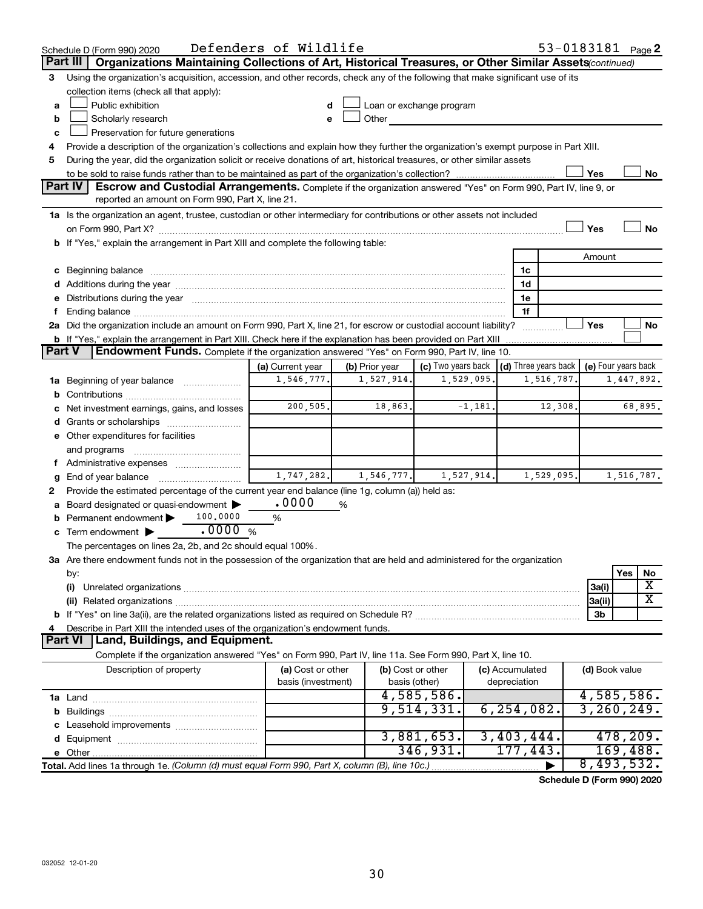|               | Schedule D (Form 990) 2020                                                                                                                                                                                                     | Defenders of Wildlife |                |                                                         |                 | 53-0183181 Page 2                |  |  |
|---------------|--------------------------------------------------------------------------------------------------------------------------------------------------------------------------------------------------------------------------------|-----------------------|----------------|---------------------------------------------------------|-----------------|----------------------------------|--|--|
|               | Part III<br>Organizations Maintaining Collections of Art, Historical Treasures, or Other Similar Assets (continued)                                                                                                            |                       |                |                                                         |                 |                                  |  |  |
| 3             | Using the organization's acquisition, accession, and other records, check any of the following that make significant use of its                                                                                                |                       |                |                                                         |                 |                                  |  |  |
|               | collection items (check all that apply):<br>Public exhibition                                                                                                                                                                  |                       |                | Loan or exchange program                                |                 |                                  |  |  |
| a             |                                                                                                                                                                                                                                |                       |                |                                                         |                 |                                  |  |  |
| b             | Scholarly research                                                                                                                                                                                                             |                       | Other          |                                                         |                 |                                  |  |  |
| с             | Preservation for future generations                                                                                                                                                                                            |                       |                |                                                         |                 |                                  |  |  |
| 4             | Provide a description of the organization's collections and explain how they further the organization's exempt purpose in Part XIII.                                                                                           |                       |                |                                                         |                 |                                  |  |  |
| 5             | During the year, did the organization solicit or receive donations of art, historical treasures, or other similar assets                                                                                                       |                       |                |                                                         |                 |                                  |  |  |
|               |                                                                                                                                                                                                                                |                       |                |                                                         |                 | Yes<br>No                        |  |  |
|               | <b>Part IV</b><br><b>Escrow and Custodial Arrangements.</b> Complete if the organization answered "Yes" on Form 990, Part IV, line 9, or<br>reported an amount on Form 990, Part X, line 21.                                   |                       |                |                                                         |                 |                                  |  |  |
|               |                                                                                                                                                                                                                                |                       |                |                                                         |                 |                                  |  |  |
|               | 1a Is the organization an agent, trustee, custodian or other intermediary for contributions or other assets not included                                                                                                       |                       |                |                                                         |                 | Yes<br><b>No</b>                 |  |  |
|               |                                                                                                                                                                                                                                |                       |                |                                                         |                 |                                  |  |  |
|               | b If "Yes," explain the arrangement in Part XIII and complete the following table:                                                                                                                                             |                       |                |                                                         |                 |                                  |  |  |
|               |                                                                                                                                                                                                                                |                       |                |                                                         |                 | Amount                           |  |  |
|               |                                                                                                                                                                                                                                |                       |                |                                                         | 1c              |                                  |  |  |
|               |                                                                                                                                                                                                                                |                       |                |                                                         | 1d              |                                  |  |  |
|               | e Distributions during the year manufactured and contain an account of the year manufactured and the year manufactured and the year manufactured and the year manufactured and the year manufactured and the year manufactured |                       |                |                                                         | 1e              |                                  |  |  |
|               |                                                                                                                                                                                                                                |                       |                |                                                         | 1f              |                                  |  |  |
|               | 2a Did the organization include an amount on Form 990, Part X, line 21, for escrow or custodial account liability?                                                                                                             |                       |                |                                                         |                 | Yes<br>No                        |  |  |
| <b>Part V</b> | <b>b</b> If "Yes," explain the arrangement in Part XIII. Check here if the explanation has been provided on Part XIII<br>Endowment Funds. Complete if the organization answered "Yes" on Form 990, Part IV, line 10.           |                       |                |                                                         |                 |                                  |  |  |
|               |                                                                                                                                                                                                                                | (a) Current year      | (b) Prior year | (c) Two years back $\vert$ (d) Three years back $\vert$ |                 | (e) Four years back              |  |  |
|               |                                                                                                                                                                                                                                | 1,546,777.            | 1,527,914.     | 1,529,095.                                              | 1,516,787.      | 1,447,892.                       |  |  |
|               | 1a Beginning of year balance                                                                                                                                                                                                   |                       |                |                                                         |                 |                                  |  |  |
| b             |                                                                                                                                                                                                                                | 200,505.              | 18,863.        | $-1,181.$                                               | 12,308.         | 68,895.                          |  |  |
|               | Net investment earnings, gains, and losses                                                                                                                                                                                     |                       |                |                                                         |                 |                                  |  |  |
|               | d Grants or scholarships                                                                                                                                                                                                       |                       |                |                                                         |                 |                                  |  |  |
|               | e Other expenditures for facilities                                                                                                                                                                                            |                       |                |                                                         |                 |                                  |  |  |
|               | and programs                                                                                                                                                                                                                   |                       |                |                                                         |                 |                                  |  |  |
|               | f Administrative expenses                                                                                                                                                                                                      | 1,747,282.            | 1,546,777.     | 1,527,914.                                              | 1,529,095.      | 1,516,787.                       |  |  |
| g             | Provide the estimated percentage of the current year end balance (line 1g, column (a)) held as:                                                                                                                                |                       |                |                                                         |                 |                                  |  |  |
| 2             | a Board designated or quasi-endowment >                                                                                                                                                                                        | .0000                 | %              |                                                         |                 |                                  |  |  |
|               | Permanent endowment > 100.0000                                                                                                                                                                                                 | %                     |                |                                                         |                 |                                  |  |  |
| b             | .0000%<br>c Term endowment $\blacktriangleright$                                                                                                                                                                               |                       |                |                                                         |                 |                                  |  |  |
|               | The percentages on lines 2a, 2b, and 2c should equal 100%.                                                                                                                                                                     |                       |                |                                                         |                 |                                  |  |  |
|               | 3a Are there endowment funds not in the possession of the organization that are held and administered for the organization                                                                                                     |                       |                |                                                         |                 |                                  |  |  |
|               |                                                                                                                                                                                                                                |                       |                |                                                         |                 | Yes                              |  |  |
|               | by:                                                                                                                                                                                                                            |                       |                |                                                         |                 | No<br>X                          |  |  |
|               | (i)                                                                                                                                                                                                                            |                       |                |                                                         |                 | 3a(i)<br>$\overline{\textbf{X}}$ |  |  |
|               |                                                                                                                                                                                                                                |                       |                |                                                         |                 | 3a(ii)                           |  |  |
|               |                                                                                                                                                                                                                                |                       |                |                                                         |                 | 3b                               |  |  |
| 4             | Describe in Part XIII the intended uses of the organization's endowment funds.<br><b>Part VI</b><br>Land, Buildings, and Equipment.                                                                                            |                       |                |                                                         |                 |                                  |  |  |
|               | Complete if the organization answered "Yes" on Form 990, Part IV, line 11a. See Form 990, Part X, line 10.                                                                                                                     |                       |                |                                                         |                 |                                  |  |  |
|               | Description of property                                                                                                                                                                                                        | (a) Cost or other     |                | (b) Cost or other                                       | (c) Accumulated | (d) Book value                   |  |  |
|               |                                                                                                                                                                                                                                | basis (investment)    |                | basis (other)                                           | depreciation    |                                  |  |  |
|               |                                                                                                                                                                                                                                |                       |                | 4,585,586.                                              |                 | 4,585,586.                       |  |  |
|               |                                                                                                                                                                                                                                |                       |                | 9,514,331.                                              | 6, 254, 082.    | 3, 260, 249.                     |  |  |
|               |                                                                                                                                                                                                                                |                       |                |                                                         |                 |                                  |  |  |
|               |                                                                                                                                                                                                                                |                       |                | 3,881,653.                                              | 3,403,444.      | 478, 209.                        |  |  |
|               |                                                                                                                                                                                                                                |                       |                | 346,931.                                                | 177,443.        | 169,488.                         |  |  |
|               |                                                                                                                                                                                                                                |                       |                |                                                         |                 | 8,493,532.                       |  |  |
|               | Total. Add lines 1a through 1e. (Column (d) must equal Form 990, Part X, column (B), line 10c.)                                                                                                                                |                       |                |                                                         |                 |                                  |  |  |

**Schedule D (Form 990) 2020**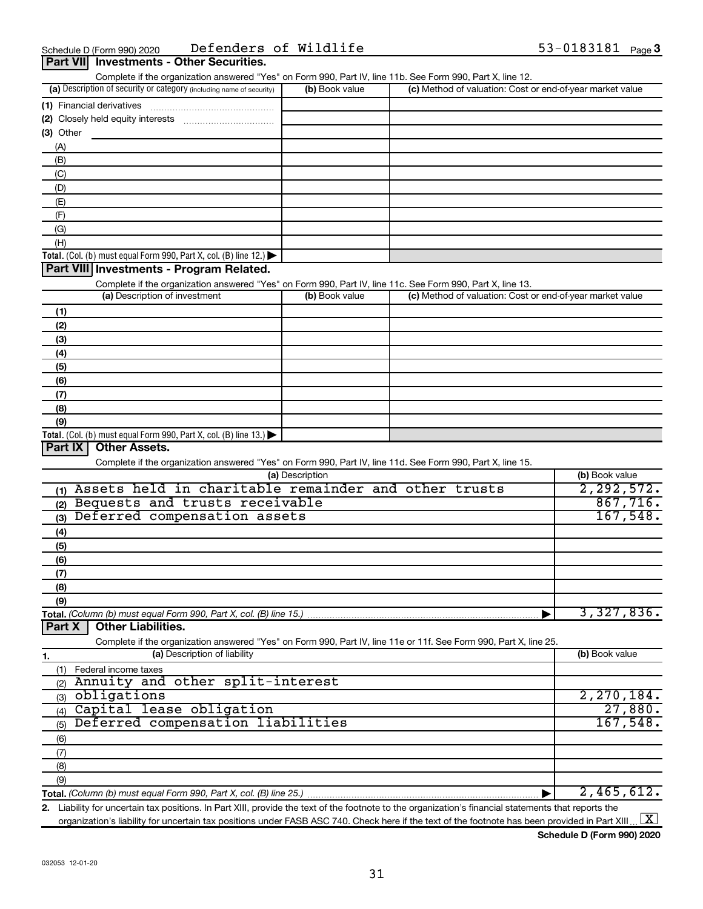| Part VII Investments - Other Securities.                                                                          |                 |                                                           |                |
|-------------------------------------------------------------------------------------------------------------------|-----------------|-----------------------------------------------------------|----------------|
| Complete if the organization answered "Yes" on Form 990, Part IV, line 11b. See Form 990, Part X, line 12.        |                 |                                                           |                |
| (a) Description of security or category (including name of security)                                              | (b) Book value  | (c) Method of valuation: Cost or end-of-year market value |                |
| (1) Financial derivatives                                                                                         |                 |                                                           |                |
|                                                                                                                   |                 |                                                           |                |
| $(3)$ Other                                                                                                       |                 |                                                           |                |
| (A)                                                                                                               |                 |                                                           |                |
| (B)                                                                                                               |                 |                                                           |                |
| (C)                                                                                                               |                 |                                                           |                |
| (D)                                                                                                               |                 |                                                           |                |
| (E)                                                                                                               |                 |                                                           |                |
| (F)                                                                                                               |                 |                                                           |                |
| (G)<br>(H)                                                                                                        |                 |                                                           |                |
| <b>Total.</b> (Col. (b) must equal Form 990, Part X, col. (B) line $12$ .)                                        |                 |                                                           |                |
| Part VIII Investments - Program Related.                                                                          |                 |                                                           |                |
| Complete if the organization answered "Yes" on Form 990, Part IV, line 11c. See Form 990, Part X, line 13.        |                 |                                                           |                |
| (a) Description of investment                                                                                     | (b) Book value  | (c) Method of valuation: Cost or end-of-year market value |                |
| (1)                                                                                                               |                 |                                                           |                |
| (2)                                                                                                               |                 |                                                           |                |
| (3)                                                                                                               |                 |                                                           |                |
| (4)                                                                                                               |                 |                                                           |                |
| (5)                                                                                                               |                 |                                                           |                |
| (6)                                                                                                               |                 |                                                           |                |
| (7)                                                                                                               |                 |                                                           |                |
| (8)                                                                                                               |                 |                                                           |                |
| (9)                                                                                                               |                 |                                                           |                |
| <b>Total.</b> (Col. (b) must equal Form 990, Part X, col. (B) line 13.)                                           |                 |                                                           |                |
| Part IX<br><b>Other Assets.</b>                                                                                   |                 |                                                           |                |
| Complete if the organization answered "Yes" on Form 990, Part IV, line 11d. See Form 990, Part X, line 15.        |                 |                                                           |                |
|                                                                                                                   | (a) Description |                                                           | (b) Book value |
| Assets held in charitable remainder and other trusts<br>(1)                                                       |                 |                                                           | 2, 292, 572.   |
| Bequests and trusts receivable<br>(2)                                                                             |                 |                                                           | 867,716.       |
| Deferred compensation assets<br>(3)                                                                               |                 |                                                           | 167,548.       |
| (4)                                                                                                               |                 |                                                           |                |
| (5)                                                                                                               |                 |                                                           |                |
| (6)                                                                                                               |                 |                                                           |                |
| (7)                                                                                                               |                 |                                                           |                |
| (8)                                                                                                               |                 |                                                           |                |
| (9)                                                                                                               |                 |                                                           |                |
| Total. (Column (b) must equal Form 990, Part X, col. (B) line 15.)<br><b>Other Liabilities.</b><br>Part X         |                 |                                                           | 3,327,836.     |
| Complete if the organization answered "Yes" on Form 990, Part IV, line 11e or 11f. See Form 990, Part X, line 25. |                 |                                                           |                |
| (a) Description of liability                                                                                      |                 |                                                           | (b) Book value |
| 1.<br>(1) Federal income taxes                                                                                    |                 |                                                           |                |
| Annuity and other split-interest<br>(2)                                                                           |                 |                                                           |                |
| obligations<br>(3)                                                                                                |                 |                                                           | 2,270,184.     |
| Capital lease obligation<br>(4)                                                                                   |                 |                                                           | 27,880.        |
| Deferred compensation liabilities<br>(5)                                                                          |                 |                                                           | 167,548.       |
| (6)                                                                                                               |                 |                                                           |                |
| (7)                                                                                                               |                 |                                                           |                |
| (8)                                                                                                               |                 |                                                           |                |
| (9)                                                                                                               |                 |                                                           |                |
| Total. (Column (b) must equal Form 990, Part X, col. (B) line 25.)                                                |                 |                                                           | 2,465,612.     |

**Total.**  *(Column (b) must equal Form 990, Part X, col. (B) line 25.)* |

**2.** Liability for uncertain tax positions. In Part XIII, provide the text of the footnote to the organization's financial statements that reports the organization's liability for uncertain tax positions under FASB ASC 740. Check here if the text of the footnote has been provided in Part XIII ...  $\fbox{\bf X}$ 

**Schedule D (Form 990) 2020**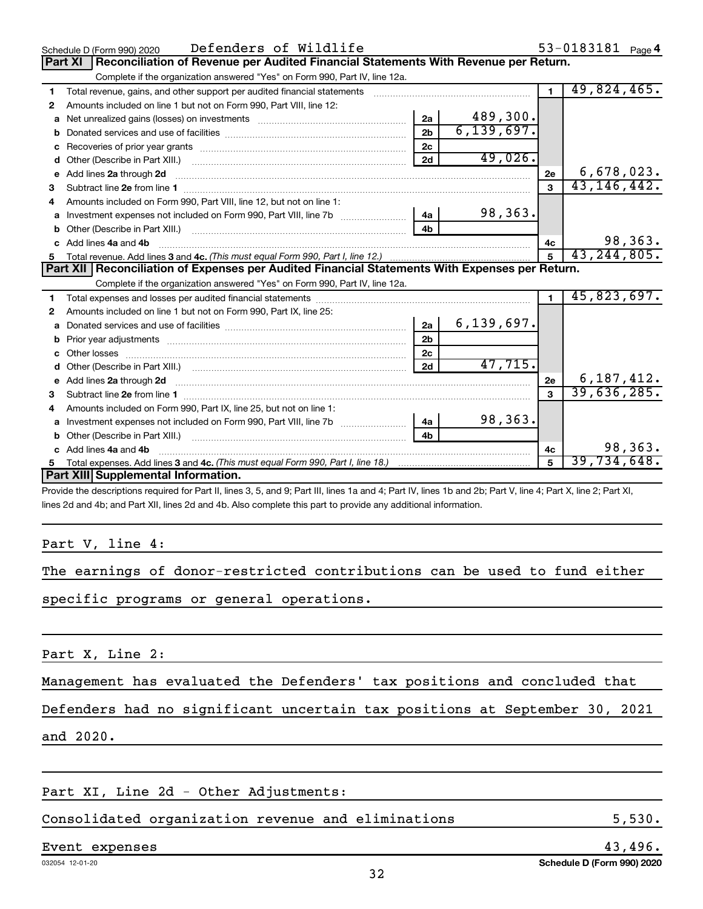|    | Defenders of Wildlife<br>Schedule D (Form 990) 2020                                                                                                                                                                                  |                |              |                | 53-0183181 $_{Page 4}$ |
|----|--------------------------------------------------------------------------------------------------------------------------------------------------------------------------------------------------------------------------------------|----------------|--------------|----------------|------------------------|
|    | Reconciliation of Revenue per Audited Financial Statements With Revenue per Return.<br>Part XI                                                                                                                                       |                |              |                |                        |
|    | Complete if the organization answered "Yes" on Form 990, Part IV, line 12a.                                                                                                                                                          |                |              |                |                        |
| 1  | Total revenue, gains, and other support per audited financial statements                                                                                                                                                             |                |              | $\blacksquare$ | 49,824,465.            |
| 2  | Amounts included on line 1 but not on Form 990, Part VIII, line 12:                                                                                                                                                                  |                |              |                |                        |
| a  | Net unrealized gains (losses) on investments [111] Met unrealized gains (losses) on investments [11] Metamanic                                                                                                                       | 2a             | 489,300.     |                |                        |
|    |                                                                                                                                                                                                                                      | 2 <sub>b</sub> | 6, 139, 697. |                |                        |
| c  |                                                                                                                                                                                                                                      | 2 <sub>c</sub> |              |                |                        |
| d  |                                                                                                                                                                                                                                      | 2d             | 49,026.      |                |                        |
| е  | Add lines 2a through 2d <b>Martin Martin Martin Martin Martin Martin Martin Martin Martin Martin Martin Martin Martin Martin Martin Martin Martin Martin Martin Martin Martin Martin Martin Martin Martin Martin Martin Martin M</b> |                |              | 2e             | 6,678,023.             |
| 3  |                                                                                                                                                                                                                                      |                |              | $\mathbf{a}$   | 43, 146, 442.          |
|    | Amounts included on Form 990, Part VIII, line 12, but not on line 1:                                                                                                                                                                 |                |              |                |                        |
|    | Investment expenses not included on Form 990, Part VIII, line 7b [100] [100] [100] [100] [100] [100] [100] [10                                                                                                                       | 4a             | 98,363.      |                |                        |
| b  |                                                                                                                                                                                                                                      | 4 <sub>h</sub> |              |                |                        |
| C. | Add lines 4a and 4b                                                                                                                                                                                                                  |                |              | 4c             | 98,363.                |
| 5  |                                                                                                                                                                                                                                      |                |              | $\mathbf{5}$   | 43, 244, 805.          |
|    |                                                                                                                                                                                                                                      |                |              |                |                        |
|    | Part XII   Reconciliation of Expenses per Audited Financial Statements With Expenses per Return.                                                                                                                                     |                |              |                |                        |
|    | Complete if the organization answered "Yes" on Form 990, Part IV, line 12a.                                                                                                                                                          |                |              |                |                        |
| 1  |                                                                                                                                                                                                                                      |                |              | $\blacksquare$ | 45,823,697.            |
| 2  | Amounts included on line 1 but not on Form 990, Part IX, line 25:                                                                                                                                                                    |                |              |                |                        |
| a  |                                                                                                                                                                                                                                      | 2a             | 6,139,697.   |                |                        |
| b  |                                                                                                                                                                                                                                      | 2 <sub>b</sub> |              |                |                        |
|    |                                                                                                                                                                                                                                      | 2c             |              |                |                        |
|    |                                                                                                                                                                                                                                      | 2d             | 47,715.      |                |                        |
| е  | Add lines 2a through 2d <b>contained a contained a contained a contained a</b> contained a contained a contained a contained a contact a contact a contact a contact a contact a contact a contact a contact a contact a contact a   |                |              | 2e             | 6, 187, 412.           |
| 3  |                                                                                                                                                                                                                                      |                |              |                | 39,636,285.            |
| 4  | Amounts included on Form 990, Part IX, line 25, but not on line 1:                                                                                                                                                                   |                |              |                |                        |
| a  |                                                                                                                                                                                                                                      | 4a             | 98,363.      |                |                        |
| b  |                                                                                                                                                                                                                                      | 4 <sub>h</sub> |              |                |                        |
|    | Add lines 4a and 4b                                                                                                                                                                                                                  |                |              | 4с             | 98,363.                |
| 5. | Part XIII Supplemental Information.                                                                                                                                                                                                  |                |              | 5              | 39,734,648.            |

Provide the descriptions required for Part II, lines 3, 5, and 9; Part III, lines 1a and 4; Part IV, lines 1b and 2b; Part V, line 4; Part X, line 2; Part XI, lines 2d and 4b; and Part XII, lines 2d and 4b. Also complete this part to provide any additional information.

# Part V, line 4:

|  |  |  |  | The earnings of donor-restricted contributions can be used to fund either |  |  |  |  |  |  |  |  |
|--|--|--|--|---------------------------------------------------------------------------|--|--|--|--|--|--|--|--|
|--|--|--|--|---------------------------------------------------------------------------|--|--|--|--|--|--|--|--|

specific programs or general operations.

# Part X, Line 2:

| Management has evaluated the Defenders' tax positions and concluded that |  |  |
|--------------------------------------------------------------------------|--|--|
|--------------------------------------------------------------------------|--|--|

Defenders had no significant uncertain tax positions at September 30, 2021

and 2020.

# Part XI, Line 2d - Other Adjustments:

# Consolidated organization revenue and eliminations 6,530.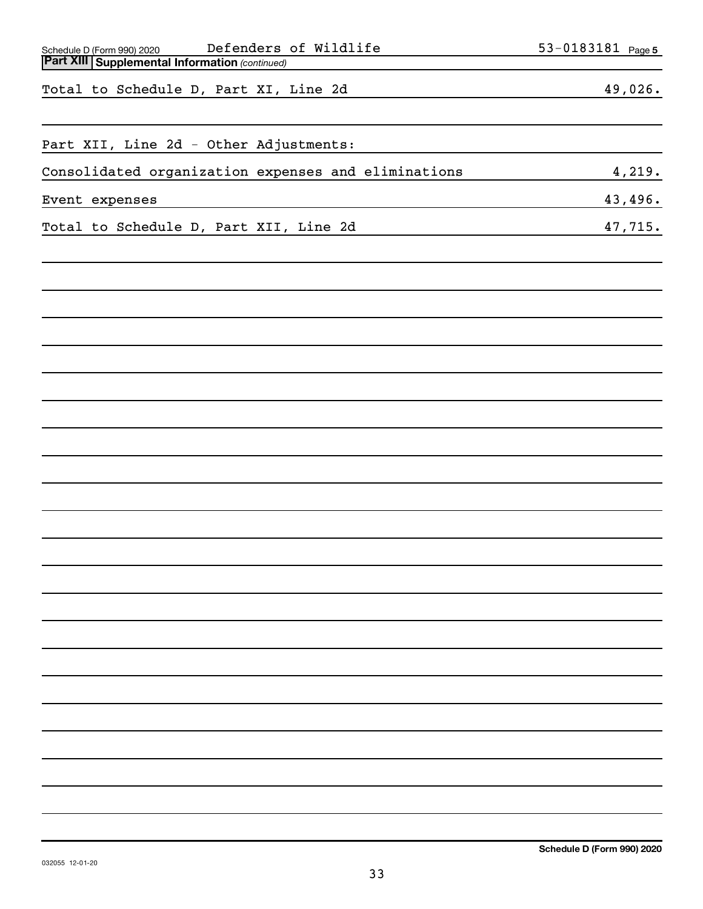| Schedule D (Form 990) 2020 Defenders of Wildlife                                                         | 53-0183181 Page 5 |
|----------------------------------------------------------------------------------------------------------|-------------------|
| <b>Part XIII Supplemental Information (continued)</b>                                                    |                   |
| Total to Schedule D, Part XI, Line 2d<br>the control of the control of the control of the control of the | 49,026.           |
|                                                                                                          |                   |
| Part XII, Line 2d - Other Adjustments:                                                                   |                   |
| Consolidated organization expenses and eliminations                                                      | 4,219.            |
| Event expenses                                                                                           | 43,496.           |
| Total to Schedule D, Part XII, Line 2d                                                                   | 47,715.           |
|                                                                                                          |                   |
|                                                                                                          |                   |
|                                                                                                          |                   |
|                                                                                                          |                   |
|                                                                                                          |                   |
|                                                                                                          |                   |
|                                                                                                          |                   |
|                                                                                                          |                   |
|                                                                                                          |                   |
|                                                                                                          |                   |
|                                                                                                          |                   |
|                                                                                                          |                   |
|                                                                                                          |                   |
|                                                                                                          |                   |
|                                                                                                          |                   |
|                                                                                                          |                   |
|                                                                                                          |                   |
|                                                                                                          |                   |
|                                                                                                          |                   |
|                                                                                                          |                   |
|                                                                                                          |                   |
|                                                                                                          |                   |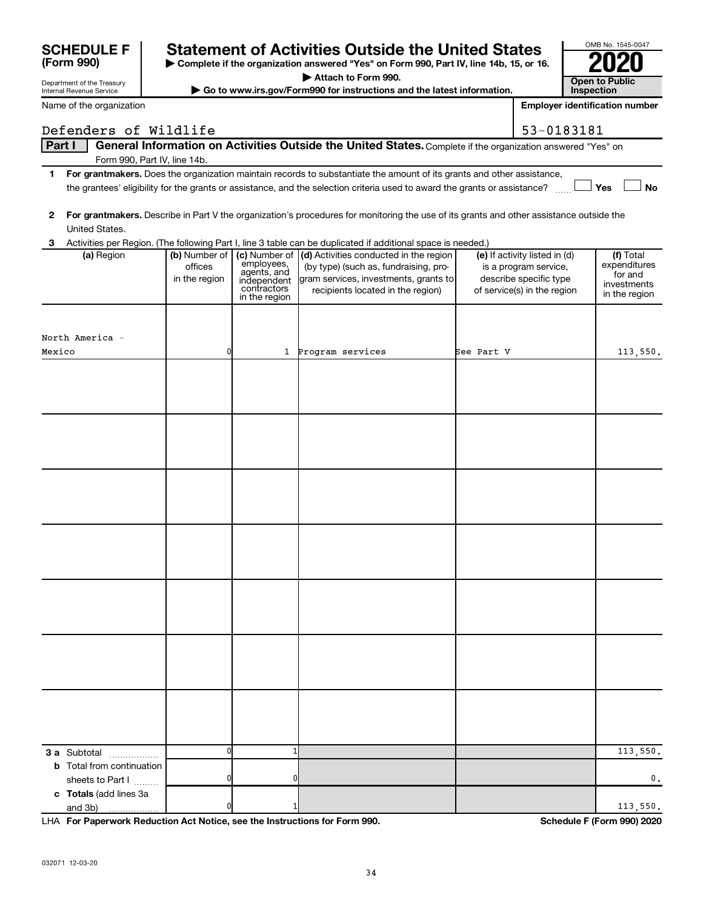|        | Defenders of Wildlife            |               |                                          |                                                                                                                                         |            | 53-0183181                    |                        |
|--------|----------------------------------|---------------|------------------------------------------|-----------------------------------------------------------------------------------------------------------------------------------------|------------|-------------------------------|------------------------|
|        | Part I                           |               |                                          | General Information on Activities Outside the United States. Complete if the organization answered "Yes" on                             |            |                               |                        |
|        | Form 990, Part IV, line 14b.     |               |                                          |                                                                                                                                         |            |                               |                        |
| 1.     |                                  |               |                                          | For grantmakers. Does the organization maintain records to substantiate the amount of its grants and other assistance,                  |            |                               |                        |
|        |                                  |               |                                          | the grantees' eligibility for the grants or assistance, and the selection criteria used to award the grants or assistance?              |            |                               | Yes<br><b>No</b>       |
|        |                                  |               |                                          |                                                                                                                                         |            |                               |                        |
| 2      |                                  |               |                                          | For grantmakers. Describe in Part V the organization's procedures for monitoring the use of its grants and other assistance outside the |            |                               |                        |
|        | United States.                   |               |                                          |                                                                                                                                         |            |                               |                        |
| 3      |                                  |               |                                          | Activities per Region. (The following Part I, line 3 table can be duplicated if additional space is needed.)                            |            |                               |                        |
|        | (a) Region                       |               |                                          | (b) Number of $\vert$ (c) Number of $\vert$ (d) Activities conducted in the region                                                      |            | (e) If activity listed in (d) | (f) Total              |
|        |                                  | offices       | employees,<br>agents, and<br>independent | (by type) (such as, fundraising, pro-                                                                                                   |            | is a program service,         | expenditures           |
|        |                                  | in the region |                                          | gram services, investments, grants to                                                                                                   |            | describe specific type        | for and<br>investments |
|        |                                  |               | contractors<br>in the region             | recipients located in the region)                                                                                                       |            | of service(s) in the region   | in the region          |
|        |                                  |               |                                          |                                                                                                                                         |            |                               |                        |
|        |                                  |               |                                          |                                                                                                                                         |            |                               |                        |
|        |                                  |               |                                          |                                                                                                                                         |            |                               |                        |
|        | North America -                  |               |                                          |                                                                                                                                         |            |                               |                        |
| Mexico |                                  | 0             |                                          | 1 Program services                                                                                                                      | See Part V |                               | 113,550.               |
|        |                                  |               |                                          |                                                                                                                                         |            |                               |                        |
|        |                                  |               |                                          |                                                                                                                                         |            |                               |                        |
|        |                                  |               |                                          |                                                                                                                                         |            |                               |                        |
|        |                                  |               |                                          |                                                                                                                                         |            |                               |                        |
|        |                                  |               |                                          |                                                                                                                                         |            |                               |                        |
|        |                                  |               |                                          |                                                                                                                                         |            |                               |                        |
|        |                                  |               |                                          |                                                                                                                                         |            |                               |                        |
|        |                                  |               |                                          |                                                                                                                                         |            |                               |                        |
|        |                                  |               |                                          |                                                                                                                                         |            |                               |                        |
|        |                                  |               |                                          |                                                                                                                                         |            |                               |                        |
|        |                                  |               |                                          |                                                                                                                                         |            |                               |                        |
|        |                                  |               |                                          |                                                                                                                                         |            |                               |                        |
|        |                                  |               |                                          |                                                                                                                                         |            |                               |                        |
|        |                                  |               |                                          |                                                                                                                                         |            |                               |                        |
|        |                                  |               |                                          |                                                                                                                                         |            |                               |                        |
|        |                                  |               |                                          |                                                                                                                                         |            |                               |                        |
|        |                                  |               |                                          |                                                                                                                                         |            |                               |                        |
|        |                                  |               |                                          |                                                                                                                                         |            |                               |                        |
|        |                                  |               |                                          |                                                                                                                                         |            |                               |                        |
|        |                                  |               |                                          |                                                                                                                                         |            |                               |                        |
|        |                                  |               |                                          |                                                                                                                                         |            |                               |                        |
|        |                                  |               |                                          |                                                                                                                                         |            |                               |                        |
|        |                                  |               |                                          |                                                                                                                                         |            |                               |                        |
|        |                                  |               |                                          |                                                                                                                                         |            |                               |                        |
|        |                                  |               |                                          |                                                                                                                                         |            |                               |                        |
|        |                                  |               |                                          |                                                                                                                                         |            |                               |                        |
|        |                                  |               |                                          |                                                                                                                                         |            |                               |                        |
|        |                                  |               |                                          |                                                                                                                                         |            |                               |                        |
|        |                                  |               |                                          |                                                                                                                                         |            |                               |                        |
|        | <b>3 a</b> Subtotal              | $\Omega$      | 1                                        |                                                                                                                                         |            |                               | 113,550.               |
|        | <b>b</b> Total from continuation |               |                                          |                                                                                                                                         |            |                               |                        |
|        | sheets to Part I                 | n             |                                          |                                                                                                                                         |            |                               | 0.                     |
|        | c Totals (add lines 3a           |               |                                          |                                                                                                                                         |            |                               |                        |
|        |                                  | 0             |                                          |                                                                                                                                         |            |                               | 113,550.               |
|        | and 3b)<br>.                     |               |                                          |                                                                                                                                         |            |                               |                        |

**Statement of Activities Outside the United States** 

**| Complete if the organization answered "Yes" on Form 990, Part IV, line 14b, 15, or 16. | Attach to Form 990.**

**| Go to www.irs.gov/Form990 for instructions and the latest information. Open to Public** 

OMB No. 1545-0047 **Inspection**

**Employer identification number**

032071 12-03-20

Department of the Treasury Internal Revenue Service

**(Form 990)**

Name of the organization

**For Paperwork Reduction Act Notice, see the Instructions for Form 990. Schedule F (Form 990) 2020** LHA

| $i141$ ifa |  |  |
|------------|--|--|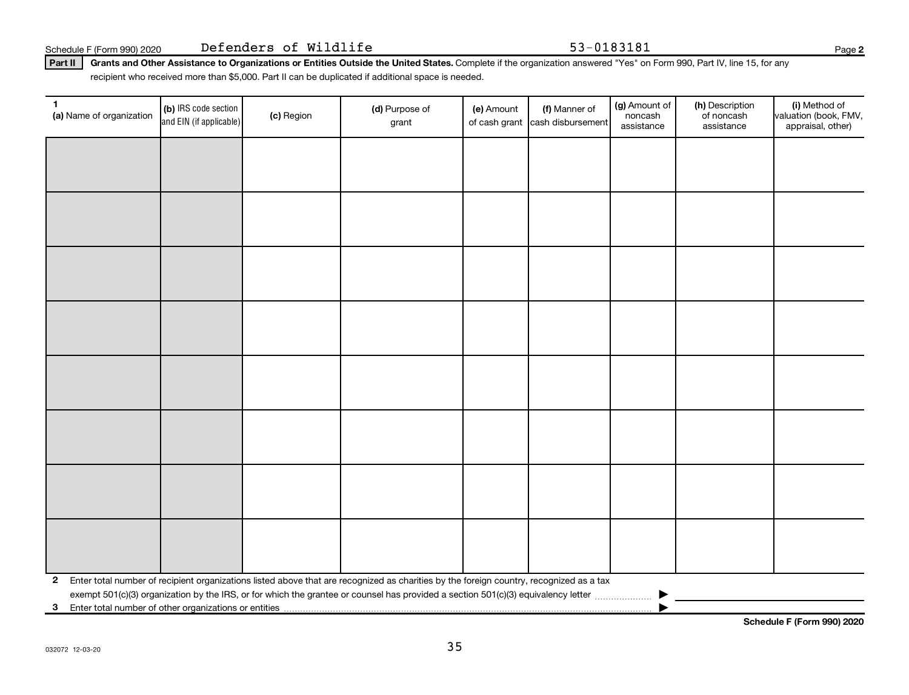**2**

Part II | Grants and Other Assistance to Organizations or Entities Outside the United States. Complete if the organization answered "Yes" on Form 990, Part IV, line 15, for any recipient who received more than \$5,000. Part II can be duplicated if additional space is needed.

| 1<br>(a) Name of organization                              | (b) IRS code section<br>and EIN (if applicable) | (c) Region | (d) Purpose of<br>grant                                                                                                                 | (e) Amount<br>of cash grant | (f) Manner of<br>cash disbursement | (g) Amount of<br>noncash<br>assistance | (h) Description<br>of noncash<br>assistance | (i) Method of<br>valuation (book, FMV,<br>appraisal, other) |
|------------------------------------------------------------|-------------------------------------------------|------------|-----------------------------------------------------------------------------------------------------------------------------------------|-----------------------------|------------------------------------|----------------------------------------|---------------------------------------------|-------------------------------------------------------------|
|                                                            |                                                 |            |                                                                                                                                         |                             |                                    |                                        |                                             |                                                             |
|                                                            |                                                 |            |                                                                                                                                         |                             |                                    |                                        |                                             |                                                             |
|                                                            |                                                 |            |                                                                                                                                         |                             |                                    |                                        |                                             |                                                             |
|                                                            |                                                 |            |                                                                                                                                         |                             |                                    |                                        |                                             |                                                             |
|                                                            |                                                 |            |                                                                                                                                         |                             |                                    |                                        |                                             |                                                             |
|                                                            |                                                 |            |                                                                                                                                         |                             |                                    |                                        |                                             |                                                             |
|                                                            |                                                 |            |                                                                                                                                         |                             |                                    |                                        |                                             |                                                             |
|                                                            |                                                 |            |                                                                                                                                         |                             |                                    |                                        |                                             |                                                             |
|                                                            |                                                 |            |                                                                                                                                         |                             |                                    |                                        |                                             |                                                             |
|                                                            |                                                 |            |                                                                                                                                         |                             |                                    |                                        |                                             |                                                             |
|                                                            |                                                 |            |                                                                                                                                         |                             |                                    |                                        |                                             |                                                             |
|                                                            |                                                 |            |                                                                                                                                         |                             |                                    |                                        |                                             |                                                             |
|                                                            |                                                 |            |                                                                                                                                         |                             |                                    |                                        |                                             |                                                             |
|                                                            |                                                 |            |                                                                                                                                         |                             |                                    |                                        |                                             |                                                             |
|                                                            |                                                 |            |                                                                                                                                         |                             |                                    |                                        |                                             |                                                             |
|                                                            |                                                 |            |                                                                                                                                         |                             |                                    |                                        |                                             |                                                             |
| $\mathbf{2}$                                               |                                                 |            | Enter total number of recipient organizations listed above that are recognized as charities by the foreign country, recognized as a tax |                             |                                    |                                        |                                             |                                                             |
| Enter total number of other organizations or entities<br>3 |                                                 |            |                                                                                                                                         |                             |                                    |                                        |                                             |                                                             |

**Schedule F (Form 990) 2020**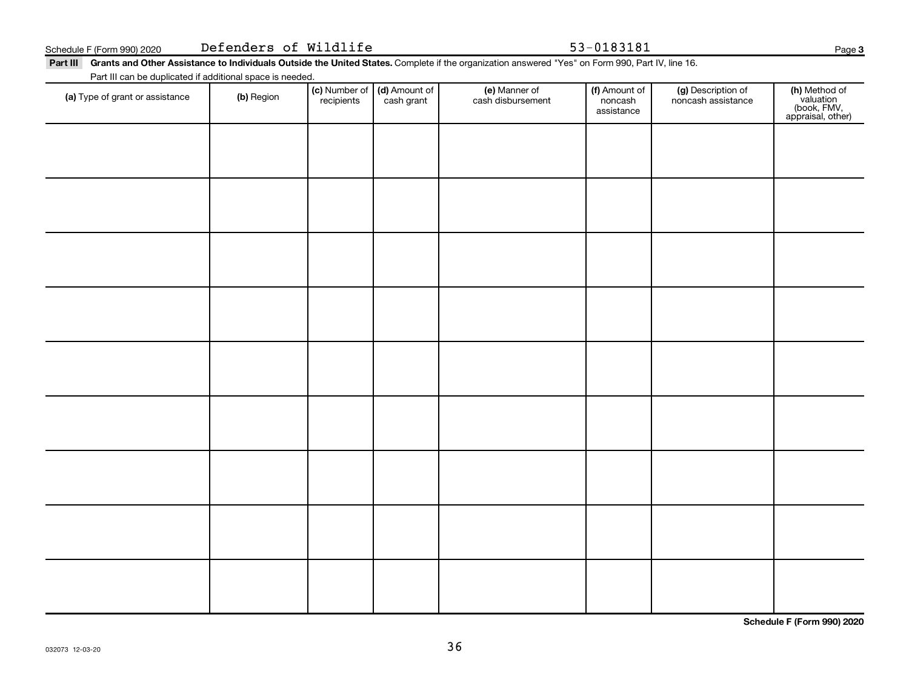| (a) Type of grant or assistance | (b) Region | <b>(c)</b> Number of <b>(d)</b> Amount of recipients cash grant | <b>(e)</b> Manner of<br>cash disbursement | (f) Amount of<br>noncash<br>assistance | (g) Description of<br>noncash assistance | (h) Method of<br>valuation<br>(book, FMV,<br>appraisal, other) |
|---------------------------------|------------|-----------------------------------------------------------------|-------------------------------------------|----------------------------------------|------------------------------------------|----------------------------------------------------------------|
|                                 |            |                                                                 |                                           |                                        |                                          |                                                                |
|                                 |            |                                                                 |                                           |                                        |                                          |                                                                |
|                                 |            |                                                                 |                                           |                                        |                                          |                                                                |
|                                 |            |                                                                 |                                           |                                        |                                          |                                                                |
|                                 |            |                                                                 |                                           |                                        |                                          |                                                                |
|                                 |            |                                                                 |                                           |                                        |                                          |                                                                |
|                                 |            |                                                                 |                                           |                                        |                                          |                                                                |
|                                 |            |                                                                 |                                           |                                        |                                          |                                                                |
|                                 |            |                                                                 |                                           |                                        |                                          |                                                                |
|                                 |            |                                                                 |                                           |                                        |                                          |                                                                |

(e) Manner of

**Schedule F (Form 990) 2020**

| Defenders of Wildlife |  |  |  |  |
|-----------------------|--|--|--|--|
|-----------------------|--|--|--|--|

Part III can be duplicated if additional space is needed.

Defenders of Wildlife 53-0183181

(f) Amount of

(g) Description of

Page 3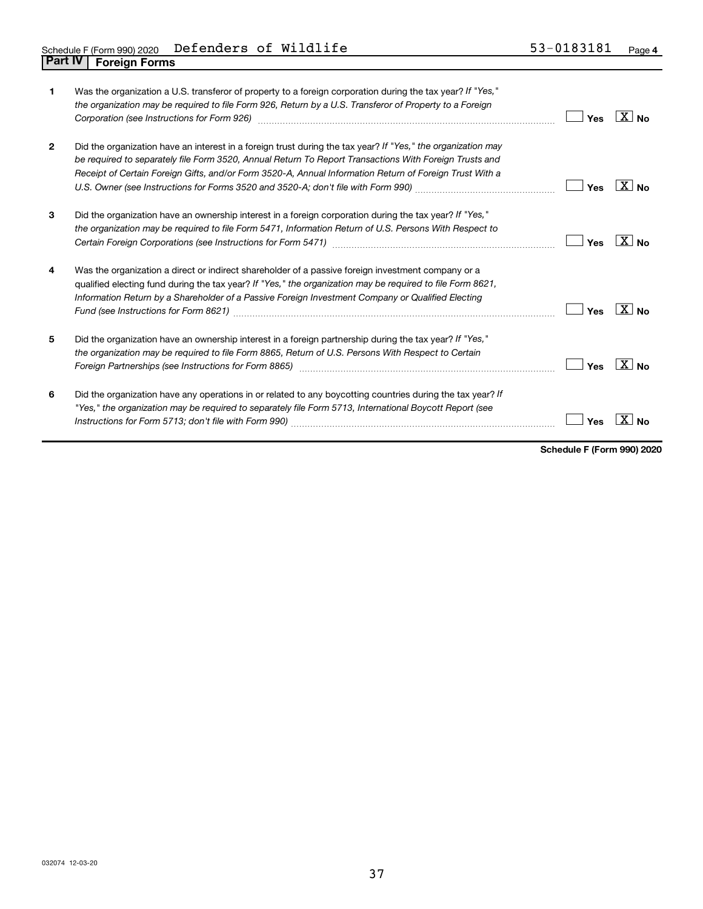### Schedule F (Form 990) 2020 Detenders of Wildlife research and the state of Page of Page of Page of Page of Page **Part IV Foreign Forms** Defenders of Wildlife 53-0183181

| 1            | Was the organization a U.S. transferor of property to a foreign corporation during the tax year? If "Yes,"<br>the organization may be required to file Form 926, Return by a U.S. Transferor of Property to a Foreign<br>Corporation (see Instructions for Form 926) manufactured controller controller to the control of the control of | Yes | $X_{\text{No}}$       |
|--------------|------------------------------------------------------------------------------------------------------------------------------------------------------------------------------------------------------------------------------------------------------------------------------------------------------------------------------------------|-----|-----------------------|
| $\mathbf{2}$ | Did the organization have an interest in a foreign trust during the tax year? If "Yes," the organization may<br>be required to separately file Form 3520, Annual Return To Report Transactions With Foreign Trusts and<br>Receipt of Certain Foreign Gifts, and/or Form 3520-A, Annual Information Return of Foreign Trust With a        | Yes | $ X $ No              |
| 3            | Did the organization have an ownership interest in a foreign corporation during the tax year? If "Yes,"<br>the organization may be required to file Form 5471, Information Return of U.S. Persons With Respect to                                                                                                                        | Yes | ∣X∣ <sub>No</sub>     |
| 4            | Was the organization a direct or indirect shareholder of a passive foreign investment company or a<br>qualified electing fund during the tax year? If "Yes," the organization may be required to file Form 8621,<br>Information Return by a Shareholder of a Passive Foreign Investment Company or Qualified Electing                    | Yes | $X_{\text{No}}$       |
| 5            | Did the organization have an ownership interest in a foreign partnership during the tax year? If "Yes,"<br>the organization may be required to file Form 8865, Return of U.S. Persons With Respect to Certain                                                                                                                            | Yes | $\boxed{\text{X}}$ No |
| 6            | Did the organization have any operations in or related to any boycotting countries during the tax year? If<br>"Yes," the organization may be required to separately file Form 5713, International Boycott Report (see                                                                                                                    | Yes |                       |

**Schedule F (Form 990) 2020**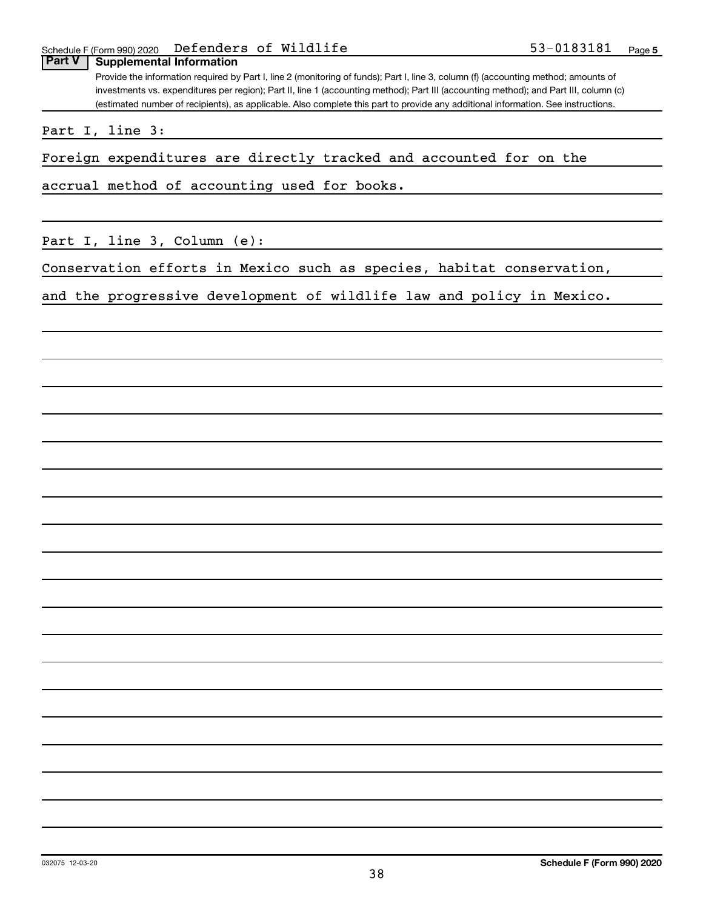### **Part V Supplemental Information**

Provide the information required by Part I, line 2 (monitoring of funds); Part I, line 3, column (f) (accounting method; amounts of investments vs. expenditures per region); Part II, line 1 (accounting method); Part III (accounting method); and Part III, column (c) (estimated number of recipients), as applicable. Also complete this part to provide any additional information. See instructions.

Part I, line 3:

Foreign expenditures are directly tracked and accounted for on the

accrual method of accounting used for books.

Part I, line 3, Column (e):

Conservation efforts in Mexico such as species, habitat conservation,

and the progressive development of wildlife law and policy in Mexico.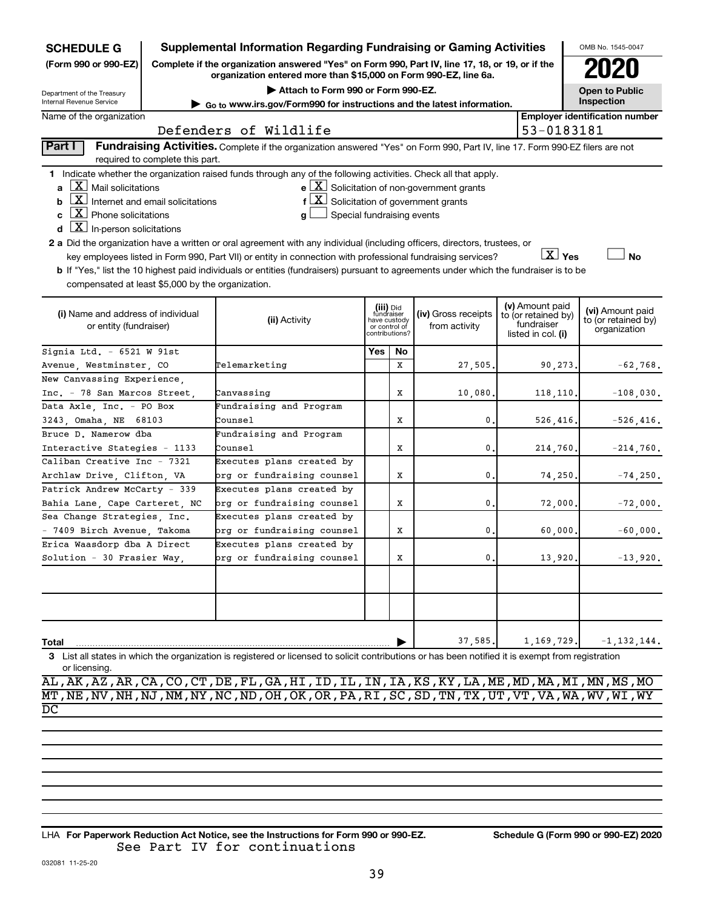| <b>SCHEDULE G</b>                                 |                                                                                                                                                                     | <b>Supplemental Information Regarding Fundraising or Gaming Activities</b>                                                                         |                               |                                                       |                                        | OMB No. 1545-0047                   |
|---------------------------------------------------|---------------------------------------------------------------------------------------------------------------------------------------------------------------------|----------------------------------------------------------------------------------------------------------------------------------------------------|-------------------------------|-------------------------------------------------------|----------------------------------------|-------------------------------------|
| (Form 990 or 990-EZ)                              | Complete if the organization answered "Yes" on Form 990, Part IV, line 17, 18, or 19, or if the<br>organization entered more than \$15,000 on Form 990-EZ, line 6a. |                                                                                                                                                    |                               |                                                       |                                        |                                     |
| Department of the Treasury                        |                                                                                                                                                                     | Attach to Form 990 or Form 990-EZ.                                                                                                                 |                               |                                                       |                                        | <b>Open to Public</b>               |
| Internal Revenue Service                          | Inspection                                                                                                                                                          |                                                                                                                                                    |                               |                                                       |                                        |                                     |
| Name of the organization                          |                                                                                                                                                                     | <b>Employer identification number</b>                                                                                                              |                               |                                                       |                                        |                                     |
|                                                   |                                                                                                                                                                     | Defenders of Wildlife                                                                                                                              |                               |                                                       | 53-0183181                             |                                     |
| Part I                                            | required to complete this part.                                                                                                                                     | Fundraising Activities. Complete if the organization answered "Yes" on Form 990, Part IV, line 17. Form 990-EZ filers are not                      |                               |                                                       |                                        |                                     |
| 1.                                                |                                                                                                                                                                     | Indicate whether the organization raised funds through any of the following activities. Check all that apply.                                      |                               |                                                       |                                        |                                     |
| $X$ Mail solicitations<br>a                       |                                                                                                                                                                     |                                                                                                                                                    |                               | $e$ $\boxed{X}$ Solicitation of non-government grants |                                        |                                     |
| b                                                 | $\boxed{\text{X}}$ Internet and email solicitations                                                                                                                 | f                                                                                                                                                  |                               | $X$ Solicitation of government grants                 |                                        |                                     |
| $\overline{X}$ Phone solicitations<br>C           |                                                                                                                                                                     | g                                                                                                                                                  | Special fundraising events    |                                                       |                                        |                                     |
| $\underline{X}$ In-person solicitations<br>d      |                                                                                                                                                                     |                                                                                                                                                    |                               |                                                       |                                        |                                     |
|                                                   |                                                                                                                                                                     | 2 a Did the organization have a written or oral agreement with any individual (including officers, directors, trustees, or                         |                               |                                                       |                                        |                                     |
|                                                   |                                                                                                                                                                     | key employees listed in Form 990, Part VII) or entity in connection with professional fundraising services?                                        |                               |                                                       | $\lfloor x \rfloor$ Yes                | <b>No</b>                           |
|                                                   |                                                                                                                                                                     | b If "Yes," list the 10 highest paid individuals or entities (fundraisers) pursuant to agreements under which the fundraiser is to be              |                               |                                                       |                                        |                                     |
| compensated at least \$5,000 by the organization. |                                                                                                                                                                     |                                                                                                                                                    |                               |                                                       |                                        |                                     |
|                                                   |                                                                                                                                                                     |                                                                                                                                                    |                               |                                                       |                                        |                                     |
| (i) Name and address of individual                |                                                                                                                                                                     |                                                                                                                                                    | (iii) Did<br>fundraiser       | (iv) Gross receipts                                   | (v) Amount paid<br>to (or retained by) | (vi) Amount paid                    |
| or entity (fundraiser)                            |                                                                                                                                                                     | (ii) Activity                                                                                                                                      | have custody<br>or control of | from activity                                         | fundraiser                             | to (or retained by)<br>organization |
|                                                   |                                                                                                                                                                     |                                                                                                                                                    | contributions?                |                                                       | listed in col. (i)                     |                                     |
| Signia Ltd. $-$ 6521 W 91st                       |                                                                                                                                                                     |                                                                                                                                                    | Yes<br>No                     |                                                       |                                        |                                     |
| Avenue, Westminster, CO                           |                                                                                                                                                                     | Telemarketing                                                                                                                                      | x                             | 27,505.                                               | 90,273.                                | $-62,768.$                          |
| New Canvassing Experience,                        |                                                                                                                                                                     |                                                                                                                                                    |                               |                                                       |                                        |                                     |
| Inc. - 78 San Marcos Street,                      |                                                                                                                                                                     | Canvassing                                                                                                                                         | x                             | 10,080.                                               | 118,110.                               | $-108,030.$                         |
| Data Axle, Inc. - PO Box                          |                                                                                                                                                                     | Fundraising and Program                                                                                                                            |                               |                                                       |                                        |                                     |
| 3243, Omaha, NE 68103                             |                                                                                                                                                                     | Counsel                                                                                                                                            | x                             | $\mathbf{0}$                                          | 526,416.                               | $-526, 416.$                        |
| Bruce D. Namerow dba                              |                                                                                                                                                                     | Fundraising and Program                                                                                                                            |                               |                                                       |                                        |                                     |
| Interactive Stategies - 1133                      |                                                                                                                                                                     | Counsel                                                                                                                                            | х                             | 0.                                                    | 214,760.                               | $-214,760.$                         |
| Caliban Creative Inc - 7321                       |                                                                                                                                                                     | Executes plans created by                                                                                                                          |                               |                                                       |                                        |                                     |
| Archlaw Drive, Clifton, VA                        |                                                                                                                                                                     | org or fundraising counsel                                                                                                                         | x                             | $\mathbf{0}$ .                                        | 74,250,                                | $-74, 250.$                         |
| Patrick Andrew McCarty - 339                      |                                                                                                                                                                     | Executes plans created by                                                                                                                          |                               |                                                       |                                        |                                     |
| Bahia Lane, Cape Carteret, NC                     |                                                                                                                                                                     | org or fundraising counsel                                                                                                                         | x                             | $\mathbf{0}$ .                                        | 72,000.                                | $-72,000.$                          |
| Sea Change Strategies, Inc.                       |                                                                                                                                                                     | Executes plans created by                                                                                                                          |                               |                                                       |                                        |                                     |
| - 7409 Birch Avenue, Takoma                       |                                                                                                                                                                     | org or fundraising counsel                                                                                                                         | x                             | 0.                                                    | 60,000,                                | $-60,000.$                          |
| Erica Waasdorp dba A Direct                       |                                                                                                                                                                     | Executes plans created by                                                                                                                          |                               |                                                       |                                        |                                     |
| Solution - 30 Frasier Way,                        |                                                                                                                                                                     | org or fundraising counsel                                                                                                                         | x                             | 0.                                                    | 13,920                                 | $-13,920.$                          |
|                                                   |                                                                                                                                                                     |                                                                                                                                                    |                               |                                                       |                                        |                                     |
|                                                   |                                                                                                                                                                     |                                                                                                                                                    |                               |                                                       |                                        |                                     |
|                                                   |                                                                                                                                                                     |                                                                                                                                                    |                               |                                                       |                                        |                                     |
|                                                   |                                                                                                                                                                     |                                                                                                                                                    |                               |                                                       |                                        |                                     |
|                                                   |                                                                                                                                                                     |                                                                                                                                                    |                               |                                                       |                                        |                                     |
| Total                                             |                                                                                                                                                                     |                                                                                                                                                    |                               | 37,585.                                               | 1,169,729.                             | $-1, 132, 144.$                     |
|                                                   |                                                                                                                                                                     | 3 List all states in which the organization is registered or licensed to solicit contributions or has been notified it is exempt from registration |                               |                                                       |                                        |                                     |
| or licensing.                                     |                                                                                                                                                                     |                                                                                                                                                    |                               |                                                       |                                        |                                     |

AL,AK,AZ,AR,CA,CO,CT,DE,FL,GA,HI,ID,IL,IN,IA,KS,KY,LA,ME,MD,MA,MI,MN,MS,MO MT,NE,NV,NH,NJ,NM,NY,NC,ND,OH,OK,OR,PA,RI,SC,SD,TN,TX,UT,VT,VA,WA,WV,WI,WY DC

### **For Paperwork Reduction Act Notice, see the Instructions for Form 990 or 990-EZ. Schedule G (Form 990 or 990-EZ) 2020** LHA See Part IV for continuations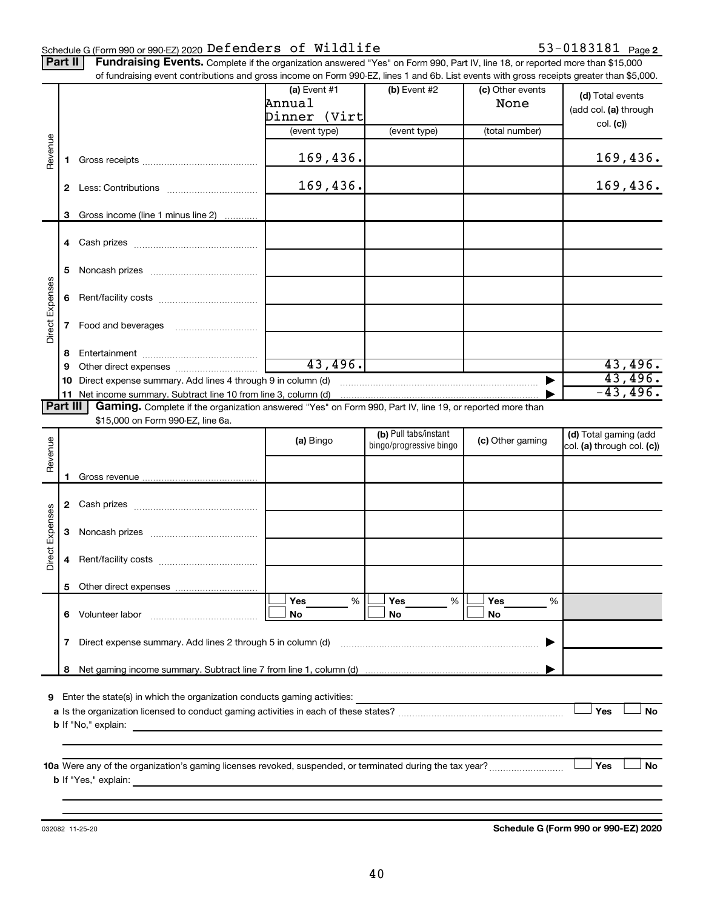# Schedule G (Form 990 or 990-EZ) 2020  $\mathsf{Defenders}\>$  of  $\mathsf{Willdlife}$   $\qquad \qquad \qquad$  53–0183181  $_{\mathsf{Page}}$

Part II | Fundraising Events. Complete if the organization answered "Yes" on Form 990, Part IV, line 18, or reported more than \$15,000

|                 |              | of fundraising event contributions and gross income on Form 990-EZ, lines 1 and 6b. List events with gross receipts greater than \$5,000.           |                 |                         |                  |                            |
|-----------------|--------------|-----------------------------------------------------------------------------------------------------------------------------------------------------|-----------------|-------------------------|------------------|----------------------------|
|                 |              |                                                                                                                                                     | $(a)$ Event #1  | (b) Event #2            | (c) Other events |                            |
|                 |              |                                                                                                                                                     | Annual          |                         | None             | (d) Total events           |
|                 |              |                                                                                                                                                     | Dinner<br>(Virt |                         |                  | (add col. (a) through      |
|                 |              |                                                                                                                                                     |                 |                         |                  | col. (c)                   |
|                 |              |                                                                                                                                                     | (event type)    | (event type)            | (total number)   |                            |
| Revenue         |              |                                                                                                                                                     |                 |                         |                  |                            |
|                 | 1.           |                                                                                                                                                     | 169,436.        |                         |                  | <u>169,436.</u>            |
|                 |              |                                                                                                                                                     |                 |                         |                  |                            |
|                 |              |                                                                                                                                                     |                 |                         |                  |                            |
|                 | $\mathbf{2}$ |                                                                                                                                                     | 169,436.        |                         |                  | 169,436.                   |
|                 |              |                                                                                                                                                     |                 |                         |                  |                            |
|                 | 3            | Gross income (line 1 minus line 2)                                                                                                                  |                 |                         |                  |                            |
|                 |              |                                                                                                                                                     |                 |                         |                  |                            |
|                 | 4            |                                                                                                                                                     |                 |                         |                  |                            |
|                 |              |                                                                                                                                                     |                 |                         |                  |                            |
|                 |              |                                                                                                                                                     |                 |                         |                  |                            |
|                 | 5            |                                                                                                                                                     |                 |                         |                  |                            |
|                 |              |                                                                                                                                                     |                 |                         |                  |                            |
|                 | 6            |                                                                                                                                                     |                 |                         |                  |                            |
|                 |              |                                                                                                                                                     |                 |                         |                  |                            |
| Direct Expenses | 7            | Food and beverages                                                                                                                                  |                 |                         |                  |                            |
|                 |              |                                                                                                                                                     |                 |                         |                  |                            |
|                 |              |                                                                                                                                                     |                 |                         |                  |                            |
|                 | 8            |                                                                                                                                                     |                 |                         |                  |                            |
|                 | 9            |                                                                                                                                                     | 43,496.         |                         |                  | 43,496.                    |
|                 | 10           | Direct expense summary. Add lines 4 through 9 in column (d)                                                                                         |                 |                         |                  | 43,496.                    |
|                 |              |                                                                                                                                                     |                 |                         |                  | $-43,496.$                 |
| <b>Part III</b> |              | Gaming. Complete if the organization answered "Yes" on Form 990, Part IV, line 19, or reported more than                                            |                 |                         |                  |                            |
|                 |              | \$15,000 on Form 990-EZ, line 6a.                                                                                                                   |                 |                         |                  |                            |
|                 |              |                                                                                                                                                     |                 | (b) Pull tabs/instant   |                  |                            |
|                 |              |                                                                                                                                                     | (a) Bingo       | bingo/progressive bingo | (c) Other gaming | (d) Total gaming (add      |
|                 |              |                                                                                                                                                     |                 |                         |                  | col. (a) through col. (c)) |
| Revenue         |              |                                                                                                                                                     |                 |                         |                  |                            |
|                 | 1.           |                                                                                                                                                     |                 |                         |                  |                            |
|                 |              |                                                                                                                                                     |                 |                         |                  |                            |
|                 | $\mathbf{2}$ |                                                                                                                                                     |                 |                         |                  |                            |
|                 |              |                                                                                                                                                     |                 |                         |                  |                            |
|                 |              |                                                                                                                                                     |                 |                         |                  |                            |
|                 | 3            |                                                                                                                                                     |                 |                         |                  |                            |
| Direct Expenses |              |                                                                                                                                                     |                 |                         |                  |                            |
|                 | 4            |                                                                                                                                                     |                 |                         |                  |                            |
|                 |              |                                                                                                                                                     |                 |                         |                  |                            |
|                 |              | 5 Other direct expenses                                                                                                                             |                 |                         |                  |                            |
|                 |              |                                                                                                                                                     |                 |                         |                  |                            |
|                 |              |                                                                                                                                                     | %<br>Yes        | Yes<br>%                | Yes<br>%         |                            |
|                 |              | 6 Volunteer labor                                                                                                                                   | No              | No                      | No               |                            |
|                 |              |                                                                                                                                                     |                 |                         |                  |                            |
|                 | 7            | Direct expense summary. Add lines 2 through 5 in column (d)                                                                                         |                 |                         |                  |                            |
|                 |              |                                                                                                                                                     |                 |                         |                  |                            |
|                 | 8            |                                                                                                                                                     |                 |                         |                  |                            |
|                 |              |                                                                                                                                                     |                 |                         |                  |                            |
|                 |              |                                                                                                                                                     |                 |                         |                  |                            |
| 9               |              | Enter the state(s) in which the organization conducts gaming activities:                                                                            |                 |                         |                  |                            |
|                 |              |                                                                                                                                                     |                 |                         |                  | Yes<br>No                  |
|                 |              | <b>b</b> If "No," explain:<br><u> 1989 - Johann Stoff, deutscher Stoff, der Stoff, der Stoff, der Stoff, der Stoff, der Stoff, der Stoff, der S</u> |                 |                         |                  |                            |
|                 |              |                                                                                                                                                     |                 |                         |                  |                            |
|                 |              |                                                                                                                                                     |                 |                         |                  |                            |
|                 |              |                                                                                                                                                     |                 |                         |                  |                            |
|                 |              |                                                                                                                                                     |                 |                         |                  | Yes<br>No                  |
|                 |              |                                                                                                                                                     |                 |                         |                  |                            |
|                 |              |                                                                                                                                                     |                 |                         |                  |                            |
|                 |              |                                                                                                                                                     |                 |                         |                  |                            |

032082 11-25-20

**Schedule G (Form 990 or 990-EZ) 2020**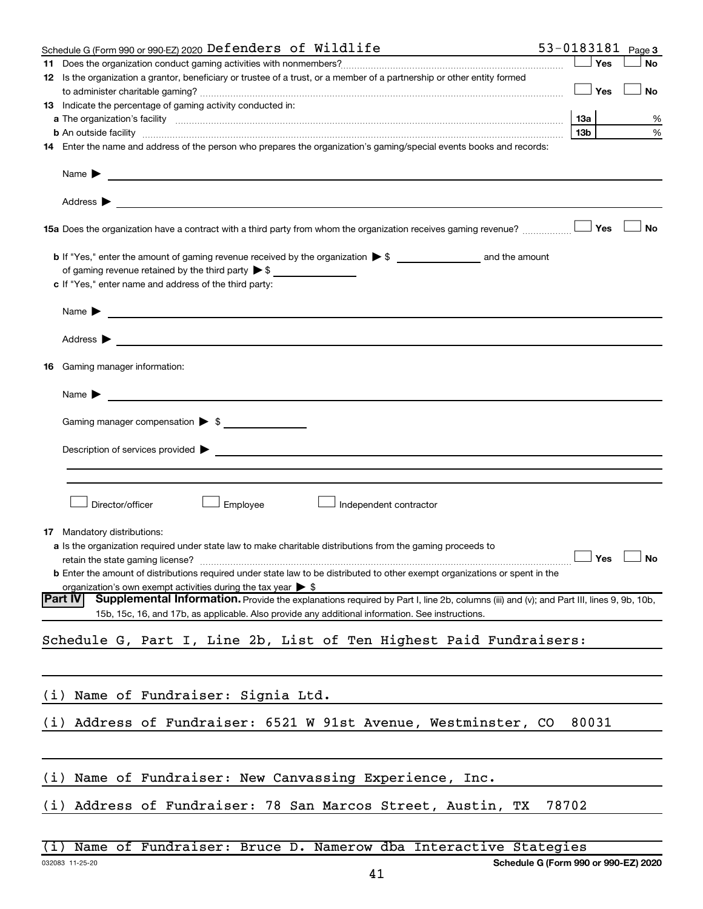| Yes<br>No<br>12 Is the organization a grantor, beneficiary or trustee of a trust, or a member of a partnership or other entity formed<br>Yes<br>No<br>13 Indicate the percentage of gaming activity conducted in:<br>13а<br>%<br>%<br>13 <sub>b</sub><br><b>b</b> An outside facility <i>www.communicality www.communicality.communicality www.communicality www.communicality.communicality www.communicality.com</i><br>14 Enter the name and address of the person who prepares the organization's gaming/special events books and records:<br>Name $\blacktriangleright$<br><u> 1989 - Johann Barn, mars ann an t-Amhainn an t-Amhainn an t-Amhainn an t-Amhainn an t-Amhainn an t-Amhainn an </u><br>Address $\blacktriangleright$<br><b>Yes</b><br>No<br>of gaming revenue retained by the third party $\triangleright$ \$<br>c If "Yes," enter name and address of the third party:<br>Name $\blacktriangleright$<br><u> 1989 - Johann John Stein, fransk politik (f. 1989)</u><br>Address $\blacktriangleright$<br><b>16</b> Gaming manager information:<br>Name $\blacktriangleright$<br><u> 1989 - Johann Barbara, martin amerikan basal dan berasal dalam basal dalam basal dalam basal dalam basal dala</u><br>Gaming manager compensation > \$<br>Director/officer<br>Employee<br>Independent contractor<br><b>17</b> Mandatory distributions:<br>a Is the organization required under state law to make charitable distributions from the gaming proceeds to<br>__ Yes __ No<br><b>b</b> Enter the amount of distributions required under state law to be distributed to other exempt organizations or spent in the<br>organization's own exempt activities during the tax year $\triangleright$ \$<br><b>Part IV</b><br>Supplemental Information. Provide the explanations required by Part I, line 2b, columns (iii) and (v); and Part III, lines 9, 9b, 10b,<br>15b, 15c, 16, and 17b, as applicable. Also provide any additional information. See instructions.<br>Schedule G, Part I, Line 2b, List of Ten Highest Paid Fundraisers:<br>Name of Fundraiser: Signia Ltd.<br>(i)<br>(i) Address of Fundraiser: 6521 W 91st Avenue, Westminster, CO<br>80031<br>Name of Fundraiser: New Canvassing Experience, Inc.<br>(i)<br>Address of Fundraiser: 78 San Marcos Street, Austin, TX<br>78702<br>(i)<br>Name of Fundraiser: Bruce D. Namerow dba Interactive Stategies<br>(i) | Schedule G (Form 990 or 990-EZ) 2020 Defenders of Wildlife<br><u> 1980 - Johann Barbara, martin a</u> | 53-0183181 Page 3 |  |
|------------------------------------------------------------------------------------------------------------------------------------------------------------------------------------------------------------------------------------------------------------------------------------------------------------------------------------------------------------------------------------------------------------------------------------------------------------------------------------------------------------------------------------------------------------------------------------------------------------------------------------------------------------------------------------------------------------------------------------------------------------------------------------------------------------------------------------------------------------------------------------------------------------------------------------------------------------------------------------------------------------------------------------------------------------------------------------------------------------------------------------------------------------------------------------------------------------------------------------------------------------------------------------------------------------------------------------------------------------------------------------------------------------------------------------------------------------------------------------------------------------------------------------------------------------------------------------------------------------------------------------------------------------------------------------------------------------------------------------------------------------------------------------------------------------------------------------------------------------------------------------------------------------------------------------------------------------------------------------------------------------------------------------------------------------------------------------------------------------------------------------------------------------------------------------------------------------------------------------------------------------------------------------------------------------------------------------------------------------------------------------------------|-------------------------------------------------------------------------------------------------------|-------------------|--|
|                                                                                                                                                                                                                                                                                                                                                                                                                                                                                                                                                                                                                                                                                                                                                                                                                                                                                                                                                                                                                                                                                                                                                                                                                                                                                                                                                                                                                                                                                                                                                                                                                                                                                                                                                                                                                                                                                                                                                                                                                                                                                                                                                                                                                                                                                                                                                                                                |                                                                                                       |                   |  |
|                                                                                                                                                                                                                                                                                                                                                                                                                                                                                                                                                                                                                                                                                                                                                                                                                                                                                                                                                                                                                                                                                                                                                                                                                                                                                                                                                                                                                                                                                                                                                                                                                                                                                                                                                                                                                                                                                                                                                                                                                                                                                                                                                                                                                                                                                                                                                                                                |                                                                                                       |                   |  |
|                                                                                                                                                                                                                                                                                                                                                                                                                                                                                                                                                                                                                                                                                                                                                                                                                                                                                                                                                                                                                                                                                                                                                                                                                                                                                                                                                                                                                                                                                                                                                                                                                                                                                                                                                                                                                                                                                                                                                                                                                                                                                                                                                                                                                                                                                                                                                                                                |                                                                                                       |                   |  |
|                                                                                                                                                                                                                                                                                                                                                                                                                                                                                                                                                                                                                                                                                                                                                                                                                                                                                                                                                                                                                                                                                                                                                                                                                                                                                                                                                                                                                                                                                                                                                                                                                                                                                                                                                                                                                                                                                                                                                                                                                                                                                                                                                                                                                                                                                                                                                                                                |                                                                                                       |                   |  |
|                                                                                                                                                                                                                                                                                                                                                                                                                                                                                                                                                                                                                                                                                                                                                                                                                                                                                                                                                                                                                                                                                                                                                                                                                                                                                                                                                                                                                                                                                                                                                                                                                                                                                                                                                                                                                                                                                                                                                                                                                                                                                                                                                                                                                                                                                                                                                                                                |                                                                                                       |                   |  |
|                                                                                                                                                                                                                                                                                                                                                                                                                                                                                                                                                                                                                                                                                                                                                                                                                                                                                                                                                                                                                                                                                                                                                                                                                                                                                                                                                                                                                                                                                                                                                                                                                                                                                                                                                                                                                                                                                                                                                                                                                                                                                                                                                                                                                                                                                                                                                                                                |                                                                                                       |                   |  |
|                                                                                                                                                                                                                                                                                                                                                                                                                                                                                                                                                                                                                                                                                                                                                                                                                                                                                                                                                                                                                                                                                                                                                                                                                                                                                                                                                                                                                                                                                                                                                                                                                                                                                                                                                                                                                                                                                                                                                                                                                                                                                                                                                                                                                                                                                                                                                                                                |                                                                                                       |                   |  |
|                                                                                                                                                                                                                                                                                                                                                                                                                                                                                                                                                                                                                                                                                                                                                                                                                                                                                                                                                                                                                                                                                                                                                                                                                                                                                                                                                                                                                                                                                                                                                                                                                                                                                                                                                                                                                                                                                                                                                                                                                                                                                                                                                                                                                                                                                                                                                                                                |                                                                                                       |                   |  |
|                                                                                                                                                                                                                                                                                                                                                                                                                                                                                                                                                                                                                                                                                                                                                                                                                                                                                                                                                                                                                                                                                                                                                                                                                                                                                                                                                                                                                                                                                                                                                                                                                                                                                                                                                                                                                                                                                                                                                                                                                                                                                                                                                                                                                                                                                                                                                                                                |                                                                                                       |                   |  |
|                                                                                                                                                                                                                                                                                                                                                                                                                                                                                                                                                                                                                                                                                                                                                                                                                                                                                                                                                                                                                                                                                                                                                                                                                                                                                                                                                                                                                                                                                                                                                                                                                                                                                                                                                                                                                                                                                                                                                                                                                                                                                                                                                                                                                                                                                                                                                                                                |                                                                                                       |                   |  |
|                                                                                                                                                                                                                                                                                                                                                                                                                                                                                                                                                                                                                                                                                                                                                                                                                                                                                                                                                                                                                                                                                                                                                                                                                                                                                                                                                                                                                                                                                                                                                                                                                                                                                                                                                                                                                                                                                                                                                                                                                                                                                                                                                                                                                                                                                                                                                                                                |                                                                                                       |                   |  |
|                                                                                                                                                                                                                                                                                                                                                                                                                                                                                                                                                                                                                                                                                                                                                                                                                                                                                                                                                                                                                                                                                                                                                                                                                                                                                                                                                                                                                                                                                                                                                                                                                                                                                                                                                                                                                                                                                                                                                                                                                                                                                                                                                                                                                                                                                                                                                                                                |                                                                                                       |                   |  |
|                                                                                                                                                                                                                                                                                                                                                                                                                                                                                                                                                                                                                                                                                                                                                                                                                                                                                                                                                                                                                                                                                                                                                                                                                                                                                                                                                                                                                                                                                                                                                                                                                                                                                                                                                                                                                                                                                                                                                                                                                                                                                                                                                                                                                                                                                                                                                                                                |                                                                                                       |                   |  |
|                                                                                                                                                                                                                                                                                                                                                                                                                                                                                                                                                                                                                                                                                                                                                                                                                                                                                                                                                                                                                                                                                                                                                                                                                                                                                                                                                                                                                                                                                                                                                                                                                                                                                                                                                                                                                                                                                                                                                                                                                                                                                                                                                                                                                                                                                                                                                                                                |                                                                                                       |                   |  |
|                                                                                                                                                                                                                                                                                                                                                                                                                                                                                                                                                                                                                                                                                                                                                                                                                                                                                                                                                                                                                                                                                                                                                                                                                                                                                                                                                                                                                                                                                                                                                                                                                                                                                                                                                                                                                                                                                                                                                                                                                                                                                                                                                                                                                                                                                                                                                                                                |                                                                                                       |                   |  |
|                                                                                                                                                                                                                                                                                                                                                                                                                                                                                                                                                                                                                                                                                                                                                                                                                                                                                                                                                                                                                                                                                                                                                                                                                                                                                                                                                                                                                                                                                                                                                                                                                                                                                                                                                                                                                                                                                                                                                                                                                                                                                                                                                                                                                                                                                                                                                                                                |                                                                                                       |                   |  |
|                                                                                                                                                                                                                                                                                                                                                                                                                                                                                                                                                                                                                                                                                                                                                                                                                                                                                                                                                                                                                                                                                                                                                                                                                                                                                                                                                                                                                                                                                                                                                                                                                                                                                                                                                                                                                                                                                                                                                                                                                                                                                                                                                                                                                                                                                                                                                                                                |                                                                                                       |                   |  |
|                                                                                                                                                                                                                                                                                                                                                                                                                                                                                                                                                                                                                                                                                                                                                                                                                                                                                                                                                                                                                                                                                                                                                                                                                                                                                                                                                                                                                                                                                                                                                                                                                                                                                                                                                                                                                                                                                                                                                                                                                                                                                                                                                                                                                                                                                                                                                                                                |                                                                                                       |                   |  |
|                                                                                                                                                                                                                                                                                                                                                                                                                                                                                                                                                                                                                                                                                                                                                                                                                                                                                                                                                                                                                                                                                                                                                                                                                                                                                                                                                                                                                                                                                                                                                                                                                                                                                                                                                                                                                                                                                                                                                                                                                                                                                                                                                                                                                                                                                                                                                                                                |                                                                                                       |                   |  |
|                                                                                                                                                                                                                                                                                                                                                                                                                                                                                                                                                                                                                                                                                                                                                                                                                                                                                                                                                                                                                                                                                                                                                                                                                                                                                                                                                                                                                                                                                                                                                                                                                                                                                                                                                                                                                                                                                                                                                                                                                                                                                                                                                                                                                                                                                                                                                                                                |                                                                                                       |                   |  |
|                                                                                                                                                                                                                                                                                                                                                                                                                                                                                                                                                                                                                                                                                                                                                                                                                                                                                                                                                                                                                                                                                                                                                                                                                                                                                                                                                                                                                                                                                                                                                                                                                                                                                                                                                                                                                                                                                                                                                                                                                                                                                                                                                                                                                                                                                                                                                                                                |                                                                                                       |                   |  |
|                                                                                                                                                                                                                                                                                                                                                                                                                                                                                                                                                                                                                                                                                                                                                                                                                                                                                                                                                                                                                                                                                                                                                                                                                                                                                                                                                                                                                                                                                                                                                                                                                                                                                                                                                                                                                                                                                                                                                                                                                                                                                                                                                                                                                                                                                                                                                                                                |                                                                                                       |                   |  |
|                                                                                                                                                                                                                                                                                                                                                                                                                                                                                                                                                                                                                                                                                                                                                                                                                                                                                                                                                                                                                                                                                                                                                                                                                                                                                                                                                                                                                                                                                                                                                                                                                                                                                                                                                                                                                                                                                                                                                                                                                                                                                                                                                                                                                                                                                                                                                                                                |                                                                                                       |                   |  |
|                                                                                                                                                                                                                                                                                                                                                                                                                                                                                                                                                                                                                                                                                                                                                                                                                                                                                                                                                                                                                                                                                                                                                                                                                                                                                                                                                                                                                                                                                                                                                                                                                                                                                                                                                                                                                                                                                                                                                                                                                                                                                                                                                                                                                                                                                                                                                                                                |                                                                                                       |                   |  |
|                                                                                                                                                                                                                                                                                                                                                                                                                                                                                                                                                                                                                                                                                                                                                                                                                                                                                                                                                                                                                                                                                                                                                                                                                                                                                                                                                                                                                                                                                                                                                                                                                                                                                                                                                                                                                                                                                                                                                                                                                                                                                                                                                                                                                                                                                                                                                                                                |                                                                                                       |                   |  |
|                                                                                                                                                                                                                                                                                                                                                                                                                                                                                                                                                                                                                                                                                                                                                                                                                                                                                                                                                                                                                                                                                                                                                                                                                                                                                                                                                                                                                                                                                                                                                                                                                                                                                                                                                                                                                                                                                                                                                                                                                                                                                                                                                                                                                                                                                                                                                                                                |                                                                                                       |                   |  |
|                                                                                                                                                                                                                                                                                                                                                                                                                                                                                                                                                                                                                                                                                                                                                                                                                                                                                                                                                                                                                                                                                                                                                                                                                                                                                                                                                                                                                                                                                                                                                                                                                                                                                                                                                                                                                                                                                                                                                                                                                                                                                                                                                                                                                                                                                                                                                                                                |                                                                                                       |                   |  |
|                                                                                                                                                                                                                                                                                                                                                                                                                                                                                                                                                                                                                                                                                                                                                                                                                                                                                                                                                                                                                                                                                                                                                                                                                                                                                                                                                                                                                                                                                                                                                                                                                                                                                                                                                                                                                                                                                                                                                                                                                                                                                                                                                                                                                                                                                                                                                                                                |                                                                                                       |                   |  |
|                                                                                                                                                                                                                                                                                                                                                                                                                                                                                                                                                                                                                                                                                                                                                                                                                                                                                                                                                                                                                                                                                                                                                                                                                                                                                                                                                                                                                                                                                                                                                                                                                                                                                                                                                                                                                                                                                                                                                                                                                                                                                                                                                                                                                                                                                                                                                                                                |                                                                                                       |                   |  |
|                                                                                                                                                                                                                                                                                                                                                                                                                                                                                                                                                                                                                                                                                                                                                                                                                                                                                                                                                                                                                                                                                                                                                                                                                                                                                                                                                                                                                                                                                                                                                                                                                                                                                                                                                                                                                                                                                                                                                                                                                                                                                                                                                                                                                                                                                                                                                                                                |                                                                                                       |                   |  |
|                                                                                                                                                                                                                                                                                                                                                                                                                                                                                                                                                                                                                                                                                                                                                                                                                                                                                                                                                                                                                                                                                                                                                                                                                                                                                                                                                                                                                                                                                                                                                                                                                                                                                                                                                                                                                                                                                                                                                                                                                                                                                                                                                                                                                                                                                                                                                                                                |                                                                                                       |                   |  |
|                                                                                                                                                                                                                                                                                                                                                                                                                                                                                                                                                                                                                                                                                                                                                                                                                                                                                                                                                                                                                                                                                                                                                                                                                                                                                                                                                                                                                                                                                                                                                                                                                                                                                                                                                                                                                                                                                                                                                                                                                                                                                                                                                                                                                                                                                                                                                                                                |                                                                                                       |                   |  |
|                                                                                                                                                                                                                                                                                                                                                                                                                                                                                                                                                                                                                                                                                                                                                                                                                                                                                                                                                                                                                                                                                                                                                                                                                                                                                                                                                                                                                                                                                                                                                                                                                                                                                                                                                                                                                                                                                                                                                                                                                                                                                                                                                                                                                                                                                                                                                                                                |                                                                                                       |                   |  |
|                                                                                                                                                                                                                                                                                                                                                                                                                                                                                                                                                                                                                                                                                                                                                                                                                                                                                                                                                                                                                                                                                                                                                                                                                                                                                                                                                                                                                                                                                                                                                                                                                                                                                                                                                                                                                                                                                                                                                                                                                                                                                                                                                                                                                                                                                                                                                                                                |                                                                                                       |                   |  |
|                                                                                                                                                                                                                                                                                                                                                                                                                                                                                                                                                                                                                                                                                                                                                                                                                                                                                                                                                                                                                                                                                                                                                                                                                                                                                                                                                                                                                                                                                                                                                                                                                                                                                                                                                                                                                                                                                                                                                                                                                                                                                                                                                                                                                                                                                                                                                                                                |                                                                                                       |                   |  |
|                                                                                                                                                                                                                                                                                                                                                                                                                                                                                                                                                                                                                                                                                                                                                                                                                                                                                                                                                                                                                                                                                                                                                                                                                                                                                                                                                                                                                                                                                                                                                                                                                                                                                                                                                                                                                                                                                                                                                                                                                                                                                                                                                                                                                                                                                                                                                                                                |                                                                                                       |                   |  |
|                                                                                                                                                                                                                                                                                                                                                                                                                                                                                                                                                                                                                                                                                                                                                                                                                                                                                                                                                                                                                                                                                                                                                                                                                                                                                                                                                                                                                                                                                                                                                                                                                                                                                                                                                                                                                                                                                                                                                                                                                                                                                                                                                                                                                                                                                                                                                                                                |                                                                                                       |                   |  |
|                                                                                                                                                                                                                                                                                                                                                                                                                                                                                                                                                                                                                                                                                                                                                                                                                                                                                                                                                                                                                                                                                                                                                                                                                                                                                                                                                                                                                                                                                                                                                                                                                                                                                                                                                                                                                                                                                                                                                                                                                                                                                                                                                                                                                                                                                                                                                                                                |                                                                                                       |                   |  |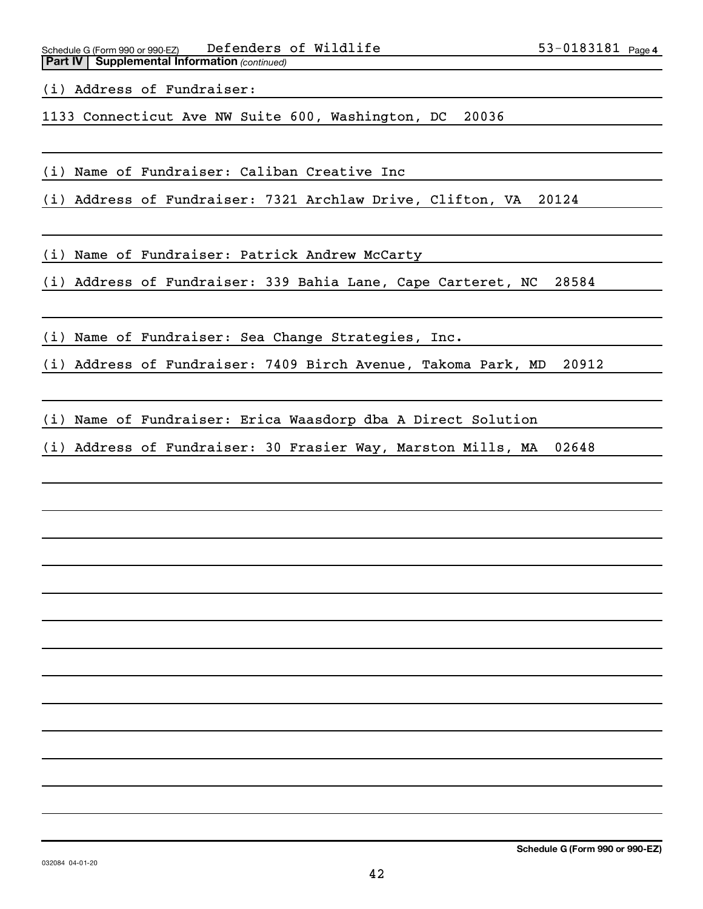(i) Address of Fundraiser:

1133 Connecticut Ave NW Suite 600, Washington, DC 20036

(i) Name of Fundraiser: Caliban Creative Inc

(i) Address of Fundraiser: 7321 Archlaw Drive, Clifton, VA 20124

(i) Name of Fundraiser: Patrick Andrew McCarty

(i) Address of Fundraiser: 339 Bahia Lane, Cape Carteret, NC 28584

(i) Name of Fundraiser: Sea Change Strategies, Inc.

(i) Address of Fundraiser: 7409 Birch Avenue, Takoma Park, MD 20912

(i) Name of Fundraiser: Erica Waasdorp dba A Direct Solution

(i) Address of Fundraiser: 30 Frasier Way, Marston Mills, MA 02648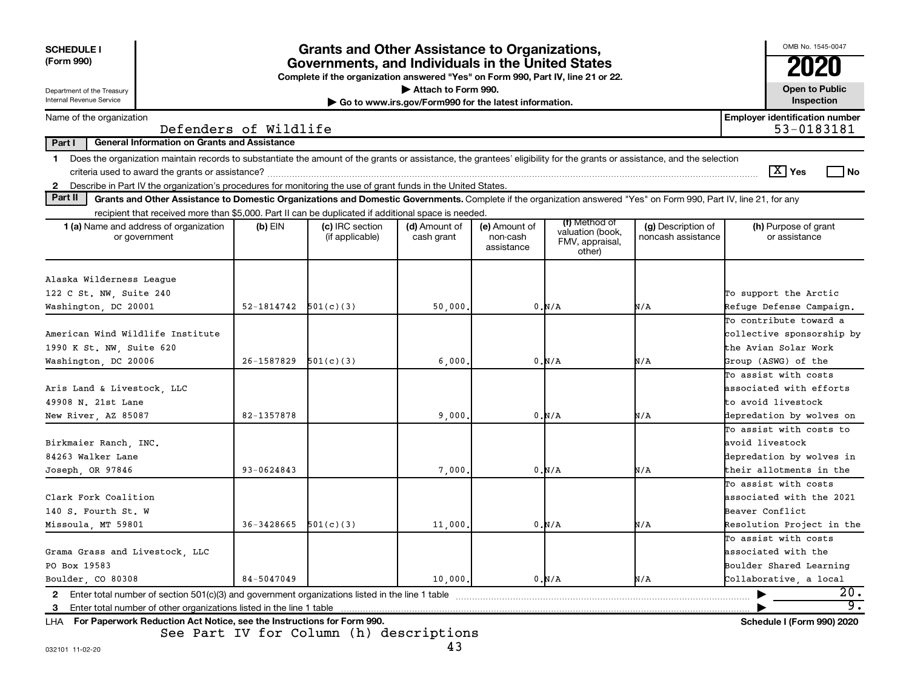| <b>SCHEDULE I</b><br>(Form 990)<br>Department of the Treasury<br>Internal Revenue Service                                                                                                                                                                                                                       |                       | Grants and Other Assistance to Organizations,<br>Governments, and Individuals in the United States<br>Complete if the organization answered "Yes" on Form 990, Part IV, line 21 or 22. | Attach to Form 990.<br>Go to www.irs.gov/Form990 for the latest information. |                                         |                                                                |                                          | OMB No. 1545-0047<br>2020<br><b>Open to Public</b><br>Inspection                                                             |
|-----------------------------------------------------------------------------------------------------------------------------------------------------------------------------------------------------------------------------------------------------------------------------------------------------------------|-----------------------|----------------------------------------------------------------------------------------------------------------------------------------------------------------------------------------|------------------------------------------------------------------------------|-----------------------------------------|----------------------------------------------------------------|------------------------------------------|------------------------------------------------------------------------------------------------------------------------------|
| Name of the organization                                                                                                                                                                                                                                                                                        |                       |                                                                                                                                                                                        |                                                                              |                                         |                                                                |                                          | <b>Employer identification number</b>                                                                                        |
|                                                                                                                                                                                                                                                                                                                 | Defenders of Wildlife |                                                                                                                                                                                        |                                                                              |                                         |                                                                |                                          | 53-0183181                                                                                                                   |
| <b>General Information on Grants and Assistance</b><br>Part I                                                                                                                                                                                                                                                   |                       |                                                                                                                                                                                        |                                                                              |                                         |                                                                |                                          |                                                                                                                              |
| Does the organization maintain records to substantiate the amount of the grants or assistance, the grantees' eligibility for the grants or assistance, and the selection<br>1.<br>Describe in Part IV the organization's procedures for monitoring the use of grant funds in the United States.<br>$\mathbf{2}$ |                       |                                                                                                                                                                                        |                                                                              |                                         |                                                                |                                          | $\boxed{\text{X}}$ Yes<br>No                                                                                                 |
| Part II<br>Grants and Other Assistance to Domestic Organizations and Domestic Governments. Complete if the organization answered "Yes" on Form 990, Part IV, line 21, for any                                                                                                                                   |                       |                                                                                                                                                                                        |                                                                              |                                         |                                                                |                                          |                                                                                                                              |
| recipient that received more than \$5,000. Part II can be duplicated if additional space is needed.                                                                                                                                                                                                             |                       |                                                                                                                                                                                        |                                                                              |                                         |                                                                |                                          |                                                                                                                              |
| 1 (a) Name and address of organization<br>or government                                                                                                                                                                                                                                                         | (b) EIN               | (c) IRC section<br>(if applicable)                                                                                                                                                     | (d) Amount of<br>cash grant                                                  | (e) Amount of<br>non-cash<br>assistance | (f) Method of<br>valuation (book,<br>FMV, appraisal,<br>other) | (g) Description of<br>noncash assistance | (h) Purpose of grant<br>or assistance                                                                                        |
| Alaska Wilderness League<br>122 C St. NW, Suite 240                                                                                                                                                                                                                                                             |                       |                                                                                                                                                                                        |                                                                              |                                         |                                                                |                                          | To support the Arctic                                                                                                        |
| Washington, DC 20001                                                                                                                                                                                                                                                                                            | 52-1814742            | 501(c)(3)                                                                                                                                                                              | 50,000                                                                       |                                         | 0.N/A                                                          | N/A                                      | Refuge Defense Campaign.                                                                                                     |
| American Wind Wildlife Institute<br>1990 K St. NW, Suite 620                                                                                                                                                                                                                                                    |                       |                                                                                                                                                                                        |                                                                              |                                         |                                                                |                                          | To contribute toward a<br>collective sponsorship by<br>the Avian Solar Work                                                  |
| Washington, DC 20006                                                                                                                                                                                                                                                                                            | 26-1587829            | 501(c)(3)                                                                                                                                                                              | 6,000.                                                                       |                                         | 0.N/A                                                          | N/A                                      | Group (ASWG) of the                                                                                                          |
| Aris Land & Livestock, LLC<br>49908 N. 21st Lane<br>New River, AZ 85087                                                                                                                                                                                                                                         | 82-1357878            |                                                                                                                                                                                        | 9,000                                                                        |                                         | 0.N/A                                                          | N/A                                      | To assist with costs<br>associated with efforts<br>to avoid livestock<br>depredation by wolves on<br>To assist with costs to |
| Birkmaier Ranch, INC.<br>84263 Walker Lane<br>Joseph, OR 97846                                                                                                                                                                                                                                                  | 93-0624843            |                                                                                                                                                                                        | 7,000.                                                                       |                                         | 0.N/A                                                          | N/A                                      | <b>a</b> void livestock<br>depredation by wolves in<br>their allotments in the                                               |
| Clark Fork Coalition<br>140 S. Fourth St. W<br>Missoula, MT 59801                                                                                                                                                                                                                                               | 36-3428665            | 501(c)(3)                                                                                                                                                                              | 11,000                                                                       |                                         | 0, N/A                                                         | N/A                                      | To assist with costs<br>associated with the 2021<br>Beaver Conflict<br>Resolution Project in the                             |
| Grama Grass and Livestock, LLC<br>PO Box 19583<br>Boulder, CO 80308                                                                                                                                                                                                                                             | 84-5047049            |                                                                                                                                                                                        | 10,000.                                                                      |                                         | 0.N/A                                                          | N/A                                      | To assist with costs<br><b>a</b> ssociated with the<br>Boulder Shared Learning<br>Collaborative, a local                     |
| Enter total number of section 501(c)(3) and government organizations listed in the line 1 table<br>$\mathbf{2}$                                                                                                                                                                                                 |                       |                                                                                                                                                                                        |                                                                              |                                         |                                                                |                                          | 20.                                                                                                                          |
| Enter total number of other organizations listed in the line 1 table<br>3                                                                                                                                                                                                                                       |                       |                                                                                                                                                                                        |                                                                              |                                         |                                                                |                                          | $\overline{9}$ .                                                                                                             |
| LHA For Paperwork Reduction Act Notice, see the Instructions for Form 990.                                                                                                                                                                                                                                      |                       |                                                                                                                                                                                        |                                                                              |                                         |                                                                |                                          | Schedule I (Form 990) 2020                                                                                                   |

See Part IV for Column (h) descriptions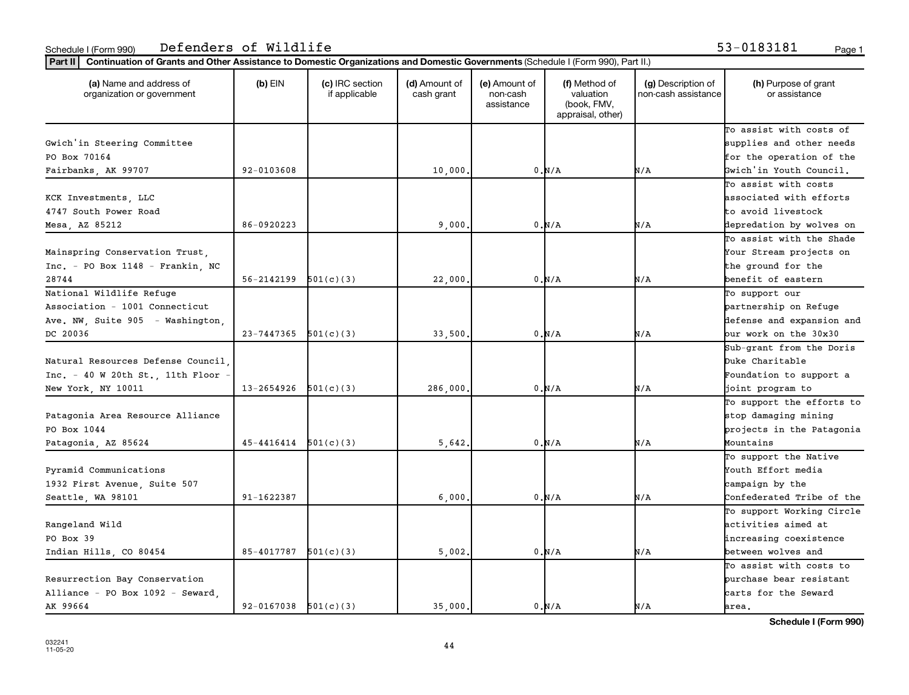#### Schedule I (Form 990) Petenders of Wildlife (Schedule I (Form 990) Page 1 Defenders of Wildlife 53-0183181

| (a) Name and address of<br>organization or government | $(b)$ EIN  | (c) IRC section<br>if applicable | (d) Amount of<br>cash grant | (e) Amount of<br>non-cash<br>assistance | (f) Method of<br>valuation<br>(book, FMV,<br>appraisal, other) | (g) Description of<br>non-cash assistance | (h) Purpose of grant<br>or assistance |
|-------------------------------------------------------|------------|----------------------------------|-----------------------------|-----------------------------------------|----------------------------------------------------------------|-------------------------------------------|---------------------------------------|
|                                                       |            |                                  |                             |                                         |                                                                |                                           | To assist with costs of               |
| Gwich'in Steering Committee                           |            |                                  |                             |                                         |                                                                |                                           | supplies and other needs              |
| PO Box 70164                                          |            |                                  |                             |                                         |                                                                |                                           | for the operation of the              |
| Fairbanks, AK 99707                                   | 92-0103608 |                                  | 10,000                      |                                         | 0.N/A                                                          | N/A                                       | Gwich'in Youth Council.               |
|                                                       |            |                                  |                             |                                         |                                                                |                                           | To assist with costs                  |
| KCK Investments, LLC                                  |            |                                  |                             |                                         |                                                                |                                           | associated with efforts               |
| 4747 South Power Road                                 |            |                                  |                             |                                         |                                                                |                                           | to avoid livestock                    |
| Mesa, AZ 85212                                        | 86-0920223 |                                  | 9,000                       |                                         | 0.N/A                                                          | N/A                                       | depredation by wolves on              |
|                                                       |            |                                  |                             |                                         |                                                                |                                           | To assist with the Shade              |
| Mainspring Conservation Trust                         |            |                                  |                             |                                         |                                                                |                                           | Your Stream projects on               |
| $Inc. - PO Box 1148 - Franklin, NC$                   |            |                                  |                             |                                         |                                                                |                                           | the ground for the                    |
| 28744                                                 | 56-2142199 | 501(c)(3)                        | 22,000                      |                                         | 0.N/A                                                          | N/A                                       | benefit of eastern                    |
| National Wildlife Refuge                              |            |                                  |                             |                                         |                                                                |                                           | To support our                        |
| Association - 1001 Connecticut                        |            |                                  |                             |                                         |                                                                |                                           | partnership on Refuge                 |
| Ave. NW, Suite 905 - Washington,                      |            |                                  |                             |                                         |                                                                |                                           | defense and expansion and             |
| DC 20036                                              | 23-7447365 | 501(c)(3)                        | 33,500                      |                                         | 0.N/A                                                          | N/A                                       | our work on the 30x30                 |
|                                                       |            |                                  |                             |                                         |                                                                |                                           | Sub-grant from the Doris              |
| Natural Resources Defense Council.                    |            |                                  |                             |                                         |                                                                |                                           | Duke Charitable                       |
| Inc. $-40$ W 20th St., 11th Floor                     |            |                                  |                             |                                         |                                                                |                                           | Foundation to support a               |
| New York, NY 10011                                    | 13-2654926 | 501(c)(3)                        | 286,000                     |                                         | 0.N/A                                                          | N/A                                       | joint program to                      |
|                                                       |            |                                  |                             |                                         |                                                                |                                           | To support the efforts to             |
| Patagonia Area Resource Alliance                      |            |                                  |                             |                                         |                                                                |                                           | stop damaging mining                  |
| PO Box 1044                                           |            |                                  |                             |                                         |                                                                |                                           | projects in the Patagonia             |
| Patagonia, AZ 85624                                   | 45-4416414 | 501(c)(3)                        | 5,642.                      |                                         | 0.N/A                                                          | N/A                                       | Mountains                             |
|                                                       |            |                                  |                             |                                         |                                                                |                                           | To support the Native                 |
| Pyramid Communications                                |            |                                  |                             |                                         |                                                                |                                           | Youth Effort media                    |
| 1932 First Avenue, Suite 507                          |            |                                  |                             |                                         |                                                                |                                           | campaign by the                       |
| Seattle, WA 98101                                     | 91-1622387 |                                  | 6,000                       |                                         | 0.N/A                                                          | N/A                                       | Confederated Tribe of the             |
|                                                       |            |                                  |                             |                                         |                                                                |                                           | To support Working Circle             |
| Rangeland Wild                                        |            |                                  |                             |                                         |                                                                |                                           | activities aimed at                   |
| PO Box 39                                             |            |                                  |                             |                                         |                                                                |                                           | increasing coexistence                |
| Indian Hills, CO 80454                                | 85-4017787 | 501(c)(3)                        | 5,002.                      |                                         | 0.N/A                                                          | N/A                                       | between wolves and                    |
|                                                       |            |                                  |                             |                                         |                                                                |                                           | To assist with costs to               |
| Resurrection Bay Conservation                         |            |                                  |                             |                                         |                                                                |                                           | purchase bear resistant               |
| Alliance - PO Box 1092 - Seward.                      |            |                                  |                             |                                         |                                                                |                                           | carts for the Seward                  |
| AK 99664                                              | 92-0167038 | 501(c)(3)                        | 35,000.                     |                                         | 0.N/A                                                          | N/A                                       | area.                                 |

**Schedule I (Form 990)**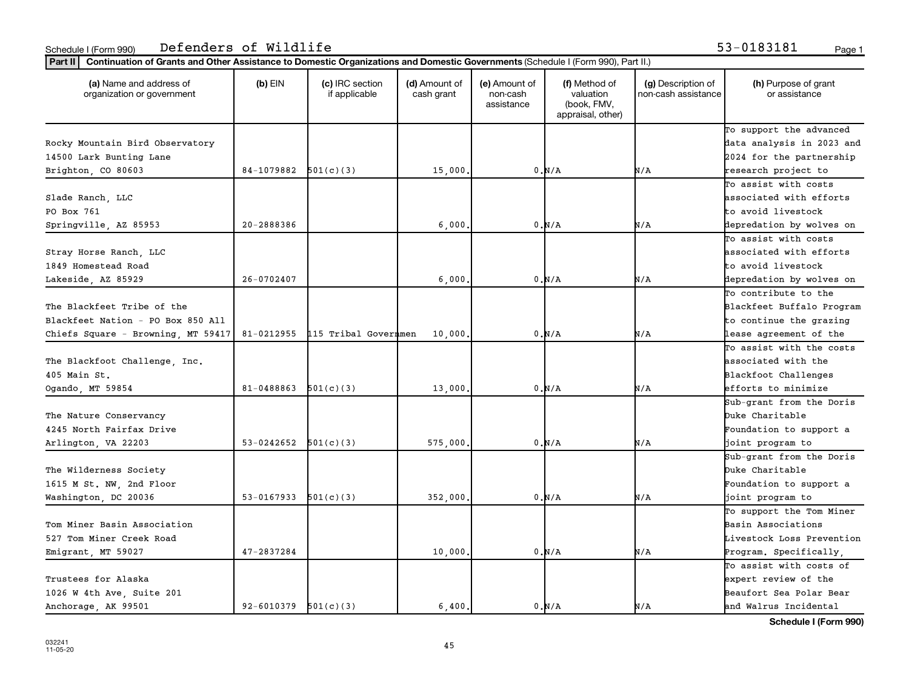#### Schedule I (Form 990) Petenders of Wildlife (Schedule I (Form 990) Page 1 Defenders of Wildlife 53-0183181

| 53-0183181 |  |  |  |  | Page |
|------------|--|--|--|--|------|
|            |  |  |  |  |      |

| (a) Name and address of<br>organization or government | $(b)$ EIN  | (c) IRC section<br>if applicable | (d) Amount of<br>cash grant | (e) Amount of<br>non-cash<br>assistance | (f) Method of<br>valuation<br>(book, FMV,<br>appraisal, other) | (g) Description of<br>non-cash assistance | (h) Purpose of grant<br>or assistance |
|-------------------------------------------------------|------------|----------------------------------|-----------------------------|-----------------------------------------|----------------------------------------------------------------|-------------------------------------------|---------------------------------------|
|                                                       |            |                                  |                             |                                         |                                                                |                                           | To support the advanced               |
| Rocky Mountain Bird Observatory                       |            |                                  |                             |                                         |                                                                |                                           | data analysis in 2023 and             |
| 14500 Lark Bunting Lane                               |            |                                  |                             |                                         |                                                                |                                           | 2024 for the partnership              |
| Brighton, CO 80603                                    | 84-1079882 | 501(c)(3)                        | 15,000                      |                                         | 0.N/A                                                          | N/A                                       | research project to                   |
|                                                       |            |                                  |                             |                                         |                                                                |                                           | To assist with costs                  |
| Slade Ranch, LLC                                      |            |                                  |                             |                                         |                                                                |                                           | associated with efforts               |
| PO Box 761                                            |            |                                  |                             |                                         |                                                                |                                           | to avoid livestock                    |
| Springville, AZ 85953                                 | 20-2888386 |                                  | 6,000                       |                                         | 0.N/A                                                          | N/A                                       | depredation by wolves on              |
|                                                       |            |                                  |                             |                                         |                                                                |                                           | To assist with costs                  |
| Stray Horse Ranch, LLC                                |            |                                  |                             |                                         |                                                                |                                           | <b>a</b> ssociated with efforts       |
| 1849 Homestead Road                                   |            |                                  |                             |                                         |                                                                |                                           | to avoid livestock                    |
| Lakeside, AZ 85929                                    | 26-0702407 |                                  | 6,000                       |                                         | 0.N/A                                                          | N/A                                       | depredation by wolves on              |
|                                                       |            |                                  |                             |                                         |                                                                |                                           | To contribute to the                  |
| The Blackfeet Tribe of the                            |            |                                  |                             |                                         |                                                                |                                           | Blackfeet Buffalo Program             |
| Blackfeet Nation - PO Box 850 All                     |            |                                  |                             |                                         |                                                                |                                           | to continue the grazing               |
| Chiefs Square - Browning, MT 59417                    | 81-0212955 | 115 Tribal Governmen             | 10,000                      |                                         | 0.N/A                                                          | N/A                                       | lease agreement of the                |
|                                                       |            |                                  |                             |                                         |                                                                |                                           | To assist with the costs              |
| The Blackfoot Challenge, Inc.                         |            |                                  |                             |                                         |                                                                |                                           | associated with the                   |
| 405 Main St.                                          |            |                                  |                             |                                         |                                                                |                                           | Blackfoot Challenges                  |
| Ogando, MT 59854                                      | 81-0488863 | 501(c)(3)                        | 13,000                      |                                         | 0.N/A                                                          | N/A                                       | efforts to minimize                   |
|                                                       |            |                                  |                             |                                         |                                                                |                                           | Sub-grant from the Doris              |
| The Nature Conservancy                                |            |                                  |                             |                                         |                                                                |                                           | Duke Charitable                       |
| 4245 North Fairfax Drive                              |            |                                  |                             |                                         |                                                                |                                           | Foundation to support a               |
| Arlington, VA 22203                                   | 53-0242652 | 501(c)(3)                        | 575,000                     |                                         | 0, N/A                                                         | N/A                                       | joint program to                      |
|                                                       |            |                                  |                             |                                         |                                                                |                                           | Sub-grant from the Doris              |
| The Wilderness Society                                |            |                                  |                             |                                         |                                                                |                                           | Duke Charitable                       |
| 1615 M St. NW, 2nd Floor                              |            |                                  |                             |                                         |                                                                |                                           | Foundation to support a               |
| Washington, DC 20036                                  | 53-0167933 | 501(c)(3)                        | 352,000                     |                                         | 0.N/A                                                          | N/A                                       | joint program to                      |
|                                                       |            |                                  |                             |                                         |                                                                |                                           | To support the Tom Miner              |
| Tom Miner Basin Association                           |            |                                  |                             |                                         |                                                                |                                           | Basin Associations                    |
| 527 Tom Miner Creek Road                              |            |                                  |                             |                                         |                                                                |                                           | Livestock Loss Prevention             |
| Emigrant, MT 59027                                    | 47-2837284 |                                  | 10,000                      |                                         | 0.N/A                                                          | N/A                                       | Program. Specifically,                |
|                                                       |            |                                  |                             |                                         |                                                                |                                           | To assist with costs of               |
| Trustees for Alaska                                   |            |                                  |                             |                                         |                                                                |                                           | expert review of the                  |
| 1026 W 4th Ave, Suite 201                             |            |                                  |                             |                                         |                                                                |                                           | Beaufort Sea Polar Bear               |
| Anchorage, AK 99501                                   | 92-6010379 | 501(c)(3)                        | 6,400,                      |                                         | 0.M/A                                                          | N/A                                       | and Walrus Incidental                 |

**Schedule I (Form 990)**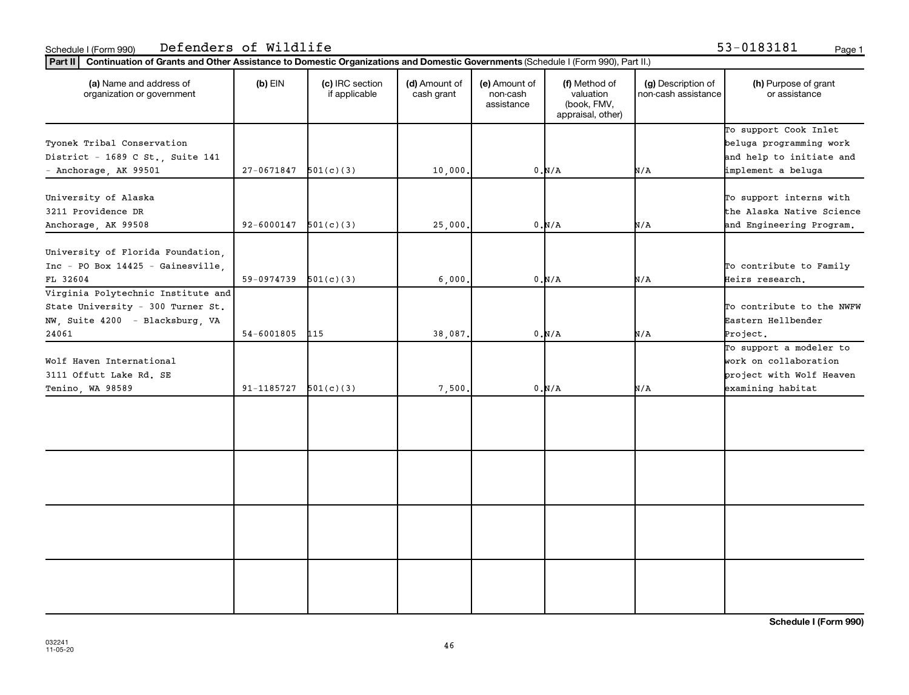#### Schedule I (Form 990) Petenders of Wildlife (Schedule I (Form 990) Page 1 Defenders of Wildlife 53-0183181

|  | 53-0183181 |  |  |  | Page |
|--|------------|--|--|--|------|
|  |            |  |  |  |      |

| (a) Name and address of<br>organization or government                                                               | $(b)$ EIN  | (c) IRC section<br>if applicable | (d) Amount of<br>cash grant | (e) Amount of<br>non-cash<br>assistance | (f) Method of<br>valuation<br>(book, FMV,<br>appraisal, other) | (g) Description of<br>non-cash assistance | (h) Purpose of grant<br>or assistance                                                              |
|---------------------------------------------------------------------------------------------------------------------|------------|----------------------------------|-----------------------------|-----------------------------------------|----------------------------------------------------------------|-------------------------------------------|----------------------------------------------------------------------------------------------------|
| Tyonek Tribal Conservation<br>District - 1689 C St., Suite 141<br>- Anchorage, AK 99501                             | 27-0671847 | 501(c)(3)                        |                             |                                         | 0.N/A                                                          | N/A                                       | To support Cook Inlet<br>beluga programming work<br>and help to initiate and<br>implement a beluga |
| University of Alaska<br>3211 Providence DR<br>Anchorage, AK 99508                                                   | 92-6000147 | 501(c)(3)                        | 10,000.<br>25,000.          |                                         | 0.N/A                                                          | N/A                                       | To support interns with<br>the Alaska Native Science<br>and Engineering Program.                   |
| University of Florida Foundation.<br>Inc - PO Box $14425$ - Gainesville,<br>FL 32604                                | 59-0974739 | 501(c)(3)                        | 6,000.                      |                                         | 0.N/A                                                          | N/A                                       | To contribute to Family<br>Heirs research.                                                         |
| Virginia Polytechnic Institute and<br>State University - 300 Turner St.<br>NW, Suite 4200 - Blacksburg, VA<br>24061 | 54-6001805 | 115                              | 38,087.                     |                                         | 0.N/A                                                          | N/A                                       | To contribute to the NWFW<br>Eastern Hellbender<br>Project.                                        |
| Wolf Haven International<br>3111 Offutt Lake Rd. SE<br>Tenino, WA 98589                                             | 91-1185727 | 501(c)(3)                        | 7,500.                      |                                         | 0.N/A                                                          | N/A                                       | To support a modeler to<br>work on collaboration<br>project with Wolf Heaven<br>examining habitat  |
|                                                                                                                     |            |                                  |                             |                                         |                                                                |                                           |                                                                                                    |
|                                                                                                                     |            |                                  |                             |                                         |                                                                |                                           |                                                                                                    |
|                                                                                                                     |            |                                  |                             |                                         |                                                                |                                           |                                                                                                    |
|                                                                                                                     |            |                                  |                             |                                         |                                                                |                                           |                                                                                                    |

**Schedule I (Form 990)**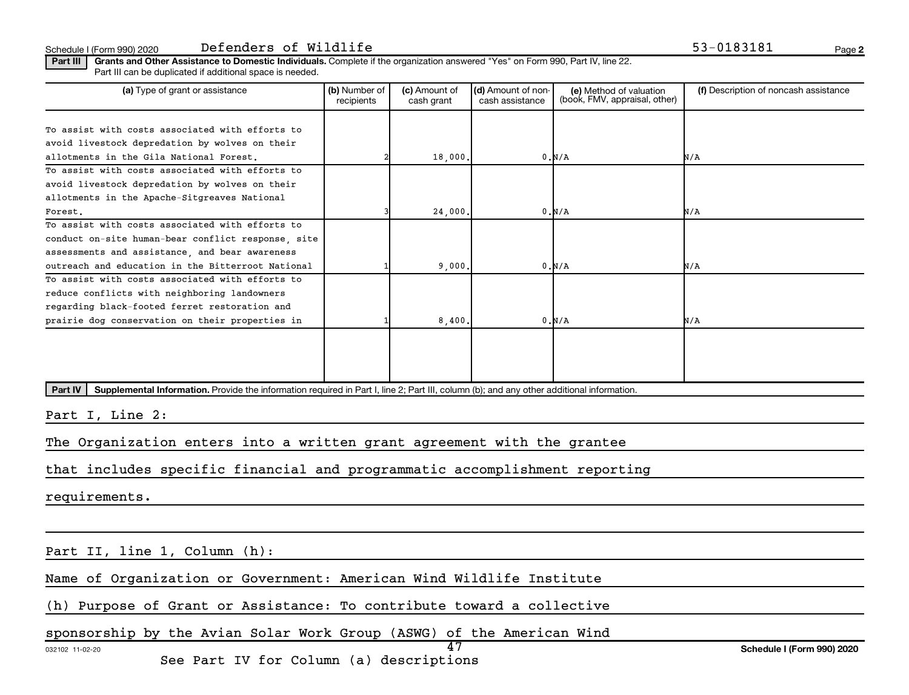Schedule I (Form 990) 2020 Defenders of Wildlife 53-0183181 <sub>Page</sub>

**2**

Part III | Grants and Other Assistance to Domestic Individuals. Complete if the organization answered "Yes" on Form 990, Part IV, line 22. Part III can be duplicated if additional space is needed.

| (a) Type of grant or assistance                                                                                                                      | (b) Number of<br>recipients | (c) Amount of<br>cash grant | (d) Amount of non-<br>cash assistance | (e) Method of valuation<br>(book, FMV, appraisal, other) | (f) Description of noncash assistance |
|------------------------------------------------------------------------------------------------------------------------------------------------------|-----------------------------|-----------------------------|---------------------------------------|----------------------------------------------------------|---------------------------------------|
| To assist with costs associated with efforts to                                                                                                      |                             |                             |                                       |                                                          |                                       |
| avoid livestock depredation by wolves on their                                                                                                       |                             |                             |                                       |                                                          |                                       |
| allotments in the Gila National Forest.                                                                                                              |                             | 18,000.                     |                                       | 0.M/A                                                    | N/A                                   |
| To assist with costs associated with efforts to                                                                                                      |                             |                             |                                       |                                                          |                                       |
| avoid livestock depredation by wolves on their                                                                                                       |                             |                             |                                       |                                                          |                                       |
| allotments in the Apache-Sitgreaves National                                                                                                         |                             |                             |                                       |                                                          |                                       |
| Forest.                                                                                                                                              |                             | 24,000.                     |                                       | 0.N/A                                                    | N/A                                   |
| To assist with costs associated with efforts to                                                                                                      |                             |                             |                                       |                                                          |                                       |
| conduct on-site human-bear conflict response, site                                                                                                   |                             |                             |                                       |                                                          |                                       |
| assessments and assistance, and bear awareness                                                                                                       |                             |                             |                                       |                                                          |                                       |
| outreach and education in the Bitterroot National                                                                                                    |                             | 9,000,                      |                                       | 0.N/A                                                    | N/A                                   |
| To assist with costs associated with efforts to                                                                                                      |                             |                             |                                       |                                                          |                                       |
| reduce conflicts with neighboring landowners                                                                                                         |                             |                             |                                       |                                                          |                                       |
| regarding black-footed ferret restoration and                                                                                                        |                             |                             |                                       |                                                          |                                       |
| prairie dog conservation on their properties in                                                                                                      |                             | 8,400,                      |                                       | 0.N/A                                                    | N/A                                   |
|                                                                                                                                                      |                             |                             |                                       |                                                          |                                       |
|                                                                                                                                                      |                             |                             |                                       |                                                          |                                       |
|                                                                                                                                                      |                             |                             |                                       |                                                          |                                       |
|                                                                                                                                                      |                             |                             |                                       |                                                          |                                       |
| Supplemental Information. Provide the information required in Part I, line 2; Part III, column (b); and any other additional information.<br>Part IV |                             |                             |                                       |                                                          |                                       |
| Part I, Line 2:                                                                                                                                      |                             |                             |                                       |                                                          |                                       |

47

The Organization enters into a written grant agreement with the grantee

that includes specific financial and programmatic accomplishment reporting

requirements.

Part II, line 1, Column (h):

Name of Organization or Government: American Wind Wildlife Institute

(h) Purpose of Grant or Assistance: To contribute toward a collective

sponsorship by the Avian Solar Work Group (ASWG) of the American Wind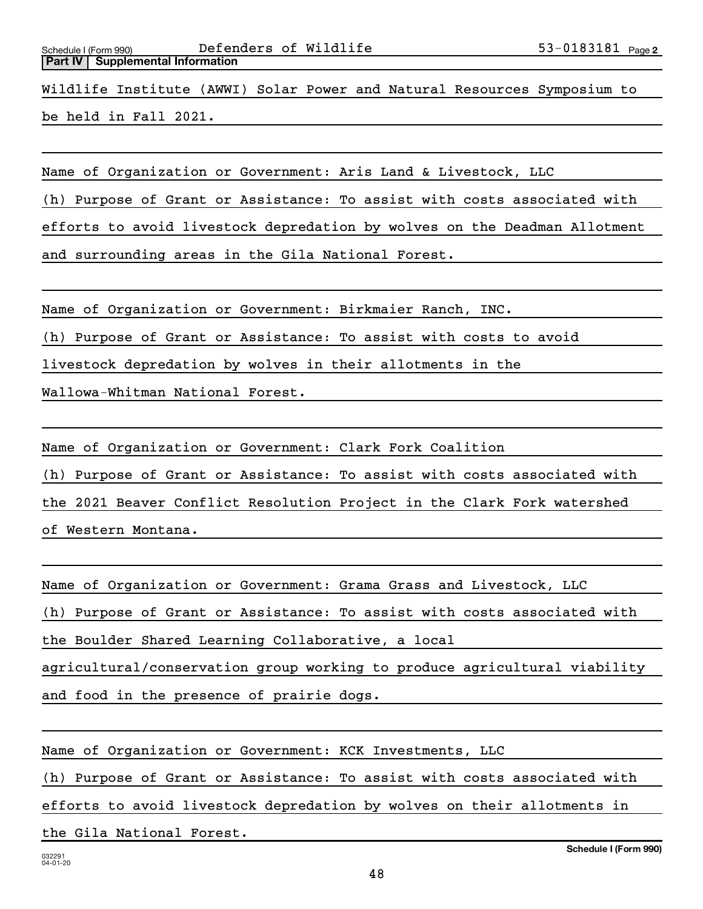Wildlife Institute (AWWI) Solar Power and Natural Resources Symposium to be held in Fall 2021.

Name of Organization or Government: Aris Land & Livestock, LLC

(h) Purpose of Grant or Assistance: To assist with costs associated with

efforts to avoid livestock depredation by wolves on the Deadman Allotment

and surrounding areas in the Gila National Forest.

Name of Organization or Government: Birkmaier Ranch, INC.

(h) Purpose of Grant or Assistance: To assist with costs to avoid

livestock depredation by wolves in their allotments in the

Wallowa-Whitman National Forest.

Name of Organization or Government: Clark Fork Coalition

(h) Purpose of Grant or Assistance: To assist with costs associated with

the 2021 Beaver Conflict Resolution Project in the Clark Fork watershed

of Western Montana.

Name of Organization or Government: Grama Grass and Livestock, LLC

(h) Purpose of Grant or Assistance: To assist with costs associated with

the Boulder Shared Learning Collaborative, a local

agricultural/conservation group working to produce agricultural viability

and food in the presence of prairie dogs.

Name of Organization or Government: KCK Investments, LLC

(h) Purpose of Grant or Assistance: To assist with costs associated with

efforts to avoid livestock depredation by wolves on their allotments in

the Gila National Forest.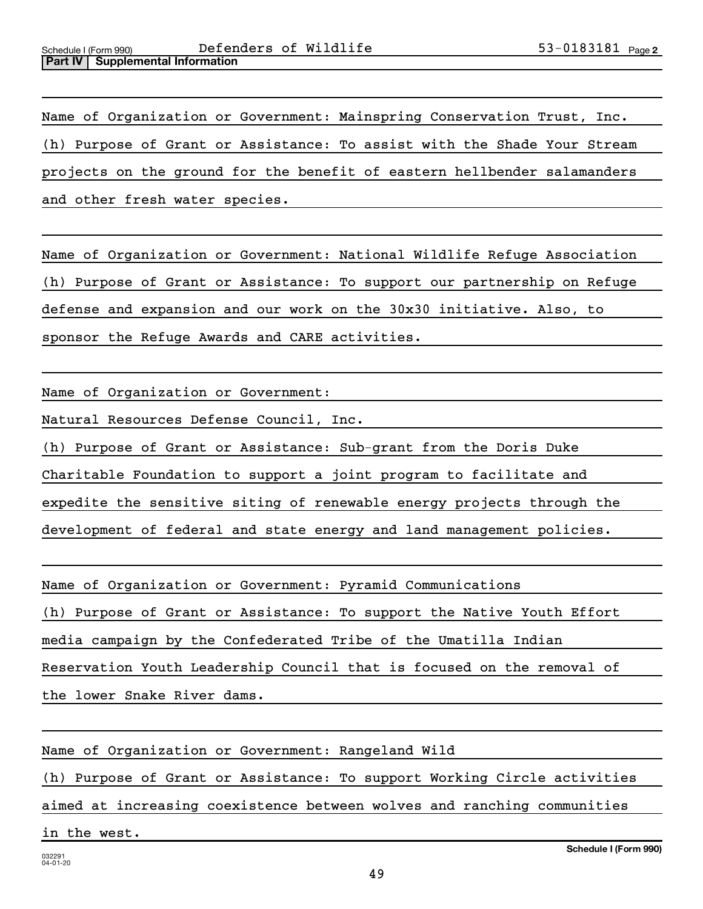Name of Organization or Government: Mainspring Conservation Trust, Inc. (h) Purpose of Grant or Assistance: To assist with the Shade Your Stream projects on the ground for the benefit of eastern hellbender salamanders and other fresh water species.

Name of Organization or Government: National Wildlife Refuge Association (h) Purpose of Grant or Assistance: To support our partnership on Refuge defense and expansion and our work on the 30x30 initiative. Also, to sponsor the Refuge Awards and CARE activities.

Name of Organization or Government:

Natural Resources Defense Council, Inc.

(h) Purpose of Grant or Assistance: Sub-grant from the Doris Duke

Charitable Foundation to support a joint program to facilitate and

expedite the sensitive siting of renewable energy projects through the

development of federal and state energy and land management policies.

Name of Organization or Government: Pyramid Communications

(h) Purpose of Grant or Assistance: To support the Native Youth Effort

media campaign by the Confederated Tribe of the Umatilla Indian

Reservation Youth Leadership Council that is focused on the removal of

the lower Snake River dams.

Name of Organization or Government: Rangeland Wild

(h) Purpose of Grant or Assistance: To support Working Circle activities

aimed at increasing coexistence between wolves and ranching communities

in the west.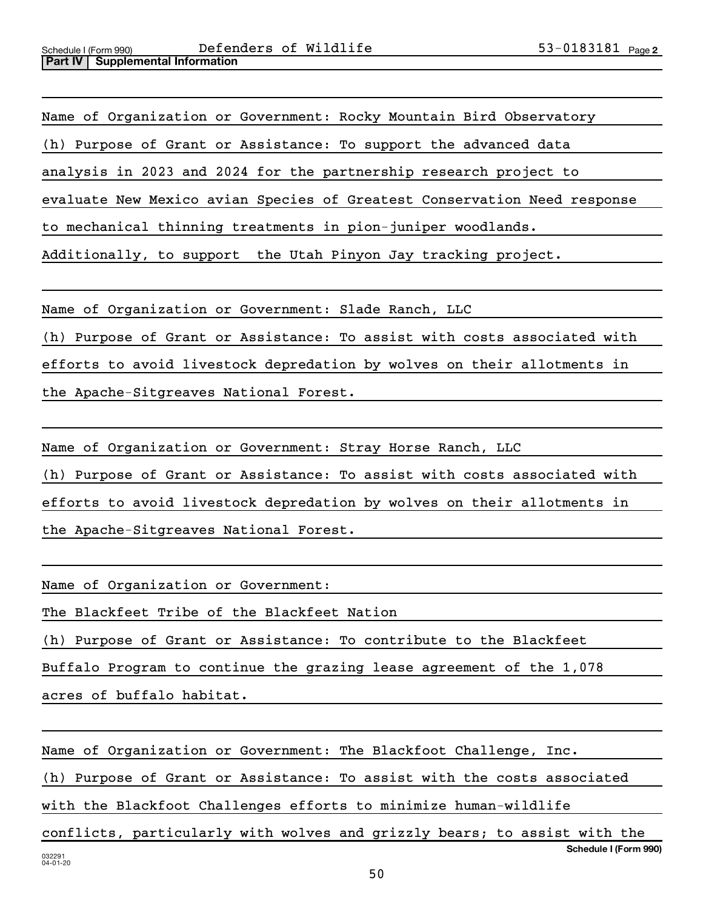Name of Organization or Government: Rocky Mountain Bird Observatory (h) Purpose of Grant or Assistance: To support the advanced data analysis in 2023 and 2024 for the partnership research project to evaluate New Mexico avian Species of Greatest Conservation Need response to mechanical thinning treatments in pion-juniper woodlands. Additionally, to support the Utah Pinyon Jay tracking project.

Name of Organization or Government: Slade Ranch, LLC

(h) Purpose of Grant or Assistance: To assist with costs associated with

efforts to avoid livestock depredation by wolves on their allotments in

the Apache-Sitgreaves National Forest.

Name of Organization or Government: Stray Horse Ranch, LLC

(h) Purpose of Grant or Assistance: To assist with costs associated with

efforts to avoid livestock depredation by wolves on their allotments in

the Apache-Sitgreaves National Forest.

Name of Organization or Government:

The Blackfeet Tribe of the Blackfeet Nation

(h) Purpose of Grant or Assistance: To contribute to the Blackfeet

Buffalo Program to continue the grazing lease agreement of the 1,078

acres of buffalo habitat.

Name of Organization or Government: The Blackfoot Challenge, Inc.

(h) Purpose of Grant or Assistance: To assist with the costs associated

with the Blackfoot Challenges efforts to minimize human-wildlife

032291 04-01-20 **Schedule I (Form 990)** conflicts, particularly with wolves and grizzly bears; to assist with the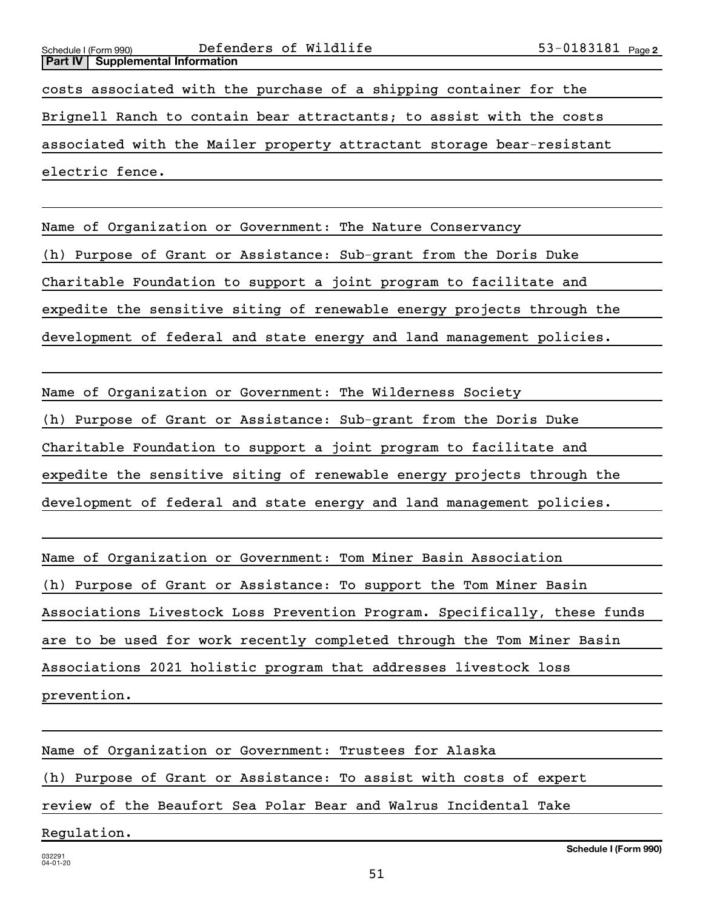| Defenders of Wildlife<br>Schedule I (Form 990)                        | 53-0183181 $_{Page 2}$ |
|-----------------------------------------------------------------------|------------------------|
| <b>Part IV   Supplemental Information</b>                             |                        |
| costs associated with the purchase of a shipping container for the    |                        |
| Brignell Ranch to contain bear attractants; to assist with the costs  |                        |
| associated with the Mailer property attractant storage bear-resistant |                        |
| electric fence.                                                       |                        |

Name of Organization or Government: The Nature Conservancy (h) Purpose of Grant or Assistance: Sub-grant from the Doris Duke Charitable Foundation to support a joint program to facilitate and expedite the sensitive siting of renewable energy projects through the development of federal and state energy and land management policies.

Name of Organization or Government: The Wilderness Society (h) Purpose of Grant or Assistance: Sub-grant from the Doris Duke Charitable Foundation to support a joint program to facilitate and expedite the sensitive siting of renewable energy projects through the development of federal and state energy and land management policies.

Name of Organization or Government: Tom Miner Basin Association (h) Purpose of Grant or Assistance: To support the Tom Miner Basin Associations Livestock Loss Prevention Program. Specifically, these funds are to be used for work recently completed through the Tom Miner Basin Associations 2021 holistic program that addresses livestock loss prevention.

Name of Organization or Government: Trustees for Alaska

(h) Purpose of Grant or Assistance: To assist with costs of expert

review of the Beaufort Sea Polar Bear and Walrus Incidental Take

Regulation.

**Schedule I (Form 990)**

032291 04-01-20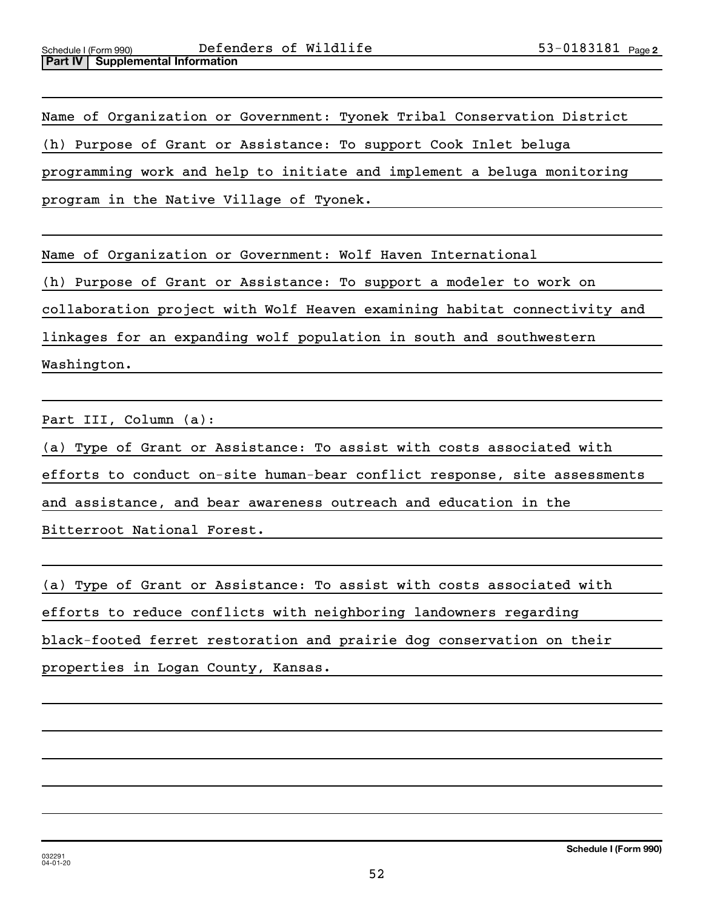Name of Organization or Government: Tyonek Tribal Conservation District (h) Purpose of Grant or Assistance: To support Cook Inlet beluga programming work and help to initiate and implement a beluga monitoring program in the Native Village of Tyonek.

Name of Organization or Government: Wolf Haven International (h) Purpose of Grant or Assistance: To support a modeler to work on collaboration project with Wolf Heaven examining habitat connectivity and linkages for an expanding wolf population in south and southwestern Washington.

Part III, Column (a):

(a) Type of Grant or Assistance: To assist with costs associated with efforts to conduct on-site human-bear conflict response, site assessments and assistance, and bear awareness outreach and education in the Bitterroot National Forest.

(a) Type of Grant or Assistance: To assist with costs associated with

efforts to reduce conflicts with neighboring landowners regarding

black-footed ferret restoration and prairie dog conservation on their

properties in Logan County, Kansas.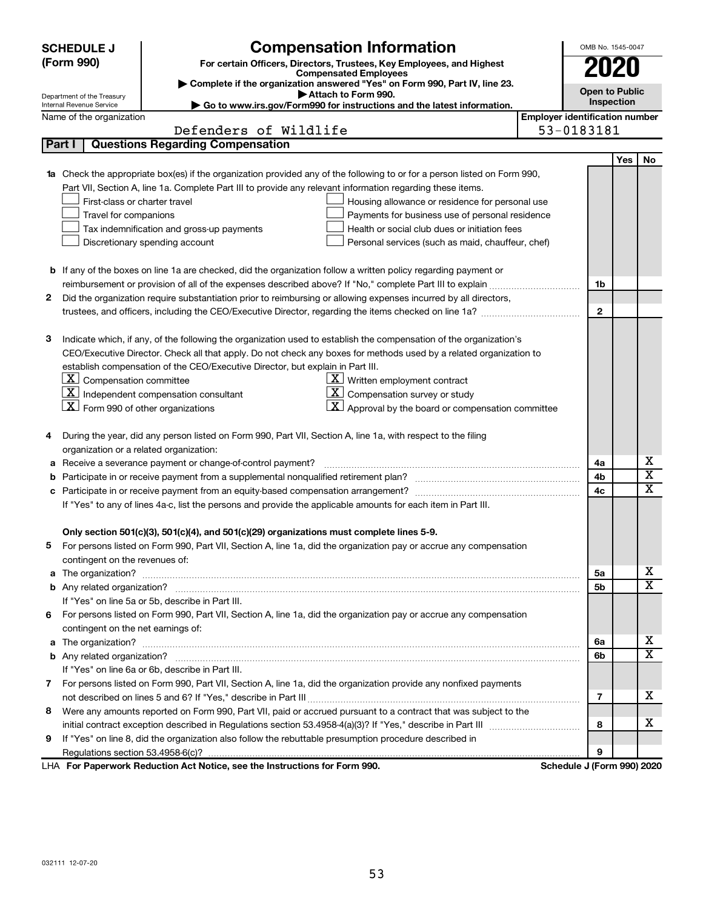|   | <b>SCHEDULE J</b>                                               | <b>Compensation Information</b>                                                                                                                                                                                                     |                                       | OMB No. 1545-0047          |     |                         |
|---|-----------------------------------------------------------------|-------------------------------------------------------------------------------------------------------------------------------------------------------------------------------------------------------------------------------------|---------------------------------------|----------------------------|-----|-------------------------|
|   | (Form 990)                                                      | For certain Officers, Directors, Trustees, Key Employees, and Highest                                                                                                                                                               |                                       |                            |     |                         |
|   |                                                                 | <b>Compensated Employees</b>                                                                                                                                                                                                        |                                       | 2020                       |     |                         |
|   |                                                                 | Complete if the organization answered "Yes" on Form 990, Part IV, line 23.<br>Attach to Form 990.                                                                                                                                   |                                       | <b>Open to Public</b>      |     |                         |
|   | Department of the Treasury<br>Internal Revenue Service          | Go to www.irs.gov/Form990 for instructions and the latest information.                                                                                                                                                              |                                       | Inspection                 |     |                         |
|   | Name of the organization                                        |                                                                                                                                                                                                                                     | <b>Employer identification number</b> |                            |     |                         |
|   |                                                                 | Defenders of Wildlife                                                                                                                                                                                                               |                                       | 53-0183181                 |     |                         |
|   | Part I                                                          | <b>Questions Regarding Compensation</b>                                                                                                                                                                                             |                                       |                            |     |                         |
|   |                                                                 |                                                                                                                                                                                                                                     |                                       |                            | Yes | No                      |
|   |                                                                 | 1a Check the appropriate box(es) if the organization provided any of the following to or for a person listed on Form 990,                                                                                                           |                                       |                            |     |                         |
|   |                                                                 | Part VII, Section A, line 1a. Complete Part III to provide any relevant information regarding these items.                                                                                                                          |                                       |                            |     |                         |
|   | First-class or charter travel                                   | Housing allowance or residence for personal use                                                                                                                                                                                     |                                       |                            |     |                         |
|   | Travel for companions                                           | Payments for business use of personal residence                                                                                                                                                                                     |                                       |                            |     |                         |
|   |                                                                 | Tax indemnification and gross-up payments<br>Health or social club dues or initiation fees                                                                                                                                          |                                       |                            |     |                         |
|   |                                                                 | Discretionary spending account<br>Personal services (such as maid, chauffeur, chef)                                                                                                                                                 |                                       |                            |     |                         |
|   |                                                                 |                                                                                                                                                                                                                                     |                                       |                            |     |                         |
|   |                                                                 | <b>b</b> If any of the boxes on line 1a are checked, did the organization follow a written policy regarding payment or                                                                                                              |                                       |                            |     |                         |
|   |                                                                 |                                                                                                                                                                                                                                     |                                       | 1b                         |     |                         |
| 2 |                                                                 | Did the organization require substantiation prior to reimbursing or allowing expenses incurred by all directors,                                                                                                                    |                                       |                            |     |                         |
|   |                                                                 |                                                                                                                                                                                                                                     |                                       | $\mathbf{2}$               |     |                         |
|   |                                                                 |                                                                                                                                                                                                                                     |                                       |                            |     |                         |
| З |                                                                 | Indicate which, if any, of the following the organization used to establish the compensation of the organization's                                                                                                                  |                                       |                            |     |                         |
|   |                                                                 | CEO/Executive Director. Check all that apply. Do not check any boxes for methods used by a related organization to                                                                                                                  |                                       |                            |     |                         |
|   |                                                                 | establish compensation of the CEO/Executive Director, but explain in Part III.                                                                                                                                                      |                                       |                            |     |                         |
|   | $\lfloor \underline{X} \rfloor$ Compensation committee          | $\underline{\mathbf{X}}$ Written employment contract                                                                                                                                                                                |                                       |                            |     |                         |
|   |                                                                 | $ \mathbf{X} $ Independent compensation consultant<br>$ \mathbf{X} $ Compensation survey or study                                                                                                                                   |                                       |                            |     |                         |
|   | $\lfloor \underline{X} \rfloor$ Form 990 of other organizations | $\lfloor \underline{X} \rfloor$ Approval by the board or compensation committee                                                                                                                                                     |                                       |                            |     |                         |
|   |                                                                 |                                                                                                                                                                                                                                     |                                       |                            |     |                         |
| 4 |                                                                 | During the year, did any person listed on Form 990, Part VII, Section A, line 1a, with respect to the filing                                                                                                                        |                                       |                            |     |                         |
|   | organization or a related organization:                         |                                                                                                                                                                                                                                     |                                       |                            |     | х                       |
| а |                                                                 | Receive a severance payment or change-of-control payment?                                                                                                                                                                           |                                       | 4a                         |     | $\overline{\textbf{x}}$ |
| b |                                                                 |                                                                                                                                                                                                                                     |                                       | 4b                         |     | $\mathbf x$             |
|   |                                                                 |                                                                                                                                                                                                                                     |                                       | 4c                         |     |                         |
|   |                                                                 | If "Yes" to any of lines 4a-c, list the persons and provide the applicable amounts for each item in Part III.                                                                                                                       |                                       |                            |     |                         |
|   |                                                                 | Only section 501(c)(3), 501(c)(4), and 501(c)(29) organizations must complete lines 5-9.                                                                                                                                            |                                       |                            |     |                         |
|   |                                                                 | For persons listed on Form 990, Part VII, Section A, line 1a, did the organization pay or accrue any compensation                                                                                                                   |                                       |                            |     |                         |
|   | contingent on the revenues of:                                  |                                                                                                                                                                                                                                     |                                       |                            |     |                         |
|   |                                                                 | a The organization? <b>contracts</b> and contracts are contracted and contract and contract and contract and contract and contract and contract and contract and contract and contract and contract and contract and contract and c |                                       | 5а                         |     | х                       |
|   |                                                                 |                                                                                                                                                                                                                                     |                                       | 5b                         |     | x                       |
|   |                                                                 | If "Yes" on line 5a or 5b, describe in Part III.                                                                                                                                                                                    |                                       |                            |     |                         |
|   |                                                                 | 6 For persons listed on Form 990, Part VII, Section A, line 1a, did the organization pay or accrue any compensation                                                                                                                 |                                       |                            |     |                         |
|   | contingent on the net earnings of:                              |                                                                                                                                                                                                                                     |                                       |                            |     |                         |
|   |                                                                 |                                                                                                                                                                                                                                     |                                       | 6a                         |     | х                       |
|   |                                                                 |                                                                                                                                                                                                                                     |                                       | 6b                         |     | x                       |
|   |                                                                 | If "Yes" on line 6a or 6b, describe in Part III.                                                                                                                                                                                    |                                       |                            |     |                         |
|   |                                                                 | 7 For persons listed on Form 990, Part VII, Section A, line 1a, did the organization provide any nonfixed payments                                                                                                                  |                                       |                            |     |                         |
|   |                                                                 |                                                                                                                                                                                                                                     |                                       | 7                          |     | х                       |
| 8 |                                                                 | Were any amounts reported on Form 990, Part VII, paid or accrued pursuant to a contract that was subject to the                                                                                                                     |                                       |                            |     |                         |
|   |                                                                 |                                                                                                                                                                                                                                     |                                       | 8                          |     | х                       |
| 9 |                                                                 | If "Yes" on line 8, did the organization also follow the rebuttable presumption procedure described in                                                                                                                              |                                       |                            |     |                         |
|   |                                                                 |                                                                                                                                                                                                                                     |                                       | 9                          |     |                         |
|   |                                                                 | LHA For Paperwork Reduction Act Notice, see the Instructions for Form 990.                                                                                                                                                          |                                       | Schedule J (Form 990) 2020 |     |                         |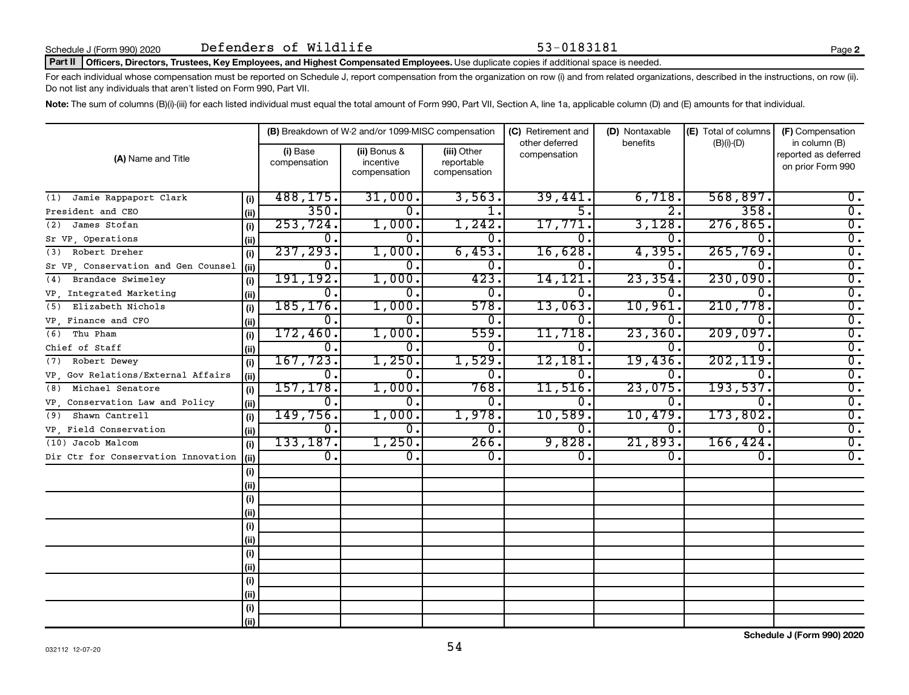### Part II | Officers, Directors, Trustees, Key Employees, and Highest Compensated Employees. Use duplicate copies if additional space is needed.

For each individual whose compensation must be reported on Schedule J, report compensation from the organization on row (i) and from related organizations, described in the instructions, on row (ii). Do not list any individuals that aren't listed on Form 990, Part VII.

Note: The sum of columns (B)(i)-(iii) for each listed individual must equal the total amount of Form 990, Part VII, Section A, line 1a, applicable column (D) and (E) amounts for that individual.

|                                     |      |                          | (B) Breakdown of W-2 and/or 1099-MISC compensation |                                           | (C) Retirement and             | (D) Nontaxable | (E) Total of columns | (F) Compensation                                           |
|-------------------------------------|------|--------------------------|----------------------------------------------------|-------------------------------------------|--------------------------------|----------------|----------------------|------------------------------------------------------------|
| (A) Name and Title                  |      | (i) Base<br>compensation | (ii) Bonus &<br>incentive<br>compensation          | (iii) Other<br>reportable<br>compensation | other deferred<br>compensation | benefits       | $(B)(i)$ - $(D)$     | in column (B)<br>reported as deferred<br>on prior Form 990 |
| Jamie Rappaport Clark<br>(1)        | (i)  | 488,175.                 | 31,000.                                            | 3,563.                                    | 39,441                         | 6,718.         | 568,897.             | 0.                                                         |
| President and CEO                   | (ii) | 350.                     | $\Omega$ .                                         | 1.                                        | 5.                             | 2.             | 358.                 | $\overline{0}$ .                                           |
| James Stofan<br>(2)                 | (i)  | 253,724.                 | 1,000.                                             | 1,242.                                    | 17,771.                        | 3,128.         | 276,865.             | $\overline{0}$ .                                           |
| Sr VP, Operations                   | (ii) | О.                       | $\mathbf 0$ .                                      | 0.                                        | 0                              | 0.             | 0                    | $\overline{0}$ .                                           |
| Robert Dreher<br>(3)                | (i)  | 237, 293.                | 1,000.                                             | 6,453.                                    | 16,628                         | 4,395.         | 265,769.             | $\overline{0}$ .                                           |
| Sr VP, Conservation and Gen Counsel | (ii) | 0.                       | 0.                                                 | 0.                                        | 0.                             | 0.             | 0                    | $\overline{0}$ .                                           |
| Brandace Swimeley<br>(4)            | (i)  | 191,192.                 | 1,000.                                             | 423.                                      | 14, 121                        | 23,354.        | 230,090.             | $\overline{0}$ .                                           |
| VP, Integrated Marketing            | (ii) | 0.                       | $\Omega$ .                                         | 0.                                        |                                | Ο.             | 0                    | $\overline{0}$ .                                           |
| Elizabeth Nichols<br>(5)            | (i)  | 185, 176.                | 1,000.                                             | 578.                                      | 13,063                         | 10,961         | 210,778              | $\overline{0}$ .                                           |
| VP, Finance and CFO                 | (ii) | 0.                       | $\Omega$ .                                         | 0.                                        | 0.                             | 0              | 0                    | $\overline{0}$ .                                           |
| Thu Pham<br>(6)                     | (i)  | 172,460.                 | 1,000.                                             | 559.                                      | 11,718                         | 23,360         | 209,097              | $\overline{0}$ .                                           |
| Chief of Staff                      | (ii) | 0.                       | $\Omega$ .                                         | 0.                                        | 0.                             | 0.             | 0                    | $\overline{0}$ .                                           |
| Robert Dewey<br>(7)                 | (i)  | 167, 723.                | 1,250.                                             | 1,529.                                    | 12,181                         | 19,436.        | 202,119              | $\overline{0}$ .                                           |
| VP, Gov Relations/External Affairs  | (ii) | 0.                       | $\Omega$                                           | 0.                                        | 0.                             | 0.             | 0                    | $\overline{0}$ .                                           |
| Michael Senatore<br>(8)             | (i)  | 157, 178.                | 1,000.                                             | 768.                                      | 11,516                         | 23,075         | 193,537              | $\overline{0}$ .                                           |
| VP, Conservation Law and Policy     | (ii) | О.                       | 0.                                                 | Ο.                                        | 0                              | 0.             | 0                    | $\overline{0}$ .                                           |
| Shawn Cantrell<br>(9)               | (i)  | 149,756.                 | 1,000.                                             | 1,978.                                    | 10,589.                        | 10,479.        | 173,802.             | $\overline{0}$ .                                           |
| VP. Field Conservation              | (ii) | 0.                       | $\overline{0}$ .                                   | $\overline{0}$ .                          | 0.                             | о.             | $\mathbf 0$ .        | $\overline{0}$ .                                           |
| (10) Jacob Malcom                   | (i)  | 133, 187.                | 1,250.                                             | 266.                                      | 9,828.                         | 21,893.        | 166,424              | $\overline{0}$ .                                           |
| Dir Ctr for Conservation Innovation | (ii) | 0.                       | 0.                                                 | $\overline{0}$ .                          | 0.                             | 0.             | 0.                   | $\overline{0}$ .                                           |
|                                     | (i)  |                          |                                                    |                                           |                                |                |                      |                                                            |
|                                     | (ii) |                          |                                                    |                                           |                                |                |                      |                                                            |
|                                     | (i)  |                          |                                                    |                                           |                                |                |                      |                                                            |
|                                     | (ii) |                          |                                                    |                                           |                                |                |                      |                                                            |
|                                     | (i)  |                          |                                                    |                                           |                                |                |                      |                                                            |
|                                     | (ii) |                          |                                                    |                                           |                                |                |                      |                                                            |
|                                     | (i)  |                          |                                                    |                                           |                                |                |                      |                                                            |
|                                     | (ii) |                          |                                                    |                                           |                                |                |                      |                                                            |
|                                     | (i)  |                          |                                                    |                                           |                                |                |                      |                                                            |
|                                     | (ii) |                          |                                                    |                                           |                                |                |                      |                                                            |
|                                     | (i)  |                          |                                                    |                                           |                                |                |                      |                                                            |
|                                     | (ii) |                          |                                                    |                                           |                                |                |                      |                                                            |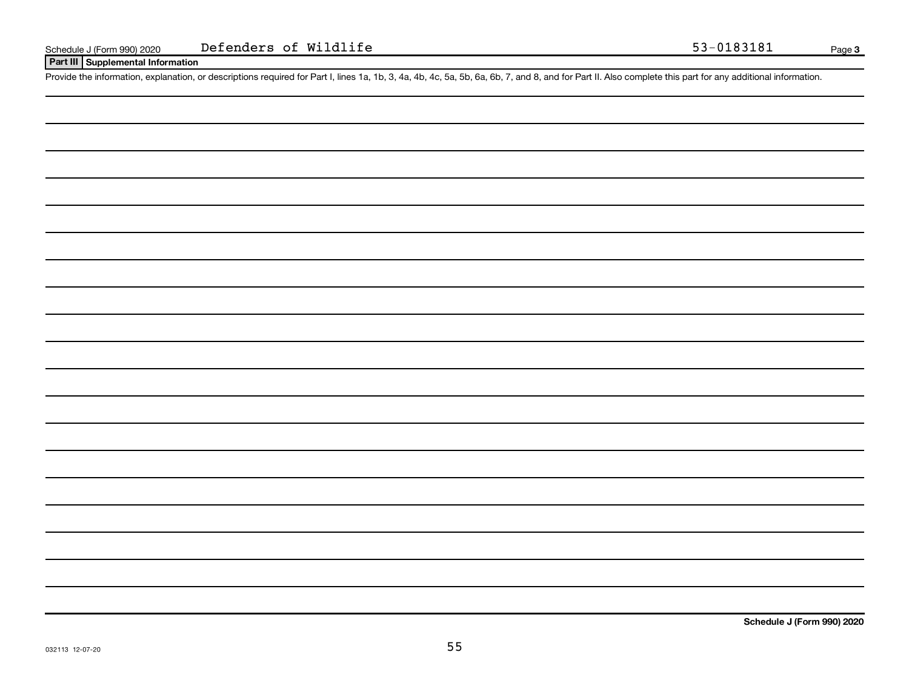# **Part III Supplemental Information**

Provide the information, explanation, or descriptions required for Part I, lines 1a, 1b, 3, 4a, 4b, 4c, 5a, 5b, 6a, 6b, 7, and 8, and for Part II. Also complete this part for any additional information.

**Schedule J (Form 990) 2020**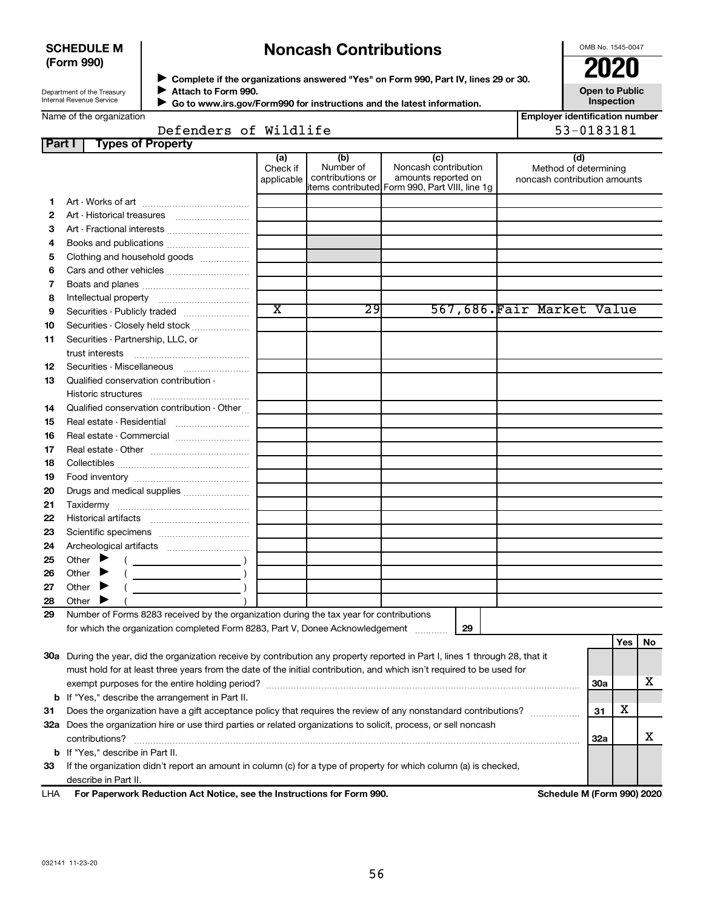# **SCHEDULE M (Form 990)**

# **Noncash Contributions**

OMB No. 1545-0047

**Employer identification number**

53-0183181

| Department of the Treasury |  |
|----------------------------|--|
| Internal Revenue Service   |  |

◆ Complete if the organizations answered "Yes" on Form 990, Part IV, lines 29 or 30.<br>● Complete if the organizations answered "Yes" on Form 990, Part IV, lines 29 or 30. **Attach to Form 990.** J

 **Go to www.irs.gov/Form990 for instructions and the latest information.** J

**Open to Public Inspection**

| Name of the organization |  |
|--------------------------|--|
|--------------------------|--|

| ition |                       |  |  |
|-------|-----------------------|--|--|
|       | Defenders of Wildlife |  |  |

| Part I | <b>Types of Property</b>                                                                                                                                                                                                            |                               |                                      |                                                                                                      |    |                                                              |            |     |    |
|--------|-------------------------------------------------------------------------------------------------------------------------------------------------------------------------------------------------------------------------------------|-------------------------------|--------------------------------------|------------------------------------------------------------------------------------------------------|----|--------------------------------------------------------------|------------|-----|----|
|        |                                                                                                                                                                                                                                     | (a)<br>Check if<br>applicable | (b)<br>Number of<br>contributions or | (c)<br>Noncash contribution<br>amounts reported on<br>items contributed Form 990, Part VIII, line 1g |    | (d)<br>Method of determining<br>noncash contribution amounts |            |     |    |
| 1      |                                                                                                                                                                                                                                     |                               |                                      |                                                                                                      |    |                                                              |            |     |    |
| 2      |                                                                                                                                                                                                                                     |                               |                                      |                                                                                                      |    |                                                              |            |     |    |
| з      | Art - Fractional interests                                                                                                                                                                                                          |                               |                                      |                                                                                                      |    |                                                              |            |     |    |
| 4      |                                                                                                                                                                                                                                     |                               |                                      |                                                                                                      |    |                                                              |            |     |    |
| 5      | Clothing and household goods                                                                                                                                                                                                        |                               |                                      |                                                                                                      |    |                                                              |            |     |    |
| 6      |                                                                                                                                                                                                                                     |                               |                                      |                                                                                                      |    |                                                              |            |     |    |
| 7      |                                                                                                                                                                                                                                     |                               |                                      |                                                                                                      |    |                                                              |            |     |    |
| 8      |                                                                                                                                                                                                                                     |                               |                                      |                                                                                                      |    |                                                              |            |     |    |
| 9      | Securities - Publicly traded                                                                                                                                                                                                        | $\overline{\text{x}}$         | 29                                   |                                                                                                      |    | 567,686. Fair Market Value                                   |            |     |    |
| 10     | Securities - Closely held stock                                                                                                                                                                                                     |                               |                                      |                                                                                                      |    |                                                              |            |     |    |
| 11     | Securities - Partnership, LLC, or                                                                                                                                                                                                   |                               |                                      |                                                                                                      |    |                                                              |            |     |    |
|        |                                                                                                                                                                                                                                     |                               |                                      |                                                                                                      |    |                                                              |            |     |    |
| 12     | Securities - Miscellaneous                                                                                                                                                                                                          |                               |                                      |                                                                                                      |    |                                                              |            |     |    |
| 13     | Qualified conservation contribution -                                                                                                                                                                                               |                               |                                      |                                                                                                      |    |                                                              |            |     |    |
|        |                                                                                                                                                                                                                                     |                               |                                      |                                                                                                      |    |                                                              |            |     |    |
| 14     | Qualified conservation contribution - Other                                                                                                                                                                                         |                               |                                      |                                                                                                      |    |                                                              |            |     |    |
| 15     | Real estate - Residential                                                                                                                                                                                                           |                               |                                      |                                                                                                      |    |                                                              |            |     |    |
| 16     |                                                                                                                                                                                                                                     |                               |                                      |                                                                                                      |    |                                                              |            |     |    |
| 17     |                                                                                                                                                                                                                                     |                               |                                      |                                                                                                      |    |                                                              |            |     |    |
| 18     |                                                                                                                                                                                                                                     |                               |                                      |                                                                                                      |    |                                                              |            |     |    |
| 19     |                                                                                                                                                                                                                                     |                               |                                      |                                                                                                      |    |                                                              |            |     |    |
| 20     | Drugs and medical supplies                                                                                                                                                                                                          |                               |                                      |                                                                                                      |    |                                                              |            |     |    |
| 21     |                                                                                                                                                                                                                                     |                               |                                      |                                                                                                      |    |                                                              |            |     |    |
| 22     |                                                                                                                                                                                                                                     |                               |                                      |                                                                                                      |    |                                                              |            |     |    |
| 23     |                                                                                                                                                                                                                                     |                               |                                      |                                                                                                      |    |                                                              |            |     |    |
| 24     |                                                                                                                                                                                                                                     |                               |                                      |                                                                                                      |    |                                                              |            |     |    |
| 25     | Other $\blacktriangleright$                                                                                                                                                                                                         |                               |                                      |                                                                                                      |    |                                                              |            |     |    |
| 26     | Other                                                                                                                                                                                                                               |                               |                                      |                                                                                                      |    |                                                              |            |     |    |
| 27     | Other                                                                                                                                                                                                                               |                               |                                      |                                                                                                      |    |                                                              |            |     |    |
| 28     | Other                                                                                                                                                                                                                               |                               |                                      |                                                                                                      |    |                                                              |            |     |    |
| 29     | Number of Forms 8283 received by the organization during the tax year for contributions                                                                                                                                             |                               |                                      |                                                                                                      |    |                                                              |            |     |    |
|        | for which the organization completed Form 8283, Part V, Donee Acknowledgement                                                                                                                                                       |                               |                                      |                                                                                                      | 29 |                                                              |            |     |    |
|        |                                                                                                                                                                                                                                     |                               |                                      |                                                                                                      |    |                                                              |            | Yes | No |
|        | 30a During the year, did the organization receive by contribution any property reported in Part I, lines 1 through 28, that it                                                                                                      |                               |                                      |                                                                                                      |    |                                                              |            |     |    |
|        | must hold for at least three years from the date of the initial contribution, and which isn't required to be used for                                                                                                               |                               |                                      |                                                                                                      |    |                                                              |            |     | х  |
|        |                                                                                                                                                                                                                                     |                               |                                      |                                                                                                      |    |                                                              | <b>30a</b> |     |    |
|        | <b>b</b> If "Yes," describe the arrangement in Part II.                                                                                                                                                                             |                               |                                      |                                                                                                      |    |                                                              |            | х   |    |
| 31     | Does the organization have a gift acceptance policy that requires the review of any nonstandard contributions?<br>32a Does the organization hire or use third parties or related organizations to solicit, process, or sell noncash |                               |                                      |                                                                                                      |    |                                                              | 31         |     |    |
|        | contributions?                                                                                                                                                                                                                      |                               |                                      |                                                                                                      |    |                                                              | <b>32a</b> |     | х  |
|        | <b>b</b> If "Yes," describe in Part II.                                                                                                                                                                                             |                               |                                      |                                                                                                      |    |                                                              |            |     |    |
|        |                                                                                                                                                                                                                                     |                               |                                      |                                                                                                      |    |                                                              |            |     |    |

**33** If the organization didn't report an amount in column (c) for a type of property for which column (a) is checked, describe in Part II.

**For Paperwork Reduction Act Notice, see the Instructions for Form 990. Schedule M (Form 990) 2020** LHA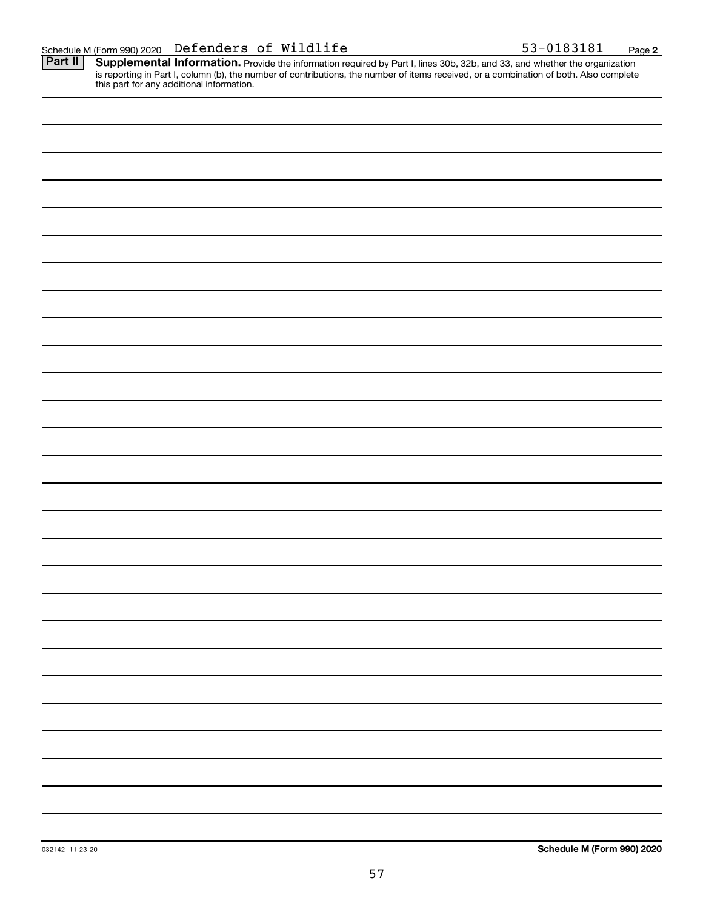**2**

Provide the information required by Part I, lines 30b, 32b, and 33, and whether the organization is reporting in Part I, column (b), the number of contributions, the number of items received, or a combination of both. Also complete this part for any additional information. **Part II Supplemental Information.** 

| $\overline{\phantom{a}}$                                                                                                                                                                                                                                                                                                                                                                                                                                                               |  |
|----------------------------------------------------------------------------------------------------------------------------------------------------------------------------------------------------------------------------------------------------------------------------------------------------------------------------------------------------------------------------------------------------------------------------------------------------------------------------------------|--|
|                                                                                                                                                                                                                                                                                                                                                                                                                                                                                        |  |
| <u> The Communication of the Communication of the Communication of the Communication of the Communication of the Communication of the Communication of the Communication of the Communication of the Communication of the Commun</u>                                                                                                                                                                                                                                                   |  |
| $\begin{tabular}{ll} \multicolumn{3}{l}{} & \multicolumn{3}{l}{} & \multicolumn{3}{l}{} & \multicolumn{3}{l}{} \\ \multicolumn{3}{l}{} & \multicolumn{3}{l}{} & \multicolumn{3}{l}{} & \multicolumn{3}{l}{} \\ \multicolumn{3}{l}{} & \multicolumn{3}{l}{} & \multicolumn{3}{l}{} & \multicolumn{3}{l}{} \\ \multicolumn{3}{l}{} & \multicolumn{3}{l}{} & \multicolumn{3}{l}{} & \multicolumn{3}{l}{} \\ \multicolumn{3}{l}{} & \multicolumn{3}{l}{} & \multicolumn{3}{l}{} & \multic$ |  |
|                                                                                                                                                                                                                                                                                                                                                                                                                                                                                        |  |
|                                                                                                                                                                                                                                                                                                                                                                                                                                                                                        |  |
|                                                                                                                                                                                                                                                                                                                                                                                                                                                                                        |  |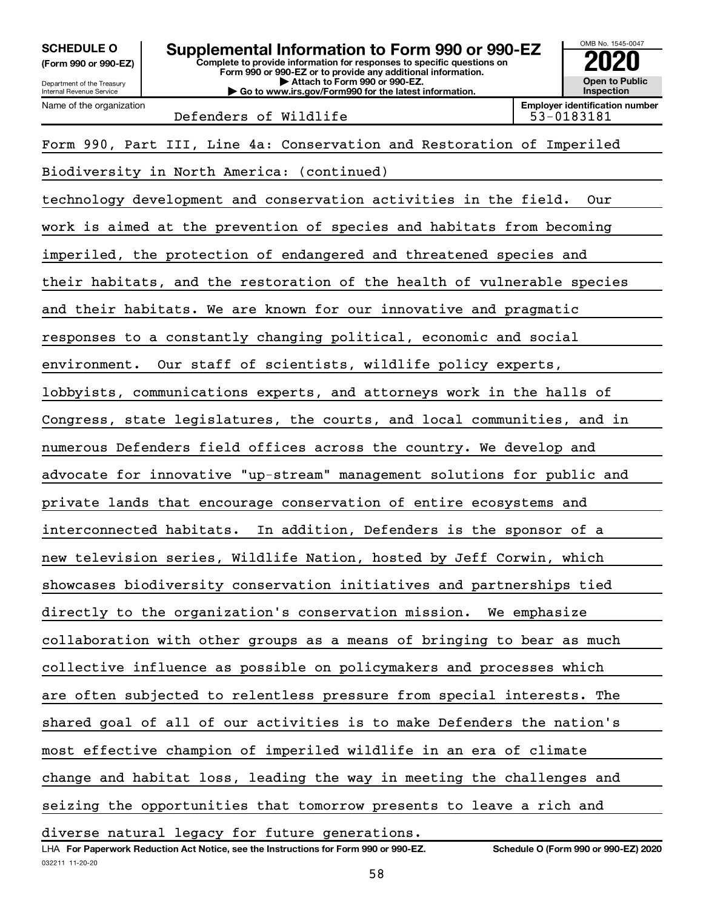| <b>SCHEDULE O</b>                                      | Supplemental Information to Form 990 or 990-EZ<br>Complete to provide information for responses to specific questions on |              | OMB No. 1545-0047                     |
|--------------------------------------------------------|--------------------------------------------------------------------------------------------------------------------------|--------------|---------------------------------------|
| (Form 990 or 990-EZ)                                   | Form 990 or 990-EZ or to provide any additional information.<br>Attach to Form 990 or 990-EZ.                            |              | <b>Open to Public</b>                 |
| Department of the Treasury<br>Internal Revenue Service | Go to www.irs.gov/Form990 for the latest information.                                                                    |              | <b>Inspection</b>                     |
| Name of the organization                               | Defenders of Wildlife                                                                                                    | 53-0183181   | <b>Employer identification number</b> |
|                                                        | Form 990, Part III, Line 4a: Conservation and Restoration of Imperiled                                                   |              |                                       |
|                                                        | Biodiversity in North America: (continued)                                                                               |              |                                       |
|                                                        | technology development and conservation activities in the field.                                                         |              | Our                                   |
|                                                        | work is aimed at the prevention of species and habitats from becoming                                                    |              |                                       |
|                                                        | imperiled, the protection of endangered and threatened species and                                                       |              |                                       |
|                                                        | their habitats, and the restoration of the health of vulnerable species                                                  |              |                                       |
|                                                        | and their habitats. We are known for our innovative and pragmatic                                                        |              |                                       |
|                                                        | responses to a constantly changing political, economic and social                                                        |              |                                       |
| environment.                                           | Our staff of scientists, wildlife policy experts,                                                                        |              |                                       |
|                                                        | lobbyists, communications experts, and attorneys work in the halls of                                                    |              |                                       |
|                                                        | Congress, state legislatures, the courts, and local communities, and in                                                  |              |                                       |
|                                                        | numerous Defenders field offices across the country. We develop and                                                      |              |                                       |
|                                                        | advocate for innovative "up-stream" management solutions for public and                                                  |              |                                       |
|                                                        | private lands that encourage conservation of entire ecosystems and                                                       |              |                                       |
| interconnected habitats.                               | In addition, Defenders is the sponsor of a                                                                               |              |                                       |
|                                                        | new television series, Wildlife Nation, hosted by Jeff Corwin, which                                                     |              |                                       |
|                                                        | showcases biodiversity conservation initiatives and partnerships tied                                                    |              |                                       |
|                                                        | directly to the organization's conservation mission.                                                                     | We emphasize |                                       |
|                                                        | collaboration with other groups as a means of bringing to bear as much                                                   |              |                                       |
|                                                        | collective influence as possible on policymakers and processes which                                                     |              |                                       |
|                                                        | are often subjected to relentless pressure from special interests. The                                                   |              |                                       |
|                                                        | shared goal of all of our activities is to make Defenders the nation's                                                   |              |                                       |
|                                                        | most effective champion of imperiled wildlife in an era of climate                                                       |              |                                       |
|                                                        | change and habitat loss, leading the way in meeting the challenges and                                                   |              |                                       |
|                                                        | seizing the opportunities that tomorrow presents to leave a rich and                                                     |              |                                       |
|                                                        | diverse natural legacy for future generations.                                                                           |              |                                       |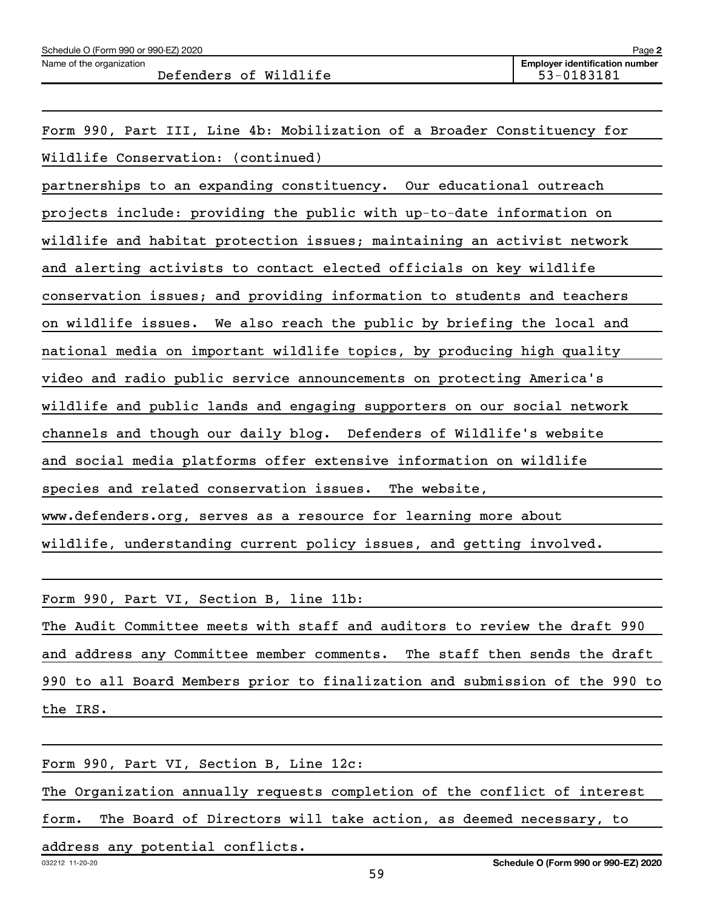Name of the organization

Form 990, Part III, Line 4b: Mobilization of a Broader Constituency for Wildlife Conservation: (continued) partnerships to an expanding constituency. Our educational outreach projects include: providing the public with up-to-date information on wildlife and habitat protection issues; maintaining an activist network and alerting activists to contact elected officials on key wildlife conservation issues; and providing information to students and teachers on wildlife issues. We also reach the public by briefing the local and national media on important wildlife topics, by producing high quality video and radio public service announcements on protecting America's wildlife and public lands and engaging supporters on our social network channels and though our daily blog. Defenders of Wildlife's website and social media platforms offer extensive information on wildlife species and related conservation issues. The website, www.defenders.org, serves as a resource for learning more about wildlife, understanding current policy issues, and getting involved.

Form 990, Part VI, Section B, line 11b:

The Audit Committee meets with staff and auditors to review the draft 990 and address any Committee member comments. The staff then sends the draft 990 to all Board Members prior to finalization and submission of the 990 to the IRS.

Form 990, Part VI, Section B, Line 12c: The Organization annually requests completion of the conflict of interest form. The Board of Directors will take action, as deemed necessary, to

address any potential conflicts.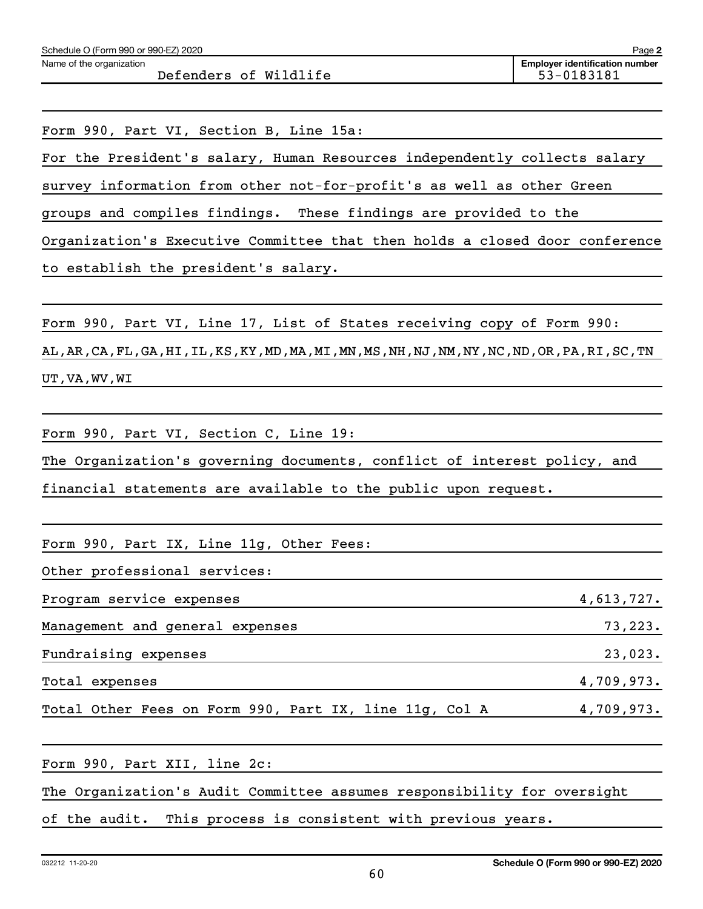| Name of the organization<br>Defenders of Wildlife                                                                          | <b>Employer identification number</b><br>53-0183181 |
|----------------------------------------------------------------------------------------------------------------------------|-----------------------------------------------------|
|                                                                                                                            |                                                     |
| Form 990, Part VI, Section B, Line 15a:                                                                                    |                                                     |
| For the President's salary, Human Resources independently collects salary                                                  |                                                     |
| survey information from other not-for-profit's as well as other Green                                                      |                                                     |
| groups and compiles findings. These findings are provided to the                                                           |                                                     |
| Organization's Executive Committee that then holds a closed door conference                                                |                                                     |
| to establish the president's salary.                                                                                       |                                                     |
| Form 990, Part VI, Line 17, List of States receiving copy of Form 990:                                                     |                                                     |
| AL , AR , CA , FL , GA , HI , IL , KS , KY , MD , MA , MI , MN , MS , NH , NJ , NM , NY , NC , ND , OR , PA , RI , SC , TN |                                                     |
| UT, VA, WV, WI                                                                                                             |                                                     |
| Form 990, Part VI, Section C, Line 19:                                                                                     |                                                     |
| The Organization's governing documents, conflict of interest policy, and                                                   |                                                     |
| financial statements are available to the public upon request.                                                             |                                                     |
| Form 990, Part IX, Line 11g, Other Fees:                                                                                   |                                                     |
| Other professional services:                                                                                               |                                                     |
| Program service expenses                                                                                                   | 4,613,727.                                          |
| Management and general expenses                                                                                            | 73,223.                                             |
| Fundraising expenses                                                                                                       | 23,023.                                             |
| Total expenses                                                                                                             | 4,709,973.                                          |
| Total Other Fees on Form 990, Part IX, line 11g, Col A                                                                     | 4,709,973.                                          |
| Form 990, Part XII, line 2c:                                                                                               |                                                     |
| The Organization's Audit Committee assumes responsibility for oversight                                                    |                                                     |
| of the audit. This process is consistent with previous years.                                                              |                                                     |
|                                                                                                                            |                                                     |

Schedule O (Form 990 or 990-EZ) 2020

**2**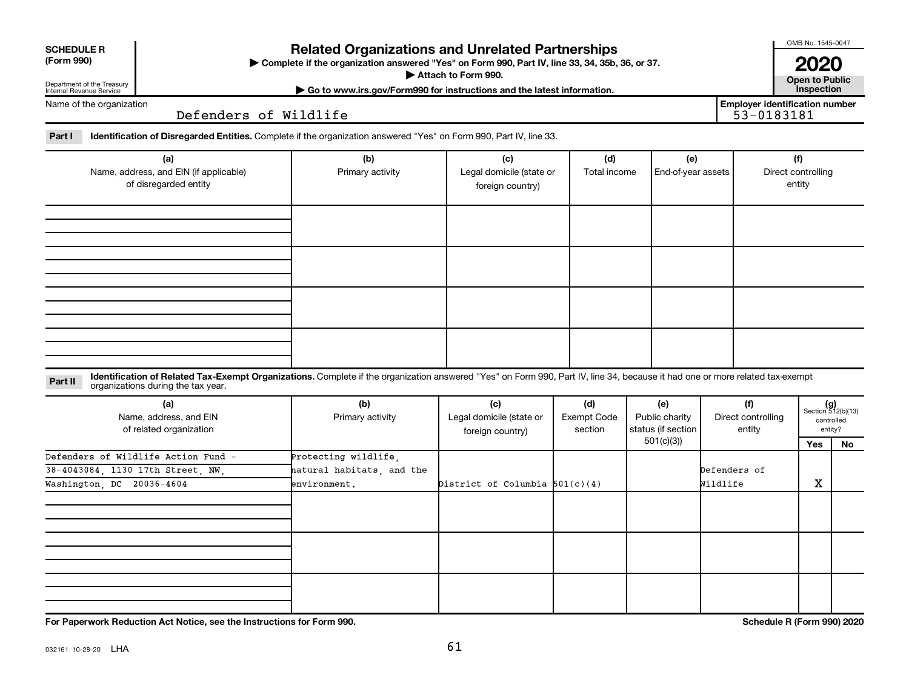| <b>SCHEDULE R</b>                                      |                                                                 | <b>Related Organizations and Unrelated Partnerships</b>                                                                                                                      |                                              |                        |                                      |                    |                                                     | OMB No. 1545-004/            |                             |  |  |
|--------------------------------------------------------|-----------------------------------------------------------------|------------------------------------------------------------------------------------------------------------------------------------------------------------------------------|----------------------------------------------|------------------------|--------------------------------------|--------------------|-----------------------------------------------------|------------------------------|-----------------------------|--|--|
| (Form 990)                                             |                                                                 | > Complete if the organization answered "Yes" on Form 990, Part IV, line 33, 34, 35b, 36, or 37.                                                                             |                                              |                        |                                      |                    |                                                     | 2020                         |                             |  |  |
|                                                        |                                                                 | Attach to Form 990.<br>Go to www.irs.gov/Form990 for instructions and the latest information.                                                                                |                                              |                        |                                      |                    |                                                     |                              |                             |  |  |
| Department of the Treasury<br>Internal Revenue Service |                                                                 |                                                                                                                                                                              |                                              |                        |                                      |                    |                                                     |                              |                             |  |  |
| Name of the organization                               | Defenders of Wildlife                                           |                                                                                                                                                                              |                                              |                        |                                      |                    | <b>Employer identification number</b><br>53-0183181 |                              |                             |  |  |
| Part I                                                 |                                                                 | <b>Identification of Disregarded Entities.</b> Complete if the organization answered "Yes" on Form 990, Part IV, line 33.                                                    |                                              |                        |                                      |                    |                                                     |                              |                             |  |  |
|                                                        | (a)                                                             | (b)                                                                                                                                                                          | (c)                                          | (d)                    | (e)                                  |                    |                                                     | (f)                          |                             |  |  |
|                                                        | Name, address, and EIN (if applicable)<br>of disregarded entity | Primary activity                                                                                                                                                             | Legal domicile (state or<br>foreign country) | Total income           |                                      | End-of-year assets |                                                     | Direct controlling<br>entity |                             |  |  |
|                                                        |                                                                 |                                                                                                                                                                              |                                              |                        |                                      |                    |                                                     |                              |                             |  |  |
|                                                        |                                                                 |                                                                                                                                                                              |                                              |                        |                                      |                    |                                                     |                              |                             |  |  |
|                                                        |                                                                 |                                                                                                                                                                              |                                              |                        |                                      |                    |                                                     |                              |                             |  |  |
|                                                        |                                                                 |                                                                                                                                                                              |                                              |                        |                                      |                    |                                                     |                              |                             |  |  |
| Part II                                                | organizations during the tax year.                              | Identification of Related Tax-Exempt Organizations. Complete if the organization answered "Yes" on Form 990, Part IV, line 34, because it had one or more related tax-exempt |                                              |                        |                                      |                    |                                                     |                              |                             |  |  |
|                                                        | (a)                                                             | (b)                                                                                                                                                                          | (c)                                          | (d)                    | (e)                                  |                    | (f)                                                 |                              | $(g)$<br>Section 512(b)(13) |  |  |
|                                                        | Name, address, and EIN<br>of related organization               | Primary activity                                                                                                                                                             | Legal domicile (state or<br>foreign country) | Exempt Code<br>section | Public charity<br>status (if section |                    | Direct controlling<br>entity                        |                              | controlled<br>entity?       |  |  |
|                                                        |                                                                 |                                                                                                                                                                              |                                              |                        | 501(c)(3)                            |                    |                                                     | Yes                          | No                          |  |  |
|                                                        | Defenders of Wildlife Action Fund -                             | Protecting wildlife,                                                                                                                                                         |                                              |                        |                                      |                    |                                                     |                              |                             |  |  |
|                                                        | 38-4043084, 1130 17th Street, NW.                               | natural habitats, and the                                                                                                                                                    |                                              |                        |                                      |                    | Defenders of                                        |                              |                             |  |  |
| Washington, DC 20036-4604                              |                                                                 | environment.                                                                                                                                                                 | District of Columbia $501(c)(4)$             |                        |                                      | Wildlife           |                                                     | X                            |                             |  |  |
|                                                        |                                                                 |                                                                                                                                                                              |                                              |                        |                                      |                    |                                                     |                              |                             |  |  |
|                                                        |                                                                 |                                                                                                                                                                              |                                              |                        |                                      |                    |                                                     |                              |                             |  |  |
|                                                        |                                                                 |                                                                                                                                                                              |                                              |                        |                                      |                    |                                                     |                              |                             |  |  |
|                                                        |                                                                 |                                                                                                                                                                              |                                              |                        |                                      |                    |                                                     |                              |                             |  |  |
|                                                        |                                                                 |                                                                                                                                                                              |                                              |                        |                                      |                    |                                                     |                              |                             |  |  |
|                                                        |                                                                 |                                                                                                                                                                              |                                              |                        |                                      |                    |                                                     |                              |                             |  |  |
|                                                        |                                                                 |                                                                                                                                                                              |                                              |                        |                                      |                    |                                                     |                              |                             |  |  |
|                                                        |                                                                 |                                                                                                                                                                              |                                              |                        |                                      |                    |                                                     |                              |                             |  |  |

**For Paperwork Reduction Act Notice, see the Instructions for Form 990. Schedule R (Form 990) 2020**

OMB No. 1545-0047

 $\overline{\phantom{a}}$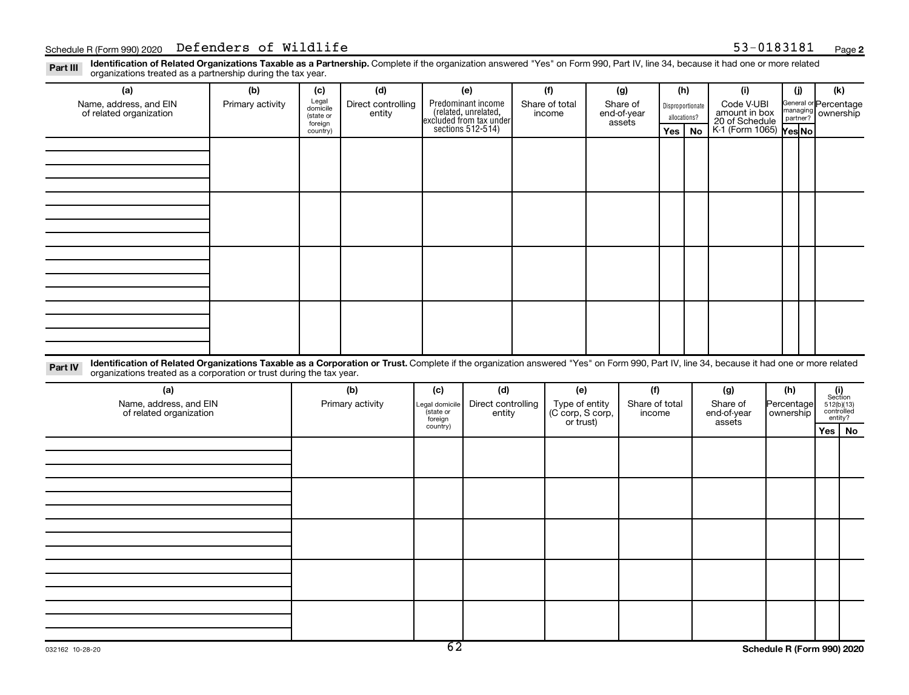Part III Identification of Related Organizations Taxable as a Partnership. Complete if the organization answered "Yes" on Form 990, Part IV, line 34, because it had one or more related<br>Read to the organizations tracted as organizations treated as a partnership during the tax year.

| (a)                                                                                                                                                                                                                                                                         | (b)              | (c)                                       | (d)                          |                             | (e)                                                                   | (f)                           | (g)                               |              | (h)              | (i)                                           | (i)                                         | (k)                      |    |
|-----------------------------------------------------------------------------------------------------------------------------------------------------------------------------------------------------------------------------------------------------------------------------|------------------|-------------------------------------------|------------------------------|-----------------------------|-----------------------------------------------------------------------|-------------------------------|-----------------------------------|--------------|------------------|-----------------------------------------------|---------------------------------------------|--------------------------|----|
| Name, address, and EIN<br>of related organization                                                                                                                                                                                                                           | Primary activity | Legal<br>domicile<br>(state or<br>foreign | Direct controlling<br>entity |                             | Predominant income<br>(related, unrelated,<br>excluded from tax under | Share of total<br>income      | Share of<br>end-of-year<br>assets | allocations? | Disproportionate | Code V-UBI<br>amount in box<br>20 of Schedule | General or Percentage<br>managing ownership |                          |    |
|                                                                                                                                                                                                                                                                             |                  | country)                                  |                              |                             | sections $512-514$ )                                                  |                               |                                   | Yes          | <b>No</b>        | K-1 (Form 1065) Yes No                        |                                             |                          |    |
|                                                                                                                                                                                                                                                                             |                  |                                           |                              |                             |                                                                       |                               |                                   |              |                  |                                               |                                             |                          |    |
|                                                                                                                                                                                                                                                                             |                  |                                           |                              |                             |                                                                       |                               |                                   |              |                  |                                               |                                             |                          |    |
|                                                                                                                                                                                                                                                                             |                  |                                           |                              |                             |                                                                       |                               |                                   |              |                  |                                               |                                             |                          |    |
|                                                                                                                                                                                                                                                                             |                  |                                           |                              |                             |                                                                       |                               |                                   |              |                  |                                               |                                             |                          |    |
|                                                                                                                                                                                                                                                                             |                  |                                           |                              |                             |                                                                       |                               |                                   |              |                  |                                               |                                             |                          |    |
|                                                                                                                                                                                                                                                                             |                  |                                           |                              |                             |                                                                       |                               |                                   |              |                  |                                               |                                             |                          |    |
|                                                                                                                                                                                                                                                                             |                  |                                           |                              |                             |                                                                       |                               |                                   |              |                  |                                               |                                             |                          |    |
|                                                                                                                                                                                                                                                                             |                  |                                           |                              |                             |                                                                       |                               |                                   |              |                  |                                               |                                             |                          |    |
|                                                                                                                                                                                                                                                                             |                  |                                           |                              |                             |                                                                       |                               |                                   |              |                  |                                               |                                             |                          |    |
|                                                                                                                                                                                                                                                                             |                  |                                           |                              |                             |                                                                       |                               |                                   |              |                  |                                               |                                             |                          |    |
|                                                                                                                                                                                                                                                                             |                  |                                           |                              |                             |                                                                       |                               |                                   |              |                  |                                               |                                             |                          |    |
|                                                                                                                                                                                                                                                                             |                  |                                           |                              |                             |                                                                       |                               |                                   |              |                  |                                               |                                             |                          |    |
|                                                                                                                                                                                                                                                                             |                  |                                           |                              |                             |                                                                       |                               |                                   |              |                  |                                               |                                             |                          |    |
|                                                                                                                                                                                                                                                                             |                  |                                           |                              |                             |                                                                       |                               |                                   |              |                  |                                               |                                             |                          |    |
|                                                                                                                                                                                                                                                                             |                  |                                           |                              |                             |                                                                       |                               |                                   |              |                  |                                               |                                             |                          |    |
|                                                                                                                                                                                                                                                                             |                  |                                           |                              |                             |                                                                       |                               |                                   |              |                  |                                               |                                             |                          |    |
| Identification of Related Organizations Taxable as a Corporation or Trust. Complete if the organization answered "Yes" on Form 990, Part IV, line 34, because it had one or more related<br>Part IV<br>organizations treated as a corporation or trust during the tax year. |                  |                                           |                              |                             |                                                                       |                               |                                   |              |                  |                                               |                                             |                          |    |
| (a)                                                                                                                                                                                                                                                                         |                  |                                           | (b)                          | (c)                         | (d)                                                                   | (e)                           | (f)                               |              |                  | (g)                                           | (h)                                         | (i)<br>Section           |    |
| Name, address, and EIN                                                                                                                                                                                                                                                      |                  |                                           | Primary activity             | Legal domicile<br>(state or | Direct controlling                                                    | Type of entity                | Share of total                    |              |                  | Share of                                      | Percentage                                  | 512(b)(13)<br>controlled |    |
| of related organization                                                                                                                                                                                                                                                     |                  |                                           |                              | foreian                     | entity                                                                | (C corp, S corp,<br>or trust) | income                            |              |                  | end-of-year<br>assets                         | ownership                                   | entity?                  |    |
|                                                                                                                                                                                                                                                                             |                  |                                           |                              | country)                    |                                                                       |                               |                                   |              |                  |                                               |                                             | Yes                      | No |
|                                                                                                                                                                                                                                                                             |                  |                                           |                              |                             |                                                                       |                               |                                   |              |                  |                                               |                                             |                          |    |
|                                                                                                                                                                                                                                                                             |                  |                                           |                              |                             |                                                                       |                               |                                   |              |                  |                                               |                                             |                          |    |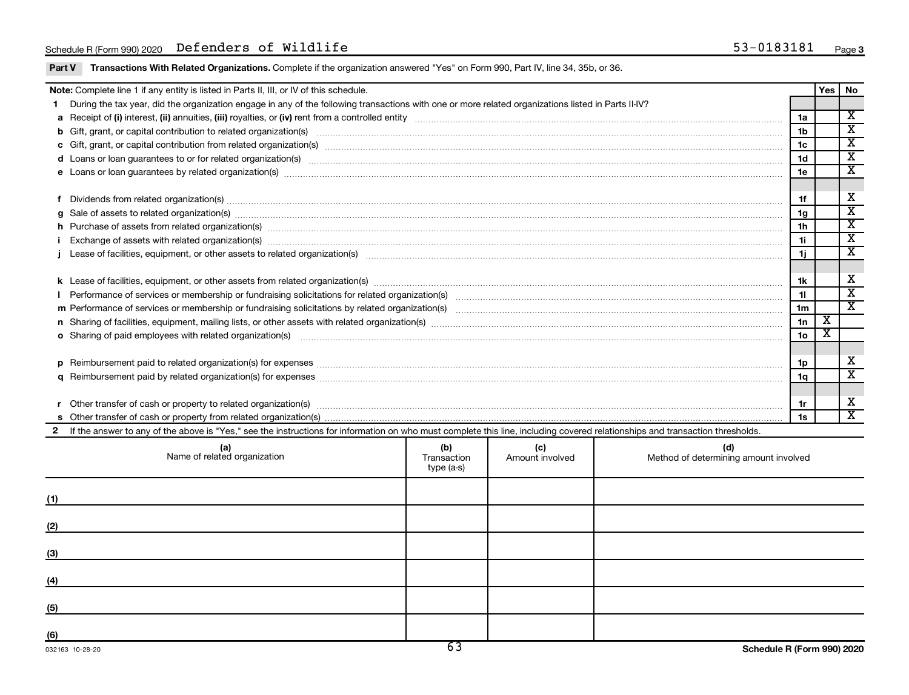# Schedule R (Form 990) 2020 Page Defenders of Wildlife 53-0183181

| Part V Transactions With Related Organizations. Complete if the organization answered "Yes" on Form 990, Part IV, line 34, 35b, or 36. |  |  |
|----------------------------------------------------------------------------------------------------------------------------------------|--|--|
|                                                                                                                                        |  |  |

|   | Note: Complete line 1 if any entity is listed in Parts II, III, or IV of this schedule.                                                                                                                                        |                 | Yes   No                |                             |
|---|--------------------------------------------------------------------------------------------------------------------------------------------------------------------------------------------------------------------------------|-----------------|-------------------------|-----------------------------|
|   | During the tax year, did the organization engage in any of the following transactions with one or more related organizations listed in Parts II-IV?                                                                            |                 |                         |                             |
|   |                                                                                                                                                                                                                                | 1a              |                         | $\overline{\mathbf{x}}$     |
|   |                                                                                                                                                                                                                                | 1b              |                         | $\overline{\mathbf{x}}$     |
|   |                                                                                                                                                                                                                                | 1c              |                         | $\overline{\textnormal{x}}$ |
|   |                                                                                                                                                                                                                                | 1 <sub>d</sub>  |                         | $\overline{\textnormal{x}}$ |
|   | e Loans or loan guarantees by related organization(s) material contents and content to content the content of the content of the content of the content of the content of the content of the content of the content of the con | 1e              |                         | $\overline{\textbf{x}}$     |
|   |                                                                                                                                                                                                                                |                 |                         |                             |
|   | Dividends from related organization(s) www.andron.com/www.andron.com/www.andron.com/www.andron.com/www.andron.com/www.andron.com/www.andron.com/www.andron.com/www.andron.com/www.andron.com/www.andron.com/www.andron.com/www | 1f              |                         | X                           |
| a | Sale of assets to related organization(s) www.assettion.com/www.assettion.com/www.assettion.com/www.assettion.com/www.assettion.com/www.assettion.com/www.assettion.com/www.assettion.com/www.assettion.com/www.assettion.com/ | 1g              |                         | $\overline{\textnormal{x}}$ |
|   | h Purchase of assets from related organization(s) manufactured and content to content the content of assets from related organization(s)                                                                                       | 1 <sub>h</sub>  |                         | $\overline{\textnormal{x}}$ |
|   |                                                                                                                                                                                                                                | 1i              |                         | $\mathbf{x}$                |
|   |                                                                                                                                                                                                                                | 1j              |                         | X                           |
|   |                                                                                                                                                                                                                                |                 |                         |                             |
|   |                                                                                                                                                                                                                                | 1k              |                         | х                           |
|   |                                                                                                                                                                                                                                | 11              |                         | $\overline{\mathbf{x}}$     |
|   |                                                                                                                                                                                                                                | 1 <sub>m</sub>  |                         | X                           |
|   |                                                                                                                                                                                                                                | 1n              | $\overline{\textbf{X}}$ |                             |
|   | o Sharing of paid employees with related organization(s) material contents and content to the star of paid employees with related organization(s) material contents and the star of the star of the star of the star of the st | 10 <sub>o</sub> | X                       |                             |
|   |                                                                                                                                                                                                                                |                 |                         |                             |
|   |                                                                                                                                                                                                                                | 1p              |                         | х                           |
|   |                                                                                                                                                                                                                                | 1q              |                         | $\mathbf{x}$                |
|   |                                                                                                                                                                                                                                |                 |                         |                             |
|   | Other transfer of cash or property to related organization(s) manufactured content to the content of the content of the content of the content of the content of the content of the content of the content of the content of t | 1r              |                         | х                           |
|   |                                                                                                                                                                                                                                | 1s              |                         | $\overline{\mathbf{X}}$     |
|   | 2 If the answer to any of the above is "Yes," see the instructions for information on who must complete this line, including covered relationships and transaction thresholds.                                                 |                 |                         |                             |

| (a)<br>Name of related organization | (b)<br>Transaction<br>type (a-s) | (c)<br>Amount involved | (d)<br>Method of determining amount involved |
|-------------------------------------|----------------------------------|------------------------|----------------------------------------------|
| (1)                                 |                                  |                        |                                              |
| (2)                                 |                                  |                        |                                              |
| (3)                                 |                                  |                        |                                              |
| (4)                                 |                                  |                        |                                              |
| (5)                                 |                                  |                        |                                              |
| (6)                                 | $\overline{C}$                   |                        |                                              |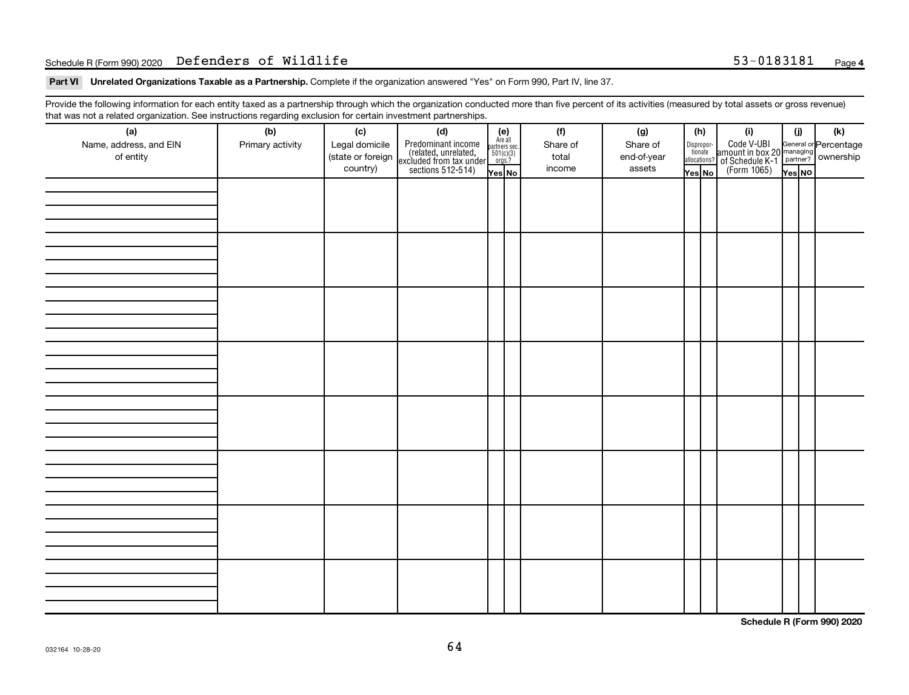# Schedule R (Form 990) 2020 Page Defenders of Wildlife 53-0183181

Part VI Unrelated Organizations Taxable as a Partnership. Complete if the organization answered "Yes" on Form 990, Part IV, line 37.

Provide the following information for each entity taxed as a partnership through which the organization conducted more than five percent of its activities (measured by total assets or gross revenue) that was not a related organization. See instructions regarding exclusion for certain investment partnerships.

| <br>(a)                | (b)              | (c)               | .  . <b>.</b> . <b>.</b><br><br>(d)                                                        |                                                          | (f)      | (g)         | (h)                    |  | (i)                                                                                                                                               | (i)    |  | (k) |
|------------------------|------------------|-------------------|--------------------------------------------------------------------------------------------|----------------------------------------------------------|----------|-------------|------------------------|--|---------------------------------------------------------------------------------------------------------------------------------------------------|--------|--|-----|
| Name, address, and EIN | Primary activity | Legal domicile    |                                                                                            | (e)<br>Are all<br>partners sec.<br>$501(c)(3)$<br>orgs.? | Share of | Share of    |                        |  |                                                                                                                                                   |        |  |     |
| of entity              |                  | (state or foreign |                                                                                            |                                                          | total    | end-of-year | Dispropor-<br>tionate  |  |                                                                                                                                                   |        |  |     |
|                        |                  | country)          | Predominant income<br>(related, unrelated,<br>excluded from tax under<br>sections 512-514) |                                                          | income   | assets      | allocations?<br>Yes No |  | Code V-UBI<br>amount in box 20 managing<br>of Schedule K-1<br>(Form 1065)<br>$\overline{V}$<br>$\overline{V}$<br>$\overline{V}$<br>$\overline{V}$ |        |  |     |
|                        |                  |                   |                                                                                            | Yes No                                                   |          |             |                        |  |                                                                                                                                                   | Yes NO |  |     |
|                        |                  |                   |                                                                                            |                                                          |          |             |                        |  |                                                                                                                                                   |        |  |     |
|                        |                  |                   |                                                                                            |                                                          |          |             |                        |  |                                                                                                                                                   |        |  |     |
|                        |                  |                   |                                                                                            |                                                          |          |             |                        |  |                                                                                                                                                   |        |  |     |
|                        |                  |                   |                                                                                            |                                                          |          |             |                        |  |                                                                                                                                                   |        |  |     |
|                        |                  |                   |                                                                                            |                                                          |          |             |                        |  |                                                                                                                                                   |        |  |     |
|                        |                  |                   |                                                                                            |                                                          |          |             |                        |  |                                                                                                                                                   |        |  |     |
|                        |                  |                   |                                                                                            |                                                          |          |             |                        |  |                                                                                                                                                   |        |  |     |
|                        |                  |                   |                                                                                            |                                                          |          |             |                        |  |                                                                                                                                                   |        |  |     |
|                        |                  |                   |                                                                                            |                                                          |          |             |                        |  |                                                                                                                                                   |        |  |     |
|                        |                  |                   |                                                                                            |                                                          |          |             |                        |  |                                                                                                                                                   |        |  |     |
|                        |                  |                   |                                                                                            |                                                          |          |             |                        |  |                                                                                                                                                   |        |  |     |
|                        |                  |                   |                                                                                            |                                                          |          |             |                        |  |                                                                                                                                                   |        |  |     |
|                        |                  |                   |                                                                                            |                                                          |          |             |                        |  |                                                                                                                                                   |        |  |     |
|                        |                  |                   |                                                                                            |                                                          |          |             |                        |  |                                                                                                                                                   |        |  |     |
|                        |                  |                   |                                                                                            |                                                          |          |             |                        |  |                                                                                                                                                   |        |  |     |
|                        |                  |                   |                                                                                            |                                                          |          |             |                        |  |                                                                                                                                                   |        |  |     |
|                        |                  |                   |                                                                                            |                                                          |          |             |                        |  |                                                                                                                                                   |        |  |     |
|                        |                  |                   |                                                                                            |                                                          |          |             |                        |  |                                                                                                                                                   |        |  |     |
|                        |                  |                   |                                                                                            |                                                          |          |             |                        |  |                                                                                                                                                   |        |  |     |
|                        |                  |                   |                                                                                            |                                                          |          |             |                        |  |                                                                                                                                                   |        |  |     |
|                        |                  |                   |                                                                                            |                                                          |          |             |                        |  |                                                                                                                                                   |        |  |     |
|                        |                  |                   |                                                                                            |                                                          |          |             |                        |  |                                                                                                                                                   |        |  |     |
|                        |                  |                   |                                                                                            |                                                          |          |             |                        |  |                                                                                                                                                   |        |  |     |
|                        |                  |                   |                                                                                            |                                                          |          |             |                        |  |                                                                                                                                                   |        |  |     |
|                        |                  |                   |                                                                                            |                                                          |          |             |                        |  |                                                                                                                                                   |        |  |     |
|                        |                  |                   |                                                                                            |                                                          |          |             |                        |  |                                                                                                                                                   |        |  |     |
|                        |                  |                   |                                                                                            |                                                          |          |             |                        |  |                                                                                                                                                   |        |  |     |
|                        |                  |                   |                                                                                            |                                                          |          |             |                        |  |                                                                                                                                                   |        |  |     |
|                        |                  |                   |                                                                                            |                                                          |          |             |                        |  |                                                                                                                                                   |        |  |     |
|                        |                  |                   |                                                                                            |                                                          |          |             |                        |  |                                                                                                                                                   |        |  |     |
|                        |                  |                   |                                                                                            |                                                          |          |             |                        |  |                                                                                                                                                   |        |  |     |
|                        |                  |                   |                                                                                            |                                                          |          |             |                        |  |                                                                                                                                                   |        |  |     |
|                        |                  |                   |                                                                                            |                                                          |          |             |                        |  |                                                                                                                                                   |        |  |     |
|                        |                  |                   |                                                                                            |                                                          |          |             |                        |  |                                                                                                                                                   |        |  |     |
|                        |                  |                   |                                                                                            |                                                          |          |             |                        |  |                                                                                                                                                   |        |  |     |

**Schedule R (Form 990) 2020**